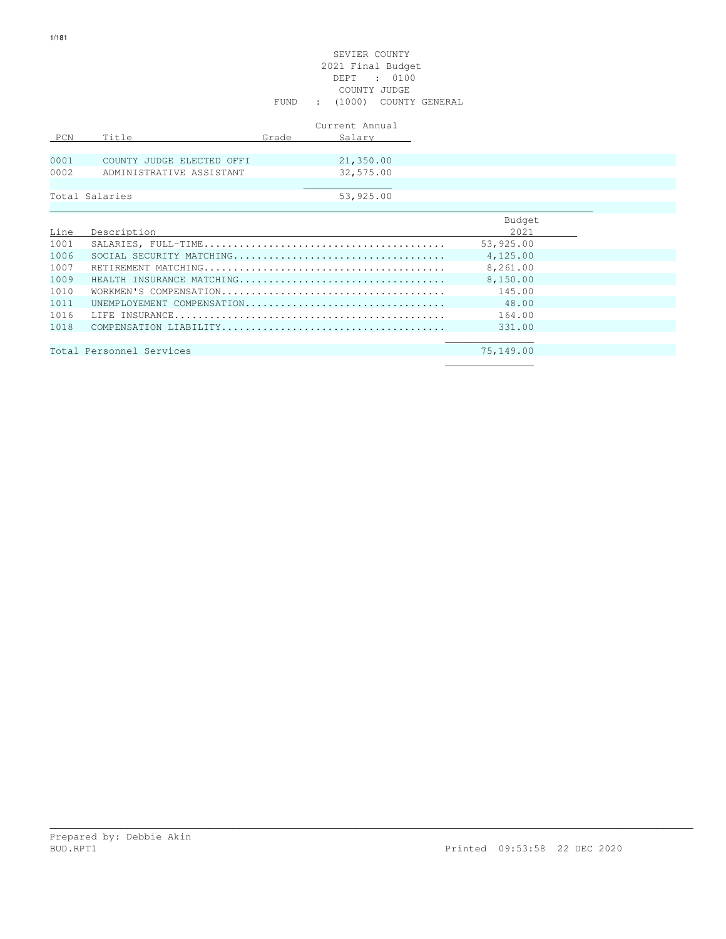# SEVIER COUNTY 2021 Final Budget DEPT : 0100 COUNTY JUDGE FUND : (1000) COUNTY GENERAL

|      |                           |       | Current Annual |
|------|---------------------------|-------|----------------|
| PCN  | Title                     | Grade | Salary         |
|      |                           |       |                |
| 0001 | COUNTY JUDGE ELECTED OFFI |       | 21,350.00      |
| 0002 | ADMINISTRATIVE ASSISTANT  |       | 32,575.00      |
|      |                           |       |                |
|      | Total Salaries            |       | 53,925.00      |

|      |                            | Budget    |
|------|----------------------------|-----------|
| Line | Description                | 2021      |
| 1001 |                            | 53,925.00 |
| 1006 |                            | 4,125.00  |
| 1007 |                            | 8,261.00  |
| 1009 | HEALTH INSURANCE MATCHING  | 8,150.00  |
| 1010 |                            | 145.00    |
| 1011 | UNEMPLOYEMENT COMPENSATION | 48.00     |
| 1016 |                            | 164.00    |
| 1018 |                            | 331.00    |
|      |                            |           |
|      | Total Personnel Services   | 75,149.00 |
|      |                            |           |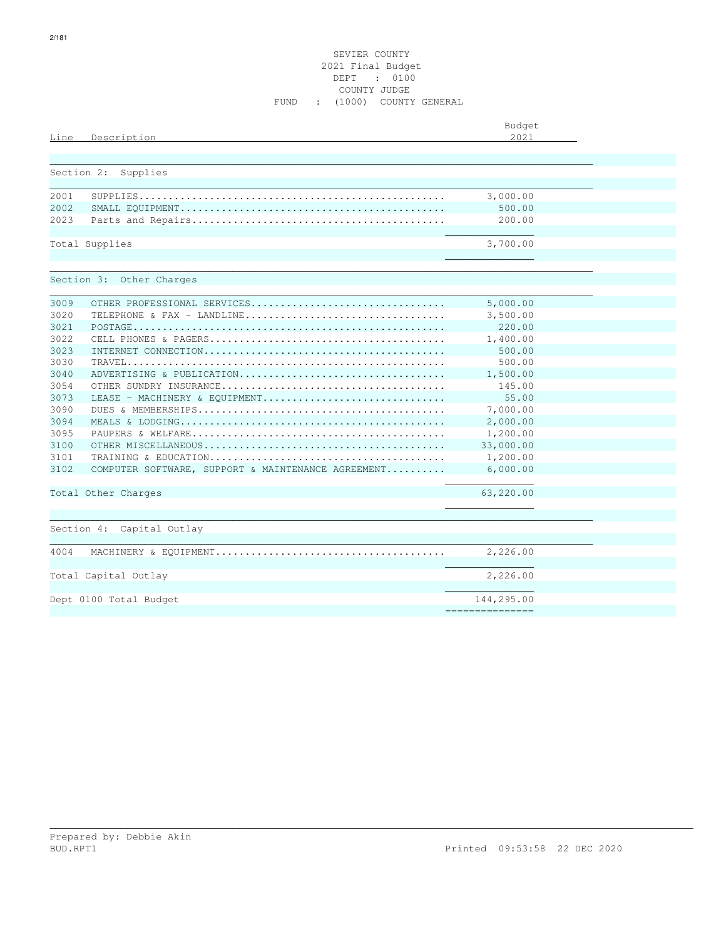# SEVIER COUNTY 2021 Final Budget DEPT : 0100 COUNTY JUDGE FUND : (1000) COUNTY GENERAL

|      |                                                    | Budget<br>2.021 |  |
|------|----------------------------------------------------|-----------------|--|
| Line | Description                                        |                 |  |
|      | Section 2:<br>Supplies                             |                 |  |
|      |                                                    |                 |  |
| 2001 |                                                    | 3,000.00        |  |
| 2002 |                                                    | 500.00          |  |
| 2023 |                                                    | 200.00          |  |
|      |                                                    |                 |  |
|      | Total Supplies                                     | 3,700.00        |  |
|      |                                                    |                 |  |
|      | Section 3: Other Charges                           |                 |  |
|      |                                                    |                 |  |
| 3009 | OTHER PROFESSIONAL SERVICES                        | 5,000.00        |  |
| 3020 | TELEPHONE & FAX - LANDLINE                         | 3,500.00        |  |
| 3021 |                                                    | 220.00          |  |
| 3022 |                                                    | 1,400.00        |  |
| 3023 |                                                    | 500.00          |  |
| 3030 |                                                    | 500.00          |  |
| 3040 | ADVERTISING & PUBLICATION                          | 1,500.00        |  |
| 3054 |                                                    | 145.00          |  |
| 3073 | LEASE - MACHINERY & EOUIPMENT                      | 55.00           |  |
| 3090 |                                                    | 7,000.00        |  |
| 3094 |                                                    | 2,000.00        |  |
| 3095 |                                                    | 1,200.00        |  |
| 3100 |                                                    | 33,000.00       |  |
| 3101 |                                                    | 1,200.00        |  |
| 3102 | COMPUTER SOFTWARE, SUPPORT & MAINTENANCE AGREEMENT | 6,000.00        |  |
|      | Total Other Charges                                | 63,220.00       |  |
|      |                                                    |                 |  |
|      | Section 4: Capital Outlay                          |                 |  |
|      |                                                    |                 |  |
| 4004 |                                                    | 2,226.00        |  |
|      | Total Capital Outlay                               | 2,226.00        |  |
|      |                                                    |                 |  |
|      | Dept 0100 Total Budget                             | 144,295.00      |  |
|      |                                                    | =============== |  |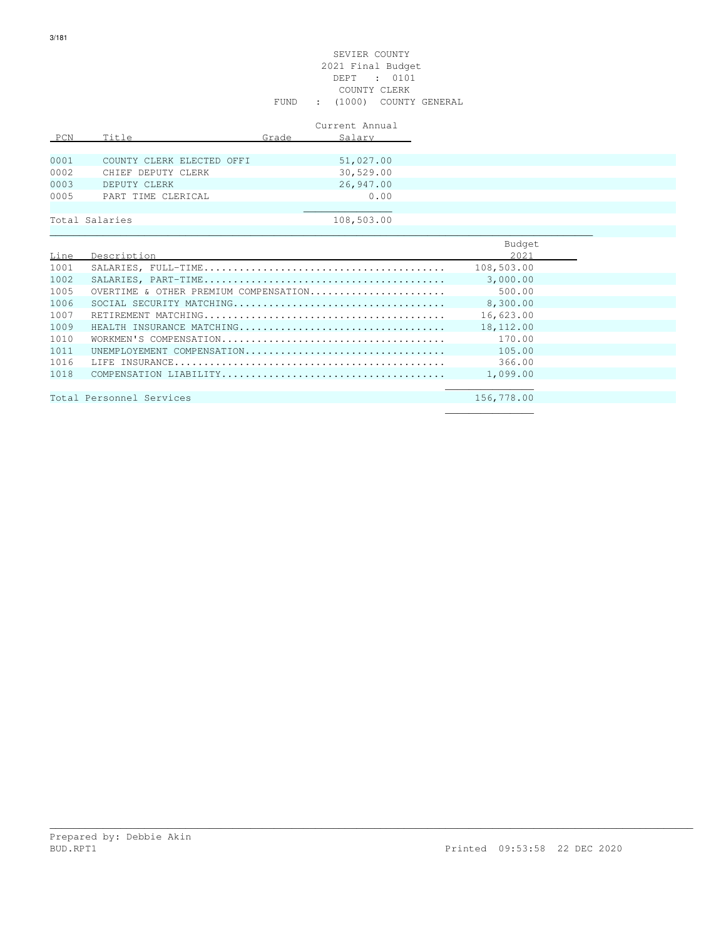# SEVIER COUNTY 2021 Final Budget DEPT : 0101 COUNTY CLERK FUND : (1000) COUNTY GENERAL

|      |                           |       | Current Annual |
|------|---------------------------|-------|----------------|
| PCN  | Title                     | Grade | Salary         |
|      |                           |       |                |
| 0001 | COUNTY CLERK ELECTED OFFI |       | 51,027.00      |
| 0002 | CHIEF DEPUTY CLERK        |       | 30,529.00      |
| 0003 | DEPUTY CLERK              |       | 26,947.00      |
| 0005 | PART TIME CLERICAL        |       | 0.00           |
|      |                           |       |                |
|      | Total Salaries            |       | 108,503.00     |

|      |                                       | Budget     |
|------|---------------------------------------|------------|
| Line | Description                           | 2021       |
| 1001 |                                       | 108,503.00 |
| 1002 |                                       | 3,000.00   |
| 1005 | OVERTIME & OTHER PREMIUM COMPENSATION | 500.00     |
| 1006 |                                       | 8,300.00   |
| 1007 |                                       | 16,623.00  |
| 1009 | HEALTH INSURANCE MATCHING             | 18,112.00  |
| 1010 |                                       | 170.00     |
| 1011 | UNEMPIOYEMENT COMPENSATION            | 105.00     |
| 1016 |                                       | 366.00     |
| 1018 |                                       | 1,099.00   |
|      |                                       |            |
|      | Total Personnel Services              | 156,778.00 |

\_\_\_\_\_\_\_\_\_\_\_\_\_\_\_\_\_\_\_\_\_\_\_\_\_\_\_\_\_\_\_\_\_\_\_\_\_\_\_\_\_\_\_\_\_\_\_\_\_\_\_\_\_\_\_\_\_\_\_\_\_\_\_\_\_\_\_\_\_\_\_\_\_\_\_\_\_\_\_\_\_\_\_\_\_\_\_\_\_\_\_\_\_\_\_\_\_\_\_\_\_\_\_\_\_\_\_\_\_

 $\mathcal{L}_\text{max}$  , and the contract of the contract of the contract of the contract of the contract of the contract of the contract of the contract of the contract of the contract of the contract of the contract of the contr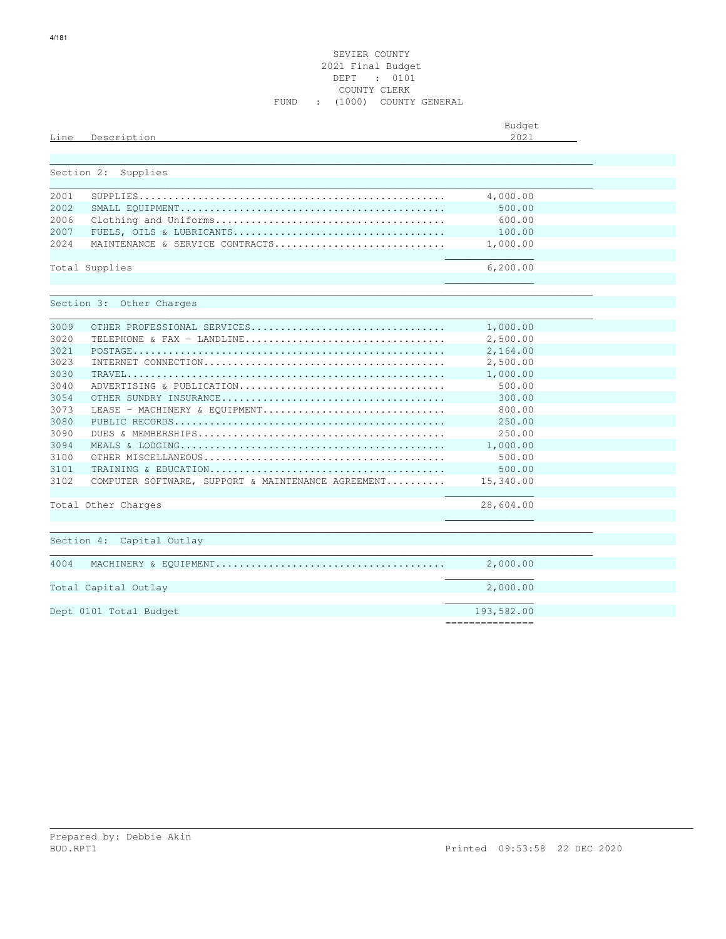# SEVIER COUNTY 2021 Final Budget DEPT : 0101 COUNTY CLERK FUND : (1000) COUNTY GENERAL

| Line | Description                                        | Budget<br>2021  |  |
|------|----------------------------------------------------|-----------------|--|
|      | Section 2:<br>Supplies                             |                 |  |
| 2001 |                                                    | 4,000.00        |  |
| 2002 |                                                    | 500.00          |  |
| 2006 |                                                    | 600.00          |  |
| 2007 |                                                    | 100.00          |  |
| 2024 | MAINTENANCE & SERVICE CONTRACTS                    | 1,000.00        |  |
|      |                                                    |                 |  |
|      | Total Supplies                                     | 6,200.00        |  |
|      | Section 3: Other Charges                           |                 |  |
|      |                                                    |                 |  |
| 3009 | OTHER PROFESSIONAL SERVICES                        | 1,000.00        |  |
| 3020 | TELEPHONE & FAX - LANDLINE                         | 2,500.00        |  |
| 3021 |                                                    | 2,164.00        |  |
| 3023 |                                                    | 2,500.00        |  |
| 3030 |                                                    | 1,000.00        |  |
| 3040 | ADVERTISING & PUBLICATION                          | 500.00          |  |
| 3054 |                                                    | 300.00          |  |
| 3073 | LEASE - MACHINERY & EOUIPMENT                      | 800.00          |  |
| 3080 |                                                    | 250.00          |  |
| 3090 |                                                    | 250.00          |  |
| 3094 |                                                    | 1,000.00        |  |
| 3100 |                                                    | 500.00          |  |
| 3101 |                                                    | 500.00          |  |
| 3102 | COMPUTER SOFTWARE, SUPPORT & MAINTENANCE AGREEMENT | 15,340.00       |  |
|      | Total Other Charges                                | 28,604.00       |  |
|      |                                                    |                 |  |
|      | Section 4: Capital Outlay                          |                 |  |
|      |                                                    |                 |  |
| 4004 |                                                    | 2,000.00        |  |
|      |                                                    |                 |  |
|      | Total Capital Outlay                               | 2,000.00        |  |
|      |                                                    | 193,582.00      |  |
|      | Dept 0101 Total Budget                             | =============== |  |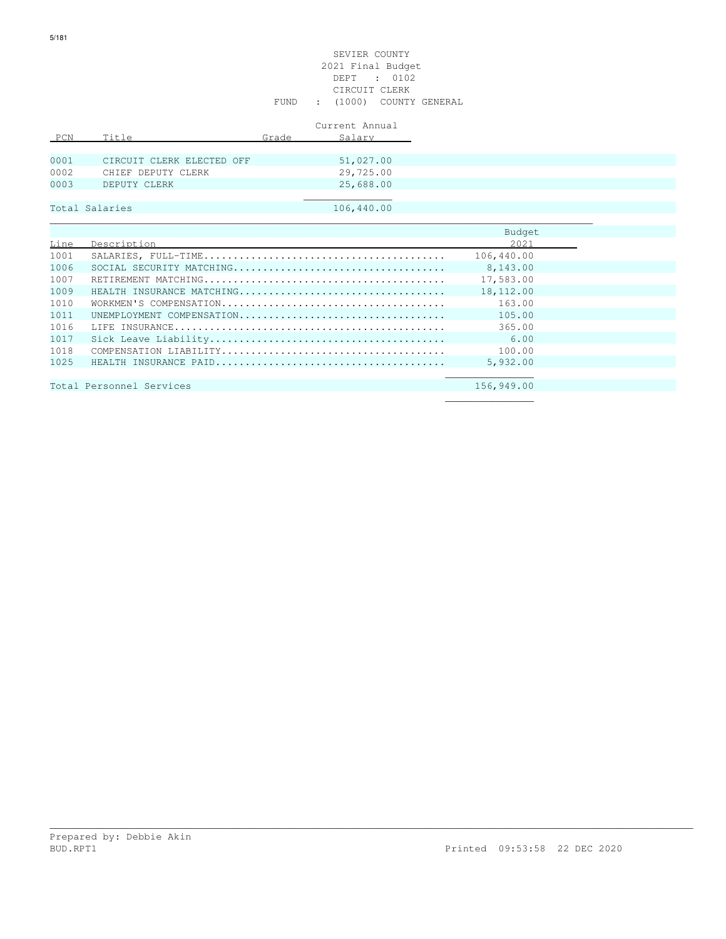# SEVIER COUNTY 2021 Final Budget DEPT : 0102 CIRCUIT CLERK FUND : (1000) COUNTY GENERAL

|      |                           |       | Current Annual |
|------|---------------------------|-------|----------------|
| PCN  | Title                     | Grade | Salary         |
|      |                           |       |                |
| 0001 | CIRCUIT CLERK ELECTED OFF |       | 51,027.00      |
| 0002 | CHIEF DEPUTY CLERK        |       | 29,725.00      |
| 0003 | DEPUTY CLERK              |       | 25,688.00      |
|      |                           |       |                |
|      | Total Salaries            |       | 106,440.00     |

|      |                           | Budget     |
|------|---------------------------|------------|
| Line | Description               | 2021       |
| 1001 |                           | 106,440.00 |
| 1006 |                           | 8,143.00   |
| 1007 |                           | 17,583.00  |
| 1009 | HEALTH INSURANCE MATCHING | 18,112.00  |
| 1010 |                           | 163.00     |
| 1011 | UNEMPLOYMENT COMPENSATION | 105.00     |
| 1016 |                           | 365.00     |
| 1017 |                           | 6.00       |
| 1018 |                           | 100.00     |
| 1025 |                           | 5,932,00   |
|      |                           |            |

\_\_\_\_\_\_\_\_\_\_\_\_\_\_\_\_\_\_\_\_\_\_\_\_\_\_\_\_\_\_\_\_\_\_\_\_\_\_\_\_\_\_\_\_\_\_\_\_\_\_\_\_\_\_\_\_\_\_\_\_\_\_\_\_\_\_\_\_\_\_\_\_\_\_\_\_\_\_\_\_\_\_\_\_\_\_\_\_\_\_\_\_\_\_\_\_\_\_\_\_\_\_\_\_\_\_\_\_\_

Total Personnel Services 156,949.00  $\mathcal{L}_\mathcal{L}$  , we can assume that the contract of the contract of the contract of the contract of the contract of the contract of the contract of the contract of the contract of the contract of the contract of the contr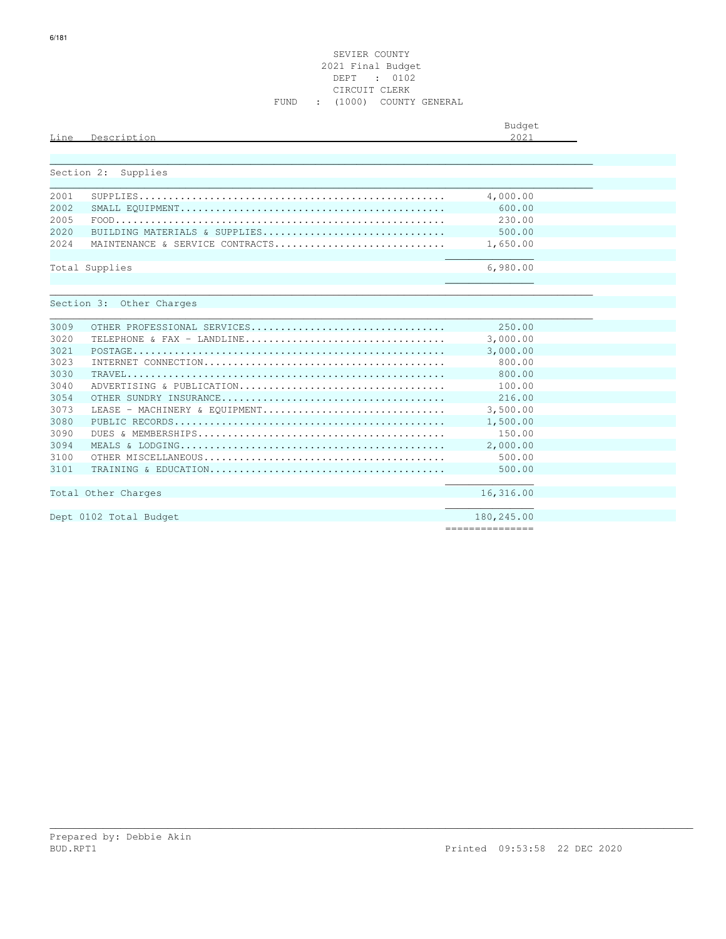# SEVIER COUNTY 2021 Final Budget DEPT : 0102 CIRCUIT CLERK FUND : (1000) COUNTY GENERAL

| Line       | Description                                             | Budget<br>2021 |  |
|------------|---------------------------------------------------------|----------------|--|
| Section 2: | Supplies                                                |                |  |
| 2001       |                                                         | 4,000.00       |  |
| 2002       |                                                         | 600.00         |  |
| 2005       |                                                         | 230.00         |  |
| 2020       | BUILDING MATERIALS & SUPPLIES                           | 500.00         |  |
| 2.024      | MAINTENANCE & SERVICE CONTRACTS                         | 1,650.00       |  |
|            | Total Supplies                                          | 6,980.00       |  |
| 3009       | Section 3: Other Charges<br>OTHER PROFESSIONAL SERVICES | 250.00         |  |
| 3020       | TELEPHONE & FAX - LANDLINE                              | 3,000.00       |  |
| 3021       |                                                         | 3,000.00       |  |
| 3023       |                                                         | 800.00         |  |
| 3030       |                                                         | 800.00         |  |
| 3040       | ADVERTISING & PUBLICATION                               | 100.00         |  |
| 3054       |                                                         | 216.00         |  |
| 3073       | LEASE - MACHINERY & EOUIPMENT                           | 3,500.00       |  |
| 3080       |                                                         | 1,500.00       |  |
| 3090       |                                                         | 150.00         |  |
| 3094       |                                                         | 2,000.00       |  |
| 3100       |                                                         | 500.00         |  |
| 3101       |                                                         | 500.00         |  |
|            | Total Other Charges                                     | 16,316.00      |  |
|            | Dept 0102 Total Budget                                  | 180,245.00     |  |

\_\_\_\_\_\_\_\_\_\_\_\_\_\_\_\_\_\_\_\_\_\_\_\_\_\_\_\_\_\_\_\_\_\_\_\_\_\_\_\_\_\_\_\_\_\_\_\_\_\_\_\_\_\_\_\_\_\_\_\_\_\_\_\_\_\_\_\_\_\_\_\_\_\_\_\_\_\_\_\_\_\_\_\_\_\_\_\_\_\_\_\_\_\_\_\_\_\_\_\_\_\_\_\_\_\_\_\_\_

===============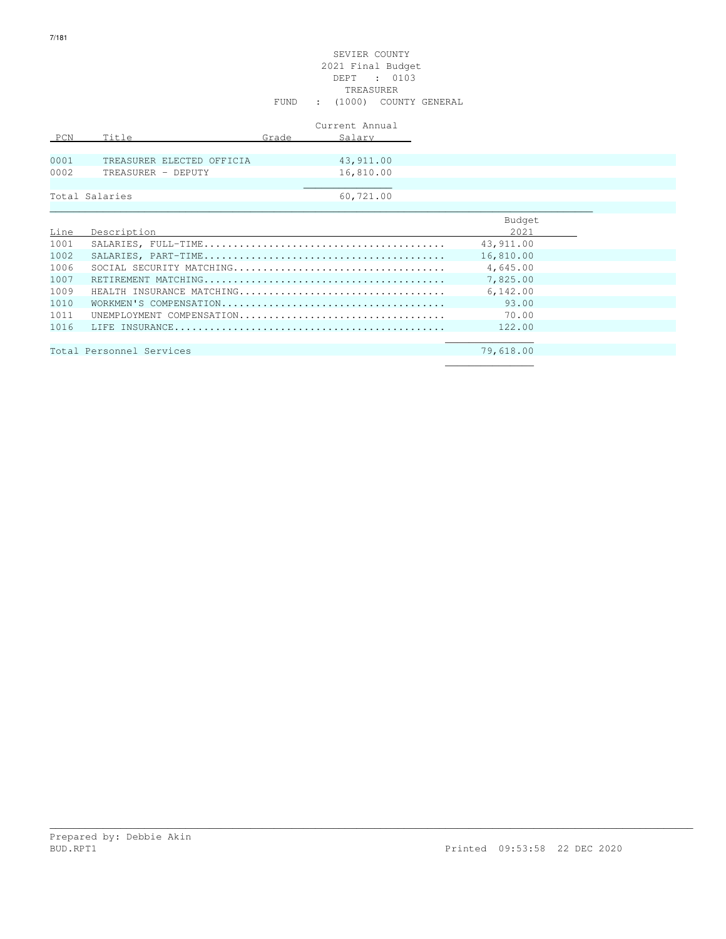# SEVIER COUNTY 2021 Final Budget DEPT : 0103 TREASURER FUND : (1000) COUNTY GENERAL

|      |                           |       | Current Annual |
|------|---------------------------|-------|----------------|
| PCN  | Title                     | Grade | Salary         |
|      |                           |       |                |
| 0001 | TREASURER ELECTED OFFICIA |       | 43,911.00      |
| 0002 | TREASURER - DEPUTY        |       | 16,810.00      |
|      |                           |       |                |
|      | Total Salaries            |       | 60,721.00      |

|      |                           | Budget    |
|------|---------------------------|-----------|
| Line | Description               | 2021      |
| 1001 |                           | 43,911.00 |
| 1002 |                           | 16,810.00 |
| 1006 |                           | 4,645.00  |
| 1007 |                           | 7.825.00  |
| 1009 | HEALTH INSURANCE MATCHING | 6.142.00  |
| 1010 |                           | 93.00     |
| 1011 | UNEMPLOYMENT COMPENSATION | 70.00     |
| 1016 |                           | 122.00    |
|      |                           |           |
|      | Total Personnel Services  | 79,618.00 |
|      |                           |           |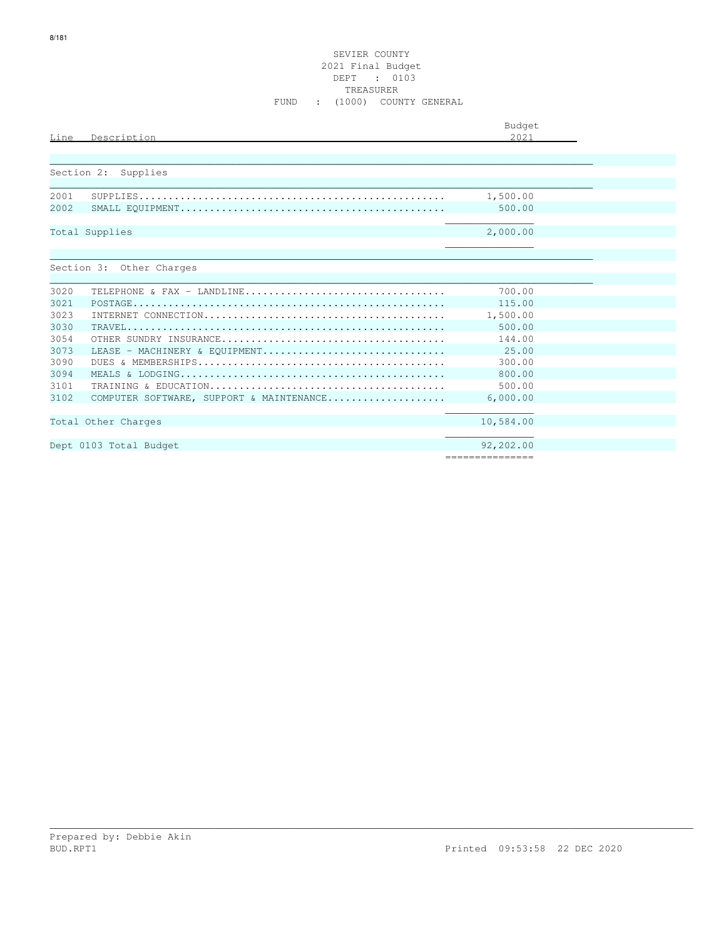# SEVIER COUNTY 2021 Final Budget DEPT : 0103 TREASURER FUND : (1000) COUNTY GENERAL

| Line       | Description                                                                                                 | Budget<br>2021  |
|------------|-------------------------------------------------------------------------------------------------------------|-----------------|
|            |                                                                                                             |                 |
| Section 2: | Supplies                                                                                                    |                 |
| 2001       |                                                                                                             | 1,500.00        |
| 2002       |                                                                                                             | 500.00          |
|            | Total Supplies                                                                                              | 2,000.00        |
|            |                                                                                                             |                 |
|            | Section 3: Other Charges                                                                                    |                 |
| 3020       | TELEPHONE & FAX - LANDLINE                                                                                  | 700.00          |
| 3021       |                                                                                                             | 115.00          |
| 3023       |                                                                                                             | 1,500.00        |
| 3030       | $\texttt{TRAVEL}\dots\dots\dots\dots\dots\dots\dots\dots\dots\dots\dots\dots\dots\dots\dots\dots\dots\dots$ | 500.00          |
| 3054       |                                                                                                             | 144.00          |
| 3073       | LEASE - MACHINERY & EQUIPMENT                                                                               | 25.00           |
| 3090       |                                                                                                             | 300.00          |
| 3094       |                                                                                                             | 800.00          |
| 3101       |                                                                                                             | 500.00          |
| 3102       | COMPUTER SOFTWARE, SUPPORT & MAINTENANCE                                                                    | 6,000.00        |
|            | Total Other Charges                                                                                         | 10,584.00       |
|            |                                                                                                             |                 |
|            | Dept 0103 Total Budget                                                                                      | 92,202.00       |
|            |                                                                                                             | =============== |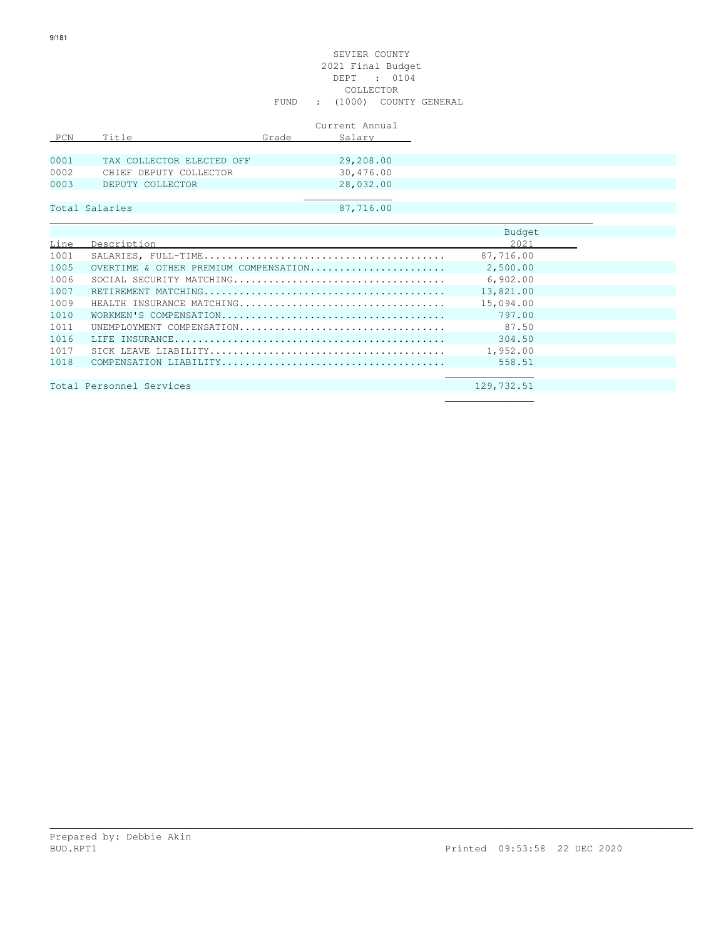#### SEVIER COUNTY 2021 Final Budget DEPT : 0104 COLLECTOR FUND : (1000) COUNTY GENERAL

|      |                           |       | Current Annual |
|------|---------------------------|-------|----------------|
| PCN  | Title                     | Grade | Salary         |
|      |                           |       |                |
| 0001 | TAX COLLECTOR ELECTED OFF |       | 29,208.00      |
| 0002 | CHIEF DEPUTY COLLECTOR    |       | 30,476.00      |
| 0003 | DEPUTY COLLECTOR          |       | 28,032.00      |
|      |                           |       |                |
|      | Total Salaries            |       | 87,716.00      |

|      |                                       | Budget     |
|------|---------------------------------------|------------|
| Line | Description                           | 2021       |
| 1001 |                                       | 87,716.00  |
| 1005 | OVERTIME & OTHER PREMIUM COMPENSATION | 2,500.00   |
| 1006 |                                       | 6,902,00   |
| 1007 |                                       | 13,821.00  |
| 1009 | HEALTH INSURANCE MATCHING             | 15,094.00  |
| 1010 |                                       | 797.00     |
| 1011 | UNEMPIOYMENT COMPENSATION             | 87.50      |
| 1016 |                                       | 304.50     |
| 1017 |                                       | 1,952.00   |
| 1018 |                                       | 558.51     |
|      |                                       |            |
|      | Total Personnel Services              | 129,732.51 |
|      |                                       |            |

| Total Personnel Services |  |  |  | 129,732.51 |
|--------------------------|--|--|--|------------|
|                          |  |  |  |            |
|                          |  |  |  |            |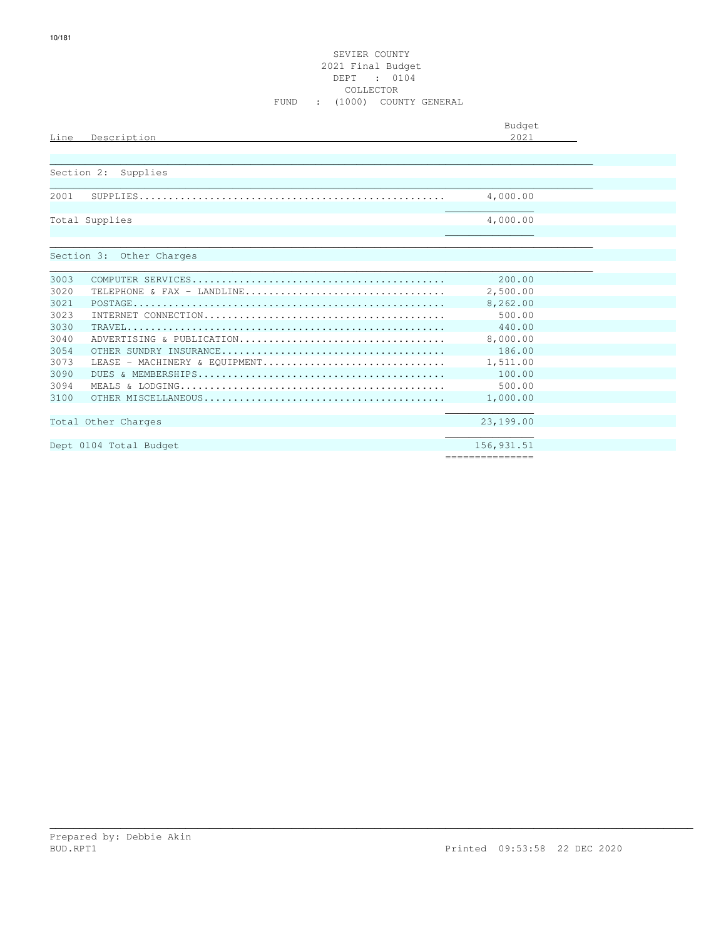# SEVIER COUNTY 2021 Final Budget DEPT : 0104 COLLECTOR FUND : (1000) COUNTY GENERAL

|            |                               | Budget          |
|------------|-------------------------------|-----------------|
| Line       | Description                   | 2.021           |
|            |                               |                 |
| Section 2: | Supplies                      |                 |
|            |                               |                 |
| 2001       |                               | 4,000.00        |
|            |                               |                 |
|            | Total Supplies                | 4,000.00        |
|            |                               |                 |
|            |                               |                 |
|            | Section 3: Other Charges      |                 |
| 3003       |                               | 200.00          |
| 3020       | TELEPHONE & FAX - LANDLINE    | 2,500.00        |
| 3021       |                               | 8,262.00        |
| 3023       |                               | 500.00          |
| 3030       |                               | 440.00          |
| 3040       | ADVERTISING & PUBLICATION     | 8,000.00        |
| 3054       |                               | 186.00          |
| 3073       | LEASE - MACHINERY & EOUIPMENT | 1,511.00        |
| 3090       |                               | 100.00          |
| 3094       |                               | 500.00          |
| 3100       |                               | 1,000.00        |
|            |                               |                 |
|            | Total Other Charges           | 23,199.00       |
|            |                               |                 |
|            | Dept 0104 Total Budget        | 156, 931.51     |
|            |                               | =============== |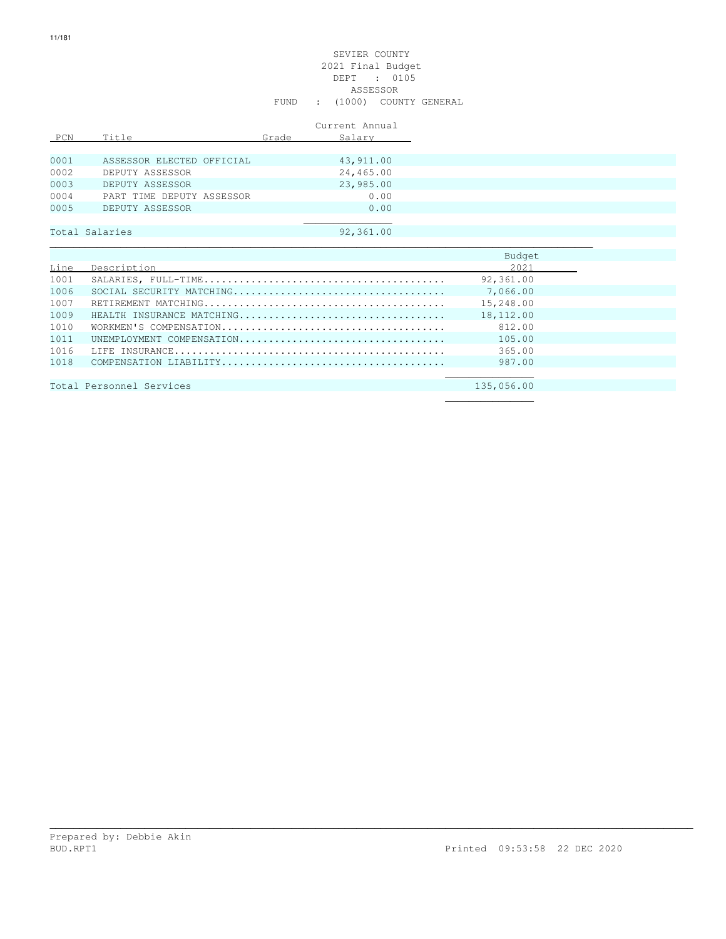# SEVIER COUNTY 2021 Final Budget DEPT : 0105 ASSESSOR FUND : (1000) COUNTY GENERAL

|      |                           |       | Current Annual |
|------|---------------------------|-------|----------------|
| PCN  | Title                     | Grade | Salary         |
| 0001 | ASSESSOR ELECTED OFFICIAL |       | 43, 911.00     |
| 0002 | DEPUTY ASSESSOR           |       | 24,465.00      |
| 0003 | DEPUTY ASSESSOR           |       | 23,985.00      |
| 0004 | PART TIME DEPUTY ASSESSOR |       | 0.00           |
| 0005 | DEPUTY ASSESSOR           |       | 0.00           |
|      |                           |       |                |
|      | Total Salaries            |       | 92,361.00      |

|      |                           | Budget    |
|------|---------------------------|-----------|
| Line | Description               | 2021      |
| 1001 |                           | 92,361.00 |
| 1006 |                           | 7,066.00  |
| 1007 |                           | 15,248.00 |
| 1009 | HEALTH INSURANCE MATCHING | 18,112.00 |
| 1010 |                           | 812.00    |
| 1011 | UNEMPIOYMENT COMPENSATION | 105.00    |
| 1016 |                           | 365.00    |
| 1018 |                           | 987.00    |
|      |                           |           |

\_\_\_\_\_\_\_\_\_\_\_\_\_\_\_\_\_\_\_\_\_\_\_\_\_\_\_\_\_\_\_\_\_\_\_\_\_\_\_\_\_\_\_\_\_\_\_\_\_\_\_\_\_\_\_\_\_\_\_\_\_\_\_\_\_\_\_\_\_\_\_\_\_\_\_\_\_\_\_\_\_\_\_\_\_\_\_\_\_\_\_\_\_\_\_\_\_\_\_\_\_\_\_\_\_\_\_\_\_

Total Personnel Services 135,056.00  $\mathcal{L}_\mathcal{L}$  , we can assume that the contract of the contract of the contract of the contract of the contract of the contract of the contract of the contract of the contract of the contract of the contract of the contr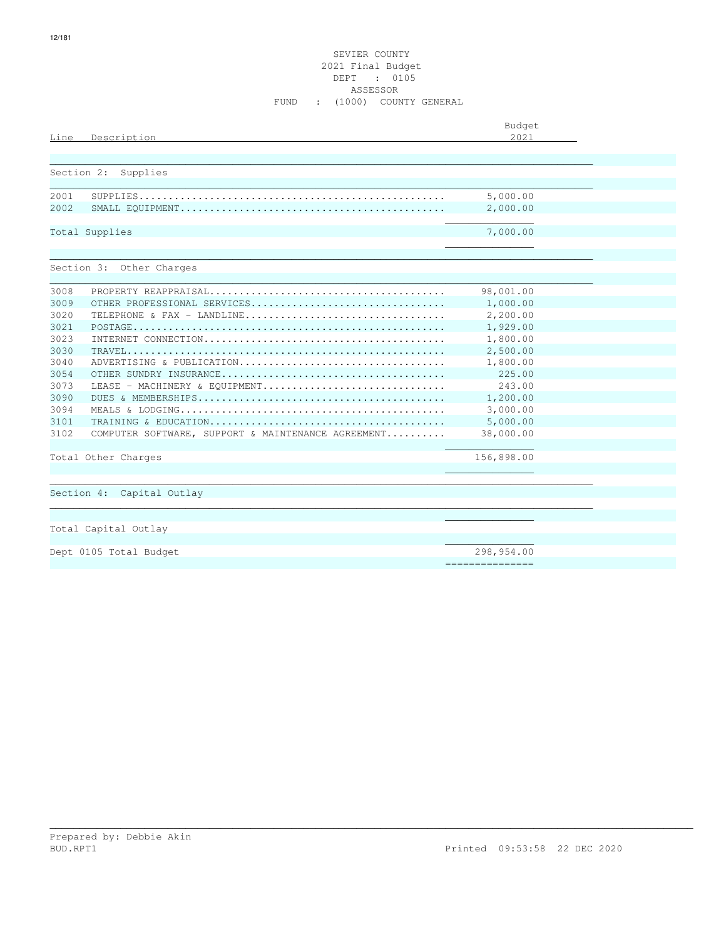# SEVIER COUNTY 2021 Final Budget DEPT : 0105 ASSESSOR FUND : (1000) COUNTY GENERAL

| Line       | Description                                        | Budget<br>2021  |  |
|------------|----------------------------------------------------|-----------------|--|
|            |                                                    |                 |  |
| Section 2: | Supplies                                           |                 |  |
| 2001       |                                                    | 5,000.00        |  |
| 2002       |                                                    | 2,000.00        |  |
|            | Total Supplies                                     | 7,000.00        |  |
|            | Section 3: Other Charges                           |                 |  |
| 3008       |                                                    | 98,001.00       |  |
| 3009       | OTHER PROFESSIONAL SERVICES                        | 1,000.00        |  |
| 3020       | TELEPHONE & FAX - LANDLINE                         | 2,200.00        |  |
| 3021       |                                                    | 1,929.00        |  |
| 3023       |                                                    | 1,800.00        |  |
| 3030       |                                                    | 2,500.00        |  |
| 3040       | ADVERTISING & PUBLICATION                          | 1,800.00        |  |
| 3054       |                                                    | 225.00          |  |
| 3073       | LEASE - MACHINERY & EOUIPMENT                      | 243.00          |  |
| 3090       |                                                    | 1,200.00        |  |
| 3094       |                                                    | 3,000.00        |  |
| 3101       |                                                    | 5,000.00        |  |
| 3102       | COMPUTER SOFTWARE, SUPPORT & MAINTENANCE AGREEMENT | 38,000.00       |  |
|            | Total Other Charges                                | 156,898.00      |  |
|            |                                                    |                 |  |
|            | Section 4: Capital Outlay                          |                 |  |
|            | Total Capital Outlay                               |                 |  |
|            | Dept 0105 Total Budget                             | 298,954.00      |  |
|            |                                                    | =============== |  |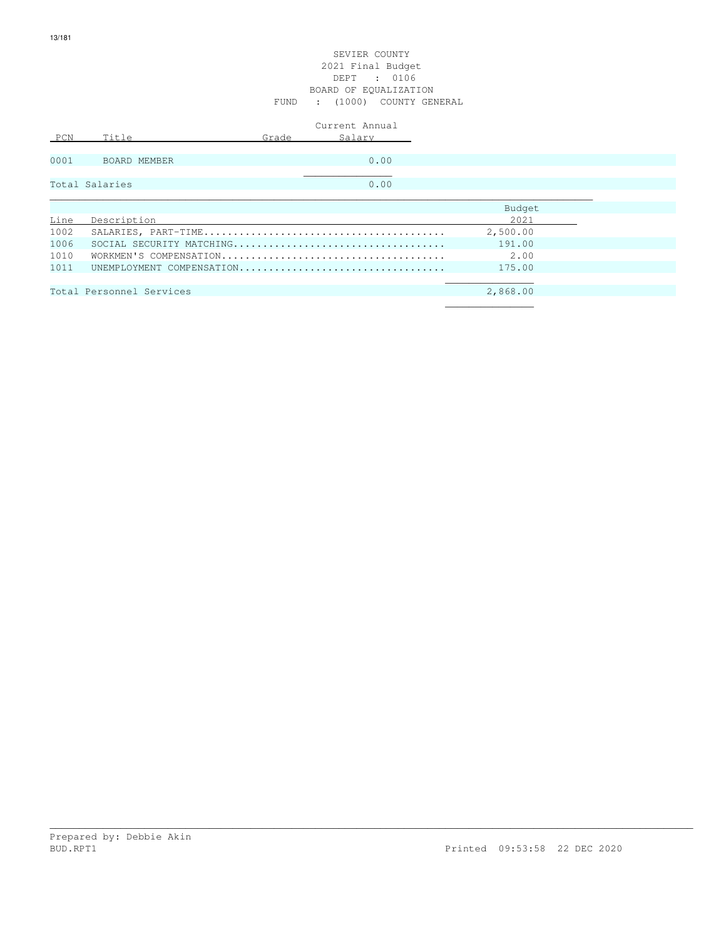|      |                          |       | Current Annual            |          |  |
|------|--------------------------|-------|---------------------------|----------|--|
| PCN  | Title                    | Grade | Salary                    |          |  |
|      |                          |       |                           |          |  |
| 0001 | BOARD MEMBER             |       | 0.00                      |          |  |
|      |                          |       |                           |          |  |
|      | Total Salaries           |       | 0.00                      |          |  |
|      |                          |       |                           |          |  |
|      |                          |       |                           | Budget   |  |
| Line | Description              |       |                           | 2021     |  |
| 1002 |                          |       |                           | 2,500.00 |  |
| 1006 |                          |       |                           | 191.00   |  |
| 1010 |                          |       |                           | 2.00     |  |
| 1011 |                          |       | UNEMPLOYMENT COMPENSATION | 175.00   |  |
|      |                          |       |                           |          |  |
|      | Total Personnel Services |       |                           | 2,868.00 |  |
|      |                          |       |                           |          |  |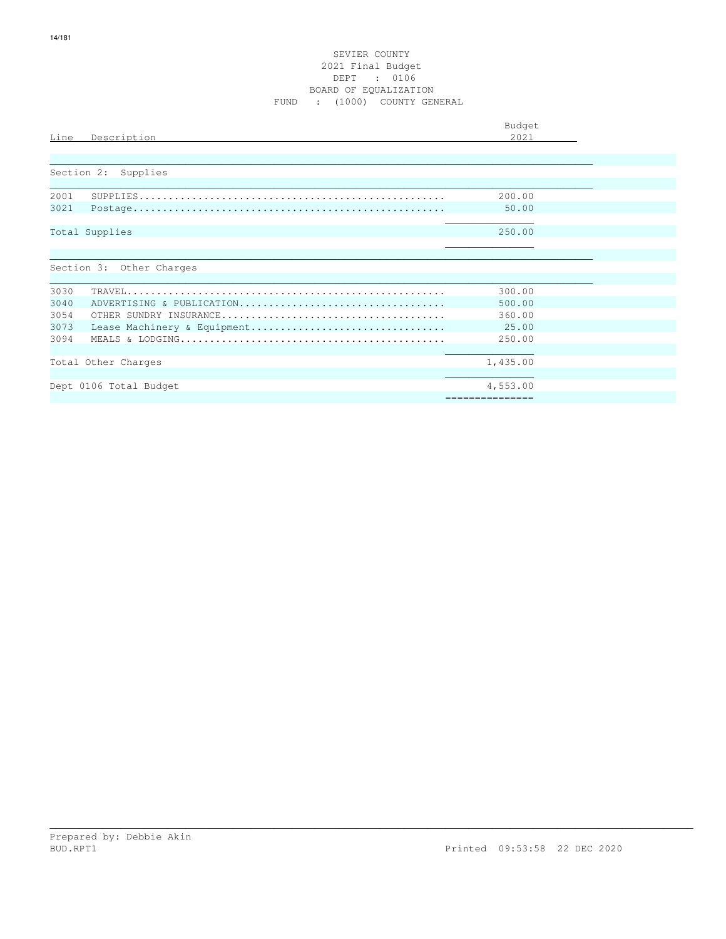# SEVIER COUNTY 2021 Final Budget DEPT : 0106 BOARD OF EQUALIZATION FUND : (1000) COUNTY GENERAL

| Line                                 | Description                                              | Budget<br>2021                                |  |
|--------------------------------------|----------------------------------------------------------|-----------------------------------------------|--|
|                                      | Section 2: Supplies                                      |                                               |  |
| 2001<br>3021                         |                                                          | 200.00<br>50.00                               |  |
|                                      | Total Supplies                                           | 250.00                                        |  |
|                                      | Section 3: Other Charges                                 |                                               |  |
| 3030<br>3040<br>3054<br>3073<br>3094 | ADVERTISING & PUBLICATION<br>Lease Machinery & Equipment | 300.00<br>500.00<br>360.00<br>25.00<br>250.00 |  |
|                                      | Total Other Charges<br>Dept 0106 Total Budget            | 1,435.00<br>4,553.00<br>===============       |  |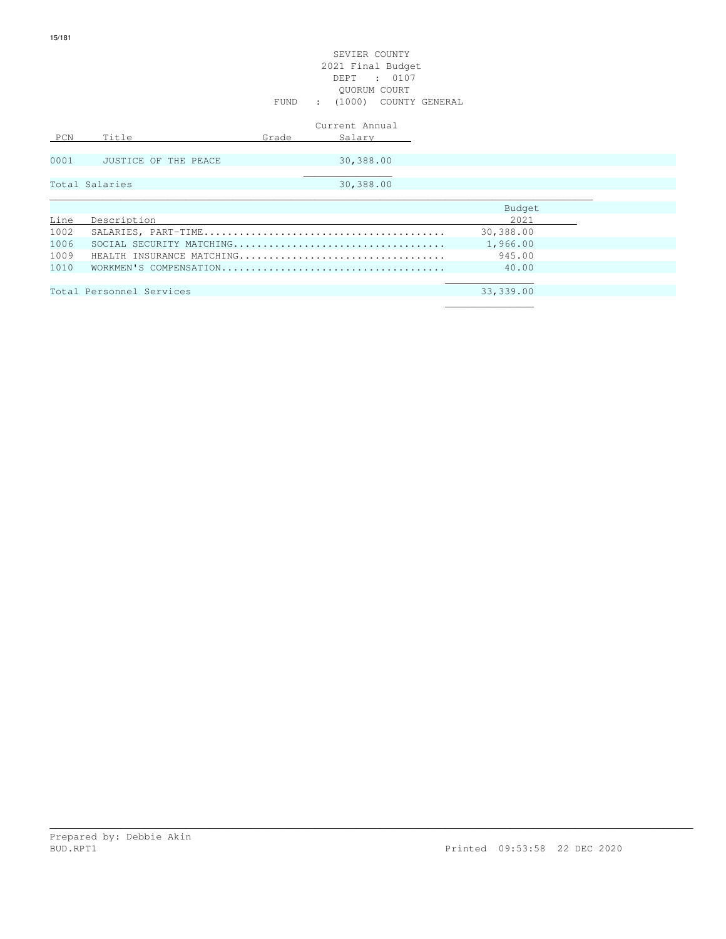|      |                           |       | Current Annual |           |
|------|---------------------------|-------|----------------|-----------|
| PCN  | Title                     | Grade | Salary         |           |
|      |                           |       |                |           |
| 0001 | JUSTICE OF THE PEACE      |       | 30,388.00      |           |
|      |                           |       |                |           |
|      | Total Salaries            |       | 30,388.00      |           |
|      |                           |       |                |           |
|      |                           |       |                | Budget    |
| Line | Description               |       |                | 2.021     |
| 1002 |                           |       |                | 30,388.00 |
| 1006 |                           |       |                | 1,966.00  |
| 1009 | HEALTH INSURANCE MATCHING |       |                | 945.00    |
| 1010 |                           |       |                | 40.00     |
|      |                           |       |                |           |
|      | Total Personnel Services  |       |                | 33,339.00 |
|      |                           |       |                |           |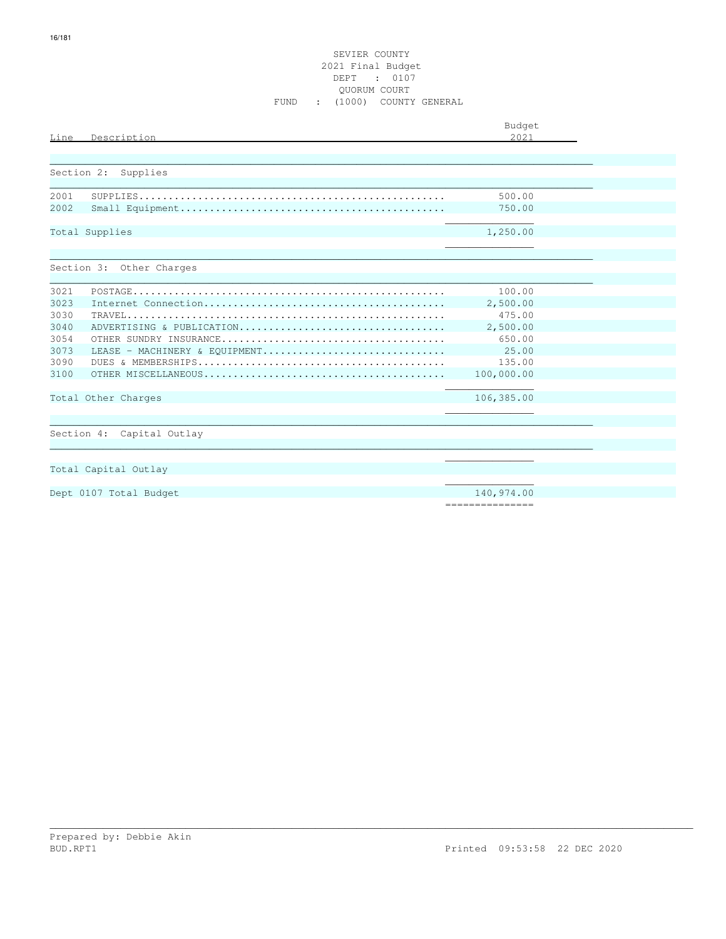# SEVIER COUNTY 2021 Final Budget DEPT : 0107 QUORUM COURT FUND : (1000) COUNTY GENERAL

| Line | Description                   | Budget<br>2.021 |  |
|------|-------------------------------|-----------------|--|
|      | Section 2: Supplies           |                 |  |
| 2001 |                               | 500.00          |  |
| 2002 |                               | 750.00          |  |
|      | Total Supplies                | 1,250.00        |  |
|      | Section 3: Other Charges      |                 |  |
| 3021 |                               | 100.00          |  |
| 3023 |                               | 2,500.00        |  |
| 3030 |                               | 475.00          |  |
| 3040 | ADVERTISING & PUBLICATION     | 2,500.00        |  |
| 3054 |                               | 650.00          |  |
| 3073 | LEASE - MACHINERY & EOUIPMENT | 25.00           |  |
| 3090 |                               | 135.00          |  |
| 3100 |                               | 100,000.00      |  |
|      | Total Other Charges           | 106,385.00      |  |
|      |                               |                 |  |
|      | Section 4: Capital Outlay     |                 |  |
|      |                               |                 |  |
|      | Total Capital Outlay          |                 |  |
|      |                               |                 |  |
|      | Dept 0107 Total Budget        | 140,974.00      |  |
|      |                               | =============== |  |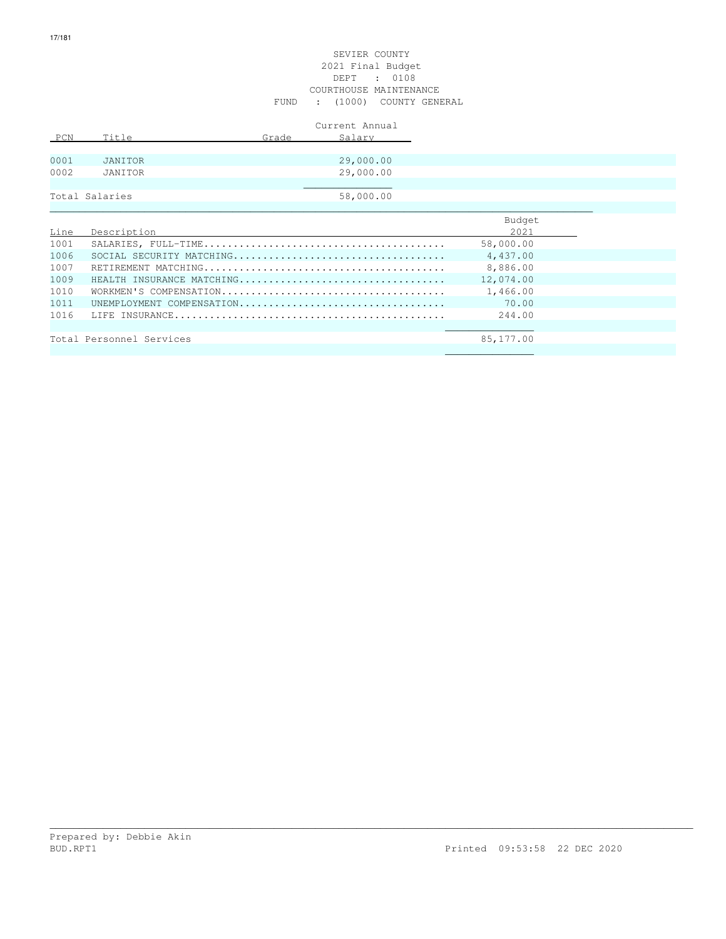# SEVIER COUNTY 2021 Final Budget DEPT : 0108 COURTHOUSE MAINTENANCE FUND : (1000) COUNTY GENERAL

|      |                  |       | Current Annual |  |
|------|------------------|-------|----------------|--|
| PCN  | Title            | Grade | Salary         |  |
|      |                  |       |                |  |
| 0001 | JANITOR          |       | 29,000.00      |  |
| 0002 | JANITOR          |       | 29,000.00      |  |
|      |                  |       |                |  |
|      | Total Salaries   |       | 58,000.00      |  |
|      |                  |       |                |  |
|      |                  |       |                |  |
|      | Iing Docorintion |       |                |  |

| Line |                           | 2021 — 2021 — 2021 — 2021 — 2021 — 2021 — 2021 — 2021 — 2022 — 2022 — 2022 — 2022 — 2022 — 2022 — 2022 — 2022 — 2022 — 2022 — 2022 — 2022 — 2022 — 2022 — 2022 — 2022 — 2022 — 2022 — 2022 — 2022 — 2022 — 2022 — 2022 — 2022 — |  |
|------|---------------------------|---------------------------------------------------------------------------------------------------------------------------------------------------------------------------------------------------------------------------------|--|
| 1001 |                           | 58,000.00                                                                                                                                                                                                                       |  |
| 1006 |                           | 4,437.00                                                                                                                                                                                                                        |  |
| 1007 |                           | 8,886.00                                                                                                                                                                                                                        |  |
| 1009 | HEALTH INSURANCE MATCHING | 12,074.00                                                                                                                                                                                                                       |  |
| 1010 |                           | 1,466.00                                                                                                                                                                                                                        |  |
| 1011 | UNEMPLOYMENT COMPENSATION | 70.00                                                                                                                                                                                                                           |  |
| 1016 |                           | 244.00                                                                                                                                                                                                                          |  |
|      |                           |                                                                                                                                                                                                                                 |  |
|      | Total Personnel Services  | 85,177.00                                                                                                                                                                                                                       |  |

\_\_\_\_\_\_\_\_\_\_\_\_\_\_\_\_\_\_\_\_\_\_\_\_\_\_\_\_\_\_\_\_\_\_\_\_\_\_\_\_\_\_\_\_\_\_\_\_\_\_\_\_\_\_\_\_\_\_\_\_\_\_\_\_\_\_\_\_\_\_\_\_\_\_\_\_\_\_\_\_\_\_\_\_\_\_\_\_\_\_\_\_\_\_\_\_\_\_\_\_\_\_\_\_\_\_\_\_\_

 $\mathcal{L}_\mathcal{L}$  , we can assume that the contract of the contract of the contract of the contract of the contract of the contract of the contract of the contract of the contract of the contract of the contract of the contr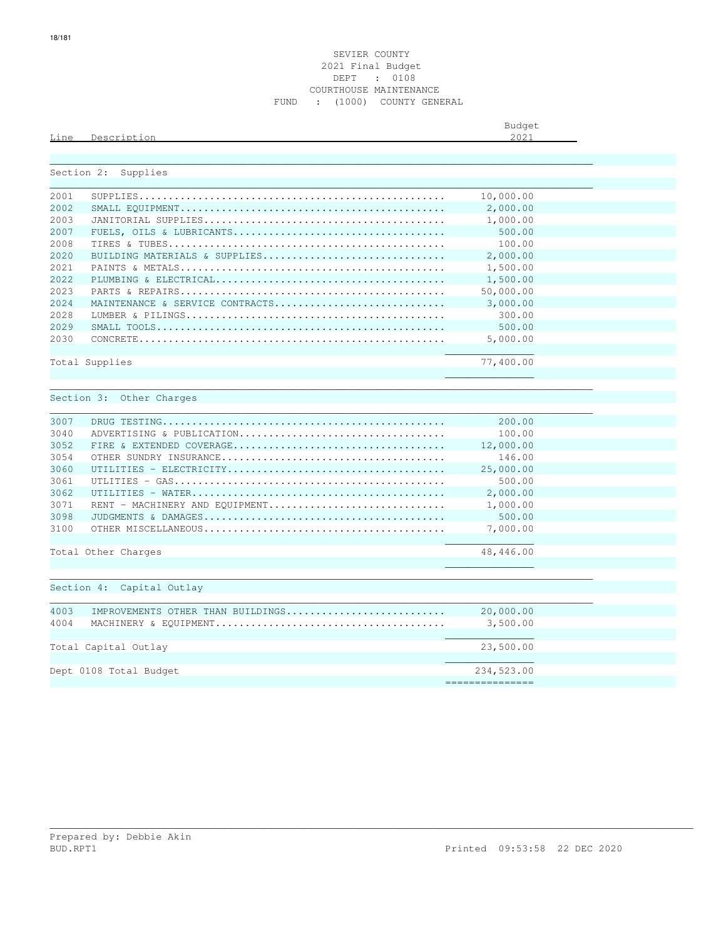|      |          | Budget<br>$\sim$ |
|------|----------|------------------|
| Line | lecorint | つハつ<br>.         |
|      |          |                  |

|       | Section 2: Supplies               |                  |  |
|-------|-----------------------------------|------------------|--|
| 2001  |                                   | 10,000.00        |  |
| 2002  |                                   | 2,000.00         |  |
| 2003  |                                   | 1,000.00         |  |
| 2007  |                                   | 500.00           |  |
| 2008  |                                   | 100.00           |  |
| 2020  | BUILDING MATERIALS & SUPPLIES     | 2,000.00         |  |
| 2021  |                                   | 1,500.00         |  |
| 2.022 |                                   | 1,500.00         |  |
| 2023  |                                   | 50,000.00        |  |
| 2024  | MAINTENANCE & SERVICE CONTRACTS   | 3,000.00         |  |
| 2028  |                                   | 300.00           |  |
| 2029  |                                   | 500.00           |  |
| 2030  |                                   | 5,000.00         |  |
|       |                                   |                  |  |
|       | Total Supplies                    | 77,400.00        |  |
|       |                                   |                  |  |
|       |                                   |                  |  |
|       | Section 3: Other Charges          |                  |  |
| 3007  |                                   | 200.00           |  |
| 3040  | ADVERTISING & PUBLICATION         | 100.00           |  |
| 3052  |                                   | 12,000.00        |  |
| 3054  |                                   | 146.00           |  |
| 3060  |                                   | 25,000.00        |  |
| 3061  |                                   | 500.00           |  |
| 3062  |                                   | 2,000.00         |  |
| 3071  | RENT - MACHINERY AND EQUIPMENT    | 1,000.00         |  |
| 3098  |                                   | 500.00           |  |
| 3100  |                                   | 7,000.00         |  |
|       |                                   |                  |  |
|       | Total Other Charges               | 48,446.00        |  |
|       |                                   |                  |  |
|       |                                   |                  |  |
|       | Section 4: Capital Outlay         |                  |  |
|       |                                   |                  |  |
| 4003  | IMPROVEMENTS OTHER THAN BUILDINGS | 20,000.00        |  |
| 4004  |                                   | 3,500.00         |  |
|       |                                   |                  |  |
|       | Total Capital Outlay              | 23,500.00        |  |
|       |                                   |                  |  |
|       | Dept 0108 Total Budget            | 234,523.00       |  |
|       |                                   | ---------------- |  |
|       |                                   |                  |  |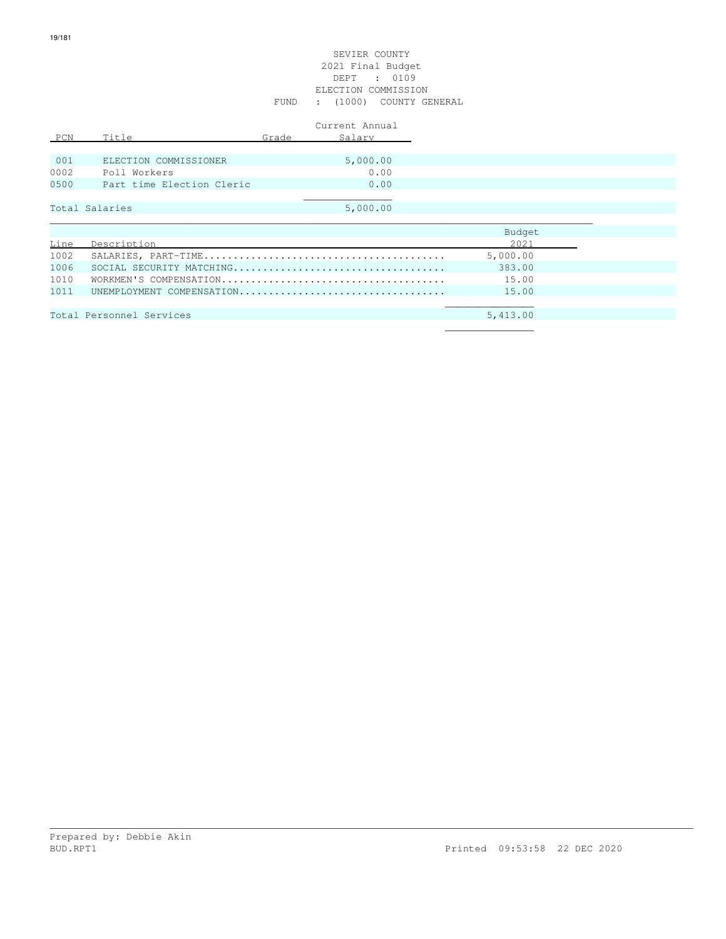# SEVIER COUNTY 2021 Final Budget DEPT : 0109 ELECTION COMMISSION FUND : (1000) COUNTY GENERAL

| PCN  | Title                     | Grade | Current Annual<br>Salary |
|------|---------------------------|-------|--------------------------|
| 001  | ELECTION COMMISSIONER     |       | 5,000.00                 |
| 0002 | Poll Workers              |       | 0.00                     |
| 0500 | Part time Election Cleric |       | 0.00                     |
|      |                           |       |                          |
|      | Total Salaries            |       | 5,000.00                 |
|      |                           |       |                          |
|      |                           |       |                          |

|      |                           | Budget   |
|------|---------------------------|----------|
| Line | Description               | 2021     |
| 1002 |                           | 5,000.00 |
| 1006 |                           | 383.00   |
| 1010 |                           | 15.00    |
| 1011 | UNEMPLOYMENT COMPENSATION | 15.00    |
|      |                           |          |
|      | Total Personnel Services  | 5,413.00 |
|      |                           |          |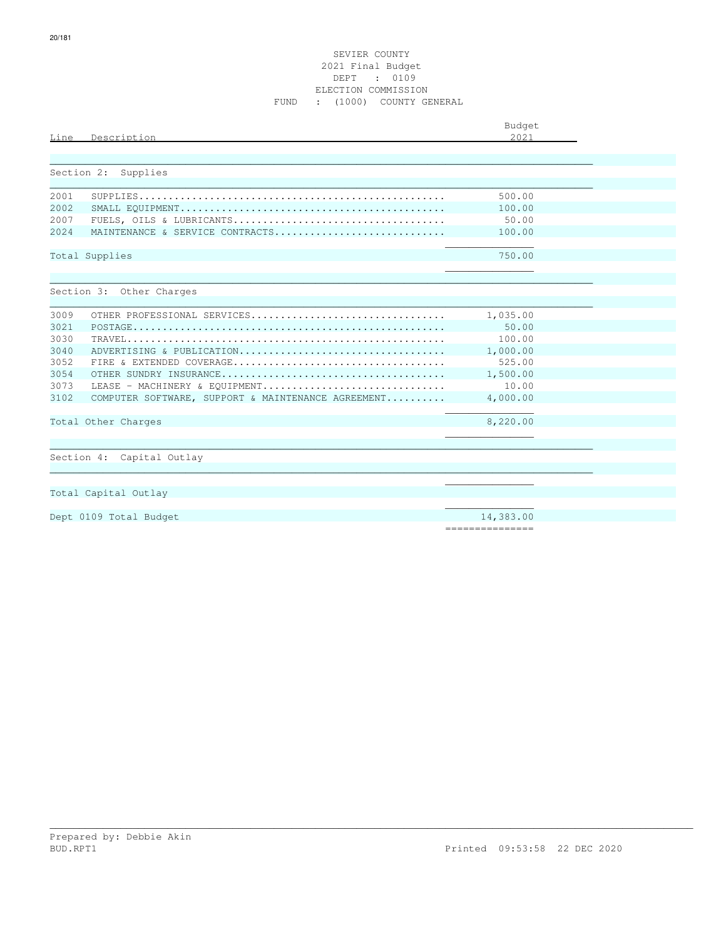# SEVIER COUNTY 2021 Final Budget DEPT : 0109 ELECTION COMMISSION FUND : (1000) COUNTY GENERAL

|            |                                                    | Budget    |  |
|------------|----------------------------------------------------|-----------|--|
| Line       | Description                                        | 2.021     |  |
|            |                                                    |           |  |
|            |                                                    |           |  |
| Section 2: | Supplies                                           |           |  |
|            |                                                    |           |  |
| 2001       |                                                    | 500.00    |  |
| 2002       |                                                    | 100.00    |  |
| 2007       |                                                    | 50.00     |  |
| 2024       | MAINTENANCE & SERVICE CONTRACTS                    | 100.00    |  |
|            |                                                    |           |  |
|            | Total Supplies                                     | 750.00    |  |
|            |                                                    |           |  |
|            | Section 3: Other Charges                           |           |  |
|            |                                                    |           |  |
| 3009       | OTHER PROFESSIONAL SERVICES                        | 1,035.00  |  |
| 3021       |                                                    | 50.00     |  |
| 3030       |                                                    | 100.00    |  |
| 3040       | ADVERTISING & PUBLICATION                          | 1,000.00  |  |
| 3052       |                                                    | 525.00    |  |
| 3054       |                                                    | 1,500.00  |  |
| 3073       | LEASE - MACHINERY & EOUIPMENT                      | 10.00     |  |
| 3102       | COMPUTER SOFTWARE, SUPPORT & MAINTENANCE AGREEMENT | 4,000.00  |  |
|            |                                                    |           |  |
|            | Total Other Charges                                | 8,220.00  |  |
|            |                                                    |           |  |
|            | Section 4: Capital Outlay                          |           |  |
|            |                                                    |           |  |
|            |                                                    |           |  |
|            | Total Capital Outlay                               |           |  |
|            |                                                    |           |  |
|            | Dept 0109 Total Budget                             | 14,383.00 |  |

\_\_\_\_\_\_\_\_\_\_\_\_\_\_\_\_\_\_\_\_\_\_\_\_\_\_\_\_\_\_\_\_\_\_\_\_\_\_\_\_\_\_\_\_\_\_\_\_\_\_\_\_\_\_\_\_\_\_\_\_\_\_\_\_\_\_\_\_\_\_\_\_\_\_\_\_\_\_\_\_\_\_\_\_\_\_\_\_\_\_\_\_\_\_\_\_\_\_\_\_\_\_\_\_\_\_\_\_\_

===============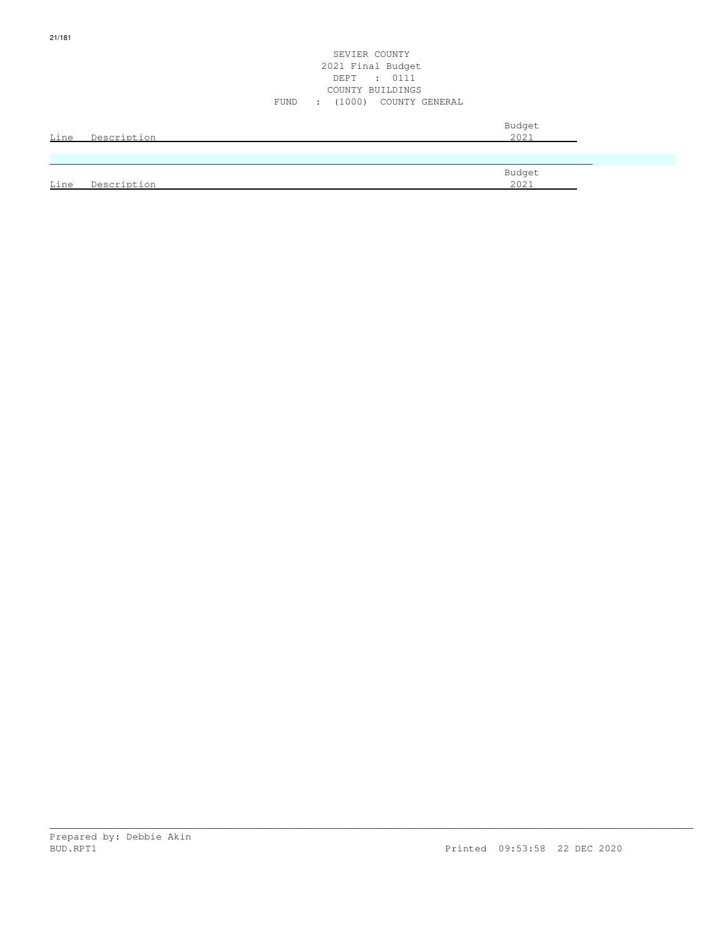|      | Line Description | Budget<br>2021 |
|------|------------------|----------------|
|      |                  |                |
| Line | Description      | Budget<br>2021 |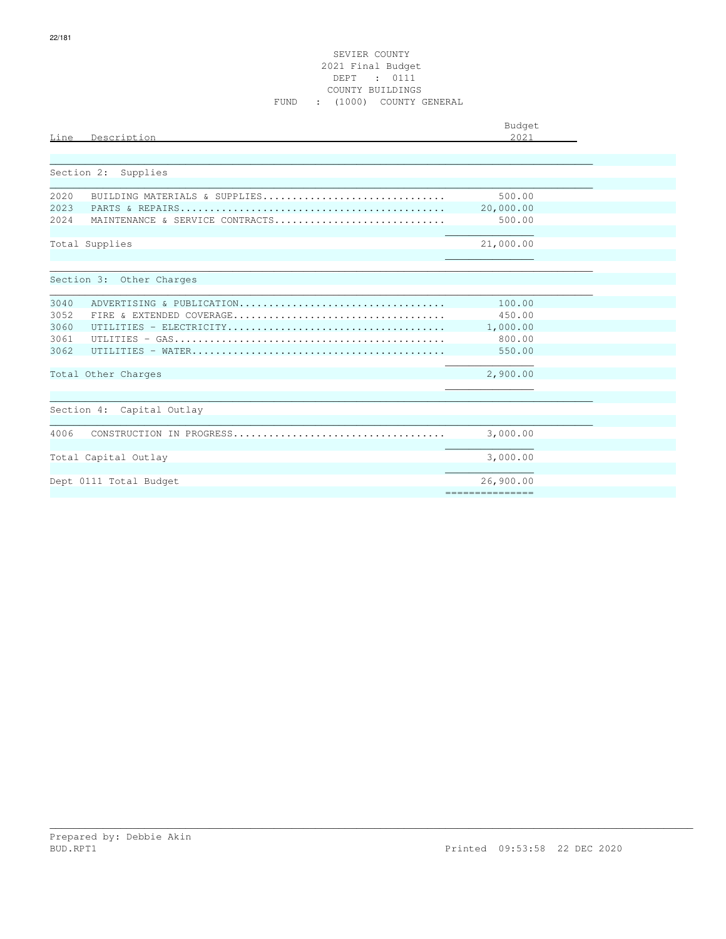# SEVIER COUNTY 2021 Final Budget DEPT : 0111 COUNTY BUILDINGS FUND : (1000) COUNTY GENERAL

| Line         | Description                     | Budget<br>2.021              |  |
|--------------|---------------------------------|------------------------------|--|
| Section 2:   | Supplies                        |                              |  |
|              |                                 |                              |  |
| 2020         | BUILDING MATERIALS & SUPPLIES   | 500.00                       |  |
| 2023<br>2024 | MAINTENANCE & SERVICE CONTRACTS | 20,000.00<br>500.00          |  |
|              | Total Supplies                  | 21,000.00                    |  |
|              | Section 3: Other Charges        |                              |  |
| 3040         | ADVERTISING & PUBLICATION       | 100.00                       |  |
| 3052         |                                 | 450.00                       |  |
| 3060         |                                 | 1,000.00                     |  |
| 3061         |                                 | 800.00                       |  |
| 3062         |                                 | 550.00                       |  |
|              | Total Other Charges             | 2,900.00                     |  |
|              | Section 4: Capital Outlay       |                              |  |
| 4006         |                                 | 3,000.00                     |  |
|              | Total Capital Outlay            | 3,000.00                     |  |
|              | Dept 0111 Total Budget          | 26,900.00<br>=============== |  |
|              |                                 |                              |  |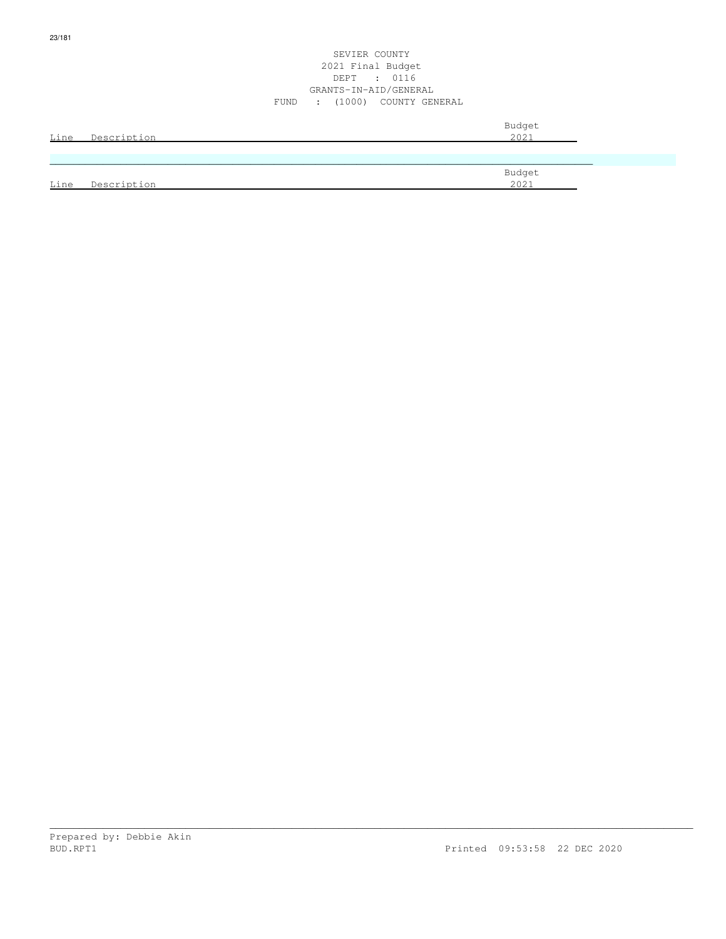| <u>Line</u> | Description | Budget<br>2021 |
|-------------|-------------|----------------|
|             |             |                |
| Line        | Description | Budget<br>2021 |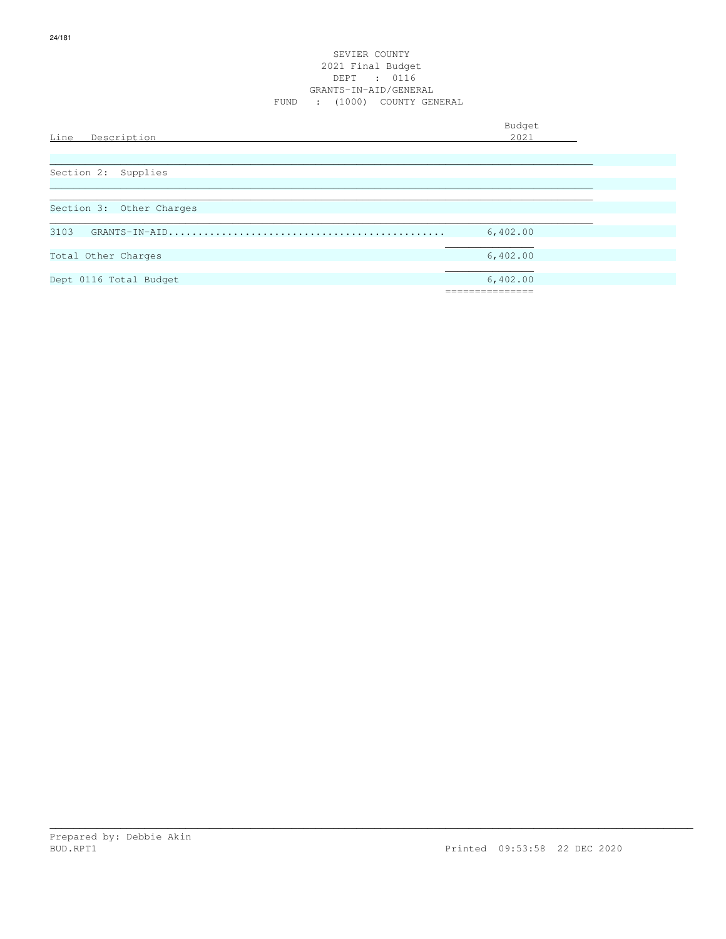# SEVIER COUNTY 2021 Final Budget DEPT : 0116 GRANTS-IN-AID/GENERAL FUND : (1000) COUNTY GENERAL

| Line<br>Description                                                                                                                                                                                                                                                                                                                                           | Budget<br>2021 |
|---------------------------------------------------------------------------------------------------------------------------------------------------------------------------------------------------------------------------------------------------------------------------------------------------------------------------------------------------------------|----------------|
|                                                                                                                                                                                                                                                                                                                                                               |                |
| Section 2: Supplies                                                                                                                                                                                                                                                                                                                                           |                |
|                                                                                                                                                                                                                                                                                                                                                               |                |
| Section 3: Other Charges                                                                                                                                                                                                                                                                                                                                      |                |
| 3103<br>$\verb GRANTS-IN-ALD  ( \verb   ( \verb   ( \verb   ( \verb   ( \verb   ( \verb   ( \verb   ( \verb   ( \verb   ( \verb   ( \verb   ( \verb   ( \verb   ( \verb   ( \verb   ( \verb   ( \verb   ( \verb   ( \verb   ( \verb   ( \verb   ( \verb   ( \verb   ( \verb   ( \verb   ( \th )) ( \th )) ( \th )) \thm)) }{\thinspace} \leq \th \varepsilon$ | 6,402.00       |
| Total Other Charges                                                                                                                                                                                                                                                                                                                                           | 6,402.00       |
| Dept 0116 Total Budget                                                                                                                                                                                                                                                                                                                                        | 6,402.00       |
|                                                                                                                                                                                                                                                                                                                                                               | .=========     |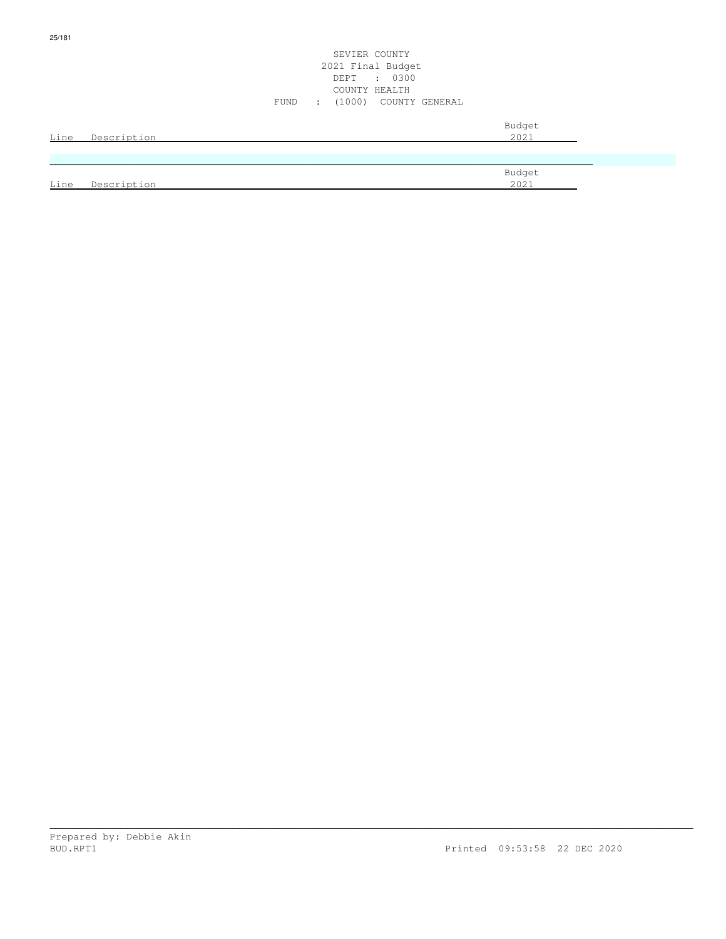|      |                  | SEVIER COUNTY<br>2021 Final Budget<br>: 0300<br>DEPT<br>COUNTY HEALTH<br>: (1000) COUNTY GENERAL<br>FUND |  |
|------|------------------|----------------------------------------------------------------------------------------------------------|--|
|      | Line Description | Budget<br>2021                                                                                           |  |
| Line | Description      | Budget<br>2021                                                                                           |  |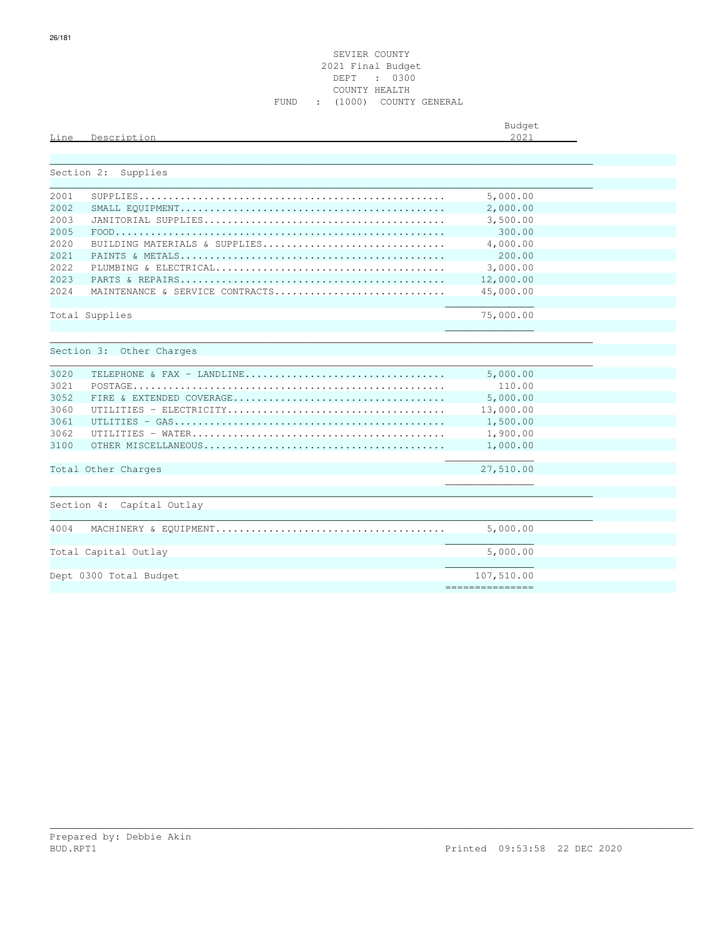|      |             | Budget        |
|------|-------------|---------------|
| Line | Description | 0.001<br>ZUZ. |
|      |             |               |

|      | Section 2: Supplies             |                 |
|------|---------------------------------|-----------------|
|      |                                 |                 |
| 2001 |                                 | 5,000.00        |
| 2002 |                                 | 2,000.00        |
| 2003 |                                 | 3,500.00        |
| 2005 |                                 | 300.00          |
| 2020 | BUILDING MATERIALS & SUPPLIES   | 4,000.00        |
| 2021 |                                 | 200.00          |
| 2022 |                                 | 3,000.00        |
| 2023 |                                 | 12,000.00       |
| 2024 | MAINTENANCE & SERVICE CONTRACTS | 45,000.00       |
|      |                                 |                 |
|      | Total Supplies                  | 75,000.00       |
|      |                                 |                 |
|      |                                 |                 |
|      | Section 3: Other Charges        |                 |
|      |                                 |                 |
| 3020 | TELEPHONE & FAX - LANDLINE      | 5,000.00        |
| 3021 |                                 | 110.00          |
| 3052 |                                 | 5,000.00        |
| 3060 |                                 | 13,000.00       |
| 3061 |                                 | 1,500.00        |
| 3062 |                                 | 1,900.00        |
| 3100 |                                 | 1,000.00        |
|      |                                 |                 |
|      | Total Other Charges             | 27,510.00       |
|      |                                 |                 |
|      |                                 |                 |
|      | Section 4: Capital Outlay       |                 |
|      |                                 |                 |
| 4004 |                                 | 5,000.00        |
|      |                                 |                 |
|      | Total Capital Outlay            | 5,000.00        |
|      |                                 |                 |
|      | Dept 0300 Total Budget          | 107,510.00      |
|      |                                 | =============== |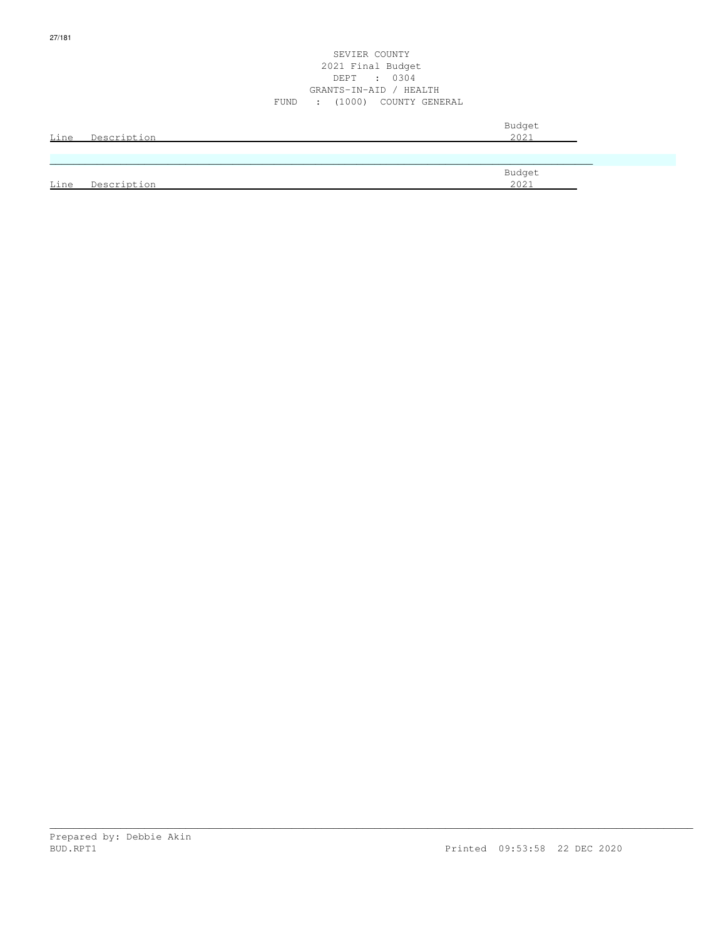| <u>Line</u> | Description | Budget<br>2021 |
|-------------|-------------|----------------|
|             |             |                |
| Line        | Description | Budget<br>2021 |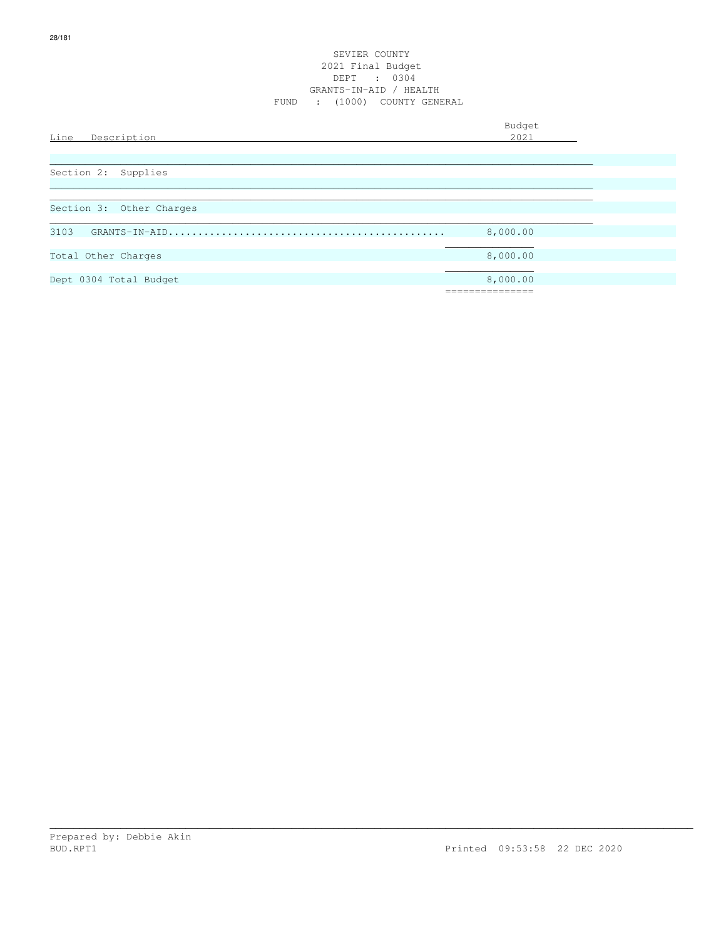# SEVIER COUNTY 2021 Final Budget DEPT : 0304 GRANTS-IN-AID / HEALTH FUND : (1000) COUNTY GENERAL

Budget is a state of the state of the state of the state of the state of the state of the state of the state of the state of the state of the state of the state of the state of the state of the state of the state of the st Line Description 2021 \_\_\_\_\_\_\_\_\_\_\_\_\_\_\_\_\_\_\_\_\_\_\_\_\_\_\_\_\_\_\_\_\_\_\_\_\_\_\_\_\_\_\_\_\_\_\_\_\_\_\_\_\_\_\_\_\_\_\_\_\_\_\_\_\_\_\_\_\_\_\_\_\_\_\_\_\_\_\_\_\_\_\_\_\_\_\_\_\_\_\_\_ Section 2: Supplies  $\ldots$  . The contribution of the contribution of the contribution of the contribution of the contribution of the contribution of the contribution of the contribution of the contribution of the contribution of the contribut \_\_\_\_\_\_\_\_\_\_\_\_\_\_\_\_\_\_\_\_\_\_\_\_\_\_\_\_\_\_\_\_\_\_\_\_\_\_\_\_\_\_\_\_\_\_\_\_\_\_\_\_\_\_\_\_\_\_\_\_\_\_\_\_\_\_\_\_\_\_\_\_\_\_\_\_\_\_\_\_\_\_\_\_\_\_\_\_\_\_\_\_ Section 3: Other Charges \_\_\_\_\_\_\_\_\_\_\_\_\_\_\_\_\_\_\_\_\_\_\_\_\_\_\_\_\_\_\_\_\_\_\_\_\_\_\_\_\_\_\_\_\_\_\_\_\_\_\_\_\_\_\_\_\_\_\_\_\_\_\_\_\_\_\_\_\_\_\_\_\_\_\_\_\_\_\_\_\_\_\_\_\_\_\_\_\_\_\_\_ 3103 GRANTS-IN-AID............................................... 8,000.00  $\mathcal{L}_\mathcal{L}$  , which is a set of the set of the set of the set of the set of the set of the set of the set of the set of the set of the set of the set of the set of the set of the set of the set of the set of the set of Total Other Charges 8,000.00 and 1.1 and 1.1 and 1.1 and 1.1 and 1.1 and 1.1 and 1.1 and 1.1 and 1.1 and 1.1 and 1.1 and 1.1 and 1.1 and 1.1 and 1.1 and 1.1 and 1.1 and 1.1 and 1.1 and 1.1 and 1.1 and 1.1 and 1.1 and 1.1 a  $\mathcal{L}_\mathcal{L}$  , which is a set of the set of the set of the set of the set of the set of the set of the set of the set of the set of the set of the set of the set of the set of the set of the set of the set of the set of Dept 0304 Total Budget 8,000.00 ===============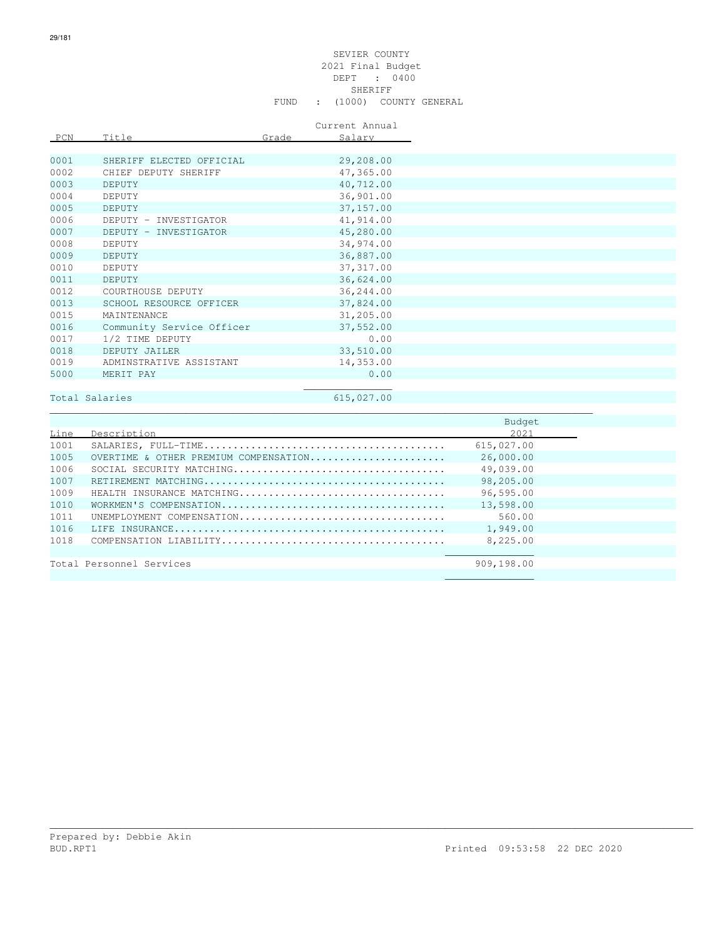# SEVIER COUNTY 2021 Final Budget DEPT : 0400 SHERIFF SHERIFF SHERIFF SHERIFF SHERIFF SHERIFF SHERIFF SHERIFF SHERIFF SHERIFF SHERIFF SHERIFF SHERIFF SHERIFF SHERIFF SHERIFF SHERIFF SHERIFF SHERIFF SHERIFF SHERIFF SHERIFF SHERIFF SHERIFF SHERIFF SHERIFF SHERIFF SHERIF FUND : (1000) COUNTY GENERAL

Current Annual

| PCN  | Title                     | Grade | Salary     |
|------|---------------------------|-------|------------|
|      |                           |       |            |
| 0001 | SHERIFF ELECTED OFFICIAL  |       | 29,208.00  |
| 0002 | CHIEF DEPUTY SHERIFF      |       | 47,365.00  |
| 0003 | DEPUTY                    |       | 40,712.00  |
| 0004 | DEPUTY                    |       | 36,901.00  |
| 0005 | <b>DEPUTY</b>             |       | 37,157.00  |
| 0006 | DEPUTY - INVESTIGATOR     |       | 41,914.00  |
| 0007 | DEPUTY - INVESTIGATOR     |       | 45,280.00  |
| 0008 | DEPUTY                    |       | 34,974.00  |
| 0009 | DEPUTY                    |       | 36,887.00  |
| 0010 | DEPUTY                    |       | 37, 317.00 |
| 0011 | DEPUTY                    |       | 36,624.00  |
| 0012 | COURTHOUSE DEPUTY         |       | 36,244.00  |
| 0013 | SCHOOL RESOURCE OFFICER   |       | 37,824.00  |
| 0015 | MAINTENANCE               |       | 31,205.00  |
| 0016 | Community Service Officer |       | 37,552.00  |
| 0017 | 1/2 TIME DEPUTY           |       | 0.00       |
| 0018 | DEPUTY JAILER             |       | 33,510.00  |
| 0019 | ADMINSTRATIVE ASSISTANT   |       | 14,353.00  |
| 5000 | MERIT PAY                 |       | 0.00       |
|      |                           |       |            |

# Total Salaries 615,027.00

\_\_\_\_\_\_\_\_\_\_\_\_\_\_\_\_\_\_\_\_\_\_\_\_\_\_\_\_\_\_\_\_\_\_\_\_\_\_\_\_\_\_\_\_\_\_\_\_\_\_\_\_\_\_\_\_\_\_\_\_\_\_\_\_\_\_\_\_\_\_\_\_\_\_\_\_\_\_\_\_\_\_\_\_\_\_\_\_\_\_\_\_

|      |                                       | Budget     |  |
|------|---------------------------------------|------------|--|
| Line | Description                           | 2021       |  |
| 1001 |                                       | 615,027.00 |  |
| 1005 | OVERTIME & OTHER PREMIUM COMPENSATION | 26,000.00  |  |
| 1006 |                                       | 49,039.00  |  |
| 1007 |                                       | 98,205.00  |  |
| 1009 | HEALTH INSURANCE MATCHING             | 96,595.00  |  |
| 1010 |                                       | 13,598.00  |  |
| 1011 | UNEMPLOYMENT COMPENSATION             | 560.00     |  |
| 1016 |                                       | 1,949.00   |  |
| 1018 |                                       | 8,225,00   |  |
|      |                                       |            |  |
|      | Total Personnel Services              | 909,198.00 |  |
|      |                                       |            |  |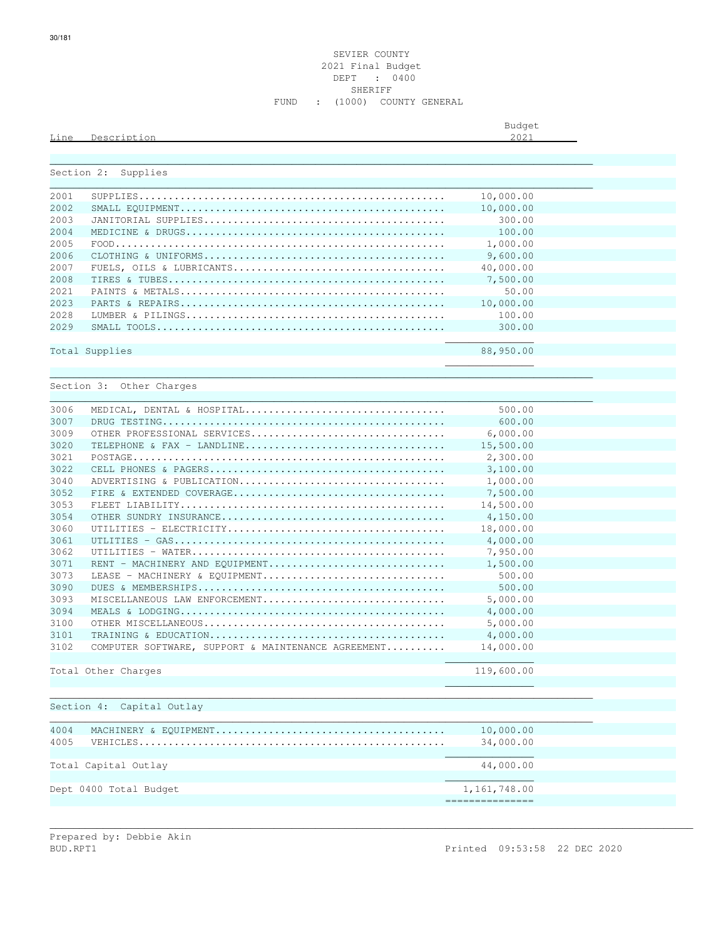|      |                  | Budget                              |
|------|------------------|-------------------------------------|
| Line | Descript.<br>ion | 2021<br>$\sim$ $\sim$ $\sim$ $\sim$ |
|      |                  |                                     |

| Section 2: | Supplies                       |           |  |
|------------|--------------------------------|-----------|--|
|            |                                |           |  |
| 2001       |                                | 10,000.00 |  |
| 2002       |                                | 10,000.00 |  |
| 2003       |                                | 300.00    |  |
| 2004       |                                | 100.00    |  |
| 2005       |                                | 1,000.00  |  |
| 2006       |                                | 9,600.00  |  |
| 2007       |                                | 40,000.00 |  |
| 2008       |                                | 7,500.00  |  |
| 2021       |                                | 50.00     |  |
| 2023       |                                | 10,000.00 |  |
| 2028       |                                | 100.00    |  |
| 2029       |                                | 300.00    |  |
|            |                                |           |  |
|            | Total Supplies                 | 88,950.00 |  |
|            |                                |           |  |
|            |                                |           |  |
|            | Section 3: Other Charges       |           |  |
|            |                                |           |  |
| 3006       | MEDICAL, DENTAL & HOSPITAL     | 500.00    |  |
| 3007       |                                | 600.00    |  |
| 3009       | OTHER PROFESSIONAL SERVICES    | 6,000.00  |  |
| 3020       | TELEPHONE & FAX - LANDLINE     | 15,500.00 |  |
| 3021       |                                | 2,300.00  |  |
| 3022       |                                | 3,100.00  |  |
| 3040       | ADVERTISING & PUBLICATION      | 1,000.00  |  |
| 3052       |                                | 7,500.00  |  |
| 3053       |                                | 14,500.00 |  |
| 3054       |                                | 4,150.00  |  |
| 3060       |                                | 18,000.00 |  |
| 3061       |                                | 4,000.00  |  |
| 3062       |                                | 7,950.00  |  |
| 3071       | RENT - MACHINERY AND EQUIPMENT | 1,500.00  |  |
| 3073       | LEASE - MACHINERY & EOUIPMENT  | 500.00    |  |
| 3090       |                                | 500.00    |  |
| 3093       | MISCELLANEOUS LAW ENFORCEMENT  | 5,000.00  |  |
| 3094       |                                | 4,000.00  |  |

3100 OTHER MISCELLANEOUS......................................... 5,000.00 3101 TRAINING & EDUCATION........................................ 4,000.00 3102 COMPUTER SOFTWARE, SUPPORT & MAINTENANCE AGREEMENT.......... 14,000.00  $\mathcal{L}_\text{max}$  , and the set of the set of the set of the set of the set of the set of the set of the set of the set of the set of the set of the set of the set of the set of the set of the set of the set of the set of the Total Other Charges 2002, 2002, 2003, 2002, 2002, 2003, 2002, 2003, 2002, 2003, 2002, 2003, 2002, 2003, 2003, 2003, 2003, 2003, 2003, 2003, 2003, 2003, 2003, 2003, 2003, 2003, 2003, 2003, 2003, 2003, 2003, 2003, 2003, 2003  $\mathcal{L}_\text{max}$  , and the contract of the contract of the contract of the contract of the contract of the contract of the contract of the contract of the contract of the contract of the contract of the contract of the contr

 $\mathcal{L}_\mathcal{L}$  , we can assume that the contract of the contract of the contract of the contract of the contract of the contract of the contract of the contract of the contract of the contract of the contract of the contr

===============

\_\_\_\_\_\_\_\_\_\_\_\_\_\_\_\_\_\_\_\_\_\_\_\_\_\_\_\_\_\_\_\_\_\_\_\_\_\_\_\_\_\_\_\_\_\_\_\_\_\_\_\_\_\_\_\_\_\_\_\_\_\_\_\_\_\_\_\_\_\_\_\_\_\_\_\_\_\_\_\_\_\_\_\_\_\_\_\_\_\_\_\_

\_\_\_\_\_\_\_\_\_\_\_\_\_\_\_\_\_\_\_\_\_\_\_\_\_\_\_\_\_\_\_\_\_\_\_\_\_\_\_\_\_\_\_\_\_\_\_\_\_\_\_\_\_\_\_\_\_\_\_\_\_\_\_\_\_\_\_\_\_\_\_\_\_\_\_\_\_\_\_\_\_\_\_\_\_\_\_\_\_\_\_\_

\_\_\_\_\_\_\_\_\_\_\_\_\_\_\_\_\_\_\_\_\_\_\_\_\_\_\_\_\_\_\_\_\_\_\_\_\_\_\_\_\_\_\_\_\_\_\_\_\_\_\_\_\_\_\_\_\_\_\_\_\_\_\_\_\_\_\_\_\_\_\_\_\_\_\_\_\_\_\_\_\_\_\_\_\_\_\_\_\_\_\_\_\_\_\_\_\_\_\_\_\_\_\_\_\_\_\_\_\_

|                      | 10,000.00 |
|----------------------|-----------|
|                      | 34,000.00 |
|                      |           |
| Total Capital Outlay | 44,000.00 |

Section 4: Capital Outlay

Dept 0400 Total Budget 1,161,748.00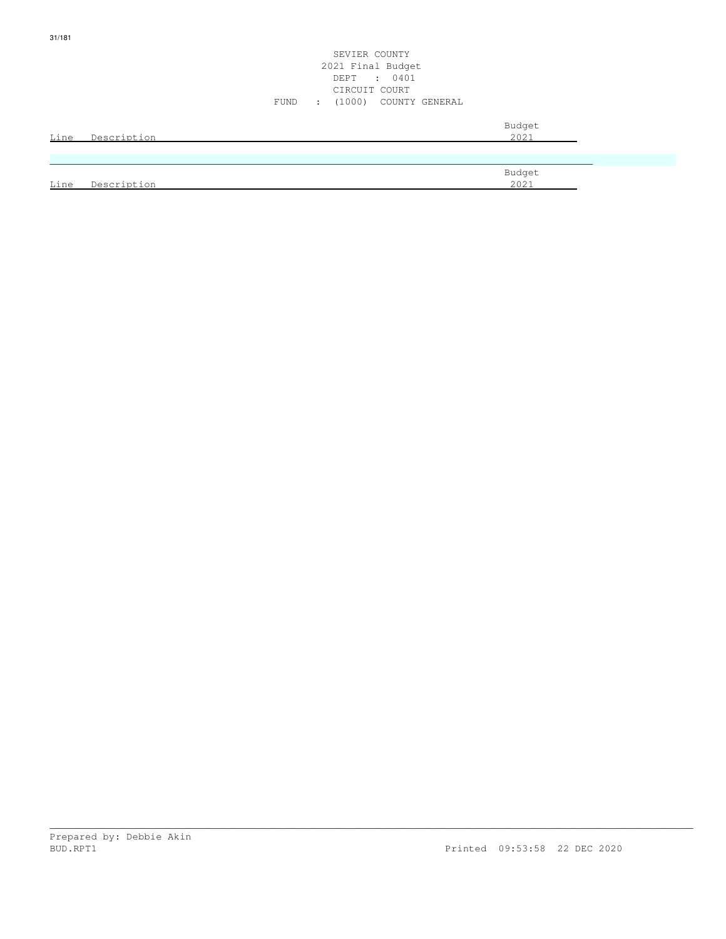|      |             | SEVIER COUNTY<br>2021 Final Budget<br>DEPT : 0401<br>CIRCUIT COURT<br>: (1000) COUNTY GENERAL<br>FUND |
|------|-------------|-------------------------------------------------------------------------------------------------------|
| Line | Description | Budget<br>2021                                                                                        |
|      |             |                                                                                                       |
| Line | Description | Budget<br>2021                                                                                        |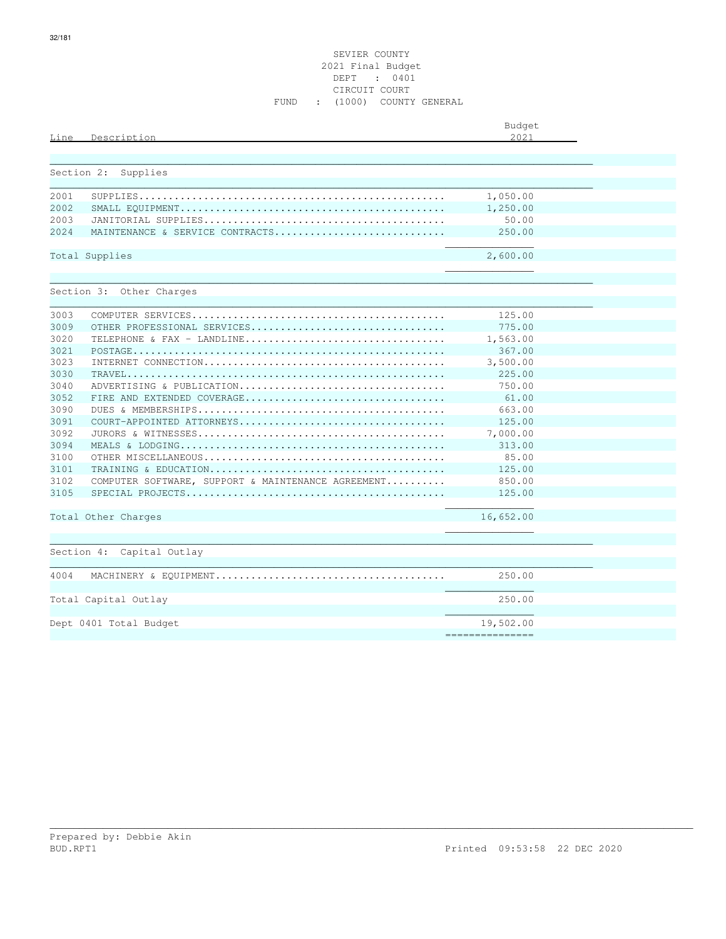# SEVIER COUNTY 2021 Final Budget DEPT : 0401 CIRCUIT COURT FUND : (1000) COUNTY GENERAL

| Line       | Description                                        | Budget<br>2021 |  |
|------------|----------------------------------------------------|----------------|--|
| Section 2: | Supplies                                           |                |  |
| 2001       |                                                    | 1,050.00       |  |
| 2002       |                                                    | 1,250.00       |  |
| 2003       |                                                    | 50.00          |  |
| 2024       | MAINTENANCE & SERVICE CONTRACTS                    | 250.00         |  |
|            | Total Supplies                                     | 2,600.00       |  |
|            |                                                    |                |  |
|            | Section 3: Other Charges                           |                |  |
|            |                                                    |                |  |
| 3003       |                                                    | 125.00         |  |
| 3009       | OTHER PROFESSIONAL SERVICES                        | 775.00         |  |
| 3020       | TELEPHONE & FAX - LANDLINE                         | 1,563.00       |  |
| 3021       |                                                    | 367.00         |  |
| 3023       |                                                    | 3,500.00       |  |
| 3030       |                                                    | 225.00         |  |
| 3040       | ADVERTISING & PUBLICATION                          | 750.00         |  |
| 3052       |                                                    | 61.00          |  |
| 3090       |                                                    | 663.00         |  |
| 3091       |                                                    | 125.00         |  |
| 3092       |                                                    | 7,000.00       |  |
| 3094       |                                                    | 313.00         |  |
| 3100       |                                                    | 85.00          |  |
| 3101       |                                                    | 125.00         |  |
| 3102       | COMPUTER SOFTWARE, SUPPORT & MAINTENANCE AGREEMENT | 850.00         |  |
| 3105       |                                                    | 125.00         |  |
|            | Total Other Charges                                | 16,652.00      |  |
|            |                                                    |                |  |
|            | Section 4: Capital Outlay                          |                |  |
|            |                                                    |                |  |
| 4004       |                                                    | 250.00         |  |
|            | Total Capital Outlay                               | 250.00         |  |
|            |                                                    | 19,502.00      |  |
|            | Dept 0401 Total Budget                             |                |  |

\_\_\_\_\_\_\_\_\_\_\_\_\_\_\_\_\_\_\_\_\_\_\_\_\_\_\_\_\_\_\_\_\_\_\_\_\_\_\_\_\_\_\_\_\_\_\_\_\_\_\_\_\_\_\_\_\_\_\_\_\_\_\_\_\_\_\_\_\_\_\_\_\_\_\_\_\_\_\_\_\_\_\_\_\_\_\_\_\_\_\_\_\_\_\_\_\_\_\_\_\_\_\_\_\_\_\_\_\_

===============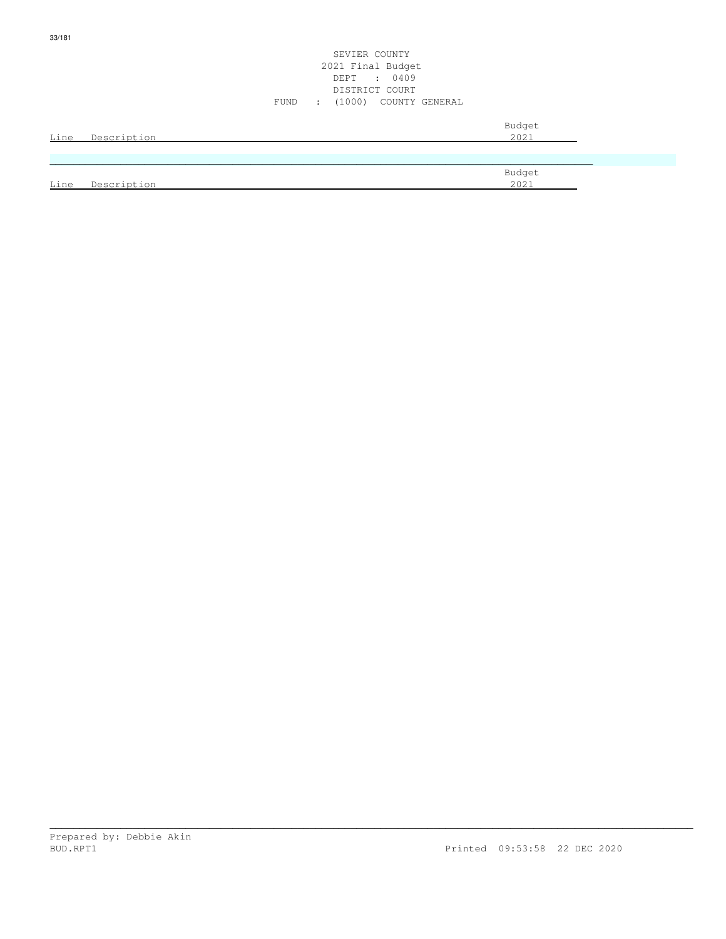|      |             | SEVIER COUNTY<br>2021 Final Budget<br>DEPT : 0409<br>DISTRICT COURT<br>: (1000) COUNTY GENERAL<br>FUND |
|------|-------------|--------------------------------------------------------------------------------------------------------|
| Line | Description | Budget<br>2021                                                                                         |
|      |             |                                                                                                        |
| Line | Description | Budget<br>2021                                                                                         |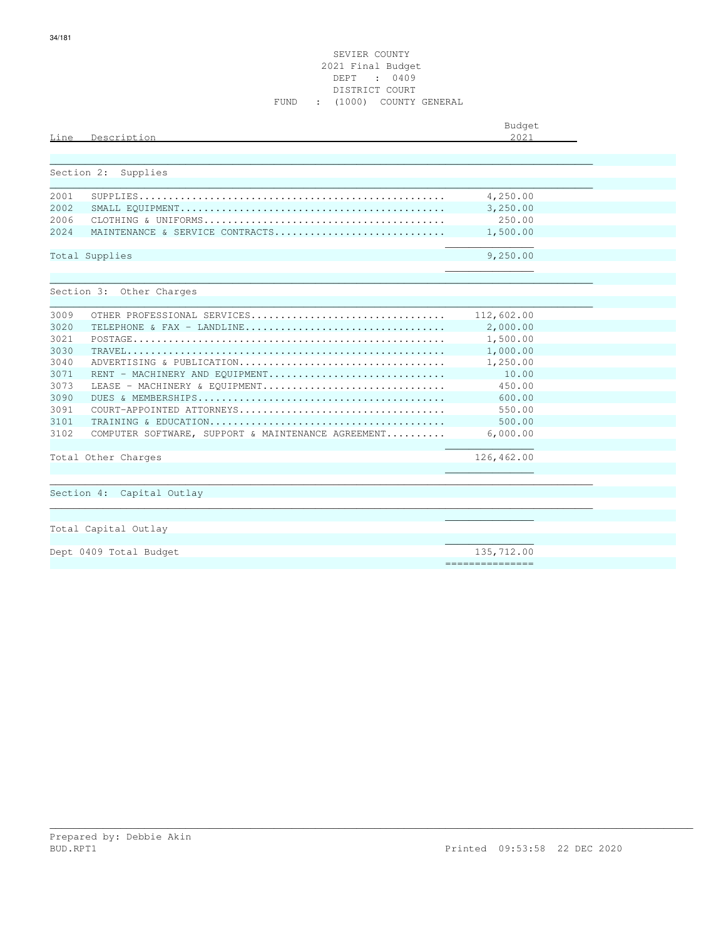| Line       | Description                                        | Budget<br>2021   |  |
|------------|----------------------------------------------------|------------------|--|
|            |                                                    |                  |  |
|            |                                                    |                  |  |
| Section 2: | Supplies                                           |                  |  |
| 2001       |                                                    | 4,250.00         |  |
| 2002       |                                                    | 3,250.00         |  |
| 2006       |                                                    | 250.00           |  |
| 2.024      | MAINTENANCE & SERVICE CONTRACTS                    | 1,500.00         |  |
|            |                                                    |                  |  |
|            | Total Supplies                                     | 9,250.00         |  |
|            |                                                    |                  |  |
|            |                                                    |                  |  |
|            | Section 3: Other Charges                           |                  |  |
|            |                                                    |                  |  |
| 3009       | OTHER PROFESSIONAL SERVICES                        | 112,602.00       |  |
| 3020       | TELEPHONE & FAX - LANDLINE                         | 2,000.00         |  |
| 3021       |                                                    | 1,500.00         |  |
| 3030       |                                                    | 1,000.00         |  |
| 3040       | ADVERTISING & PUBLICATION                          | 1,250.00         |  |
| 3071       | RENT - MACHINERY AND EQUIPMENT                     | 10.00            |  |
| 3073       | LEASE - MACHINERY & EOUIPMENT                      | 450.00           |  |
| 3090       |                                                    | 600.00           |  |
| 3091       |                                                    | 550.00           |  |
| 3101       |                                                    | 500.00           |  |
| 3102       | COMPUTER SOFTWARE, SUPPORT & MAINTENANCE AGREEMENT | 6,000.00         |  |
|            |                                                    |                  |  |
|            | Total Other Charges                                | 126,462.00       |  |
|            |                                                    |                  |  |
|            |                                                    |                  |  |
|            | Capital Outlay<br>Section 4:                       |                  |  |
|            |                                                    |                  |  |
|            |                                                    |                  |  |
|            | Total Capital Outlay                               |                  |  |
|            |                                                    |                  |  |
|            | Dept 0409 Total Budget                             | 135,712.00       |  |
|            |                                                    | ================ |  |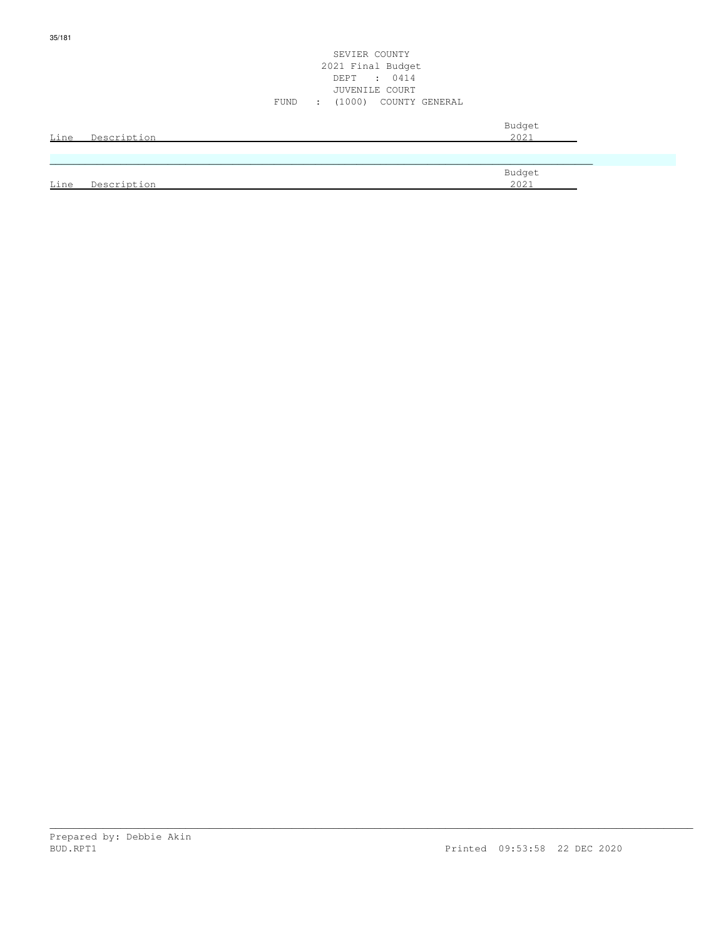|      |             | SEVIER COUNTY<br>2021 Final Budget<br>DEPT : 0414<br>JUVENILE COURT<br>(1000) COUNTY GENERAL<br>FUND<br>$\sim 100$ |
|------|-------------|--------------------------------------------------------------------------------------------------------------------|
| Line | Description | Budget<br>2021                                                                                                     |
|      |             | Budget                                                                                                             |
| Line | Description | 2021                                                                                                               |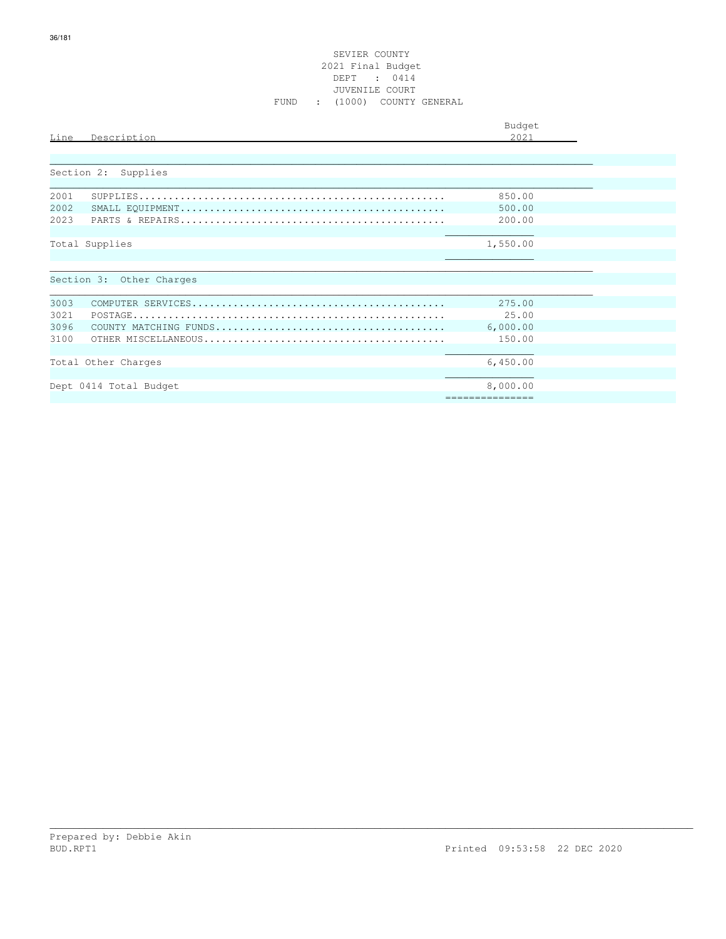# SEVIER COUNTY 2021 Final Budget DEPT : 0414 JUVENILE COURT FUND : (1000) COUNTY GENERAL

| Budget<br>2021                           |
|------------------------------------------|
|                                          |
| 850.00<br>500.00<br>200.00               |
| 1,550.00                                 |
|                                          |
| 275.00<br>25.00<br>6,000.00<br>150.00    |
| 6,450.00<br>8,000.00<br>================ |
|                                          |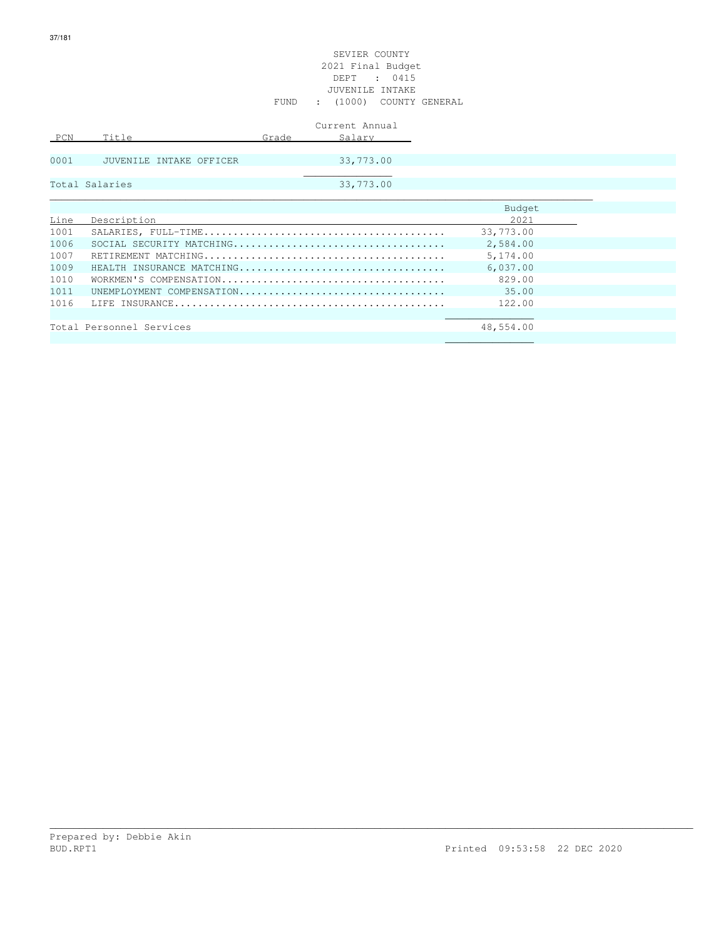|      |                           |       | Current Annual |           |  |
|------|---------------------------|-------|----------------|-----------|--|
| PCN  | Title                     | Grade | Salary         |           |  |
|      |                           |       |                |           |  |
| 0001 | JUVENILE INTAKE OFFICER   |       | 33,773.00      |           |  |
|      |                           |       |                |           |  |
|      | Total Salaries            |       | 33,773.00      |           |  |
|      |                           |       |                |           |  |
|      |                           |       |                | Budget    |  |
| Line | Description               |       |                | 2021      |  |
| 1001 |                           |       |                | 33,773.00 |  |
| 1006 |                           |       |                | 2,584.00  |  |
| 1007 |                           |       |                | 5,174.00  |  |
| 1009 | HEALTH INSURANCE MATCHING |       |                | 6,037.00  |  |
| 1010 |                           |       |                | 829.00    |  |
| 1011 | UNEMPLOYMENT COMPENSATION |       |                | 35.00     |  |
| 1016 |                           |       |                | 122.00    |  |
|      |                           |       |                |           |  |
|      | Total Personnel Services  |       |                | 48,554.00 |  |

 $\mathcal{L}_\text{max}$  , and the set of the set of the set of the set of the set of the set of the set of the set of the set of the set of the set of the set of the set of the set of the set of the set of the set of the set of the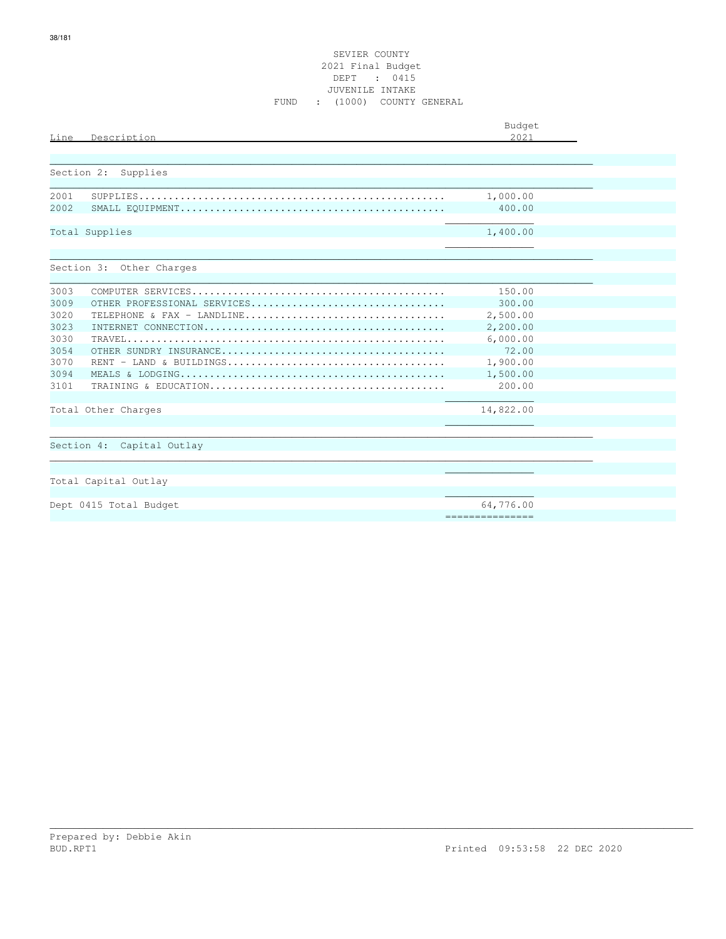#### SEVIER COUNTY 2021 Final Budget DEPT : 0415 JUVENILE INTAKE FUND : (1000) COUNTY GENERAL

| Line<br>Description       |                                                                                                 | Budget<br>2021  |  |
|---------------------------|-------------------------------------------------------------------------------------------------|-----------------|--|
| Section 2:<br>Supplies    |                                                                                                 |                 |  |
|                           |                                                                                                 |                 |  |
| 2001                      |                                                                                                 | 1,000.00        |  |
| 2002                      |                                                                                                 | 400.00          |  |
| Total Supplies            |                                                                                                 | 1,400.00        |  |
| Section 3: Other Charges  |                                                                                                 |                 |  |
| 3003                      |                                                                                                 | 150.00          |  |
| 3009                      | OTHER PROFESSIONAL SERVICES                                                                     | 300.00          |  |
| 3020                      | TELEPHONE & FAX - LANDLINE                                                                      | 2,500.00        |  |
| 3023                      |                                                                                                 | 2,200.00        |  |
| 3030                      |                                                                                                 | 6,000.00        |  |
| 3054                      |                                                                                                 | 72.00           |  |
| 3070                      | $RENT - LAND & BULLDINGS \ldots \ldots \ldots \ldots \ldots \ldots \ldots \ldots \ldots \ldots$ | 1,900.00        |  |
| 3094                      |                                                                                                 | 1,500.00        |  |
| 3101                      |                                                                                                 | 200.00          |  |
| Total Other Charges       |                                                                                                 | 14,822.00       |  |
|                           |                                                                                                 |                 |  |
| Section 4: Capital Outlay |                                                                                                 |                 |  |
|                           |                                                                                                 |                 |  |
| Total Capital Outlay      |                                                                                                 |                 |  |
| Dept 0415 Total Budget    |                                                                                                 | 64,776.00       |  |
|                           |                                                                                                 | =============== |  |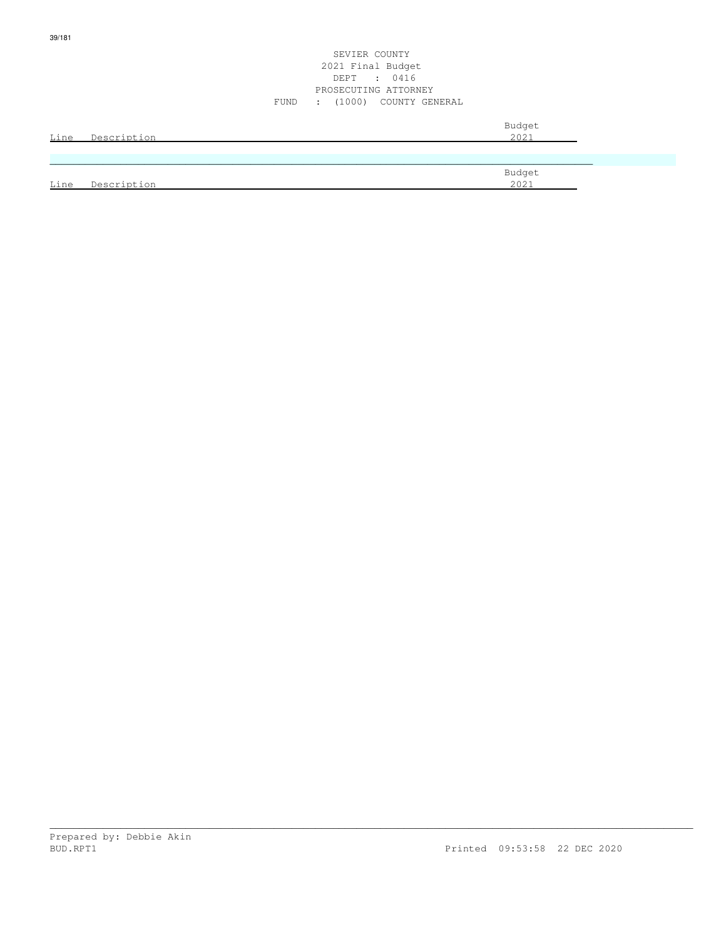| Line | Description | Budget<br>2021 |
|------|-------------|----------------|
|      |             |                |
| Line | Description | Budget<br>2021 |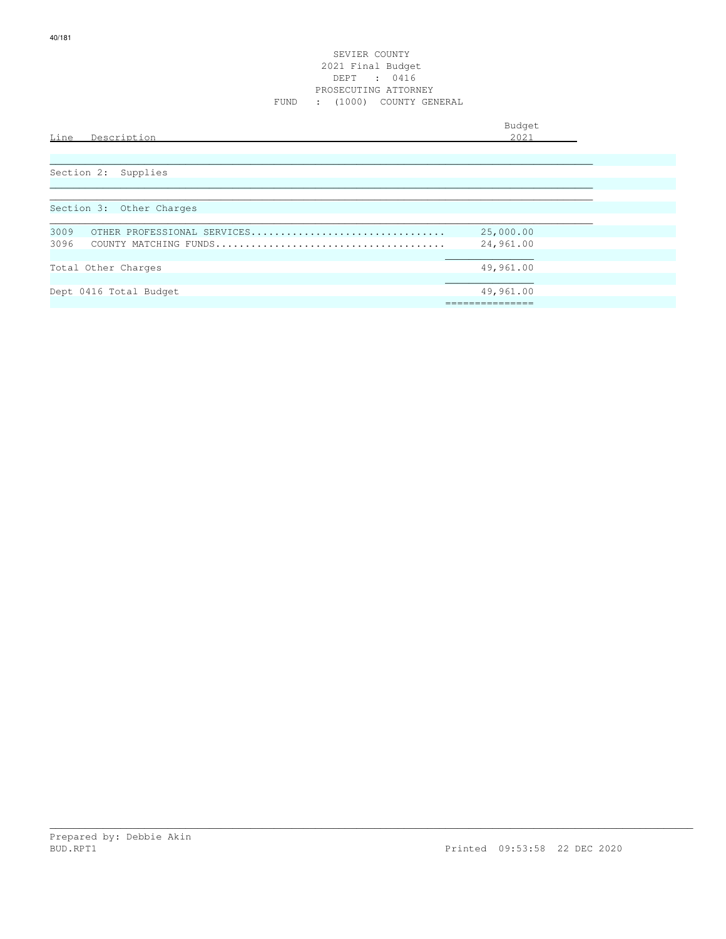| Line | ' د ر<br>. |  |
|------|------------|--|
|      |            |  |

| Section 2: Supplies                 |                |
|-------------------------------------|----------------|
|                                     |                |
|                                     |                |
| Section 3: Other Charges            |                |
|                                     |                |
| 3009<br>OTHER PROFESSIONAL SERVICES | 25,000.00      |
| 3096                                | 24,961.00      |
|                                     |                |
| Total Other Charges                 | 49,961.00      |
|                                     |                |
| Dept 0416 Total Budget              | 49,961.00      |
|                                     | -------------- |
|                                     |                |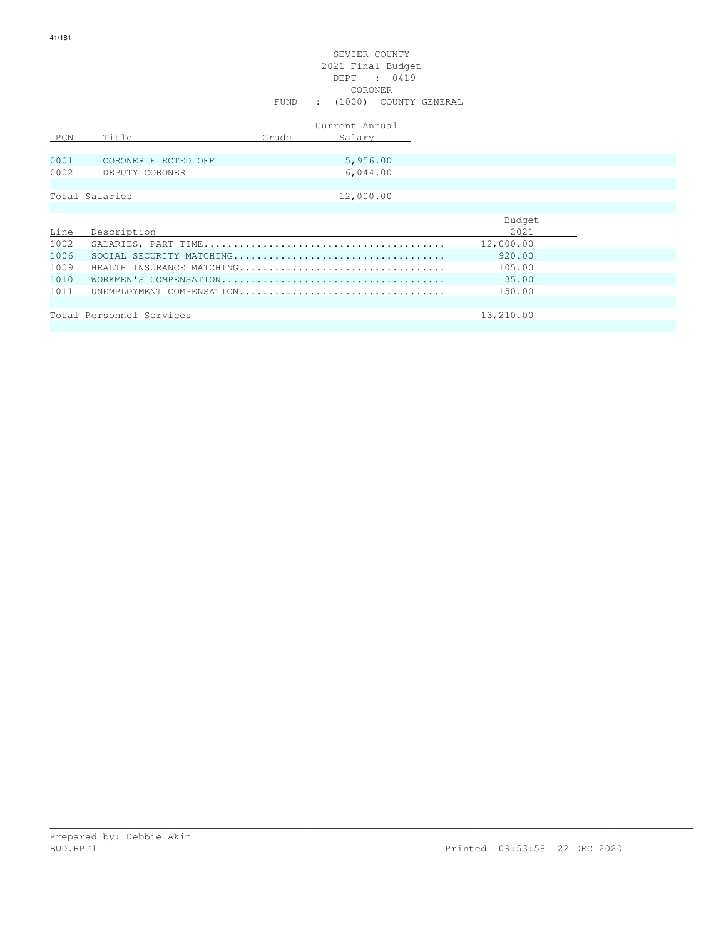# SEVIER COUNTY 2021 Final Budget DEPT : 0419 CORONER FUND : (1000) COUNTY GENERAL

|      |                           |       | Current Annual |           |
|------|---------------------------|-------|----------------|-----------|
| PCN  | Title                     | Grade | Salary         |           |
|      |                           |       |                |           |
| 0001 | CORONER ELECTED OFF       |       | 5,956.00       |           |
| 0002 | DEPUTY CORONER            |       | 6,044.00       |           |
|      |                           |       |                |           |
|      | Total Salaries            |       | 12,000.00      |           |
|      |                           |       |                |           |
|      |                           |       |                | Budget    |
| Line | Description               |       |                | 2021      |
| 1002 |                           |       |                | 12,000.00 |
| 1006 |                           |       |                | 920.00    |
| 1009 | HEALTH INSURANCE MATCHING |       |                | 105.00    |
| 1010 |                           |       |                | 35.00     |
| 1011 | UNEMPLOYMENT COMPENSATION |       |                | 150.00    |

| ᅩ◡⊥ |                          | 100.UU    |  |
|-----|--------------------------|-----------|--|
|     |                          |           |  |
|     |                          |           |  |
|     | Total Personnel Services | 13,210.00 |  |

\_\_\_\_\_\_\_\_\_\_\_\_\_\_\_\_\_\_\_\_\_\_\_\_\_\_\_\_\_\_\_\_\_\_\_\_\_\_\_\_\_\_\_\_\_\_\_\_\_\_\_\_\_\_\_\_\_\_\_\_\_\_\_\_\_\_\_\_\_\_\_\_\_\_\_\_\_\_\_\_\_\_\_\_\_\_\_\_\_\_\_\_\_\_\_\_\_\_\_\_\_\_\_\_\_\_\_\_\_

 $\mathcal{L}_\text{max}$  , and the contract of the contract of the contract of the contract of the contract of the contract of the contract of the contract of the contract of the contract of the contract of the contract of the contr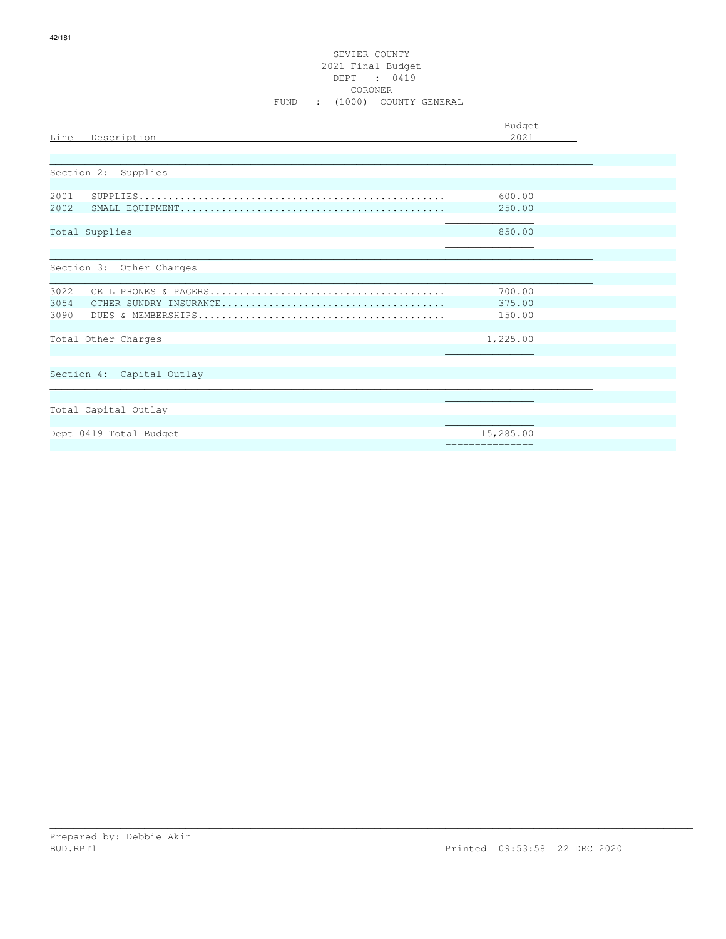# SEVIER COUNTY 2021 Final Budget<br>DEPT : 0419 CORONER FUND : (1000) COUNTY GENERAL

|                           | Budget                       |
|---------------------------|------------------------------|
| Description<br>Line       | 2021                         |
|                           |                              |
|                           |                              |
| Section 2: Supplies       |                              |
| 2001                      | 600.00                       |
| 2002                      | 250.00                       |
|                           |                              |
| Total Supplies            | 850.00                       |
|                           |                              |
| Section 3: Other Charges  |                              |
|                           |                              |
| 3022                      | 700.00                       |
| 3054                      | 375.00                       |
| 3090                      | 150.00                       |
|                           |                              |
| Total Other Charges       | 1,225.00                     |
|                           |                              |
| Section 4: Capital Outlay |                              |
|                           |                              |
|                           |                              |
| Total Capital Outlay      |                              |
|                           |                              |
| Dept 0419 Total Budget    | 15,285.00<br>--------------- |
|                           |                              |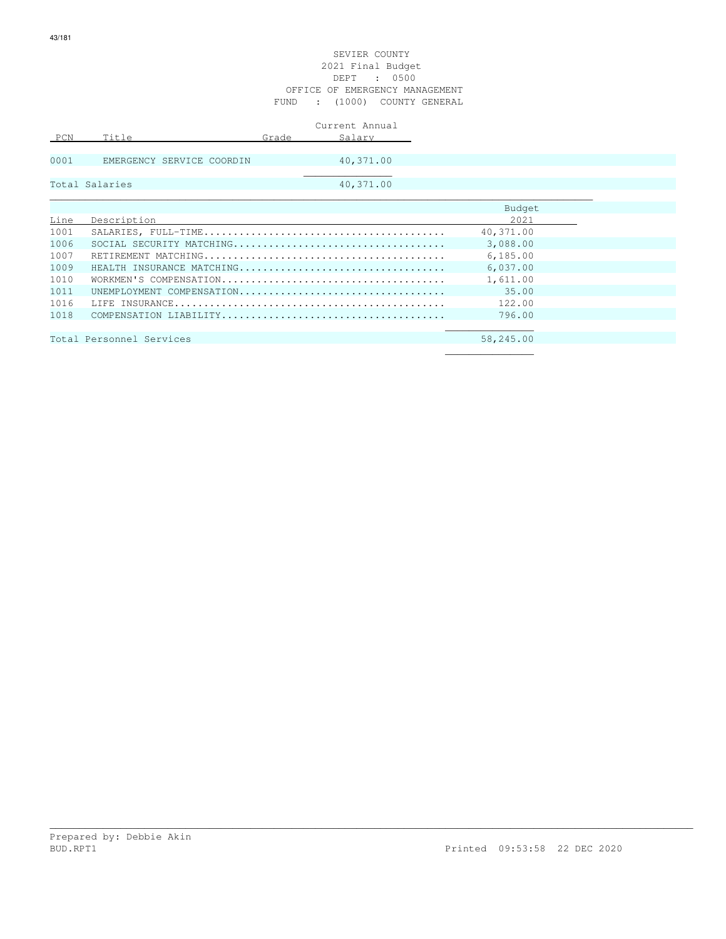|      |                           | Current Annual            |           |  |
|------|---------------------------|---------------------------|-----------|--|
| PCN  | Title                     | Grade<br>Salary           |           |  |
|      |                           |                           |           |  |
| 0001 | EMERGENCY SERVICE COORDIN | 40,371.00                 |           |  |
|      |                           |                           |           |  |
|      | Total Salaries            | 40,371.00                 |           |  |
|      |                           |                           |           |  |
|      |                           |                           | Budget    |  |
| Line | Description               |                           | 2021      |  |
| 1001 |                           |                           | 40,371.00 |  |
| 1006 |                           |                           | 3,088.00  |  |
| 1007 |                           |                           | 6,185.00  |  |
| 1009 |                           | HEALTH INSURANCE MATCHING | 6,037.00  |  |
| 1010 |                           |                           | 1,611.00  |  |
| 1011 |                           | UNEMPLOYMENT COMPENSATION | 35.00     |  |
| 1016 |                           |                           | 122.00    |  |
| 1018 |                           |                           | 796.00    |  |
|      |                           |                           |           |  |
|      | Total Personnel Services  |                           | 58,245.00 |  |

 $\mathcal{L}_\mathcal{L}$  , which is a set of the set of the set of the set of the set of the set of the set of the set of the set of the set of the set of the set of the set of the set of the set of the set of the set of the set of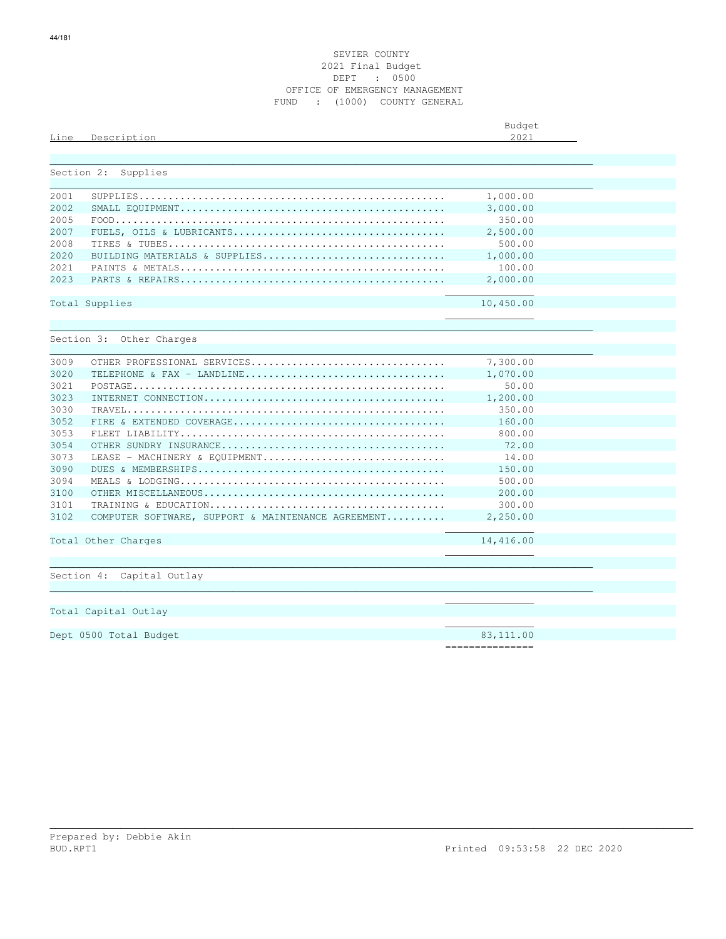| Line         | Description                                        | Budget<br>2.021      |  |
|--------------|----------------------------------------------------|----------------------|--|
|              |                                                    |                      |  |
|              |                                                    |                      |  |
| Section 2:   | Supplies                                           |                      |  |
|              |                                                    |                      |  |
| 2001<br>2002 |                                                    | 1,000.00<br>3,000.00 |  |
| 2005         |                                                    | 350.00               |  |
| 2007         |                                                    | 2,500.00             |  |
| 2008         |                                                    | 500.00               |  |
| 2020         | BUILDING MATERIALS & SUPPLIES                      | 1,000.00             |  |
| 2021         |                                                    | 100.00               |  |
| 2023         |                                                    | 2,000.00             |  |
|              |                                                    |                      |  |
|              | Total Supplies                                     | 10,450.00            |  |
|              |                                                    |                      |  |
|              |                                                    |                      |  |
|              | Section 3: Other Charges                           |                      |  |
|              |                                                    |                      |  |
| 3009         | OTHER PROFESSIONAL SERVICES                        | 7,300.00             |  |
| 3020         |                                                    | 1,070.00             |  |
| 3021         |                                                    | 50.00                |  |
| 3023         |                                                    | 1,200.00             |  |
| 3030         |                                                    | 350.00               |  |
| 3052         |                                                    | 160.00               |  |
| 3053         |                                                    | 800.00               |  |
| 3054         |                                                    | 72.00                |  |
| 3073         | LEASE - MACHINERY & EQUIPMENT                      | 14.00                |  |
| 3090         |                                                    | 150.00               |  |
| 3094         |                                                    | 500.00               |  |
| 3100         |                                                    | 200.00               |  |
| 3101         |                                                    | 300.00               |  |
| 3102         | COMPUTER SOFTWARE, SUPPORT & MAINTENANCE AGREEMENT | 2,250.00             |  |
|              |                                                    |                      |  |
|              | Total Other Charges                                | 14,416.00            |  |
|              |                                                    |                      |  |
|              |                                                    |                      |  |
|              | Section 4: Capital Outlay                          |                      |  |
|              |                                                    |                      |  |

 $\mathcal{L}_\mathcal{L}$  , which is a set of the set of the set of the set of the set of the set of the set of the set of the set of the set of the set of the set of the set of the set of the set of the set of the set of the set of

 $\mathcal{L}_\mathcal{L}$  , which is a set of the set of the set of the set of the set of the set of the set of the set of the set of the set of the set of the set of the set of the set of the set of the set of the set of the set of

Total Capital Outlay

Dept 0500 Total Budget 83,111.00

===============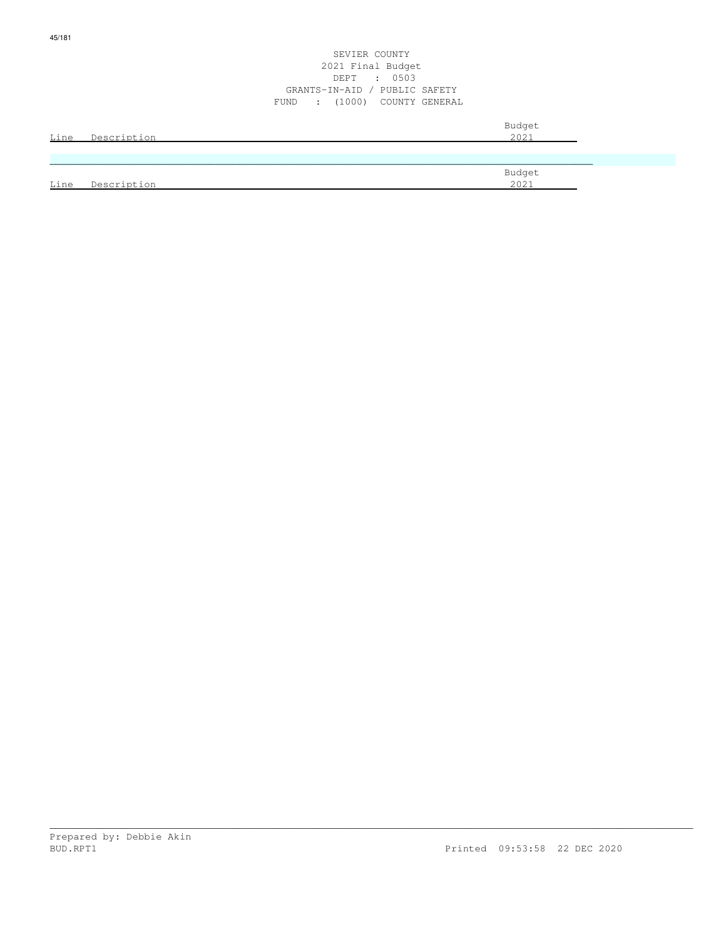|      |             | 2021 Final Budget                                  |        |  |
|------|-------------|----------------------------------------------------|--------|--|
|      |             | $\cdot$ 0503<br>DEPT                               |        |  |
|      |             | GRANTS-IN-AID / PUBLIC SAFETY                      |        |  |
|      |             | (1000) COUNTY GENERAL<br>FUND<br>$\sim$ 100 $\sim$ |        |  |
|      |             |                                                    | Budget |  |
| Line | Description |                                                    | 2021   |  |
|      |             |                                                    |        |  |
|      |             |                                                    |        |  |
|      |             |                                                    | Budget |  |
| Line | Description |                                                    | 2021   |  |

SEVIER COUNTY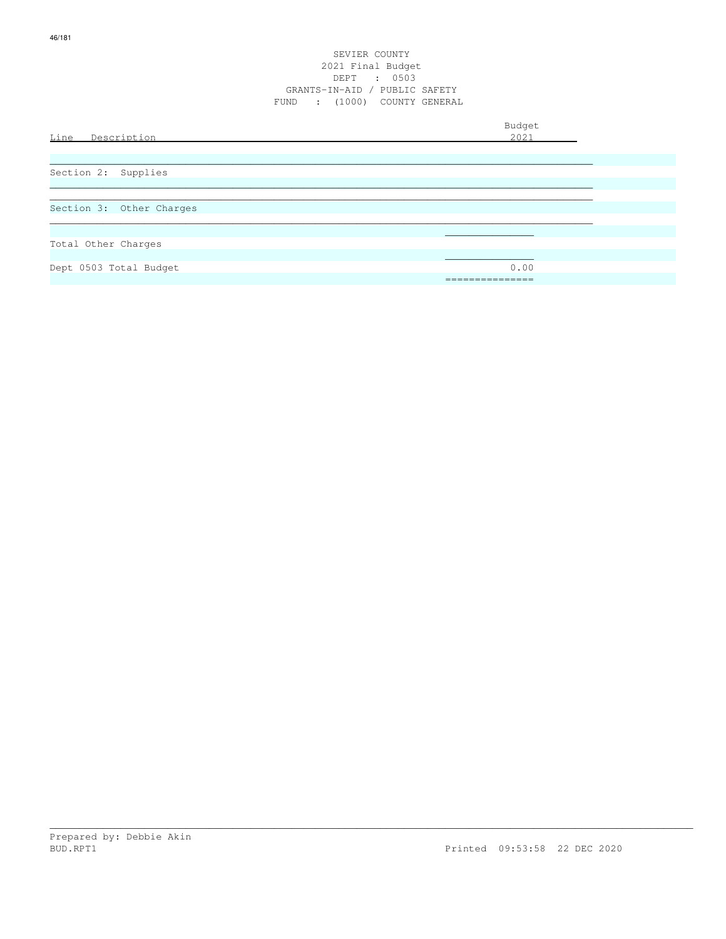| Line Description         | Budget<br>2021 |
|--------------------------|----------------|
|                          |                |
| Section 2: Supplies      |                |
|                          |                |
| Section 3: Other Charges |                |
|                          |                |
| Total Other Charges      |                |
|                          |                |
| Dept 0503 Total Budget   | 0.00           |
|                          | ============== |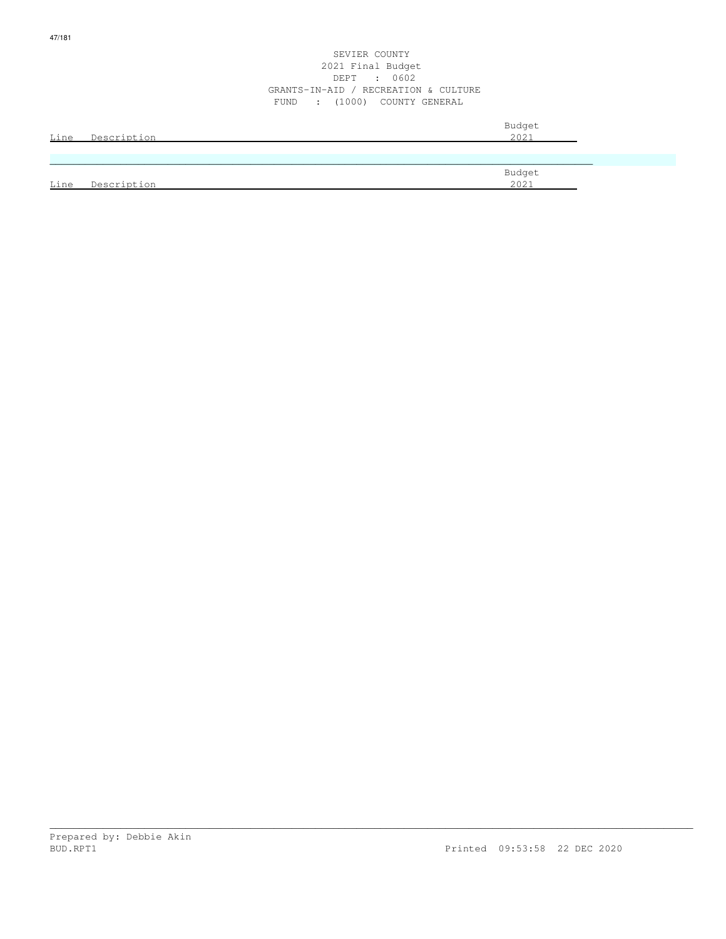| <u>Line</u> | Description | Budget<br>2021 |
|-------------|-------------|----------------|
|             |             |                |
| Line        | Description | Budget<br>2021 |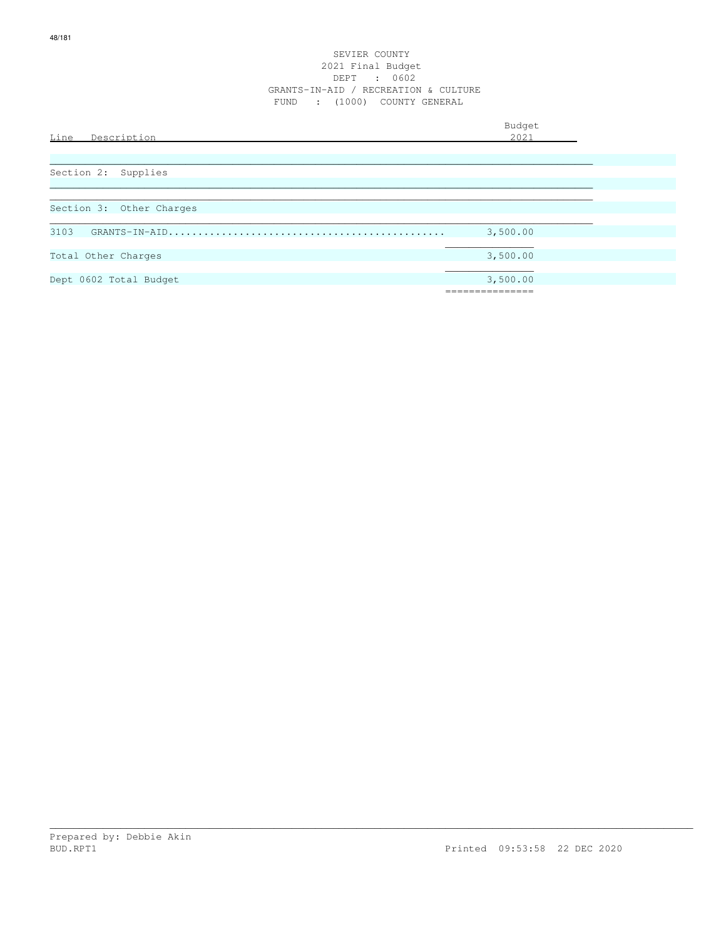| Line<br>Description      | Budget<br>2021            |  |
|--------------------------|---------------------------|--|
|                          |                           |  |
| Section 2: Supplies      |                           |  |
| Section 3: Other Charges |                           |  |
| 3103                     | 3,500.00                  |  |
| Total Other Charges      | 3,500.00                  |  |
| Dept 0602 Total Budget   | 3,500.00<br>------------- |  |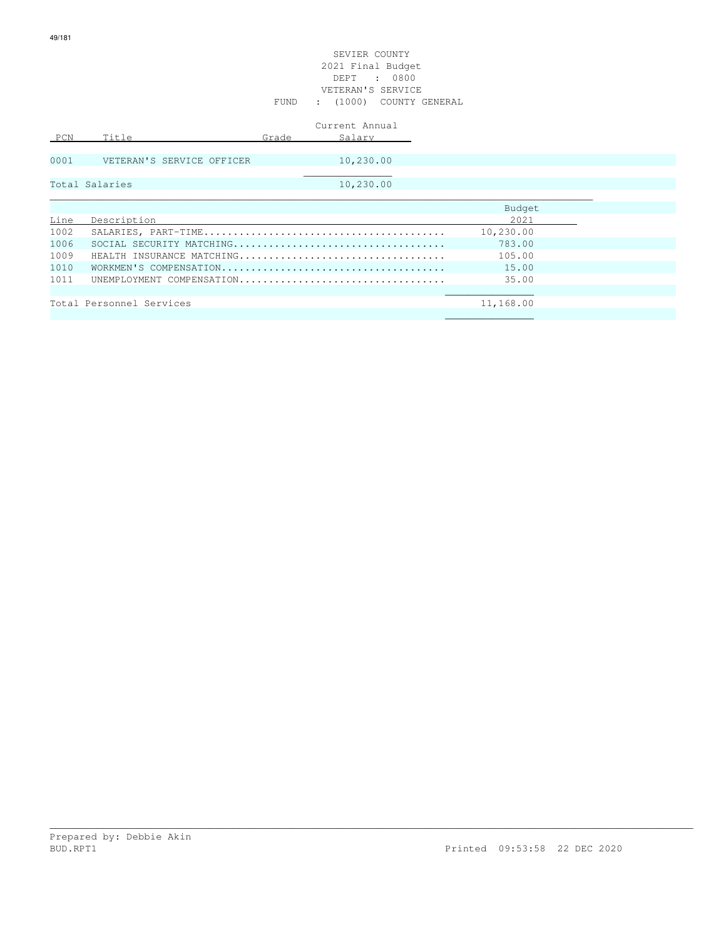#### SEVIER COUNTY 2021 Final Budget DEPT : 0800 VETERAN'S SERVICE FUND : (1000) COUNTY GENERAL

|      |                           |       | Current Annual |           |  |
|------|---------------------------|-------|----------------|-----------|--|
| PCN  | Title                     | Grade | Salary         |           |  |
| 0001 | VETERAN'S SERVICE OFFICER |       | 10,230.00      |           |  |
|      |                           |       |                |           |  |
|      | Total Salaries            |       | 10,230.00      |           |  |
|      |                           |       |                |           |  |
|      |                           |       |                | Budget    |  |
| Line | Description               |       |                | 2021      |  |
| 1002 |                           |       |                | 10,230.00 |  |
| 1006 |                           |       |                | 783.00    |  |
| 1009 | HEALTH INSURANCE MATCHING |       |                | 105.00    |  |
| 1010 |                           |       |                | 15.00     |  |
| 1011 | UNEMPLOYMENT COMPENSATION |       |                | 35.00     |  |
|      |                           |       |                |           |  |
|      | Total Personnel Services  |       |                | 11,168.00 |  |
|      |                           |       |                |           |  |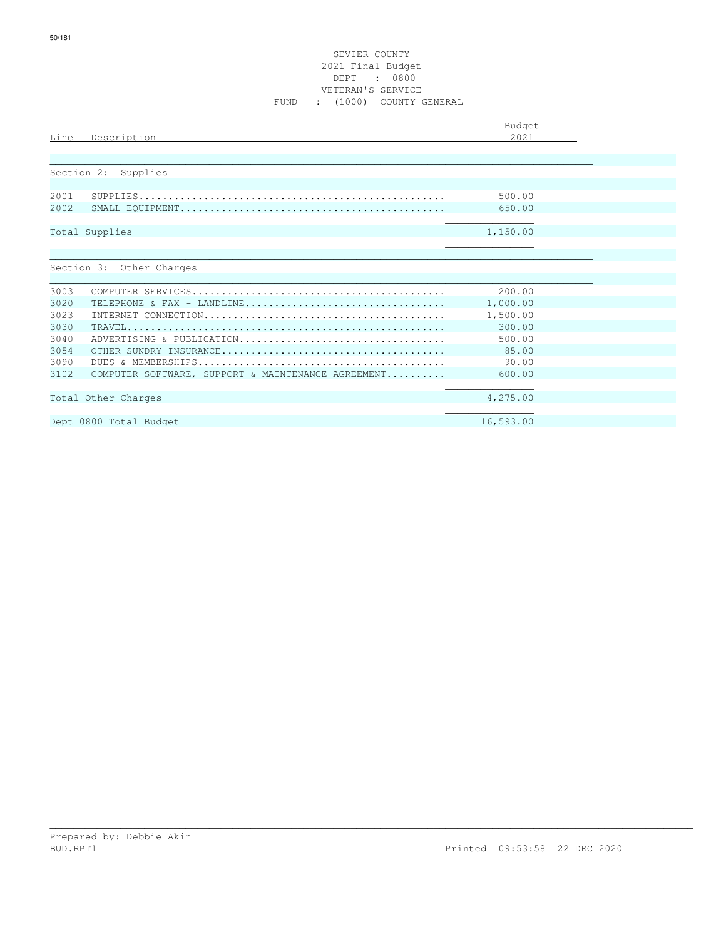| Line | Description                                        | Budget<br>2021   |  |
|------|----------------------------------------------------|------------------|--|
|      | Section 2: Supplies                                |                  |  |
|      |                                                    |                  |  |
| 2001 |                                                    | 500.00           |  |
| 2002 |                                                    | 650.00           |  |
|      | Total Supplies                                     | 1,150.00         |  |
|      | Section 3: Other Charges                           |                  |  |
| 3003 |                                                    | 200.00           |  |
| 3020 | TELEPHONE & FAX - LANDLINE                         | 1,000.00         |  |
| 3023 |                                                    | 1,500.00         |  |
| 3030 |                                                    | 300.00           |  |
| 3040 | ADVERTISING & PUBLICATION                          | 500.00           |  |
| 3054 |                                                    | 85.00            |  |
| 3090 |                                                    | 90.00            |  |
| 3102 | COMPUTER SOFTWARE, SUPPORT & MAINTENANCE AGREEMENT | 600.00           |  |
|      |                                                    |                  |  |
|      | Total Other Charges                                | 4,275.00         |  |
|      | Dept 0800 Total Budget                             | 16,593.00        |  |
|      |                                                    | ================ |  |

Prepared by: Debbie Akin<br>BUD.RPT1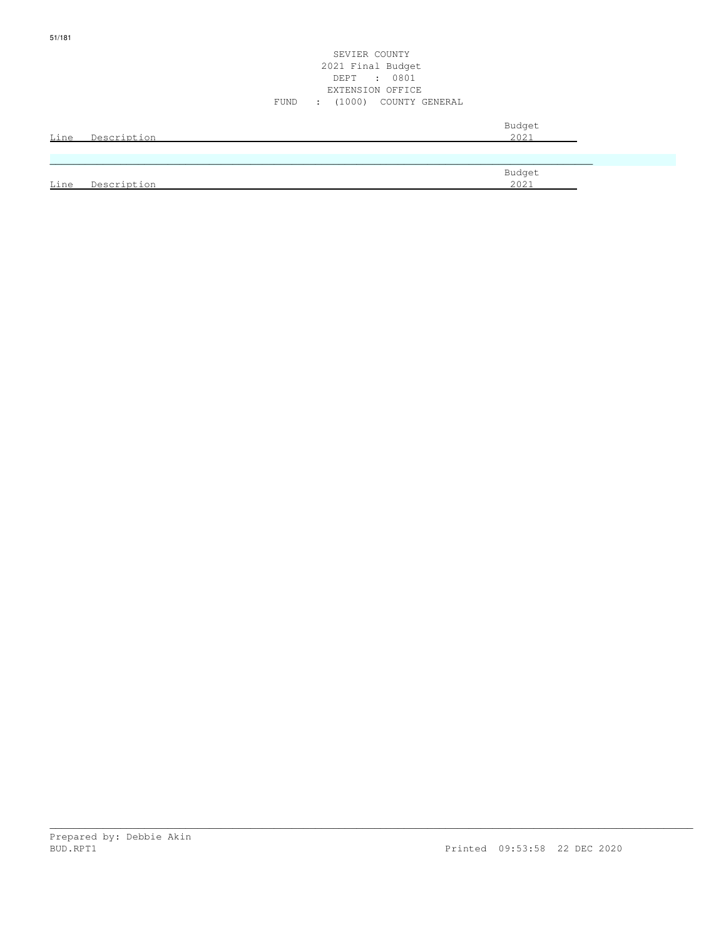| Line | Description | Budget<br>2021 |
|------|-------------|----------------|
|      |             |                |
| Line | Description | Budget<br>2021 |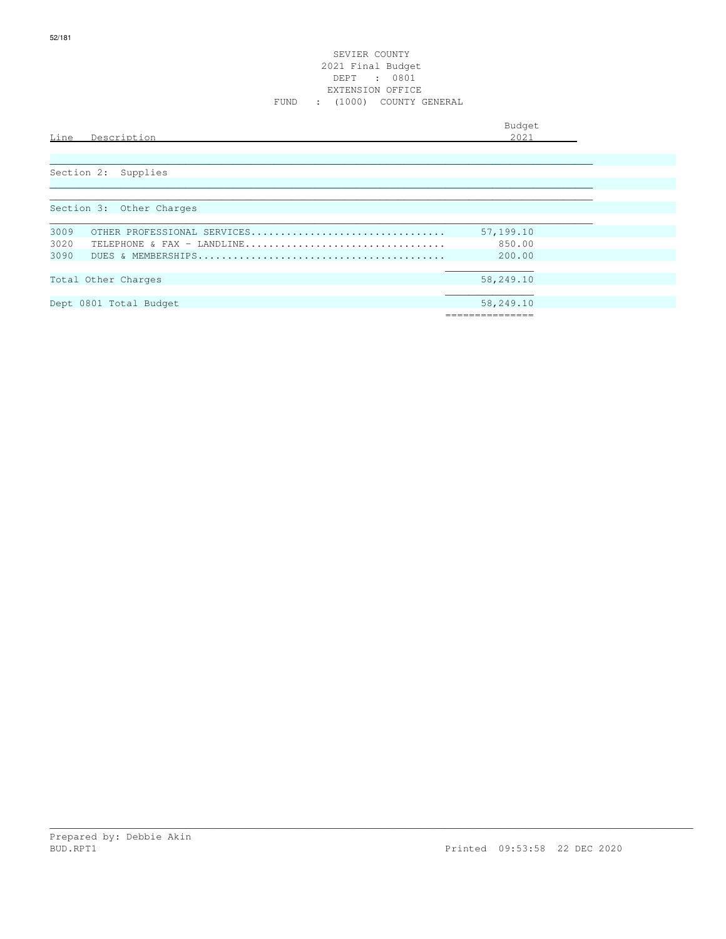#### SEVIER COUNTY 2021 Final Budget DEPT : 0801 EXTENSION OFFICE FUND : (1000) COUNTY GENERAL

|      |             | Budget                               |
|------|-------------|--------------------------------------|
| Line | Description | 0.001<br>$\sim$ $\sim$ $\sim$ $\sim$ |
|      |             |                                      |

| Section 2: Supplies                              |
|--------------------------------------------------|
|                                                  |
|                                                  |
| Section 3: Other Charges                         |
|                                                  |
| 3009<br>57,199.10<br>OTHER PROFESSIONAL SERVICES |
| 3020<br>850.00<br>TELEPHONE & FAX - LANDLINE     |
| 3090<br>200.00                                   |
|                                                  |
| 58,249.10<br>Total Other Charges                 |
|                                                  |
| Dept 0801 Total Budget<br>58,249.10              |
|                                                  |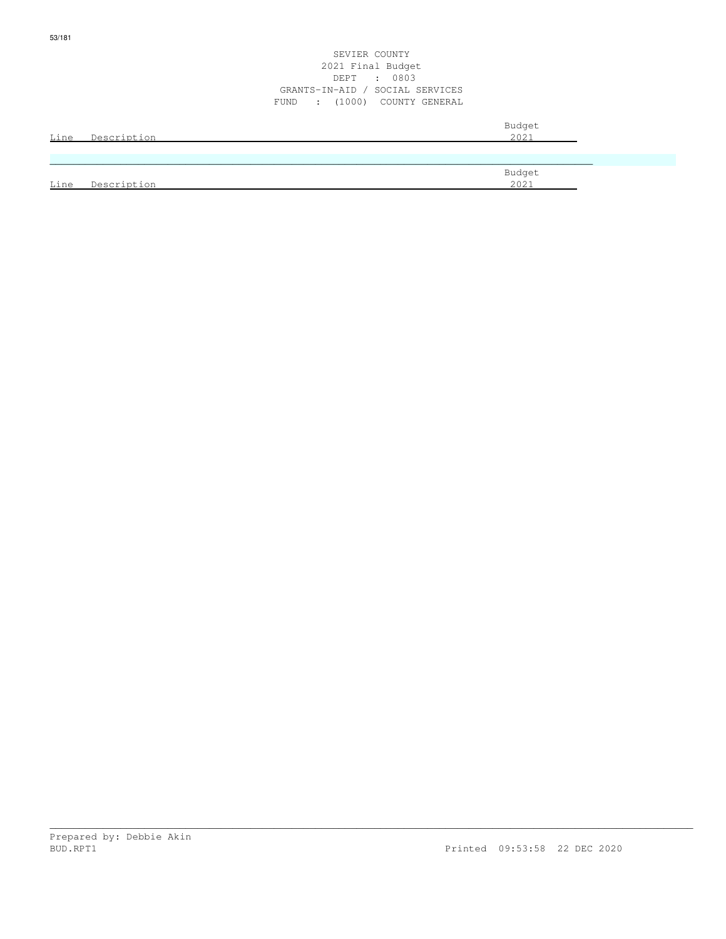|      |             | 2021 Final Budget<br>DEPT : 0803<br>GRANTS-IN-AID / SOCIAL SERVICES<br>FUND : (1000) COUNTY GENERAL |                |  |
|------|-------------|-----------------------------------------------------------------------------------------------------|----------------|--|
| Line | Description |                                                                                                     | Budget<br>2021 |  |
|      |             |                                                                                                     |                |  |
| Line | Description |                                                                                                     | Budget<br>2021 |  |

SEVIER COUNTY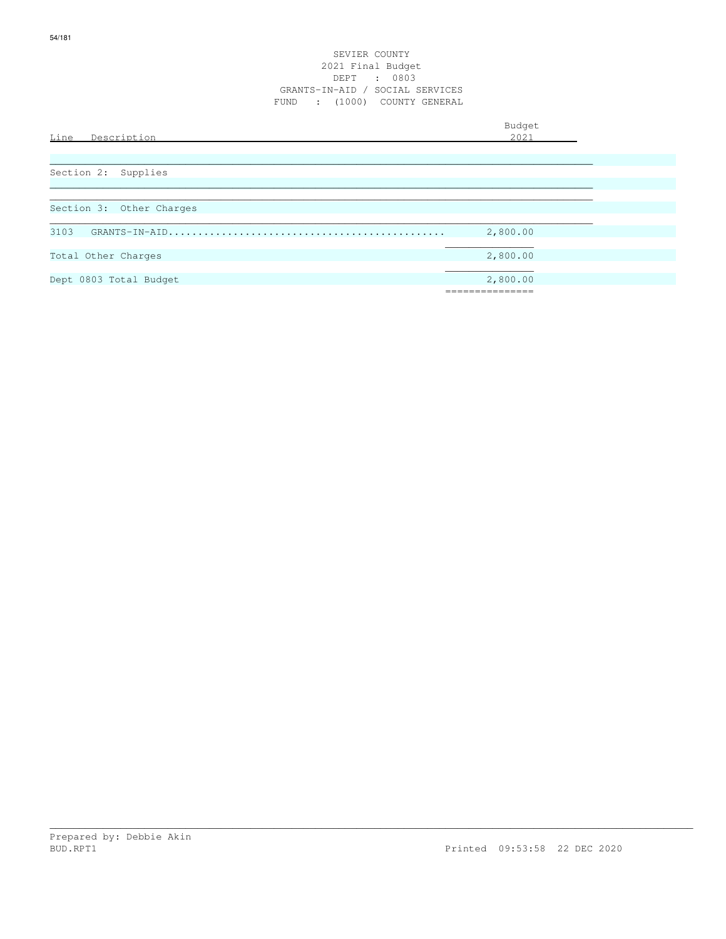| Line<br>Description      | Budget<br>2021 |
|--------------------------|----------------|
|                          |                |
| Section 2: Supplies      |                |
| Section 3: Other Charges |                |
| 3103                     | 2,800.00       |
| Total Other Charges      | 2,800.00       |
| Dept 0803 Total Budget   | 2,800.00       |
|                          |                |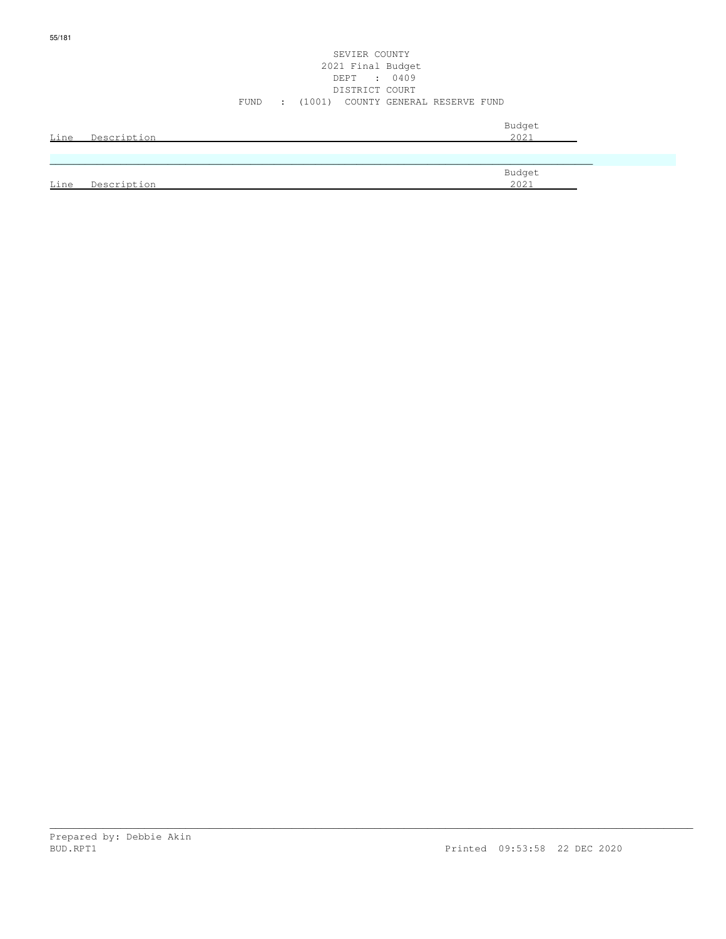|      |             |      |                          | 2021 Final Budget<br>DEPT : 0409   |                |  |
|------|-------------|------|--------------------------|------------------------------------|----------------|--|
|      |             |      |                          | DISTRICT COURT                     |                |  |
|      |             | FUND | $\sim 1000$ km s $^{-1}$ | (1001) COUNTY GENERAL RESERVE FUND |                |  |
| Line | Description |      |                          |                                    | Budget<br>2021 |  |
|      |             |      |                          |                                    |                |  |
| Line | Description |      |                          |                                    | Budget<br>2021 |  |

SEVIER COUNTY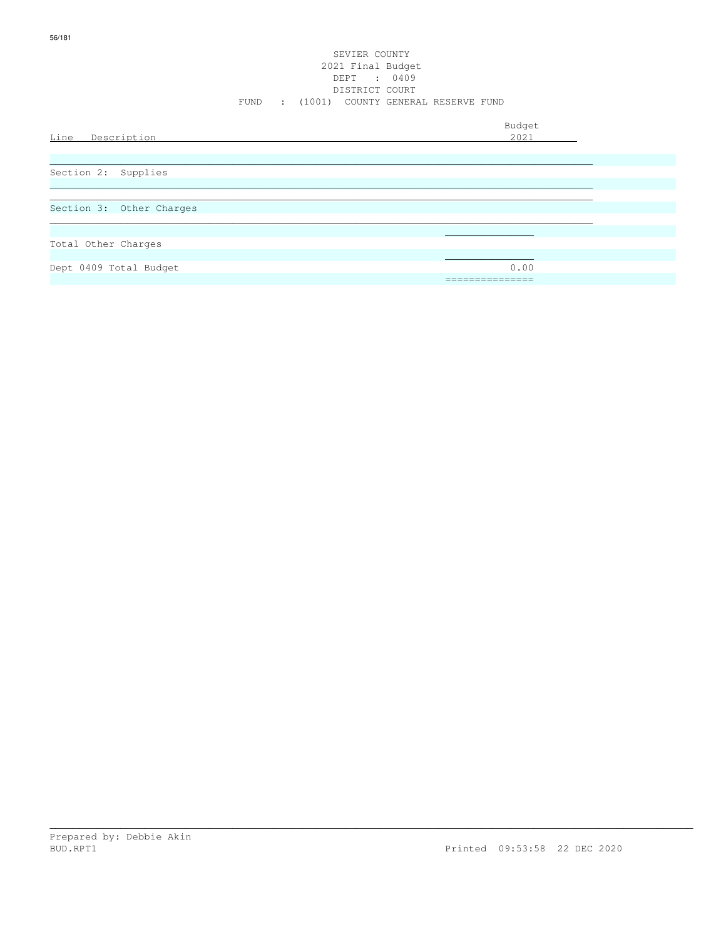#### SEVIER COUNTY 2021 Final Budget DEPT : 0409 DISTRICT COURT FUND : (1001) COUNTY GENERAL RESERVE FUND

| Line Description         | Budget<br>2021    |
|--------------------------|-------------------|
| Section 2: Supplies      |                   |
| Section 3: Other Charges |                   |
| Total Other Charges      |                   |
| Dept 0409 Total Budget   | 0.00<br>_________ |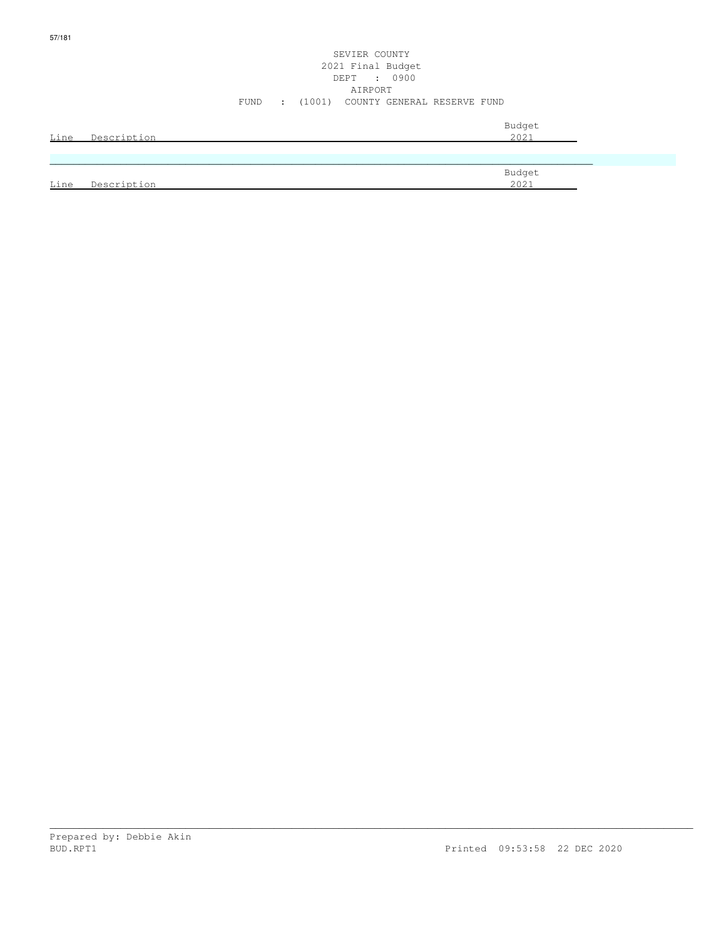# SEVIER COUNTY 2021 Final Budget DEPT : 0900 AIRPORT FUND : (1001) COUNTY GENERAL RESERVE FUND

| Line | Description | Budget<br>2021 |
|------|-------------|----------------|
|      |             |                |
|      |             | Budget         |
| Line | Description | 2021           |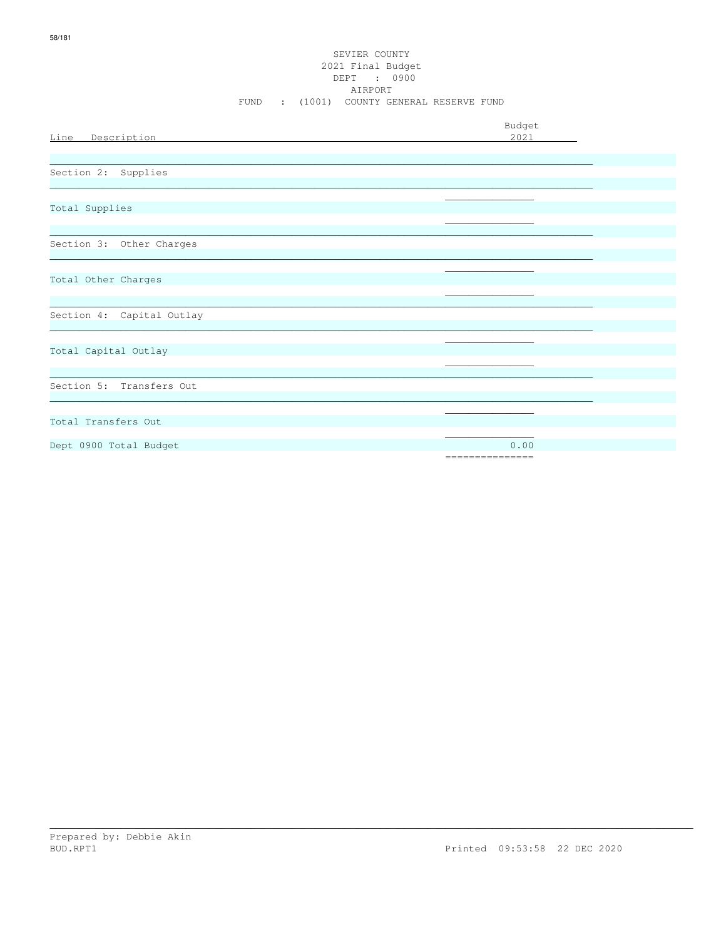|                           | Budget          |
|---------------------------|-----------------|
| Line Description          | 2021            |
|                           |                 |
| Section 2: Supplies       |                 |
|                           |                 |
| Total Supplies            |                 |
|                           |                 |
|                           |                 |
| Section 3: Other Charges  |                 |
|                           |                 |
| Total Other Charges       |                 |
|                           |                 |
|                           |                 |
| Section 4: Capital Outlay |                 |
|                           |                 |
| Total Capital Outlay      |                 |
|                           |                 |
|                           |                 |
| Section 5: Transfers Out  |                 |
|                           |                 |
| Total Transfers Out       |                 |
|                           |                 |
| Dept 0900 Total Budget    | 0.00            |
|                           | =============== |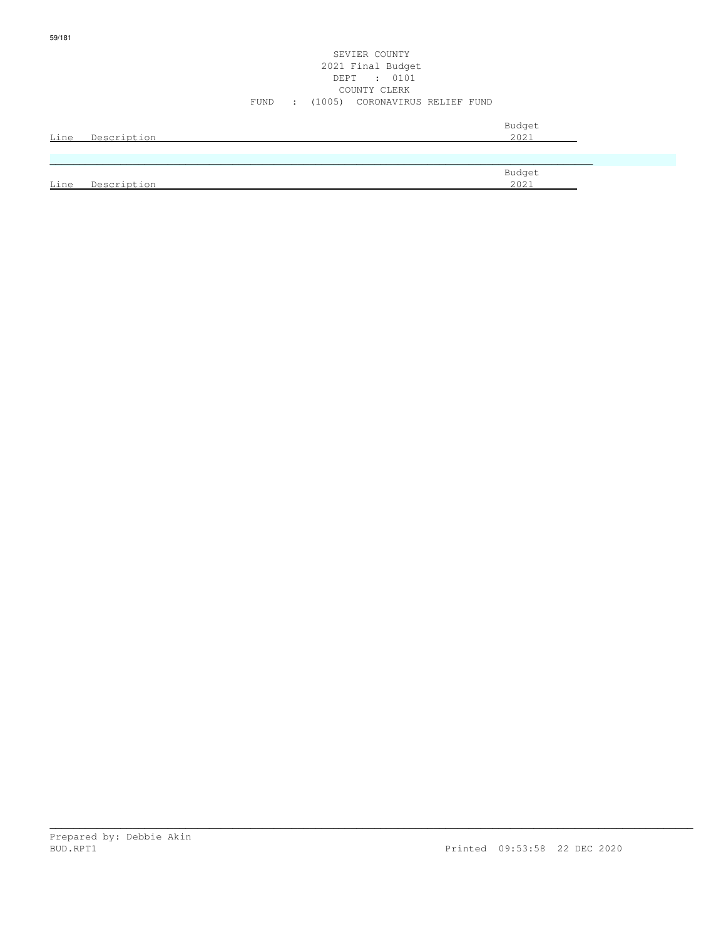| Line | Description | Budget<br>2021 |
|------|-------------|----------------|
|      |             |                |
|      |             |                |
|      |             | Budget         |
| Line | Description | 2021           |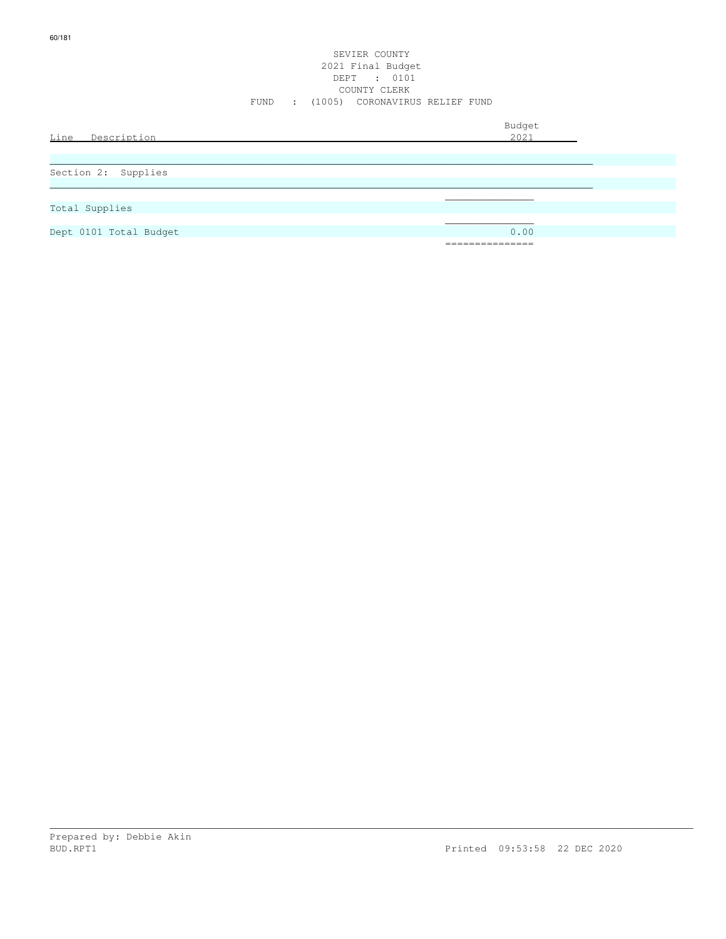# SEVIER COUNTY 2021 Final Budget DEPT : 0101 COUNTY CLERK FUND : (1005) CORONAVIRUS RELIEF FUND

| Line Description       | Budget<br>2021                |
|------------------------|-------------------------------|
|                        |                               |
| Section 2: Supplies    |                               |
|                        |                               |
| Total Supplies         |                               |
|                        |                               |
| Dept 0101 Total Budget | 0.00                          |
|                        | _______________<br>---------- |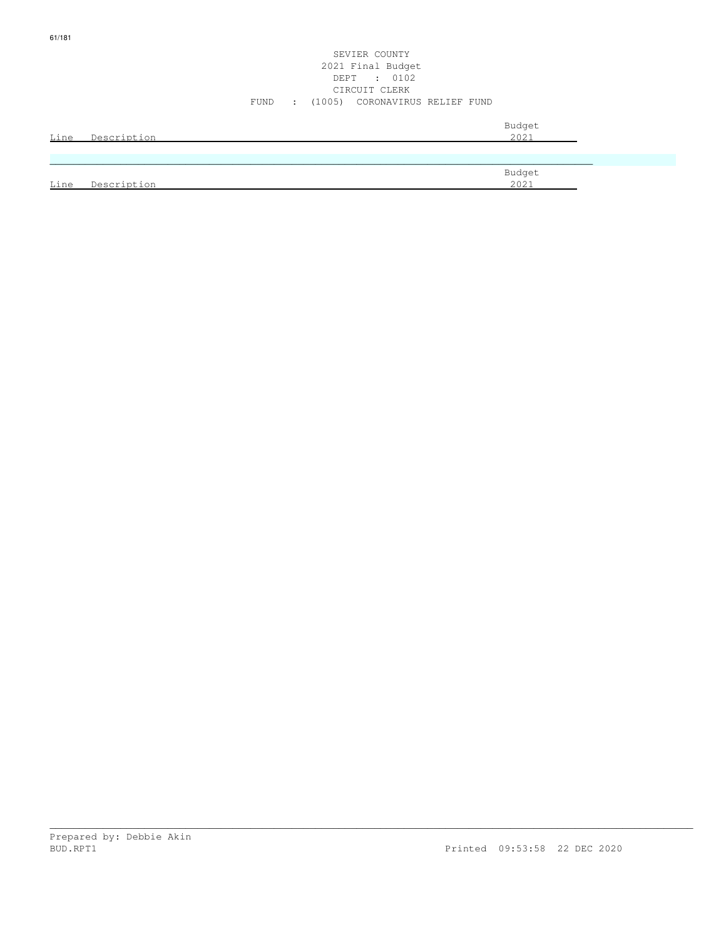# SEVIER COUNTY 2021 Final Budget DEPT : 0102 CIRCUIT CLERK FUND : (1005) CORONAVIRUS RELIEF FUND

| Line | Description | Budget<br>2021 |
|------|-------------|----------------|
|      |             |                |
|      |             | Budget         |
| Line | Description | 2021           |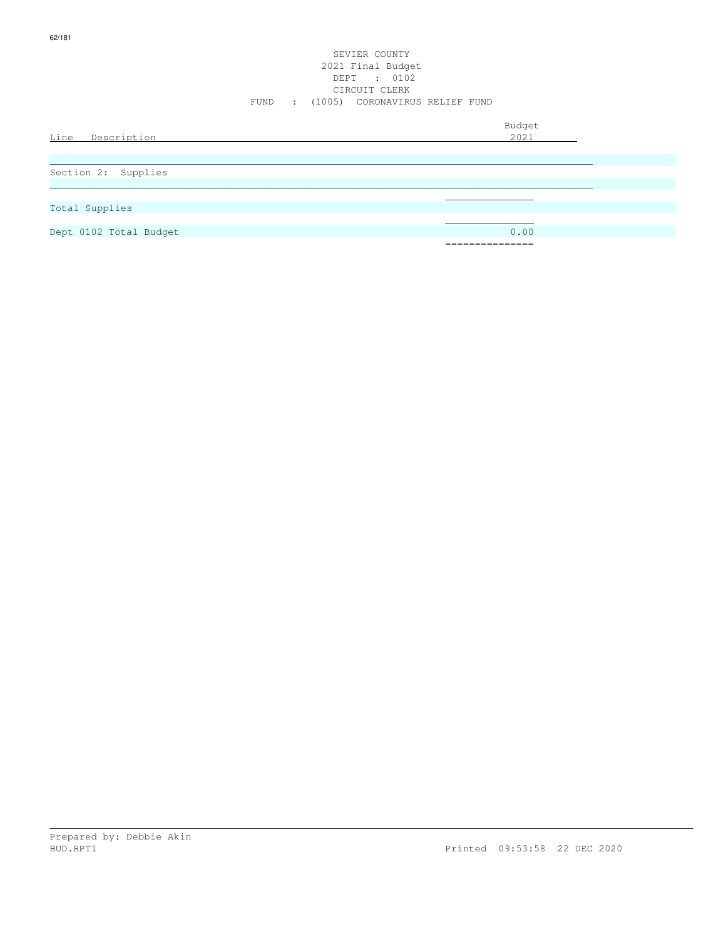|                        | FUND |  | SEVIER COUNTY<br>2021 Final Budget<br>DEPT : 0102<br>CIRCUIT CLERK<br>: (1005) CORONAVIRUS RELIEF FUND |                 |                |  |
|------------------------|------|--|--------------------------------------------------------------------------------------------------------|-----------------|----------------|--|
| Line Description       |      |  |                                                                                                        |                 | Budget<br>2021 |  |
|                        |      |  |                                                                                                        |                 |                |  |
|                        |      |  |                                                                                                        |                 |                |  |
| Section 2: Supplies    |      |  |                                                                                                        |                 |                |  |
|                        |      |  |                                                                                                        |                 |                |  |
|                        |      |  |                                                                                                        |                 |                |  |
| Total Supplies         |      |  |                                                                                                        |                 |                |  |
|                        |      |  |                                                                                                        |                 |                |  |
| Dept 0102 Total Budget |      |  |                                                                                                        |                 | 0.00           |  |
|                        |      |  |                                                                                                        | =============== |                |  |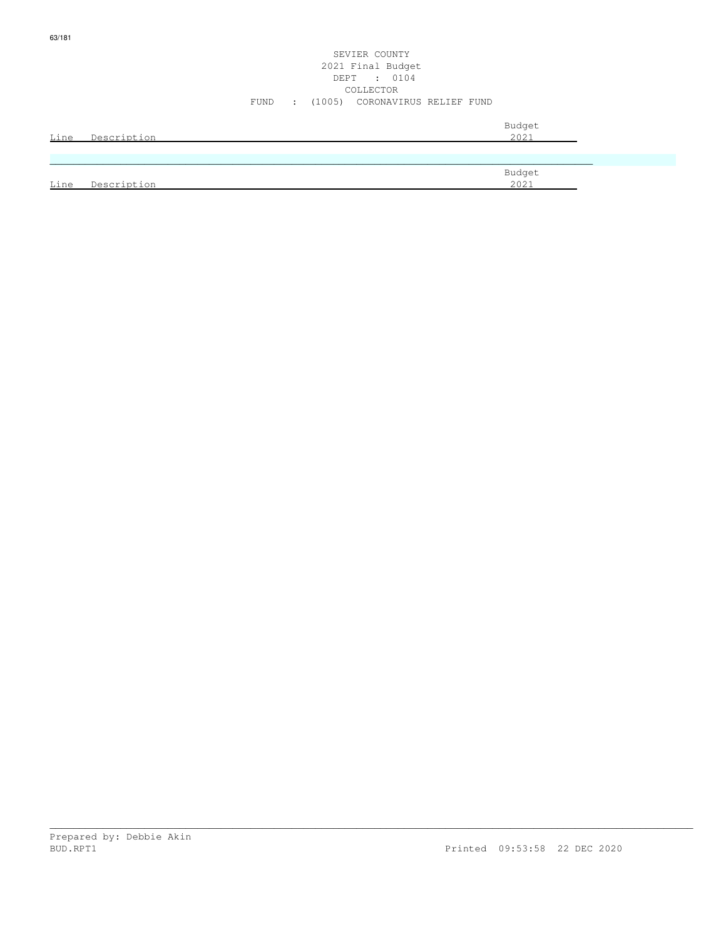|      | Line Description | Budget<br>2021 |
|------|------------------|----------------|
|      |                  |                |
|      |                  | Budget         |
| Line | Description      | 2021           |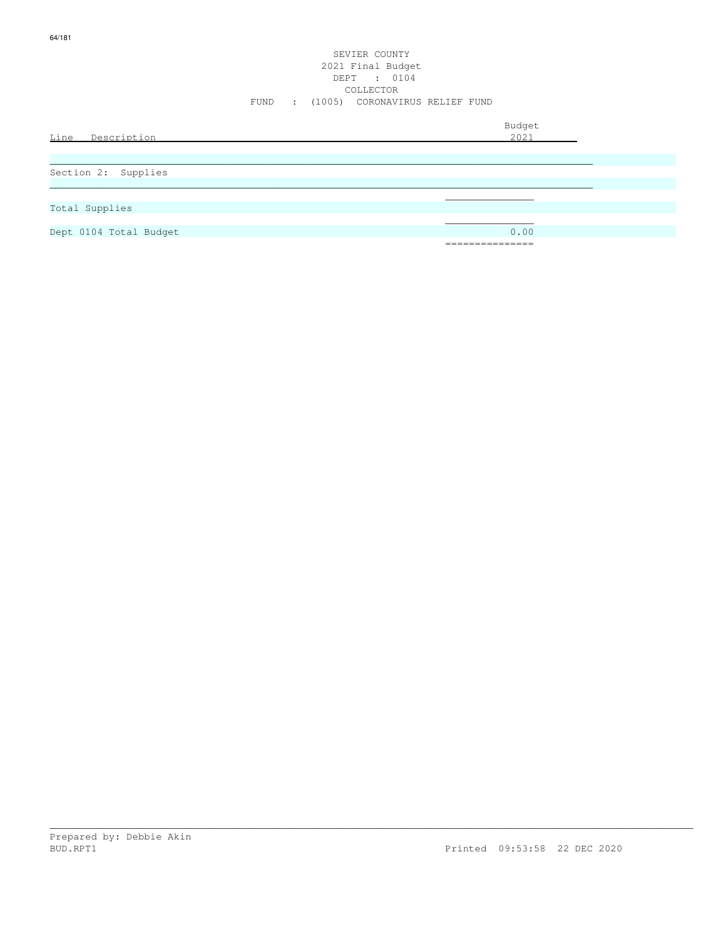|                        | SEVIER COUNTY<br>2021 Final Budget<br>DEPT : 0104<br>COLLECTOR<br>FUND : (1005) CORONAVIRUS RELIEF FUND |                |
|------------------------|---------------------------------------------------------------------------------------------------------|----------------|
| Line Description       |                                                                                                         | Budget<br>2021 |
| Section 2: Supplies    |                                                                                                         |                |
| Total Supplies         |                                                                                                         |                |
| Dept 0104 Total Budget |                                                                                                         | 0.00           |

===============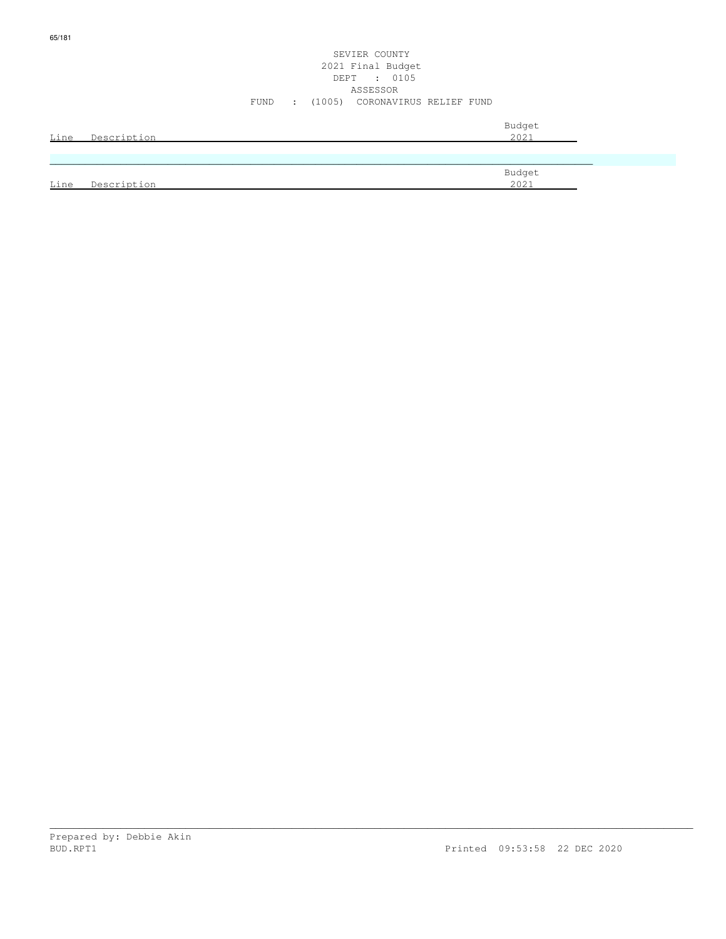|      |                  | SEVIER COUNTY<br>2021 Final Budget<br>DEPT : 0105<br>ASSESSOR |  |
|------|------------------|---------------------------------------------------------------|--|
|      |                  | (1005) CORONAVIRUS RELIEF FUND<br>FUND<br>$\mathcal{L}$       |  |
|      | Line Description | Budget<br>2021                                                |  |
|      |                  |                                                               |  |
| Line | Description      | Budget<br>2021                                                |  |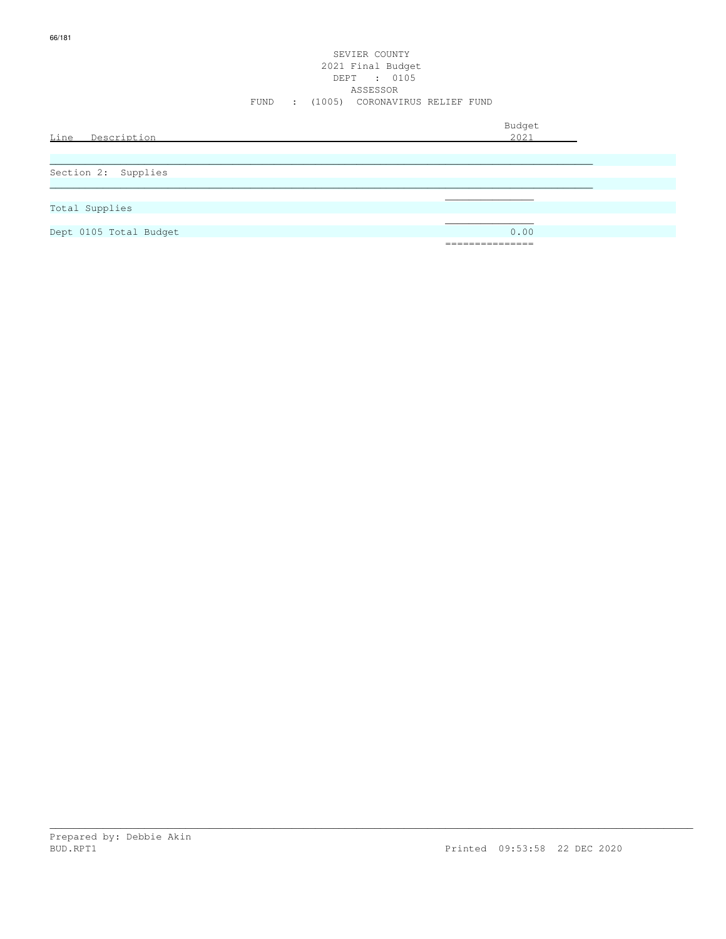|                        | FUND | SEVIER COUNTY<br>2021 Final Budget<br>DEPT : 0105<br>ASSESSOR<br>: (1005) CORONAVIRUS RELIEF FUND |                |  |
|------------------------|------|---------------------------------------------------------------------------------------------------|----------------|--|
| Line Description       |      |                                                                                                   | Budget<br>2021 |  |
|                        |      |                                                                                                   |                |  |
| Section 2: Supplies    |      |                                                                                                   |                |  |
| Total Supplies         |      |                                                                                                   |                |  |
| Dept 0105 Total Budget |      |                                                                                                   | 0.00           |  |
|                        |      |                                                                                                   |                |  |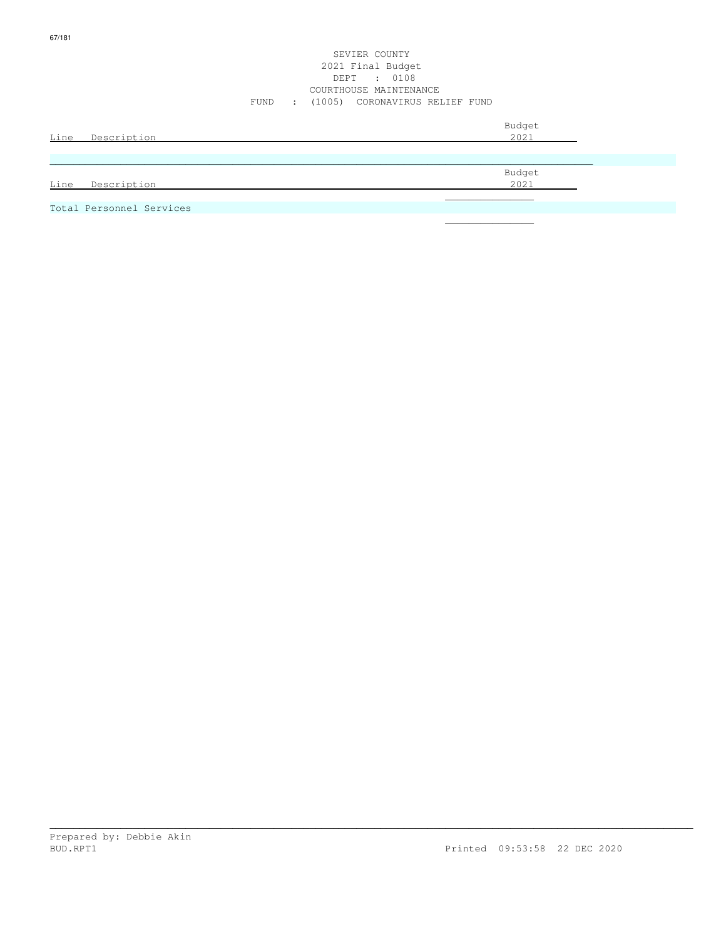#### SEVIER COUNTY 2021 Final Budget DEPT : 0108 COURTHOUSE MAINTENANCE FUND : (1005) CORONAVIRUS RELIEF FUND

| Line Description         | Budget<br>2021 |  |
|--------------------------|----------------|--|
|                          |                |  |
|                          |                |  |
|                          | Budget         |  |
| Line Description         | 2021           |  |
|                          |                |  |
| Total Personnel Services |                |  |

\_\_\_\_\_\_\_\_\_\_\_\_\_\_\_\_\_\_\_\_\_\_\_\_\_\_\_\_\_\_\_\_\_\_\_\_\_\_\_\_\_\_\_\_\_\_\_\_\_\_\_\_\_\_\_\_\_\_\_\_\_\_\_\_\_\_\_\_\_\_\_\_\_\_\_\_\_\_\_\_\_\_\_\_\_\_\_\_\_\_\_\_\_\_\_\_\_\_\_\_\_\_\_\_\_\_\_\_\_

 $\mathcal{L}_\mathcal{L}$  , we can assume that the contract of the contract of the contract of the contract of the contract of the contract of the contract of the contract of the contract of the contract of the contract of the contr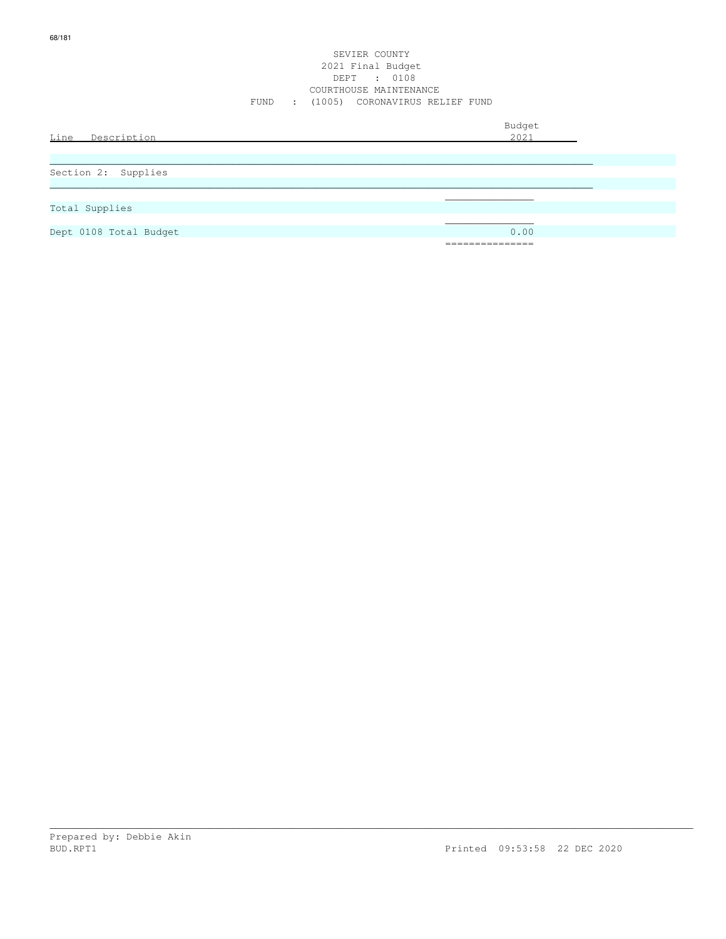Budget is a state of the state of the state of the state of the state of the state of the state of the state of the state of the state of the state of the state of the state of the state of the state of the state of the st Line Description 2021 \_\_\_\_\_\_\_\_\_\_\_\_\_\_\_\_\_\_\_\_\_\_\_\_\_\_\_\_\_\_\_\_\_\_\_\_\_\_\_\_\_\_\_\_\_\_\_\_\_\_\_\_\_\_\_\_\_\_\_\_\_\_\_\_\_\_\_\_\_\_\_\_\_\_\_\_\_\_\_\_\_\_\_\_\_\_\_\_\_\_\_\_ Section 2: Supplies  $\ldots$  . The contribution of the contribution of the contribution of the contribution of the contribution of the contribution of the contribution of the contribution of the contribution of the contribution of the contribut  $\mathcal{L}_\mathcal{L}$  , which is a set of the set of the set of the set of the set of the set of the set of the set of the set of the set of the set of the set of the set of the set of the set of the set of the set of the set of Total Supplies  $\mathcal{L}_\mathcal{L}$  , we can assume that the contract of the contract of the contract of the contract of the contract of the contract of the contract of the contract of the contract of the contract of the contract of the contr Dept 0108 Total Budget 0.00 ===============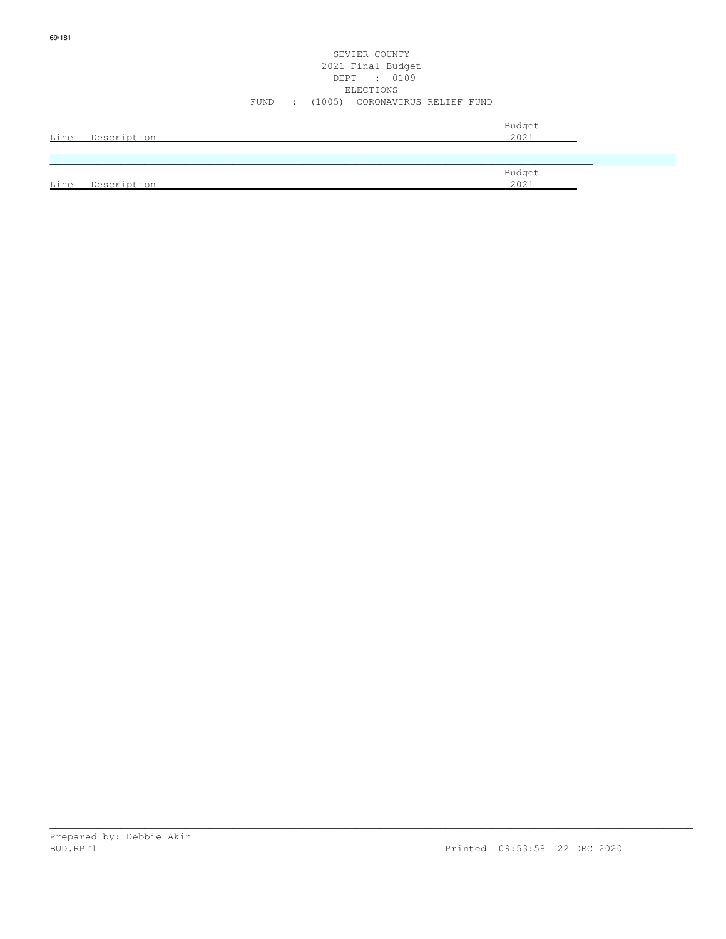| Line | Description | Budget<br>2021 |
|------|-------------|----------------|
|      |             |                |
|      |             |                |
|      |             | Budget         |
| Line | Description | 2021           |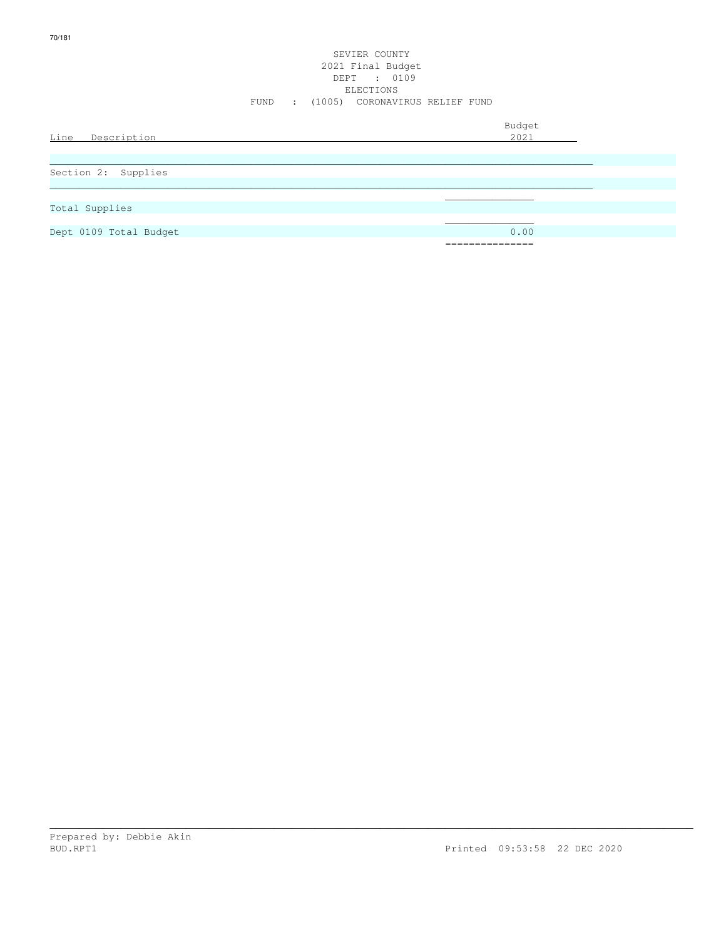|                        | FUND | $\sim$ 100 $\sim$ | SEVIER COUNTY<br>2021 Final Budget<br>DEPT : 0109<br>ELECTIONS<br>(1005) CORONAVIRUS RELIEF FUND |                       |  |
|------------------------|------|-------------------|--------------------------------------------------------------------------------------------------|-----------------------|--|
| Line<br>Description    |      |                   |                                                                                                  | Budget<br>2021        |  |
| Section 2: Supplies    |      |                   |                                                                                                  |                       |  |
| Total Supplies         |      |                   |                                                                                                  |                       |  |
| Dept 0109 Total Budget |      |                   |                                                                                                  | 0.00<br>_____________ |  |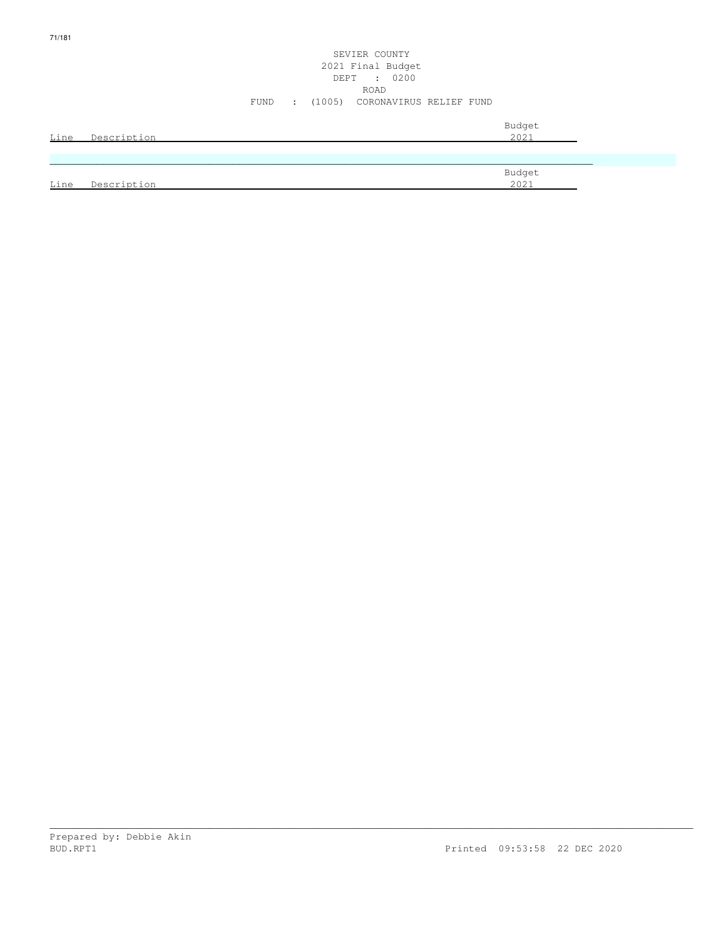|      |             | SEVIER COUNTY<br>2021 Final Budget<br>DEPT : 0200<br>ROAD   |  |
|------|-------------|-------------------------------------------------------------|--|
|      |             | (1005) CORONAVIRUS RELIEF FUND<br>FUND<br>$\sim$ 100 $\sim$ |  |
| Line | Description | Budget<br>2021                                              |  |
|      |             |                                                             |  |
| Line | Description | Budget<br>2021                                              |  |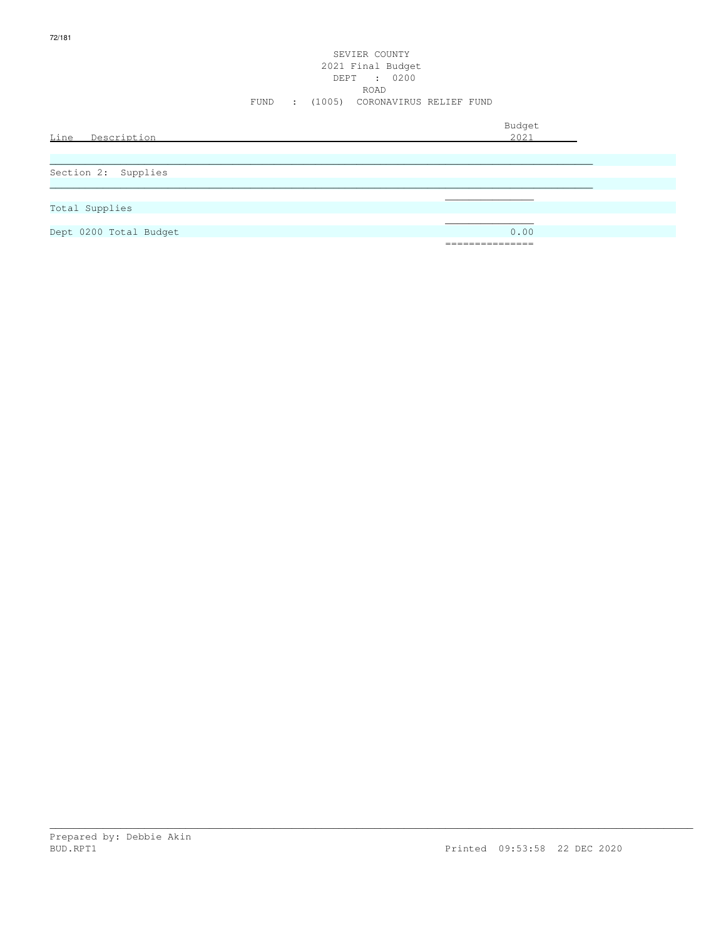|                        |      |                  | SEVIER COUNTY<br>2021 Final Budget<br>DEPT : 0200 |                |  |
|------------------------|------|------------------|---------------------------------------------------|----------------|--|
|                        | FUND | $\sim$ 100 $\pm$ | <b>ROAD</b><br>(1005) CORONAVIRUS RELIEF FUND     |                |  |
| Line Description       |      |                  |                                                   | Budget<br>2021 |  |
| Section 2: Supplies    |      |                  |                                                   |                |  |
| Total Supplies         |      |                  |                                                   |                |  |
| Dept 0200 Total Budget |      |                  |                                                   | 0.00           |  |
|                        |      |                  |                                                   |                |  |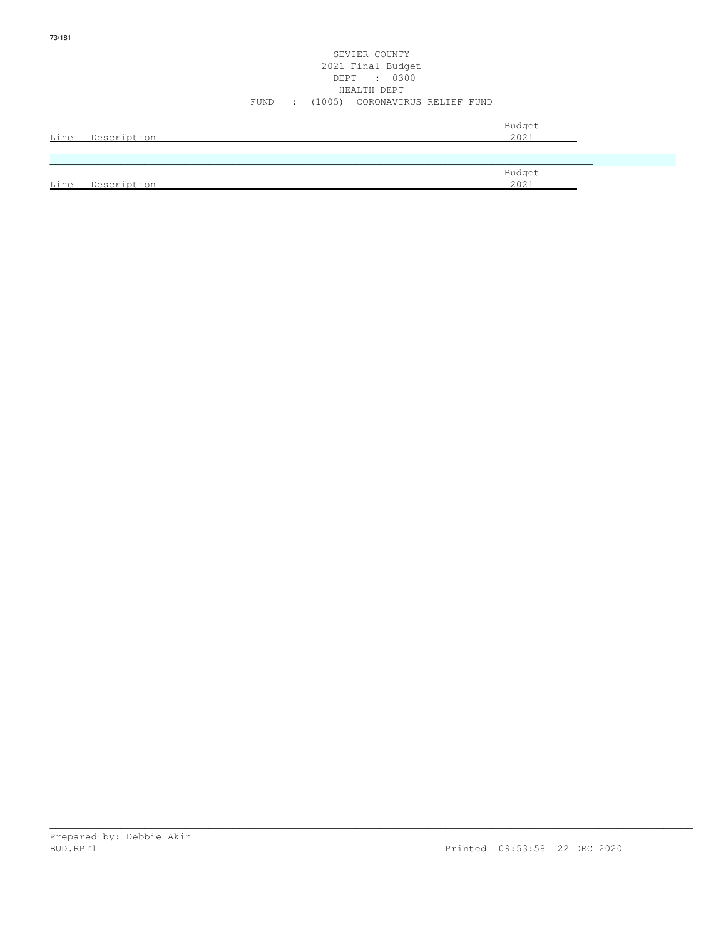| Line | Description | Budget<br>2021 |
|------|-------------|----------------|
|      |             |                |
| Line | Description | Budget<br>2021 |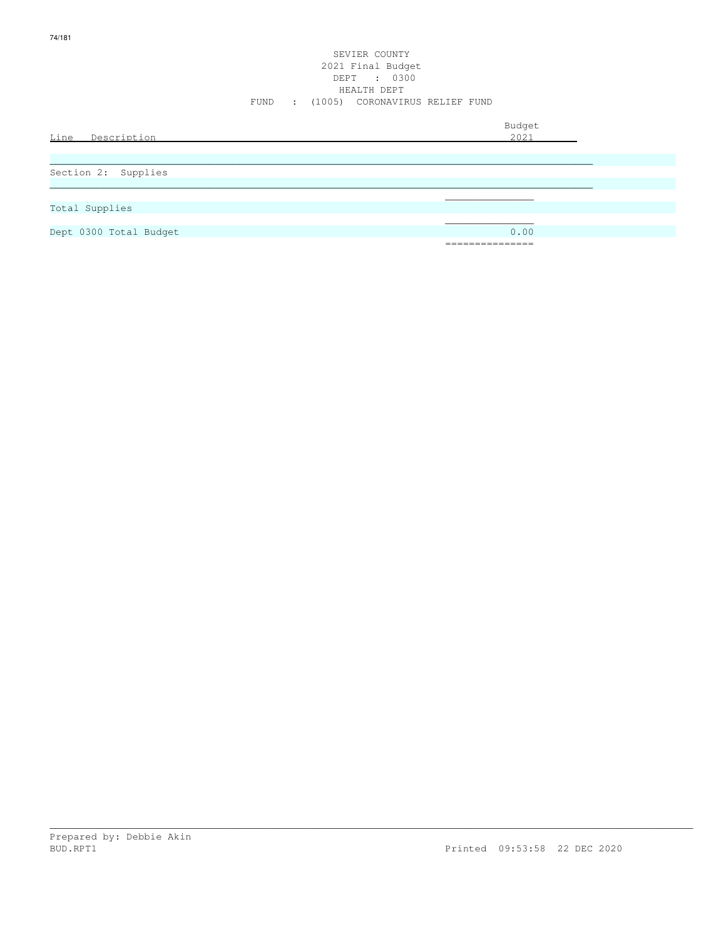|                        | FUND | SEVIER COUNTY<br>2021 Final Budget<br>DEPT<br>HEALTH DEPT | : 0300<br>: (1005) CORONAVIRUS RELIEF FUND |                       |  |
|------------------------|------|-----------------------------------------------------------|--------------------------------------------|-----------------------|--|
| Line<br>Description    |      |                                                           |                                            | Budget<br>2021        |  |
| Section 2: Supplies    |      |                                                           |                                            |                       |  |
| Total Supplies         |      |                                                           |                                            |                       |  |
| Dept 0300 Total Budget |      |                                                           |                                            | 0.00<br>_____________ |  |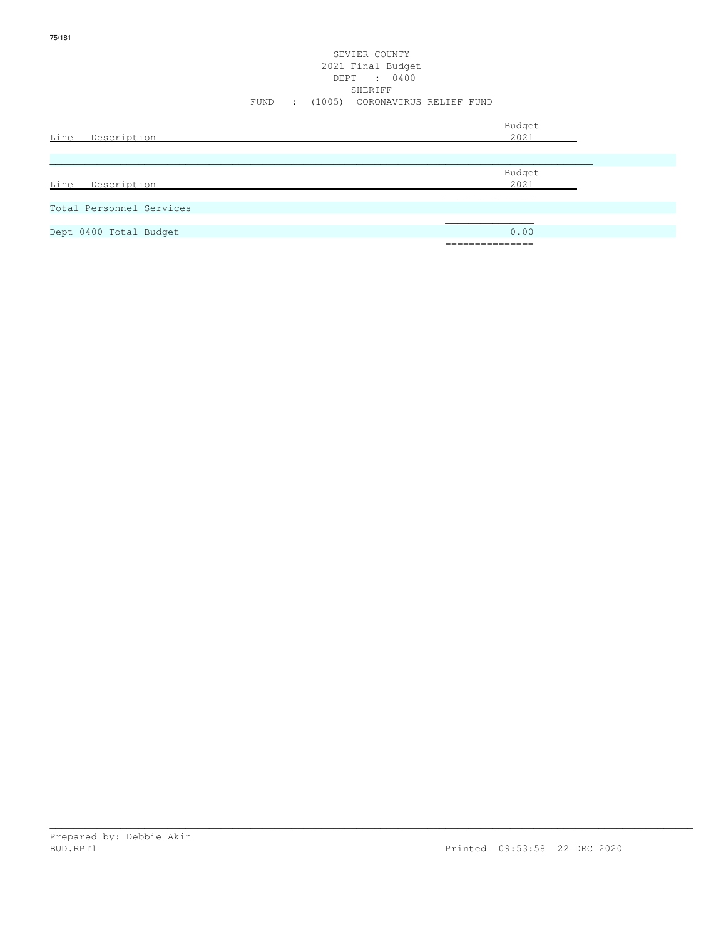| Line Description         | Budget<br>2021                         |
|--------------------------|----------------------------------------|
| Description<br>Line      | Budget<br>2021                         |
| Total Personnel Services |                                        |
| Dept 0400 Total Budget   | 0.00<br>_______________<br>----------- |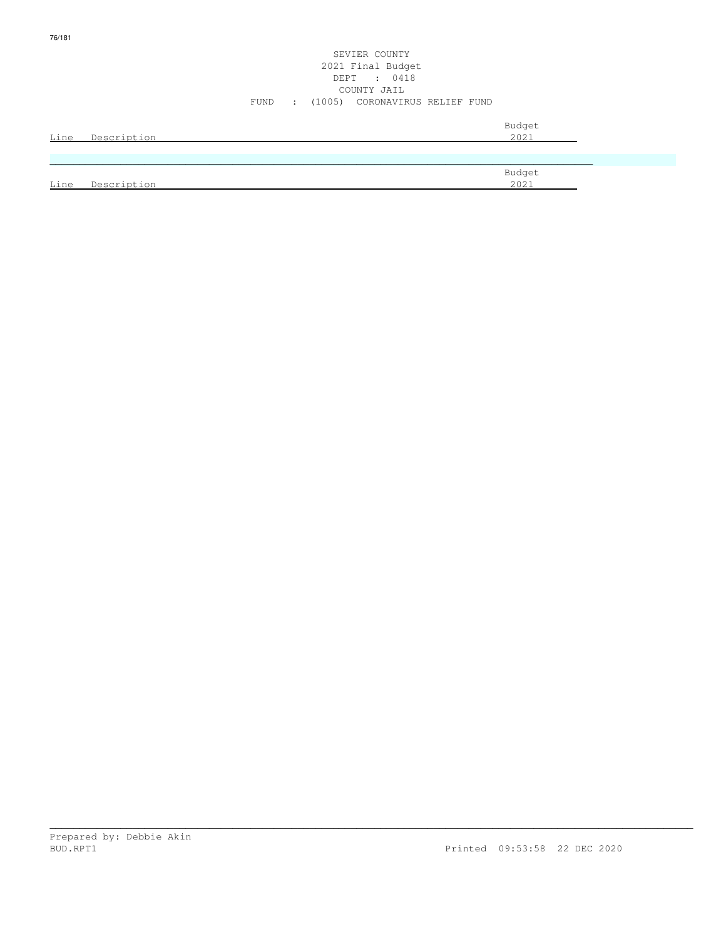| Line | Description | Budget<br>2021 |
|------|-------------|----------------|
|      |             |                |
| Line | Description | Budget<br>2021 |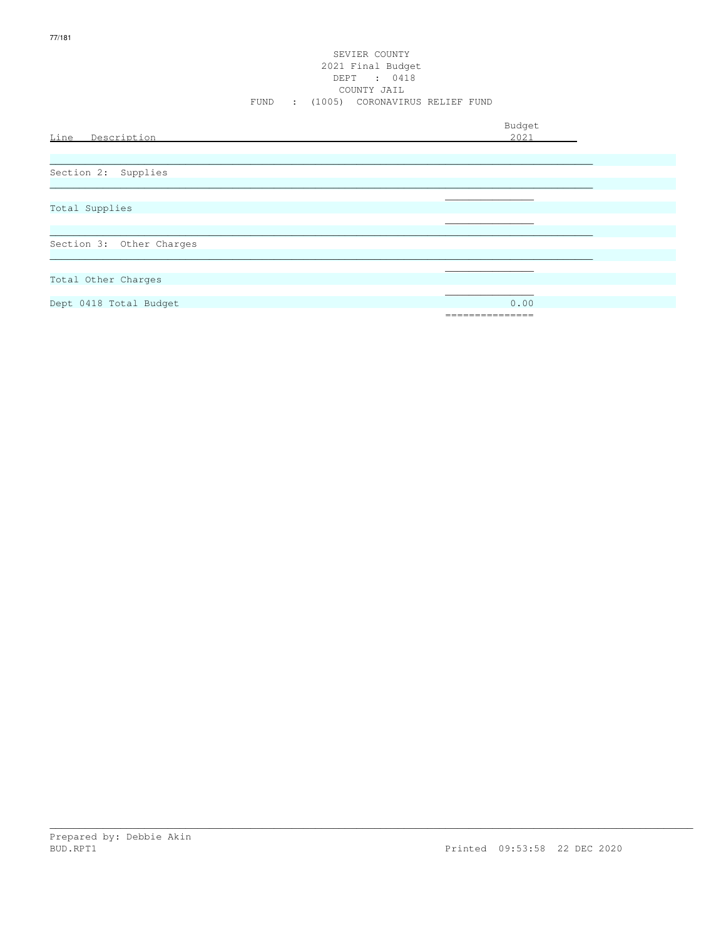| Line<br>Description      | Budget<br>2021          |
|--------------------------|-------------------------|
|                          |                         |
| Section 2: Supplies      |                         |
| Total Supplies           |                         |
| Section 3: Other Charges |                         |
| Total Other Charges      |                         |
| Dept 0418 Total Budget   | 0.00<br>--------------- |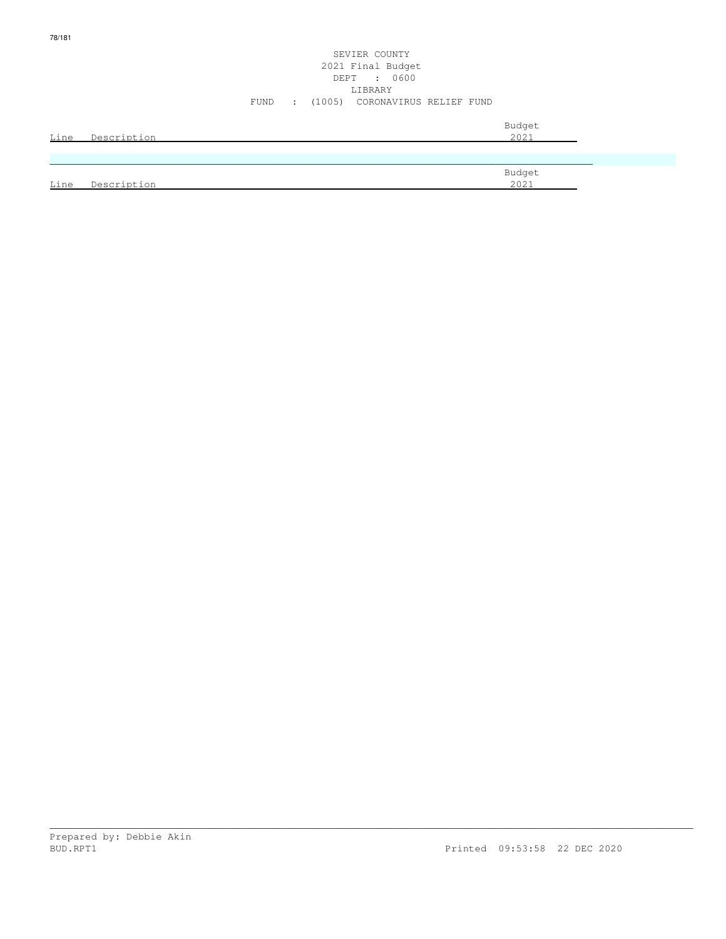|      |                  |  | SEVIER COUNTY<br>2021 Final Budget<br>DEPT : 0600<br>LIBRARY |  |                |  |
|------|------------------|--|--------------------------------------------------------------|--|----------------|--|
|      |                  |  | FUND : (1005) CORONAVIRUS RELIEF FUND                        |  |                |  |
|      | Line Description |  |                                                              |  | Budget<br>2021 |  |
|      |                  |  |                                                              |  |                |  |
| Line | Description      |  |                                                              |  | Budget<br>2021 |  |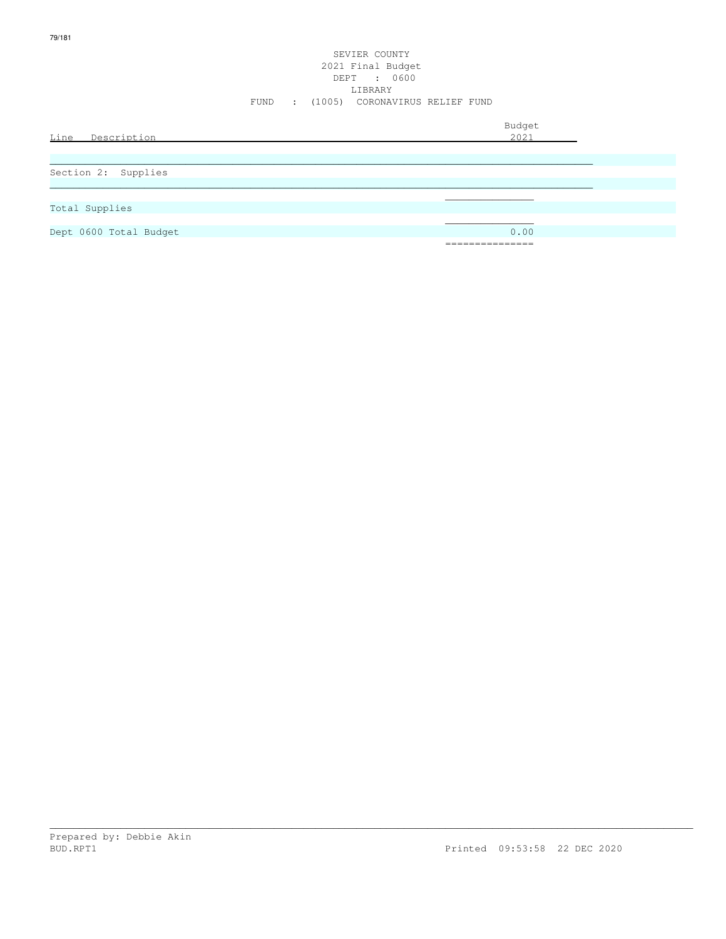|                        | FUND<br>$\sim 100$ | SEVIER COUNTY<br>2021 Final Budget<br>DEPT : 0600<br>LIBRARY<br>(1005) CORONAVIRUS RELIEF FUND |                     |
|------------------------|--------------------|------------------------------------------------------------------------------------------------|---------------------|
| Line Description       |                    |                                                                                                | Budget<br>2021      |
| Section 2: Supplies    |                    |                                                                                                |                     |
| Total Supplies         |                    |                                                                                                |                     |
| Dept 0600 Total Budget |                    |                                                                                                | 0.00<br>___________ |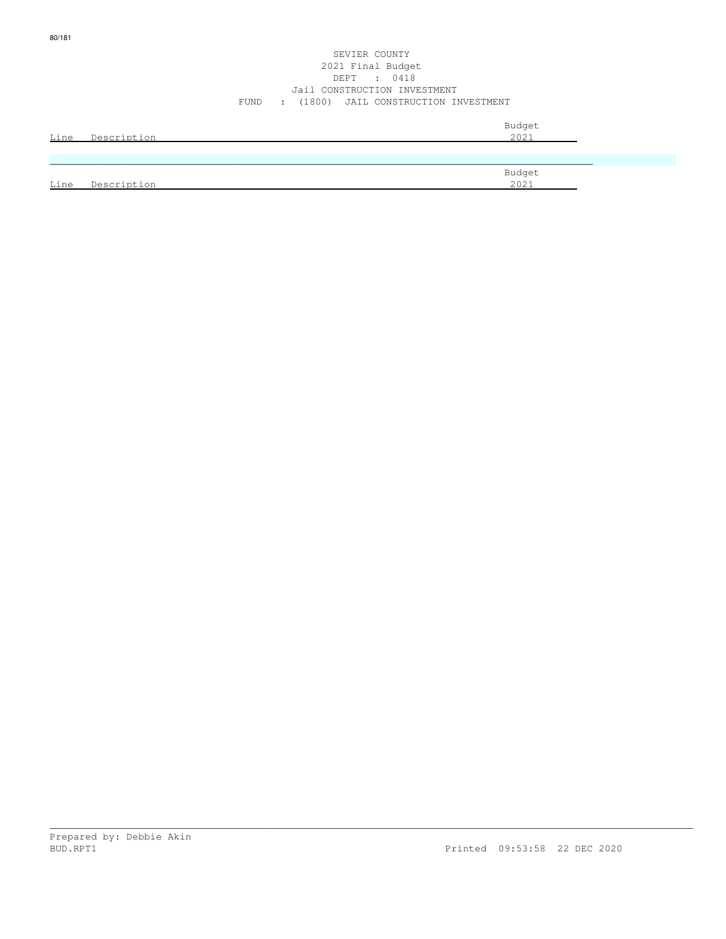#### SEVIER COUNTY 2021 Final Budget DEPT : 0418 Jail CONSTRUCTION INVESTMENT FUND : (1800) JAIL CONSTRUCTION INVESTMENT

| Line | Description | Budget<br>2021 |
|------|-------------|----------------|
|      |             |                |
|      |             |                |
| Line | Description | Budget<br>2021 |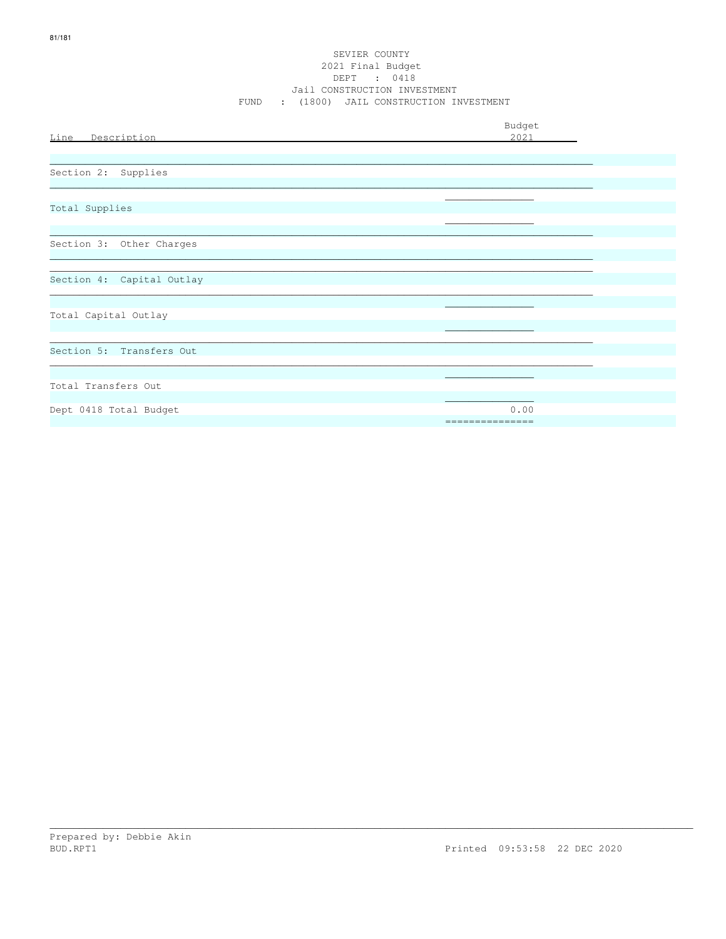#### SEVIER COUNTY 2021 Final Budget DEPT : 0418 Jail CONSTRUCTION INVESTMENT FUND : (1800) JAIL CONSTRUCTION INVESTMENT

|                           | Budget                  |
|---------------------------|-------------------------|
| Line Description          | 2021                    |
|                           |                         |
| Section 2: Supplies       |                         |
|                           |                         |
| Total Supplies            |                         |
|                           |                         |
| Section 3: Other Charges  |                         |
|                           |                         |
| Section 4: Capital Outlay |                         |
|                           |                         |
| Total Capital Outlay      |                         |
|                           |                         |
| Section 5: Transfers Out  |                         |
|                           |                         |
| Total Transfers Out       |                         |
|                           |                         |
| Dept 0418 Total Budget    | 0.00<br>=============== |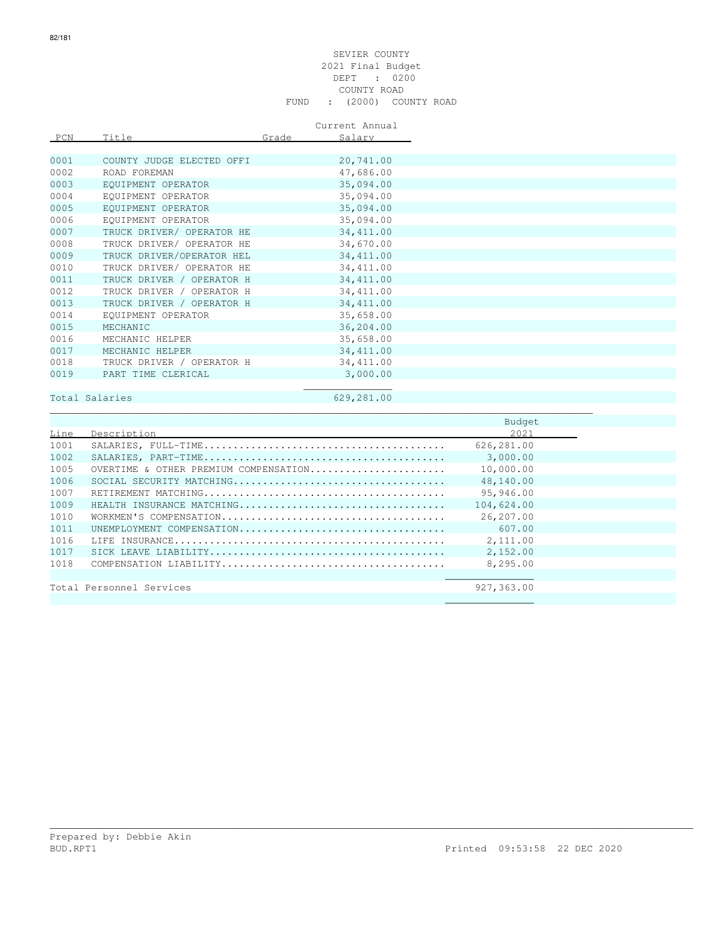#### SEVIER COUNTY 2021 Final Budget DEPT : 0200 COUNTY ROAD FUND : (2000) COUNTY ROAD

#### Current Annual

| PCN  | Title                     | Grade | Salary     |
|------|---------------------------|-------|------------|
|      |                           |       |            |
| 0001 | COUNTY JUDGE ELECTED OFFI |       | 20,741.00  |
| 0002 | ROAD FOREMAN              |       | 47,686.00  |
| 0003 | EQUIPMENT OPERATOR        |       | 35,094.00  |
| 0004 | EOUIPMENT OPERATOR        |       | 35,094.00  |
| 0005 | EOUIPMENT OPERATOR        |       | 35,094.00  |
| 0006 | EOUIPMENT OPERATOR        |       | 35,094.00  |
| 0007 | TRUCK DRIVER/ OPERATOR HE |       | 34, 411.00 |
| 0008 | TRUCK DRIVER/ OPERATOR HE |       | 34,670.00  |
| 0009 | TRUCK DRIVER/OPERATOR HEL |       | 34, 411.00 |
| 0010 | TRUCK DRIVER/ OPERATOR HE |       | 34, 411.00 |
| 0011 | TRUCK DRIVER / OPERATOR H |       | 34, 411.00 |
| 0012 | TRUCK DRIVER / OPERATOR H |       | 34, 411.00 |
| 0013 | TRUCK DRIVER / OPERATOR H |       | 34, 411.00 |
| 0014 | EOUIPMENT OPERATOR        |       | 35,658.00  |
| 0015 | MECHANIC                  |       | 36,204.00  |
| 0016 | MECHANIC HELPER           |       | 35,658.00  |
| 0017 | MECHANIC HELPER           |       | 34, 411.00 |
| 0018 | TRUCK DRIVER / OPERATOR H |       | 34, 411.00 |
| 0019 | PART TIME CLERICAL        |       | 3,000.00   |
|      |                           |       |            |

## Total Salaries 629,281.00

\_\_\_\_\_\_\_\_\_\_\_\_\_\_\_\_\_\_\_\_\_\_\_\_\_\_\_\_\_\_\_\_\_\_\_\_\_\_\_\_\_\_\_\_\_\_\_\_\_\_\_\_\_\_\_\_\_\_\_\_\_\_\_\_\_\_\_\_\_\_\_\_\_\_\_\_\_\_\_\_\_\_\_\_\_\_\_\_\_\_\_\_

|      |                                       | Budget     |  |
|------|---------------------------------------|------------|--|
| Line | Description                           | 2021       |  |
| 1001 |                                       | 626,281.00 |  |
| 1002 |                                       | 3,000,00   |  |
| 1005 | OVERTIME & OTHER PREMIUM COMPENSATION | 10,000.00  |  |
| 1006 |                                       | 48,140.00  |  |
| 1007 |                                       | 95,946.00  |  |
| 1009 | HEALTH INSURANCE MATCHING             | 104,624.00 |  |
| 1010 |                                       | 26,207.00  |  |
| 1011 | UNEMPLOYMENT COMPENSATION             | 607.00     |  |
| 1016 |                                       | 2,111.00   |  |
| 1017 |                                       | 2,152.00   |  |
| 1018 |                                       | 8,295.00   |  |
|      |                                       |            |  |
|      | Total Personnel Services              | 927,363.00 |  |
|      |                                       |            |  |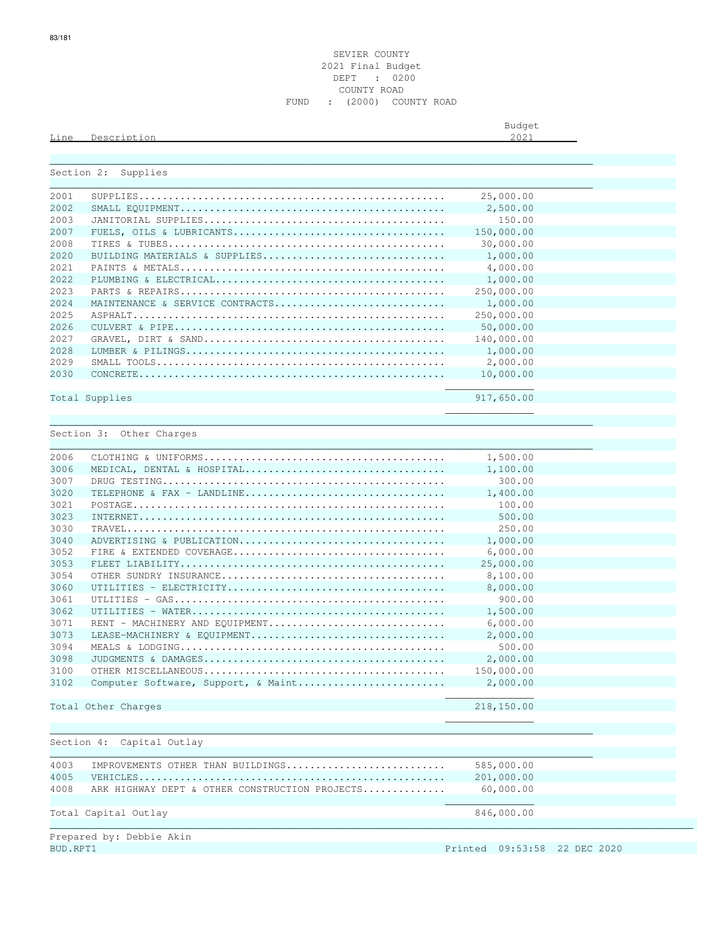Budget is a state of the state of the state of the state of the state of the state of the state of the state of the state of the state of the state of the state of the state of the state of the state of the state of the st

| Section 2: | Supplies                                                                                             |            |
|------------|------------------------------------------------------------------------------------------------------|------------|
| 2001       |                                                                                                      | 25,000.00  |
| 2002       |                                                                                                      | 2,500.00   |
| 2003       |                                                                                                      | 150.00     |
| 2007       |                                                                                                      | 150,000.00 |
| 2008       |                                                                                                      | 30,000.00  |
| 2020       | BUILDING MATERIALS & SUPPLIES                                                                        | 1,000.00   |
| 2021       |                                                                                                      | 4,000.00   |
| 2022       |                                                                                                      | 1,000.00   |
| 2023       |                                                                                                      | 250,000.00 |
| 2024       | MAINTENANCE & SERVICE CONTRACTS                                                                      | 1,000.00   |
| 2025       |                                                                                                      | 250,000.00 |
| 2026       |                                                                                                      | 50,000.00  |
| 2027       |                                                                                                      | 140,000.00 |
|            |                                                                                                      |            |
| 2028       |                                                                                                      | 1,000.00   |
| 2029       |                                                                                                      | 2,000.00   |
| 2030       | $\texttt{CONCRETE} \dots\dots\dots\dots\dots\dots\dots\dots\dots\dots\dots\dots\dots\dots\dots\dots$ | 10,000.00  |
|            | Total Supplies                                                                                       | 917,650.00 |
|            |                                                                                                      |            |
|            |                                                                                                      |            |
|            | Section 3: Other Charges                                                                             |            |
| 2006       |                                                                                                      | 1,500.00   |
| 3006       | MEDICAL, DENTAL & HOSPITAL                                                                           | 1,100.00   |
| 3007       |                                                                                                      | 300.00     |
| 3020       | TELEPHONE & FAX - LANDLINE                                                                           | 1,400.00   |
| 3021       |                                                                                                      | 100.00     |
| 3023       |                                                                                                      | 500.00     |
| 3030       |                                                                                                      | 250.00     |
| 3040       | ADVERTISING & PUBLICATION                                                                            | 1,000.00   |
| 3052       |                                                                                                      | 6,000.00   |
| 3053       |                                                                                                      | 25,000.00  |
| 3054       |                                                                                                      | 8,100.00   |
| 3060       |                                                                                                      |            |
|            |                                                                                                      | 8,000.00   |
| 3061       |                                                                                                      | 900.00     |
| 3062       |                                                                                                      | 1,500.00   |
| 3071       | RENT - MACHINERY AND EQUIPMENT                                                                       | 6,000.00   |
| 3073       | LEASE-MACHINERY & EOUIPMENT                                                                          | 2,000.00   |
| 3094       |                                                                                                      | 500.00     |
| 3098       |                                                                                                      | 2,000.00   |
| 3100       |                                                                                                      | 150,000.00 |
| 3102       | Computer Software, Support, & Maint                                                                  | 2,000.00   |
|            | Total Other Charges                                                                                  | 218,150.00 |
|            |                                                                                                      |            |
|            |                                                                                                      |            |
| Section 4: | Capital Outlay                                                                                       |            |
| 4003       | IMPROVEMENTS OTHER THAN BUILDINGS                                                                    | 585,000.00 |
| 4005       |                                                                                                      | 201,000.00 |
| 4008       | ARK HIGHWAY DEPT & OTHER CONSTRUCTION PROJECTS                                                       | 60,000.00  |
|            |                                                                                                      |            |
|            |                                                                                                      |            |
|            | Total Capital Outlay                                                                                 | 846,000.00 |

riepared by:<br>BUD.RPT1

Printed 09:53:58 22 DEC 2020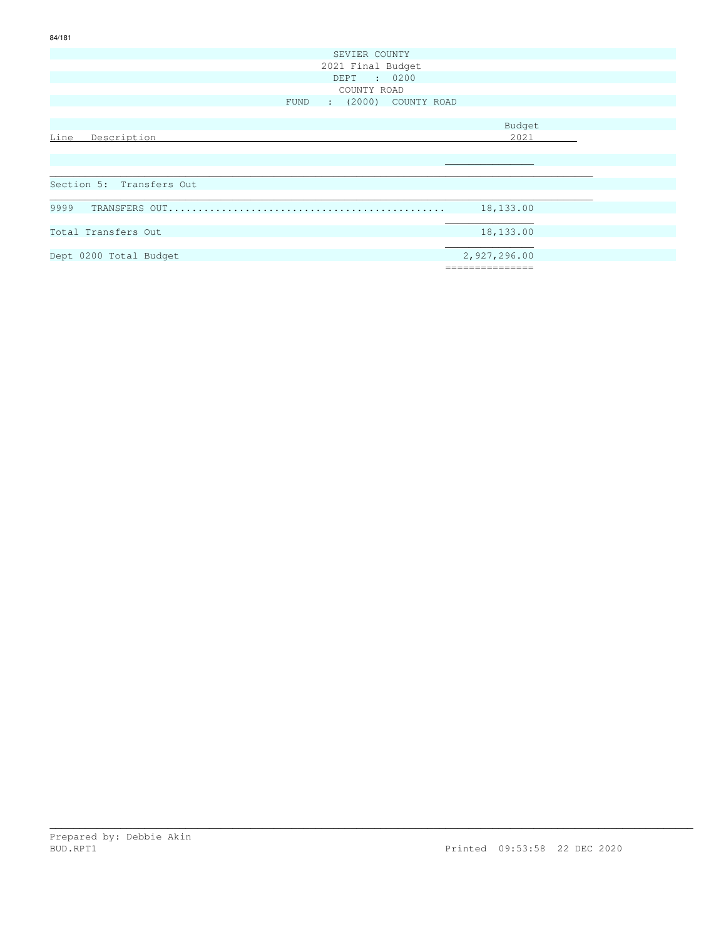| SEVIER COUNTY             |               |
|---------------------------|---------------|
| 2021 Final Budget         |               |
| DEPT : 0200               |               |
| COUNTY ROAD               |               |
| FUND : (2000) COUNTY ROAD |               |
|                           |               |
|                           | Budget        |
| Line<br>Description       | 2021          |
|                           |               |
|                           |               |
|                           |               |
| Section 5: Transfers Out  |               |
|                           |               |
|                           | 18,133.00     |
|                           |               |
| Total Transfers Out       | 18,133.00     |
|                           |               |
| Dept 0200 Total Budget    | 2,927,296.00  |
|                           | ============= |
|                           |               |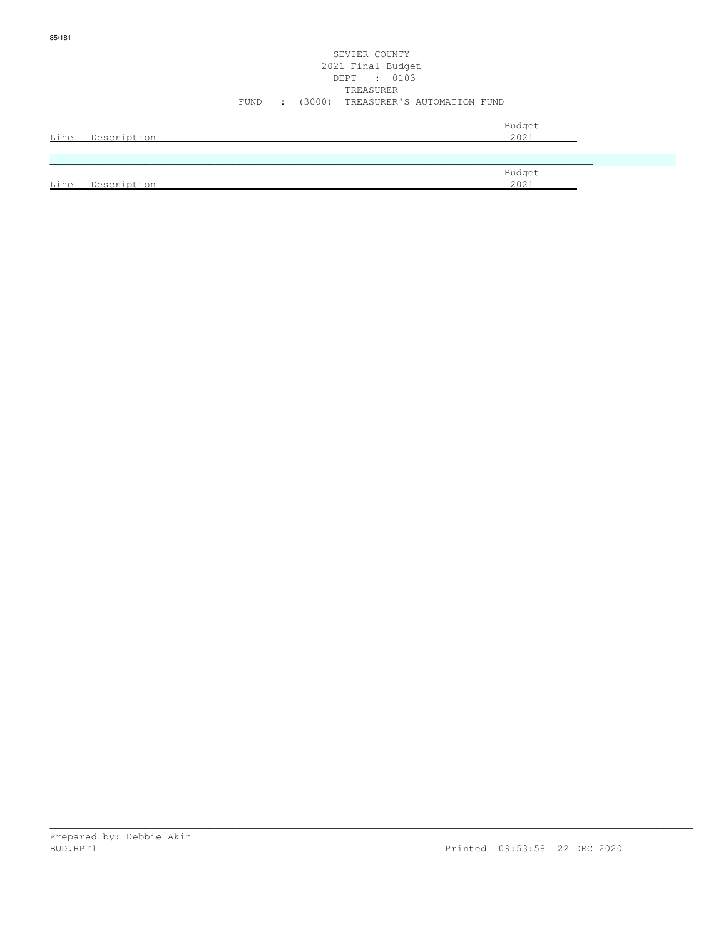|      |             | Budget |
|------|-------------|--------|
| Line | Description | 2021   |
|      |             |        |
|      |             |        |
|      |             | Budget |
| Line | Description | 2021   |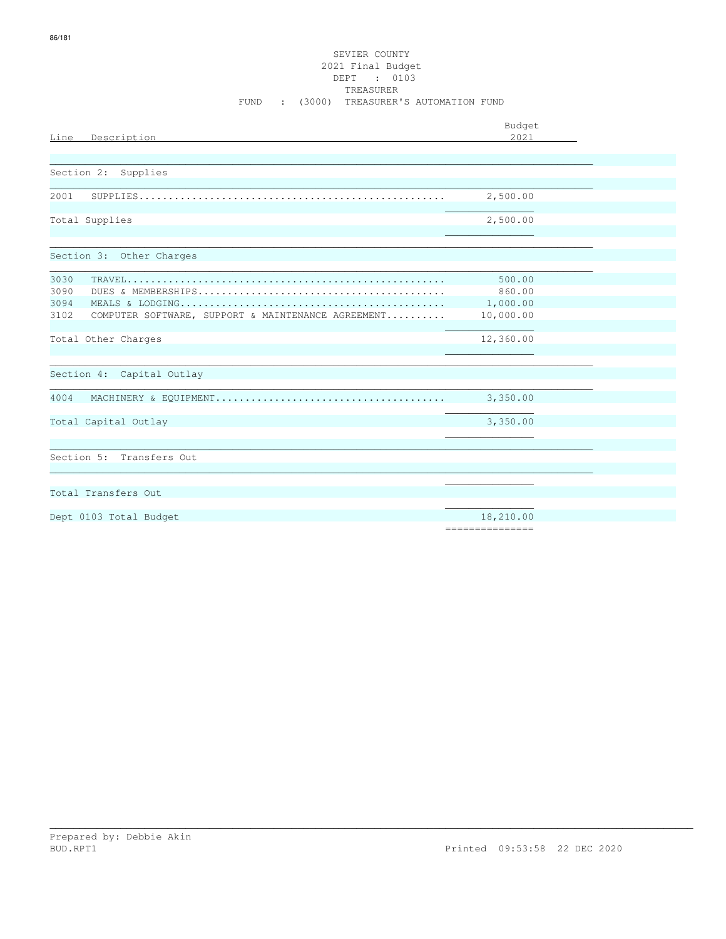| Line Description                                           | Budget<br>2021  |  |
|------------------------------------------------------------|-----------------|--|
|                                                            |                 |  |
| Section 2:<br>Supplies                                     |                 |  |
|                                                            |                 |  |
| 2001                                                       | 2,500.00        |  |
| Total Supplies                                             | 2,500.00        |  |
|                                                            |                 |  |
| Section 3: Other Charges                                   |                 |  |
| 3030                                                       | 500.00          |  |
| 3090                                                       | 860.00          |  |
| 3094                                                       | 1,000.00        |  |
| 3102<br>COMPUTER SOFTWARE, SUPPORT & MAINTENANCE AGREEMENT | 10,000.00       |  |
| Total Other Charges                                        | 12,360.00       |  |
|                                                            |                 |  |
| Section 4: Capital Outlay                                  |                 |  |
| 4004                                                       | 3,350.00        |  |
|                                                            |                 |  |
| Total Capital Outlay                                       | 3,350.00        |  |
|                                                            |                 |  |
| Section 5: Transfers Out                                   |                 |  |
|                                                            |                 |  |
|                                                            |                 |  |
| Total Transfers Out                                        |                 |  |
| Dept 0103 Total Budget                                     | 18,210.00       |  |
|                                                            | --------------- |  |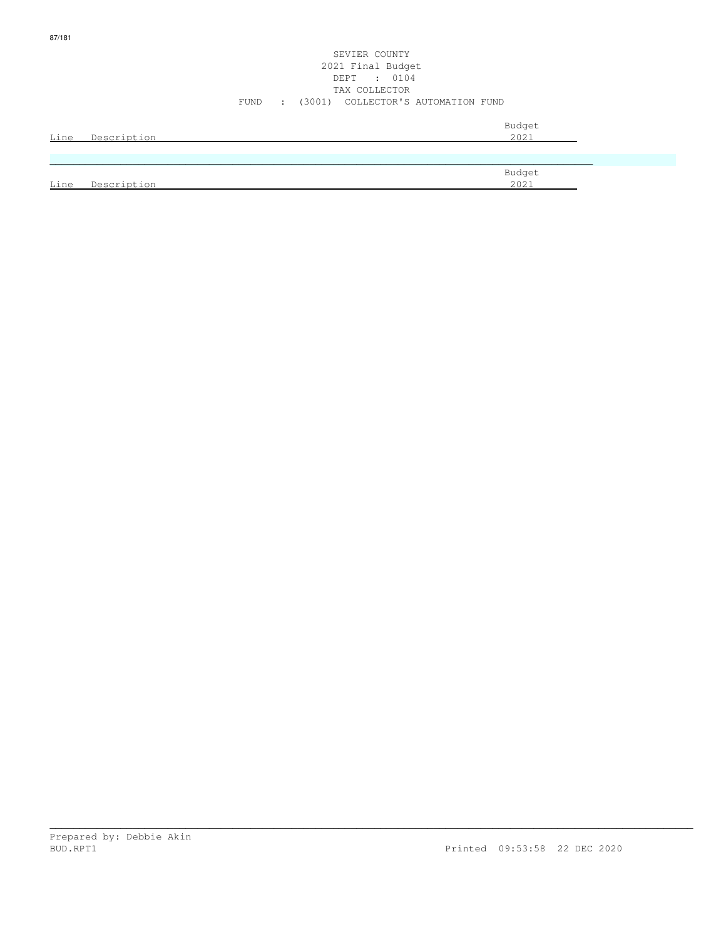#### SEVIER COUNTY 2021 Final Budget DEPT : 0104 TAX COLLECTOR FUND : (3001) COLLECTOR'S AUTOMATION FUND

| Line | Description | Budget<br>2021 |
|------|-------------|----------------|
|      |             |                |
| Line | Description | Budget<br>2021 |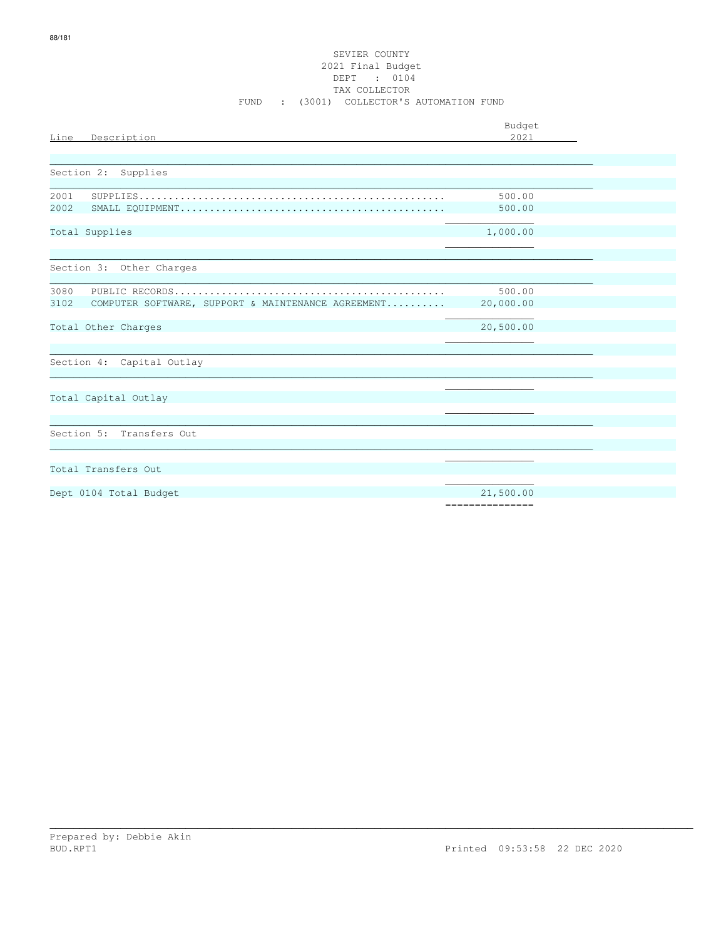# SEVIER COUNTY 2021 Final Budget DEPT : 0104<br>TAX COLLECTOR FUND : (3001) COLLECTOR'S AUTOMATION FUND

| Line<br>Description                                                | Budget<br>2.021              |  |
|--------------------------------------------------------------------|------------------------------|--|
| Section 2: Supplies                                                |                              |  |
| 2001<br>2002                                                       | 500.00<br>500.00             |  |
| Total Supplies                                                     | 1,000.00                     |  |
| Section 3: Other Charges                                           |                              |  |
| 3080<br>COMPUTER SOFTWARE, SUPPORT & MAINTENANCE AGREEMENT<br>3102 | 500.00<br>20,000.00          |  |
| Total Other Charges                                                | 20,500.00                    |  |
| Section 4: Capital Outlay                                          |                              |  |
| Total Capital Outlay                                               |                              |  |
| Section 5: Transfers Out                                           |                              |  |
| Total Transfers Out                                                |                              |  |
| Dept 0104 Total Budget                                             | 21,500.00<br>--------------- |  |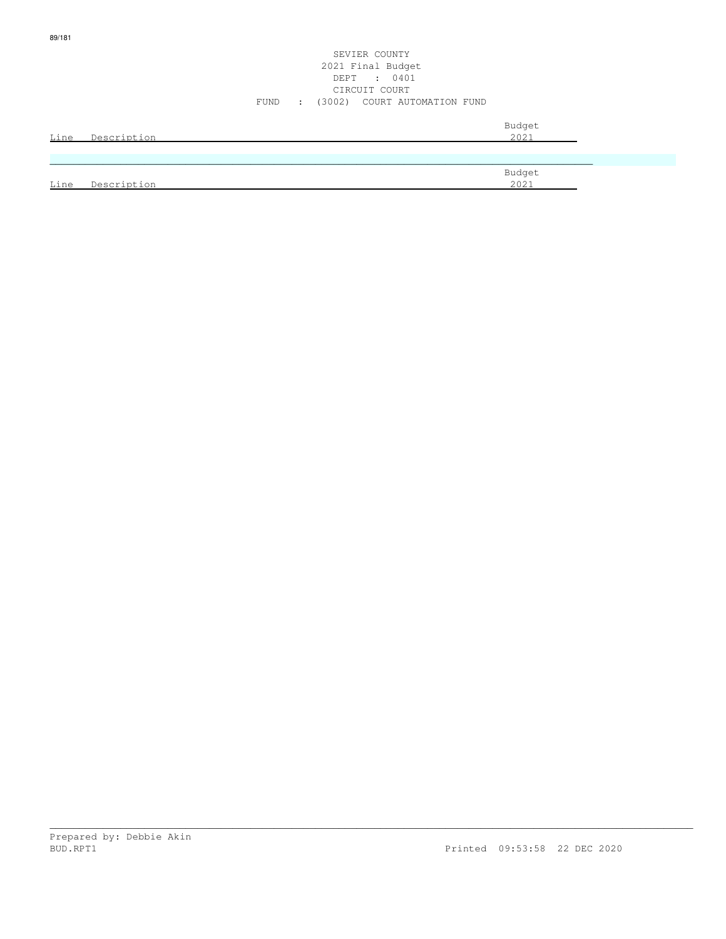| <u>Line</u> | Description | Budget<br>2021 |
|-------------|-------------|----------------|
|             |             |                |
| Line        | Description | Budget<br>2021 |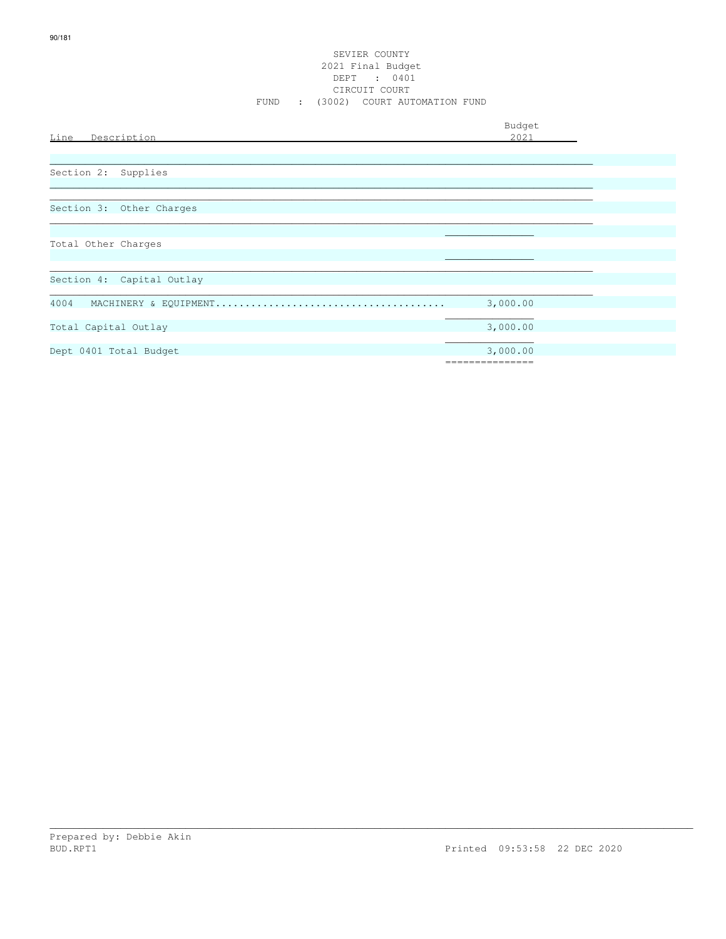| Line<br>Description       | Budget<br>2021              |
|---------------------------|-----------------------------|
| Section 2: Supplies       |                             |
| Section 3: Other Charges  |                             |
| Total Other Charges       |                             |
| Section 4: Capital Outlay |                             |
| 4004                      | 3,000.00                    |
| Total Capital Outlay      | 3,000.00                    |
| Dept 0401 Total Budget    | 3,000.00<br>=============== |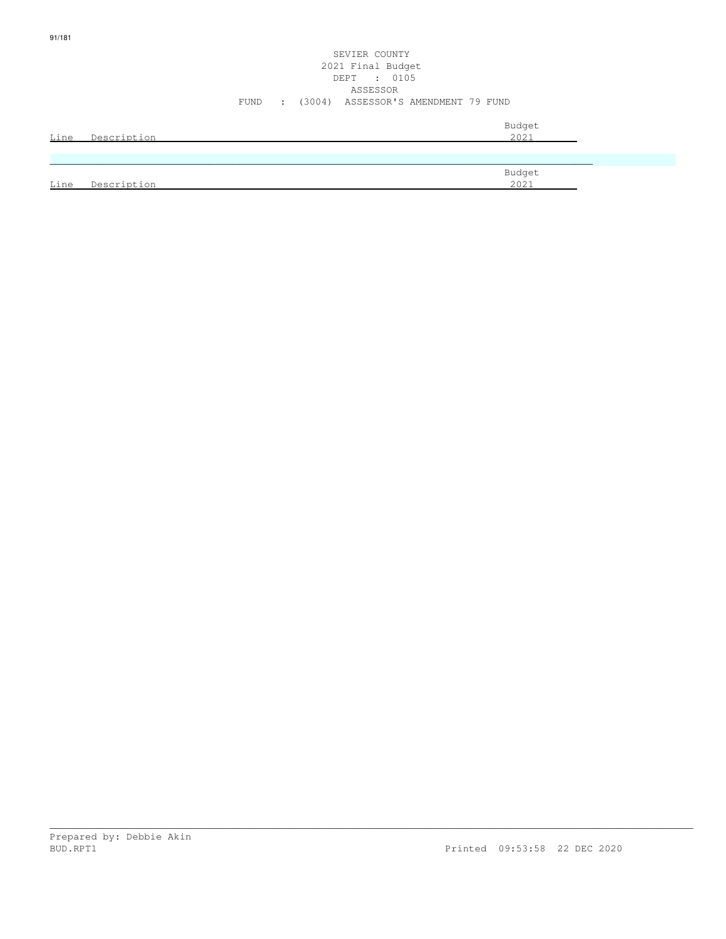| ۰.<br>I |  |
|---------|--|

### SEVIER COUNTY 2021 Final Budget DEPT : 0105 ASSESSOR FUND : (3004) ASSESSOR'S AMENDMENT 79 FUND

| Line | Description | Budget<br>2021 |
|------|-------------|----------------|
|      |             |                |
| Line | Description | Budget<br>2021 |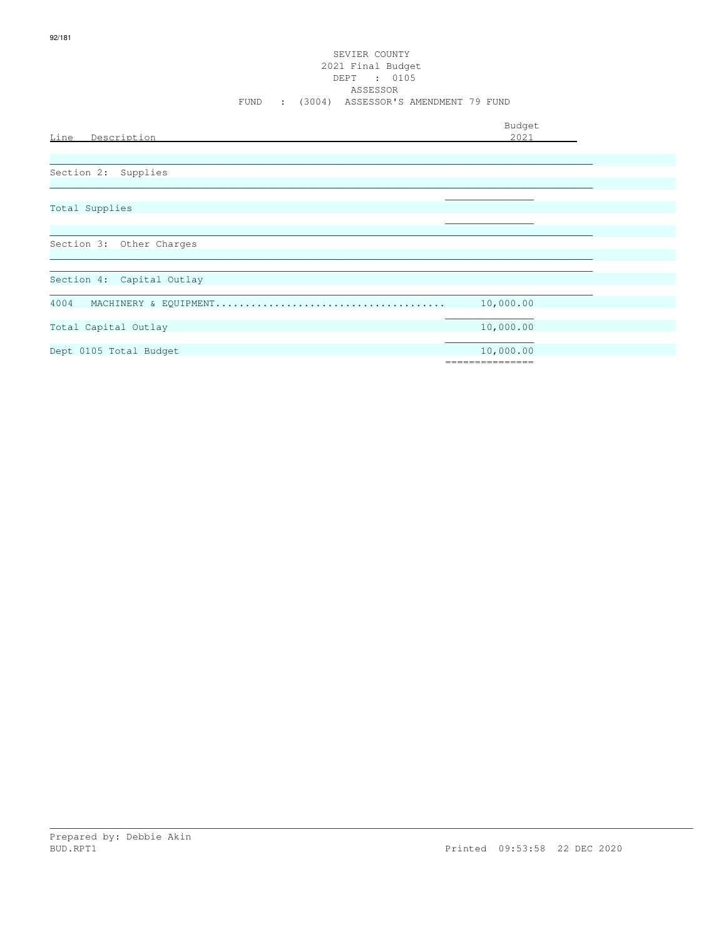| Line<br>Description       | Budget<br>2021   |
|---------------------------|------------------|
|                           |                  |
| Section 2: Supplies       |                  |
|                           |                  |
| Total Supplies            |                  |
|                           |                  |
| Section 3: Other Charges  |                  |
| Section 4: Capital Outlay |                  |
|                           |                  |
| 4004                      | 10,000.00        |
| Total Capital Outlay      | 10,000.00        |
| Dept 0105 Total Budget    | 10,000.00        |
|                           | ================ |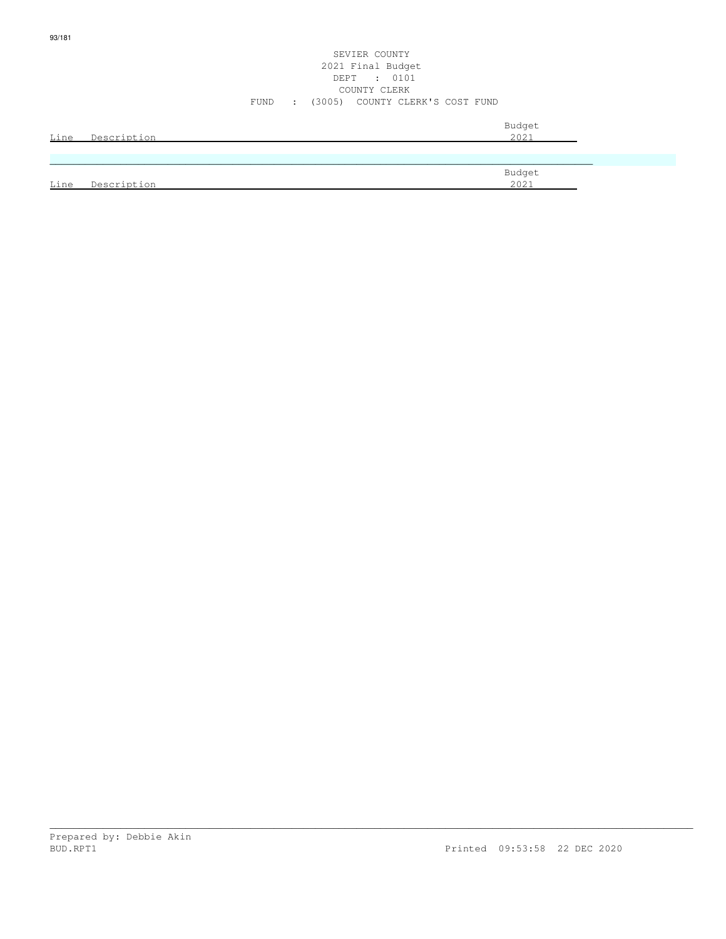|      |             |      |                          | 2021 Final Budget<br>DEPT : 0101 |                |  |
|------|-------------|------|--------------------------|----------------------------------|----------------|--|
|      |             |      |                          | COUNTY CLERK                     |                |  |
|      |             | FUND | $\sim 1000$ km s $^{-1}$ | (3005) COUNTY CLERK'S COST FUND  |                |  |
| Line | Description |      |                          |                                  | Budget<br>2021 |  |
|      |             |      |                          |                                  |                |  |
|      |             |      |                          |                                  | Budget         |  |
| Line | Description |      |                          |                                  | 2021           |  |

SEVIER COUNTY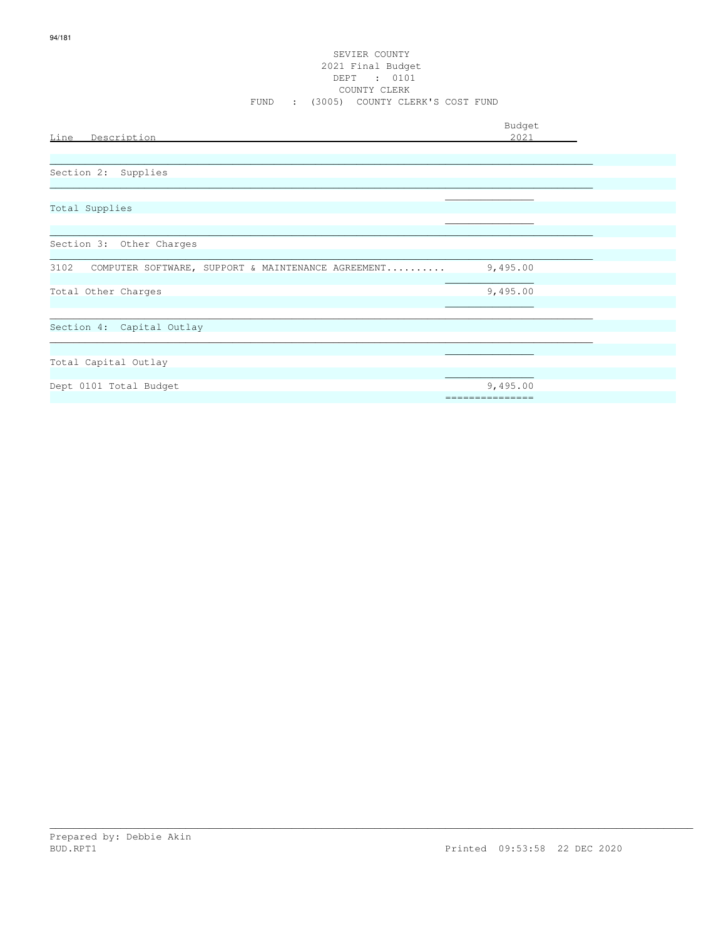#### SEVIER COUNTY 2021 Final Budget DEPT : 0101 COUNTY CLERK FUND : (3005) COUNTY CLERK'S COST FUND

| Line Description                                        | Budget<br>2021            |  |
|---------------------------------------------------------|---------------------------|--|
| Section 2: Supplies                                     |                           |  |
| Total Supplies                                          |                           |  |
| Section 3: Other Charges                                |                           |  |
| 3102 COMPUTER SOFTWARE, SUPPORT & MAINTENANCE AGREEMENT | 9,495.00                  |  |
| Total Other Charges                                     | 9,495.00                  |  |
| Section 4: Capital Outlay                               |                           |  |
| Total Capital Outlay                                    |                           |  |
| Dept 0101 Total Budget                                  | 9,495.00<br>============= |  |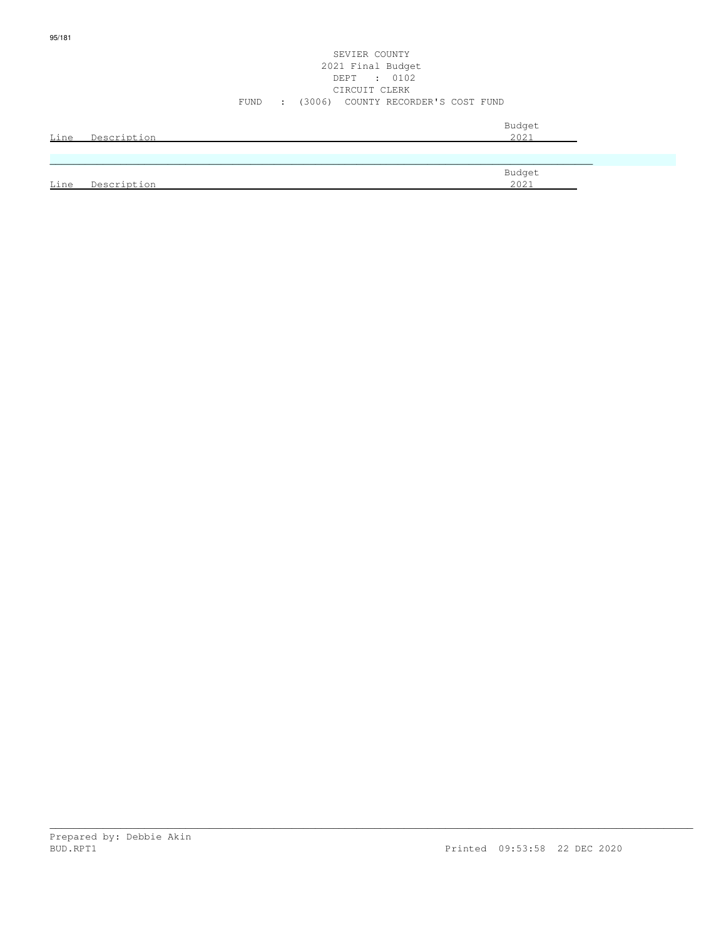#### SEVIER COUNTY 2021 Final Budget DEPT : 0102 CIRCUIT CLERK FUND : (3006) COUNTY RECORDER'S COST FUND

| Line | Description | Budget<br>2021 |
|------|-------------|----------------|
|      |             |                |
|      |             | Budget         |
| Line | Description | 2021           |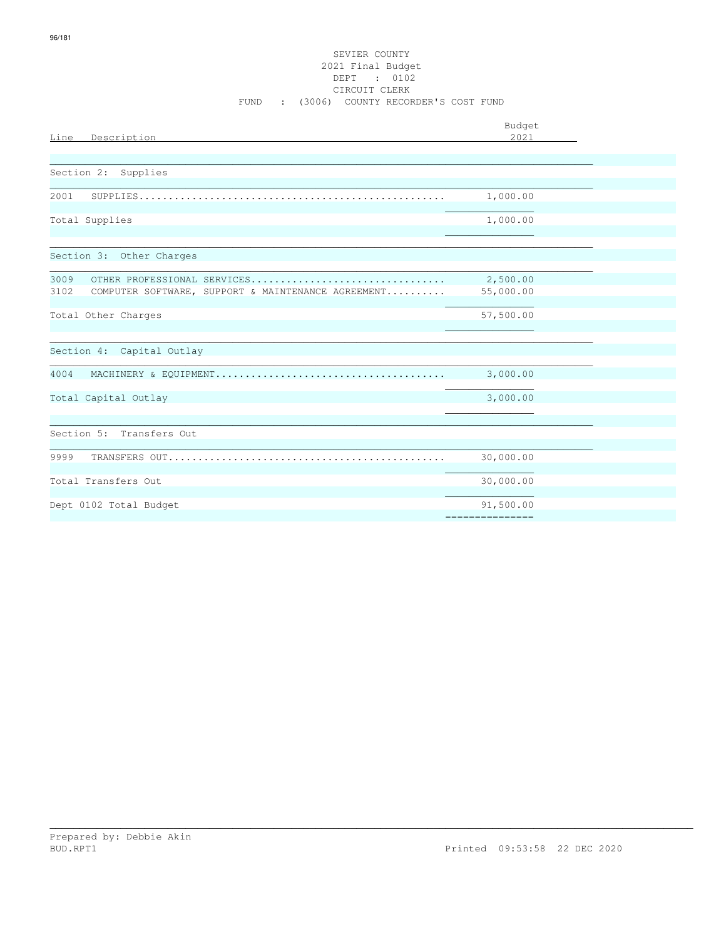| Line<br>Description                                                                                                 | Budget<br>2021        |  |
|---------------------------------------------------------------------------------------------------------------------|-----------------------|--|
|                                                                                                                     |                       |  |
| Section 2:<br>Supplies                                                                                              |                       |  |
| 2001<br>${\tt SUPPLIES.\dots\dots\dots\dots\dots\dots\dots\dots\dots\dots\dots\dots\dots\dots\dots\dots\dots\dots}$ | 1,000.00              |  |
| Total Supplies                                                                                                      | 1,000.00              |  |
|                                                                                                                     |                       |  |
| Section 3: Other Charges                                                                                            |                       |  |
| 3009<br>OTHER PROFESSIONAL SERVICES<br>3102<br>COMPUTER SOFTWARE, SUPPORT & MAINTENANCE AGREEMENT                   | 2,500.00<br>55,000.00 |  |
| Total Other Charges                                                                                                 | 57,500.00             |  |
| Section 4: Capital Outlay                                                                                           |                       |  |
| 4004                                                                                                                | 3,000.00              |  |
| Total Capital Outlay                                                                                                | 3,000.00              |  |
| Section 5: Transfers Out                                                                                            |                       |  |
| 9999                                                                                                                | 30,000.00             |  |
| Total Transfers Out                                                                                                 | 30,000.00             |  |
| Dept 0102 Total Budget                                                                                              | 91,500.00             |  |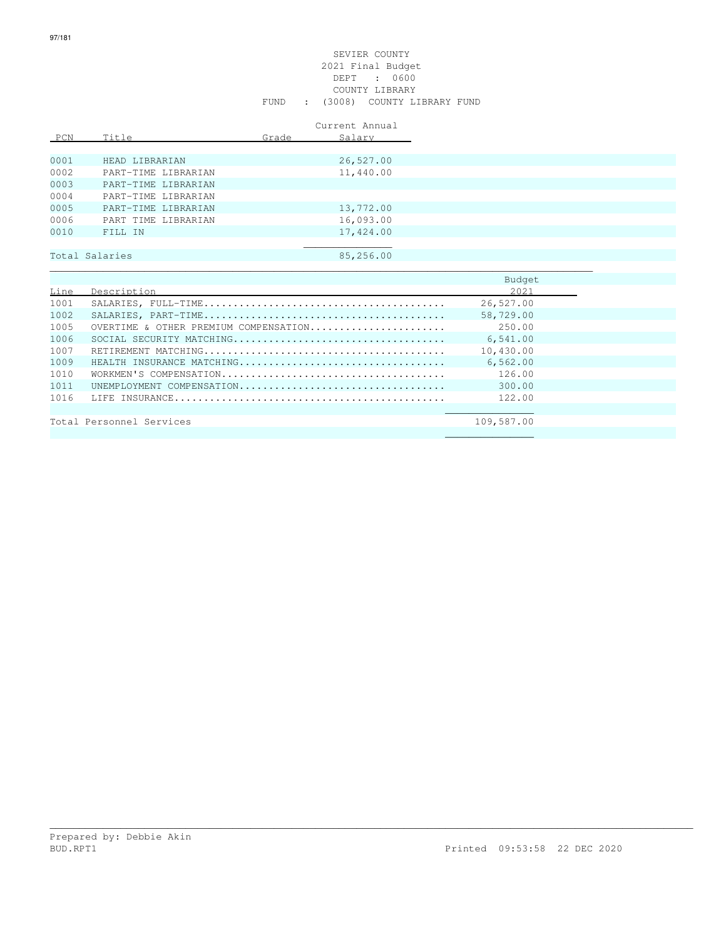#### SEVIER COUNTY 2021 Final Budget DEPT : 0600 COUNTY LIBRARY FUND : (3008) COUNTY LIBRARY FUND

|      |                     |       | Current Annual |
|------|---------------------|-------|----------------|
| PCN  | Title               | Grade | Salary         |
|      |                     |       |                |
| 0001 | HEAD LIBRARIAN      |       | 26,527.00      |
| 0002 | PART-TIME LIBRARIAN |       | 11,440.00      |
| 0003 | PART-TIME LIBRARIAN |       |                |
| 0004 | PART-TIME LIBRARIAN |       |                |
| 0005 | PART-TIME LIBRARIAN |       | 13,772.00      |
| 0006 | PART TIME LIBRARIAN |       | 16,093.00      |
| 0010 | FILL IN             |       | 17,424.00      |
|      |                     |       |                |
|      | Total Salaries      |       | 85,256.00      |
|      |                     |       |                |
|      |                     |       |                |

|      |                                       | Budget     |  |
|------|---------------------------------------|------------|--|
| Line | Description                           | 2021       |  |
| 1001 |                                       | 26,527.00  |  |
| 1002 |                                       | 58,729.00  |  |
| 1005 | OVERTIME & OTHER PREMIUM COMPENSATION | 250.00     |  |
| 1006 |                                       | 6,541.00   |  |
| 1007 |                                       | 10,430.00  |  |
| 1009 | HEALTH INSURANCE MATCHING             | 6,562.00   |  |
| 1010 |                                       | 126.00     |  |
| 1011 | UNEMPLOYMENT COMPENSATION             | 300.00     |  |
| 1016 |                                       | 122.00     |  |
|      |                                       |            |  |
|      | Total Personnel Services              | 109,587.00 |  |
|      |                                       |            |  |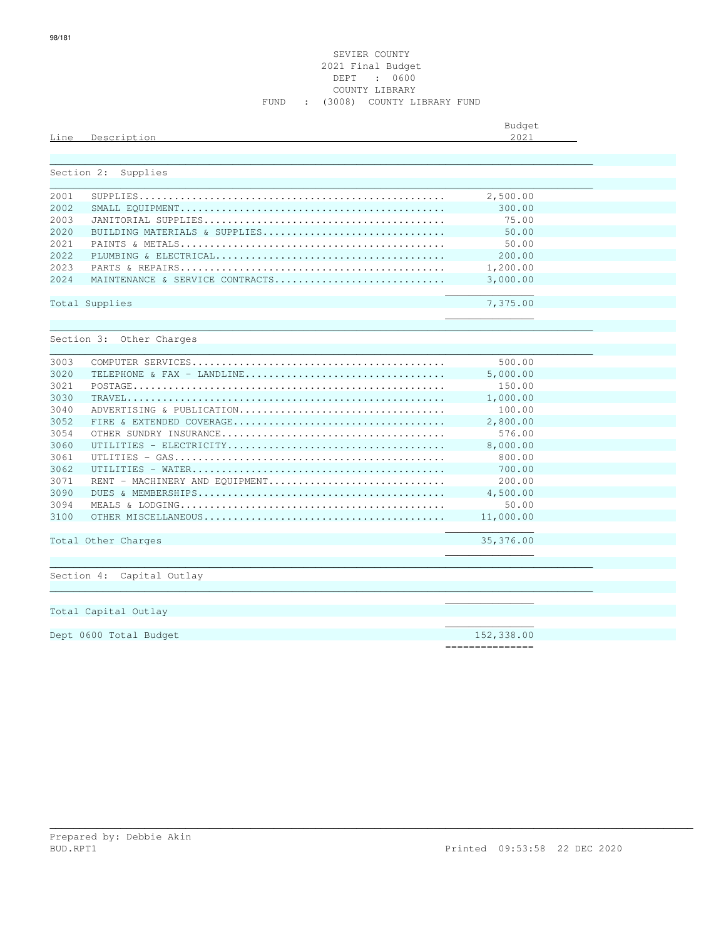| Line       | Description                     | Budget<br>2021 |
|------------|---------------------------------|----------------|
| Section 2: | Supplies                        |                |
|            |                                 |                |
| 2001       |                                 | 2,500.00       |
| 2002       |                                 | 300.00         |
| 2003       |                                 | 75.00          |
| 2020       | BUILDING MATERIALS & SUPPLIES   | 50.00          |
| 2021       |                                 | 50.00          |
| 2022       |                                 | 200.00         |
| 2023       |                                 | 1,200.00       |
| 2024       | MAINTENANCE & SERVICE CONTRACTS | 3,000.00       |
|            |                                 |                |
|            | Total Supplies                  | 7,375.00       |
|            |                                 |                |
|            |                                 |                |
|            | Section 3: Other Charges        |                |
|            |                                 |                |
| 3003       |                                 | 500.00         |
| 3020       |                                 | 5,000.00       |
| 3021       |                                 | 150.00         |
| 3030       |                                 | 1,000.00       |
| 3040       | ADVERTISING & PUBLICATION       | 100.00         |
| 3052       |                                 | 2,800.00       |
| 3054       |                                 | 576.00         |
| 3060       |                                 | 8,000.00       |
| 3061       |                                 | 800.00         |
| 3062       |                                 | 700.00         |
| 3071       | RENT - MACHINERY AND EQUIPMENT  | 200.00         |
| 3090       |                                 | 4,500.00       |
| 3094       |                                 | 50.00          |
| 3100       |                                 | 11,000.00      |
|            |                                 |                |
|            | Total Other Charges             | 35,376.00      |
|            |                                 |                |
|            |                                 |                |
|            | Section 4: Capital Outlay       |                |
|            |                                 |                |
|            |                                 |                |
|            | Total Capital Outlay            |                |
|            |                                 |                |
|            | Dept 0600 Total Budget          | 152,338.00     |

===============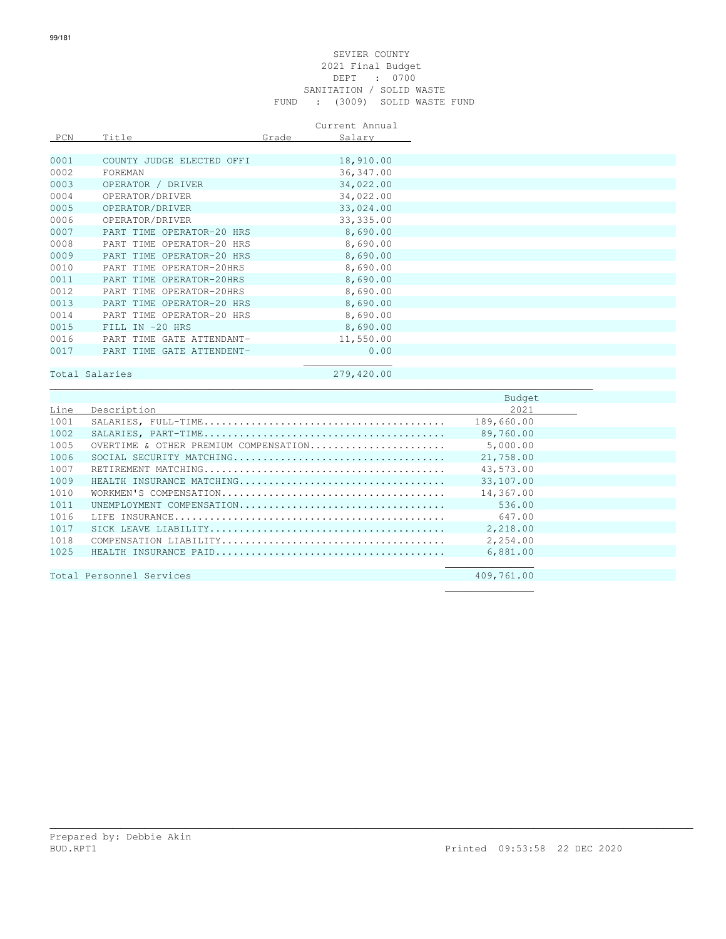#### SEVIER COUNTY 2021 Final Budget DEPT : 0700 SANITATION / SOLID WASTE FUND : (3009) SOLID WASTE FUND

|      |                           |       | Current Annual |
|------|---------------------------|-------|----------------|
| PCN  | Title                     | Grade | Salary         |
|      |                           |       |                |
| 0001 | COUNTY JUDGE ELECTED OFFI |       | 18,910.00      |
| 0002 | FOREMAN                   |       | 36, 347.00     |
| 0003 | OPERATOR / DRIVER         |       | 34,022.00      |
| 0004 | OPERATOR/DRIVER           |       | 34,022.00      |
| 0005 | OPERATOR/DRIVER           |       | 33,024.00      |
| 0006 | OPERATOR/DRIVER           |       | 33, 335.00     |
| 0007 | PART TIME OPERATOR-20 HRS |       | 8,690.00       |
| 0008 | PART TIME OPERATOR-20 HRS |       | 8,690.00       |
| 0009 | PART TIME OPERATOR-20 HRS |       | 8,690.00       |
| 0010 | PART TIME OPERATOR-20HRS  |       | 8,690.00       |
| 0011 | PART TIME OPERATOR-20HRS  |       | 8,690.00       |
| 0012 | PART TIME OPERATOR-20HRS  |       | 8,690.00       |
| 0013 | PART TIME OPERATOR-20 HRS |       | 8,690.00       |
| 0014 | PART TIME OPERATOR-20 HRS |       | 8,690.00       |
| 0015 | FILL IN -20 HRS           |       | 8,690.00       |
| 0016 | PART TIME GATE ATTENDANT- |       | 11,550.00      |
| 0017 | PART TIME GATE ATTENDENT- |       | 0.00           |

## Total Salaries 279,420.00

 $\mathcal{L}_\text{max}$  , which is a set of the set of the set of the set of the set of the set of the set of the set of the set of the set of the set of the set of the set of the set of the set of the set of the set of the set of

|      |                                       | Budget     |
|------|---------------------------------------|------------|
| Line | Description                           | 2021       |
| 1001 |                                       | 189,660.00 |
| 1002 |                                       | 89,760.00  |
| 1005 | OVERTIME & OTHER PREMIUM COMPENSATION | 5,000.00   |
| 1006 |                                       | 21,758.00  |
| 1007 |                                       | 43,573.00  |
| 1009 | HEALTH INSURANCE MATCHING             | 33,107.00  |
| 1010 |                                       | 14,367.00  |
| 1011 | UNEMPLOYMENT COMPENSATION             | 536.00     |
| 1016 |                                       | 647.00     |
| 1017 |                                       | 2,218.00   |
| 1018 |                                       | 2,254.00   |
| 1025 |                                       | 6,881.00   |
|      |                                       |            |
|      | Total Personnel Services              | 409,761.00 |
|      |                                       |            |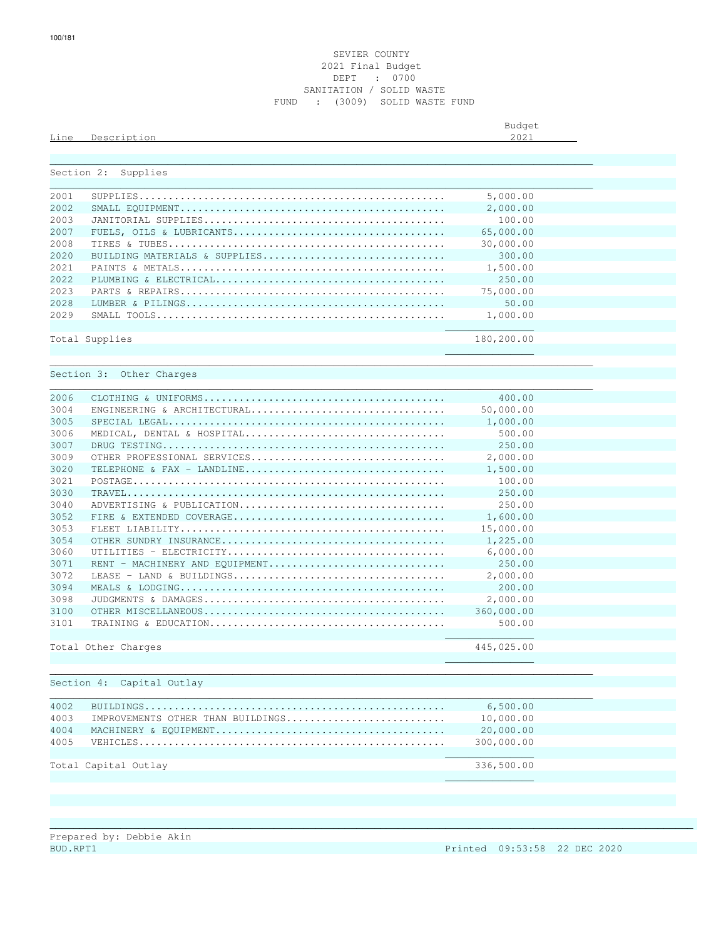#### SEVIER COUNTY 2021 Final Budget DEPT : 0700 SANITATION / SOLID WASTE FUND : (3009) SOLID WASTE FUND

Budget is a state of the state of the state of the state of the state of the state of the state of the state of the state of the state of the state of the state of the state of the state of the state of the state of the st Line Description 2021

|      | Section 2: Supplies               |            |
|------|-----------------------------------|------------|
|      |                                   |            |
| 2001 |                                   | 5,000.00   |
| 2002 |                                   | 2,000.00   |
| 2003 |                                   | 100.00     |
| 2007 |                                   | 65,000.00  |
| 2008 |                                   | 30,000.00  |
| 2020 | BUILDING MATERIALS & SUPPLIES     | 300.00     |
| 2021 |                                   | 1,500.00   |
| 2022 |                                   | 250.00     |
| 2023 |                                   | 75,000.00  |
| 2028 |                                   | 50.00      |
| 2029 |                                   | 1,000.00   |
|      | Total Supplies                    | 180,200.00 |
|      |                                   |            |
|      | Section 3: Other Charges          |            |
|      |                                   |            |
| 2006 |                                   | 400.00     |
| 3004 | ENGINEERING & ARCHITECTURAL       | 50,000.00  |
| 3005 |                                   | 1,000.00   |
| 3006 | MEDICAL, DENTAL & HOSPITAL        | 500.00     |
| 3007 |                                   | 250.00     |
| 3009 | OTHER PROFESSIONAL SERVICES       | 2,000.00   |
| 3020 | TELEPHONE & FAX - LANDLINE        | 1,500.00   |
| 3021 |                                   | 100.00     |
| 3030 |                                   | 250.00     |
| 3040 | ADVERTISING & PUBLICATION         | 250.00     |
| 3052 |                                   | 1,600.00   |
| 3053 |                                   | 15,000.00  |
| 3054 |                                   | 1,225.00   |
| 3060 |                                   | 6,000.00   |
| 3071 | RENT - MACHINERY AND EQUIPMENT    | 250.00     |
| 3072 | LEASE - LAND & BUILDINGS          | 2,000.00   |
| 3094 |                                   | 200.00     |
| 3098 |                                   | 2,000.00   |
| 3100 |                                   | 360,000.00 |
| 3101 |                                   | 500.00     |
|      |                                   | 445,025.00 |
|      | Total Other Charges               |            |
|      |                                   |            |
|      | Section 4: Capital Outlay         |            |
| 4002 |                                   | 6,500.00   |
| 4003 | IMPROVEMENTS OTHER THAN BUILDINGS | 10,000.00  |
| 4004 |                                   | 20,000.00  |
| 4005 |                                   | 300,000.00 |
|      |                                   |            |
|      | Total Capital Outlay              | 336,500.00 |
|      |                                   |            |
|      |                                   |            |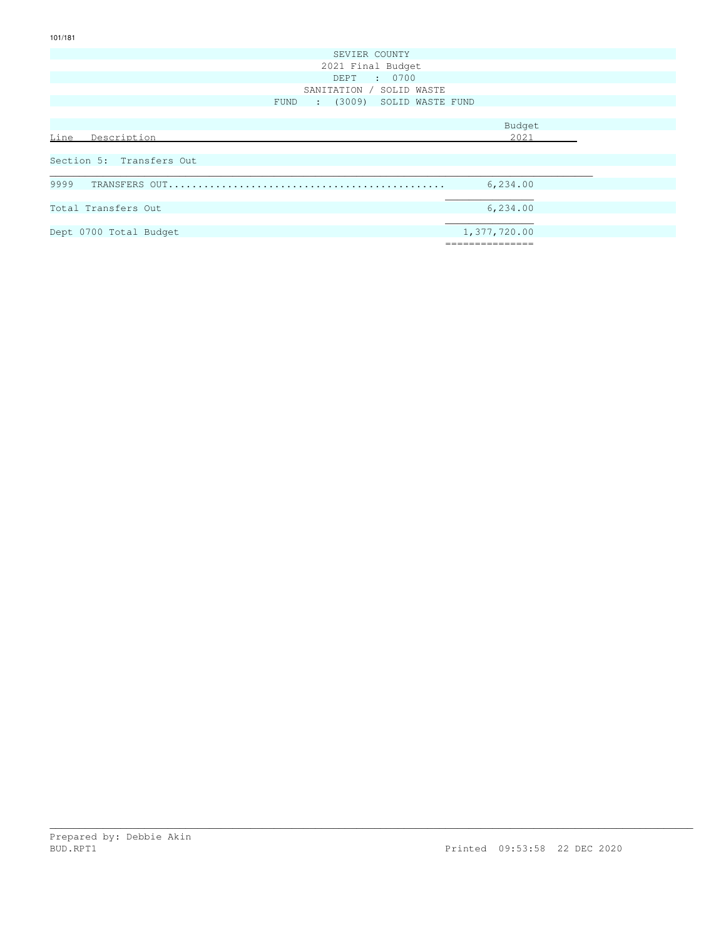| SEVIER COUNTY                     |               |
|-----------------------------------|---------------|
| 2021 Final Budget                 |               |
| DEPT : 0700                       |               |
| SANITATION / SOLID WASTE          |               |
| : (3009) SOLID WASTE FUND<br>FUND |               |
|                                   |               |
|                                   | Budget        |
| Line<br>Description               | 2021          |
|                                   |               |
| Section 5: Transfers Out          |               |
|                                   |               |
| 9999                              | 6,234.00      |
|                                   |               |
| Total Transfers Out               | 6,234.00      |
|                                   |               |
| Dept 0700 Total Budget            | 1,377,720.00  |
|                                   | ============= |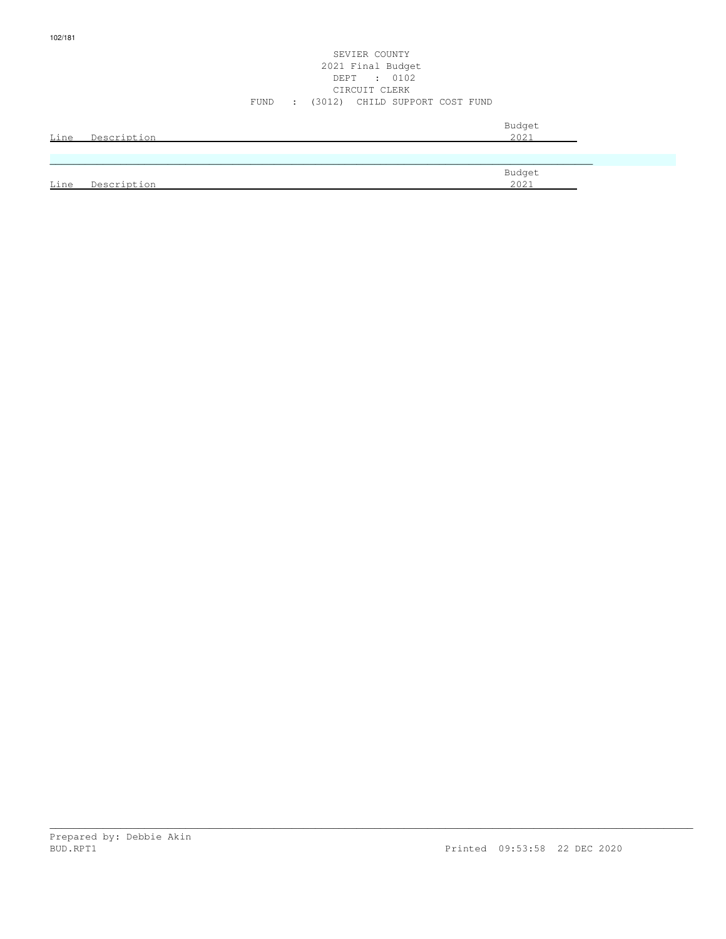#### SEVIER COUNTY 2021 Final Budget DEPT : 0102 CIRCUIT CLERK FUND : (3012) CHILD SUPPORT COST FUND

| Line | Description | Budget<br>2021 |
|------|-------------|----------------|
|      |             |                |
|      |             | Budget         |
| Line | Description | 2021           |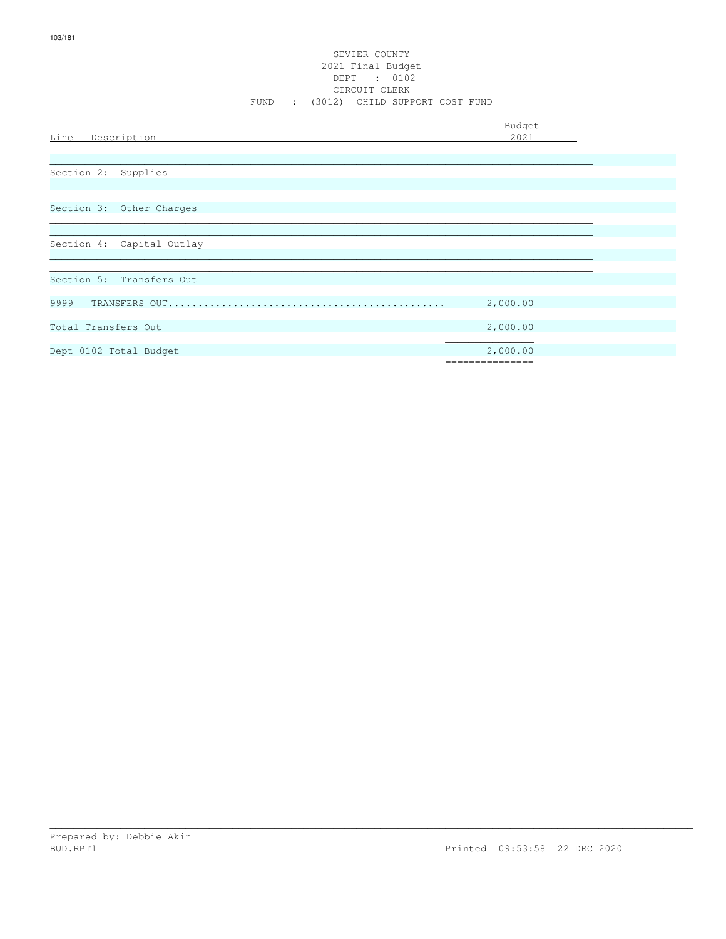# SEVIER COUNTY 2021 Final Budget DEPT : 0102<br>CIRCUIT CLERK FUND : (3012) CHILD SUPPORT COST FUND

Budget

| Line<br><u>Description</u> | 2021     |
|----------------------------|----------|
|                            |          |
|                            |          |
| Supplies<br>Section 2:     |          |
|                            |          |
|                            |          |
| Section 3: Other Charges   |          |
|                            |          |
|                            |          |
| Section 4: Capital Outlay  |          |
|                            |          |
|                            |          |
| Section 5: Transfers Out   |          |
|                            |          |
| 9999                       | 2,000.00 |
|                            |          |
| Total Transfers Out        | 2,000.00 |
|                            |          |
| Dept 0102 Total Budget     | 2,000.00 |
|                            |          |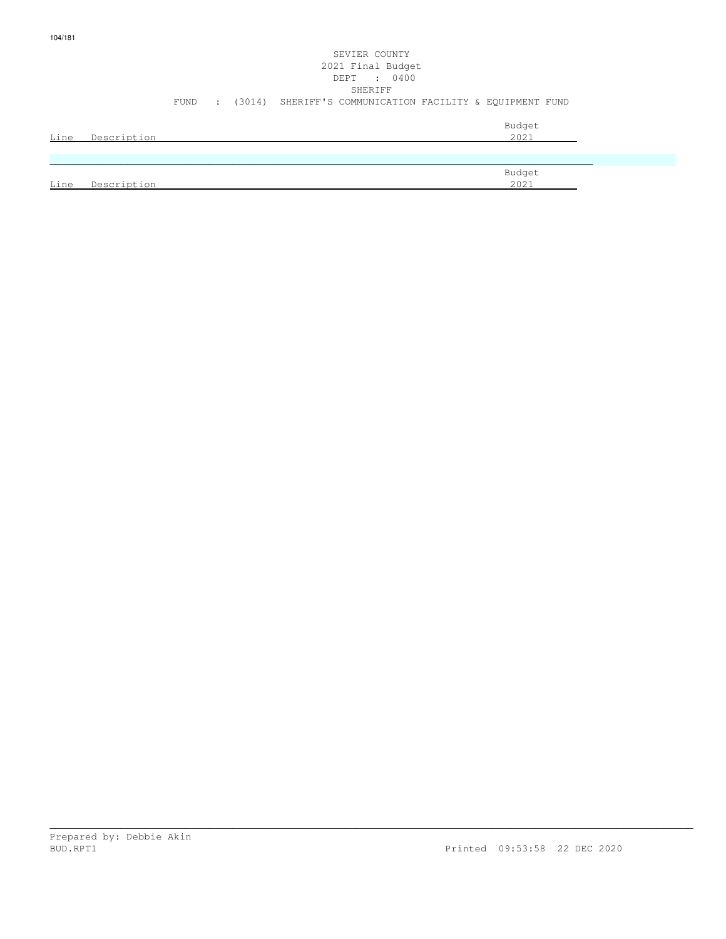## SEVIER COUNTY 2021 Final Budget DEPT : 0400 SHERIFF FUND : (3014) SHERIFF'S COMMUNICATION FACILITY & EQUIPMENT FUND Budget is a state of the state of the state of the state of the state of the state of the state of the state of the state of the state of the state of the state of the state of the state of the state of the state of the st Line Description 2021

|                  | Budget                      |
|------------------|-----------------------------|
| Line<br>Neecript | $\cap$ $\cap$ $\cap$<br>LUL |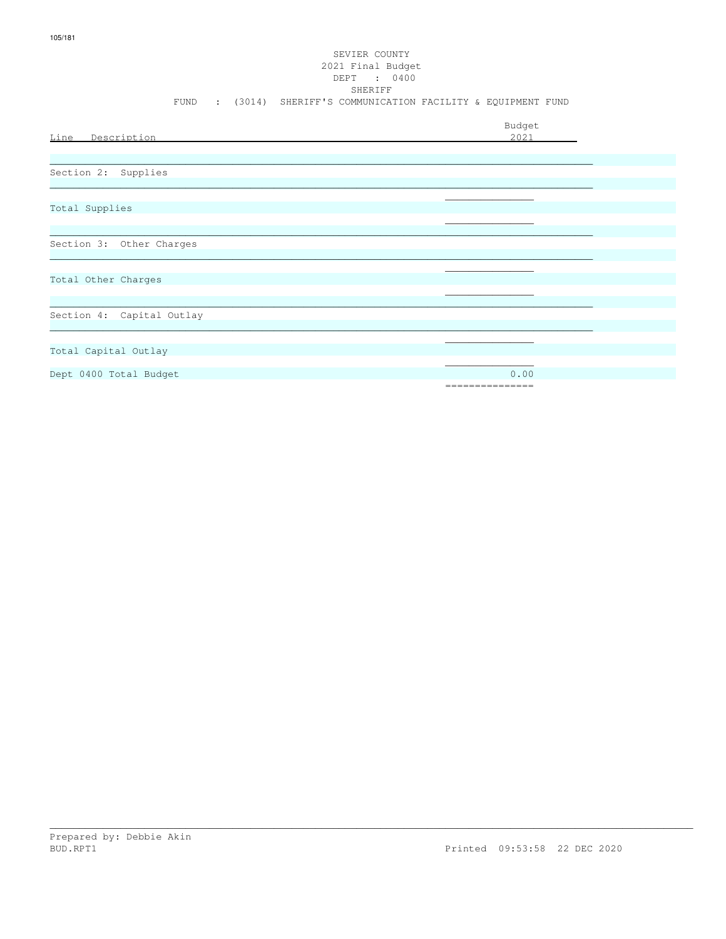## SEVIER COUNTY 2021 Final Budget DEPT : 0400 SHERIFF FUND : (3014) SHERIFF'S COMMUNICATION FACILITY & EQUIPMENT FUND

| Line Description          | Budget<br>2021  |
|---------------------------|-----------------|
|                           |                 |
|                           |                 |
| Section 2: Supplies       |                 |
|                           |                 |
| Total Supplies            |                 |
|                           |                 |
| Section 3: Other Charges  |                 |
|                           |                 |
| Total Other Charges       |                 |
|                           |                 |
| Section 4: Capital Outlay |                 |
|                           |                 |
|                           |                 |
| Total Capital Outlay      |                 |
| Dept 0400 Total Budget    | 0.00            |
|                           | =============== |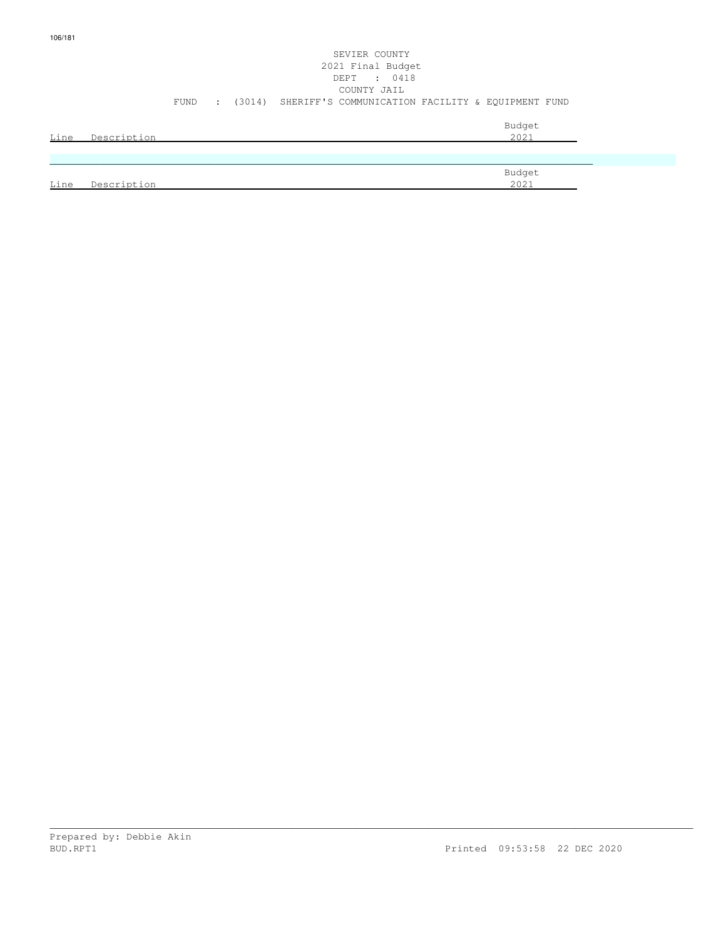| ۱ĥ. |
|-----|
|-----|

| SEVIER COUNTY<br>2021 Final Budget<br>DEPT : 0418               |                |
|-----------------------------------------------------------------|----------------|
| COUNTY JAIL                                                     |                |
| FUND : (3014) SHERIFF'S COMMUNICATION FACILITY & EQUIPMENT FUND |                |
| Description<br>Line                                             | Budget<br>2021 |

|      |                    | Budget       |
|------|--------------------|--------------|
| Line | Description<br>້∟ພ | 2021<br>ZUZ. |
|      |                    |              |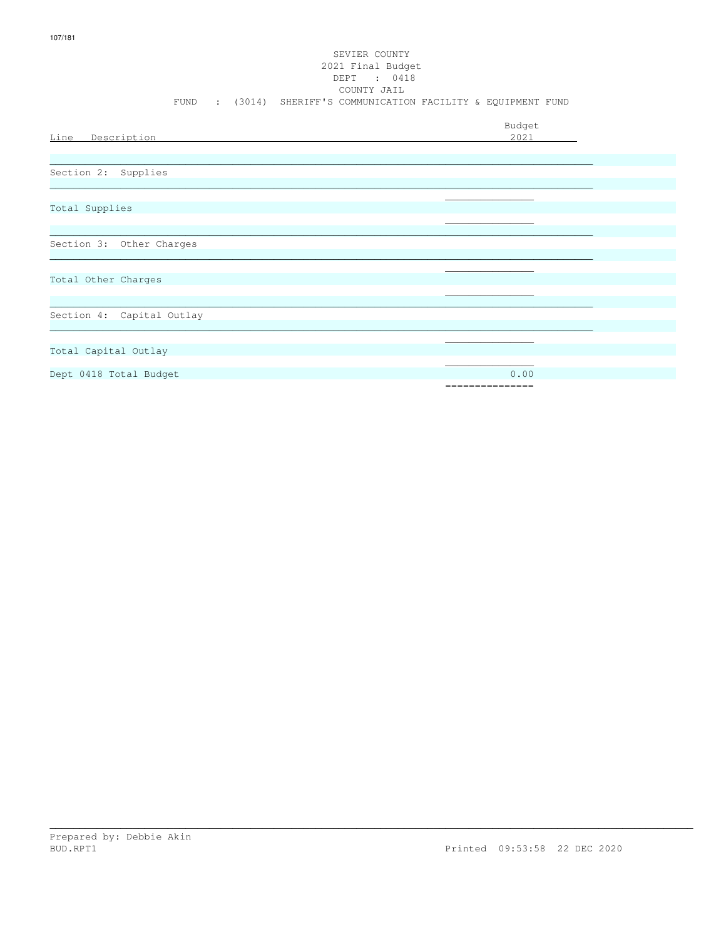# SEVIER COUNTY 2021 Final Budget DEPT : 0418<br>COUNTY JAIL FUND : (3014) SHERIFF'S COMMUNICATION FACILITY & EQUIPMENT FUND

| Line Description          | Budget<br>2021  |
|---------------------------|-----------------|
|                           |                 |
| Section 2: Supplies       |                 |
|                           |                 |
|                           |                 |
| Total Supplies            |                 |
|                           |                 |
| Section 3: Other Charges  |                 |
|                           |                 |
|                           |                 |
| Total Other Charges       |                 |
|                           |                 |
|                           |                 |
| Section 4: Capital Outlay |                 |
|                           |                 |
|                           |                 |
| Total Capital Outlay      |                 |
|                           | 0.00            |
| Dept 0418 Total Budget    | =============== |
|                           |                 |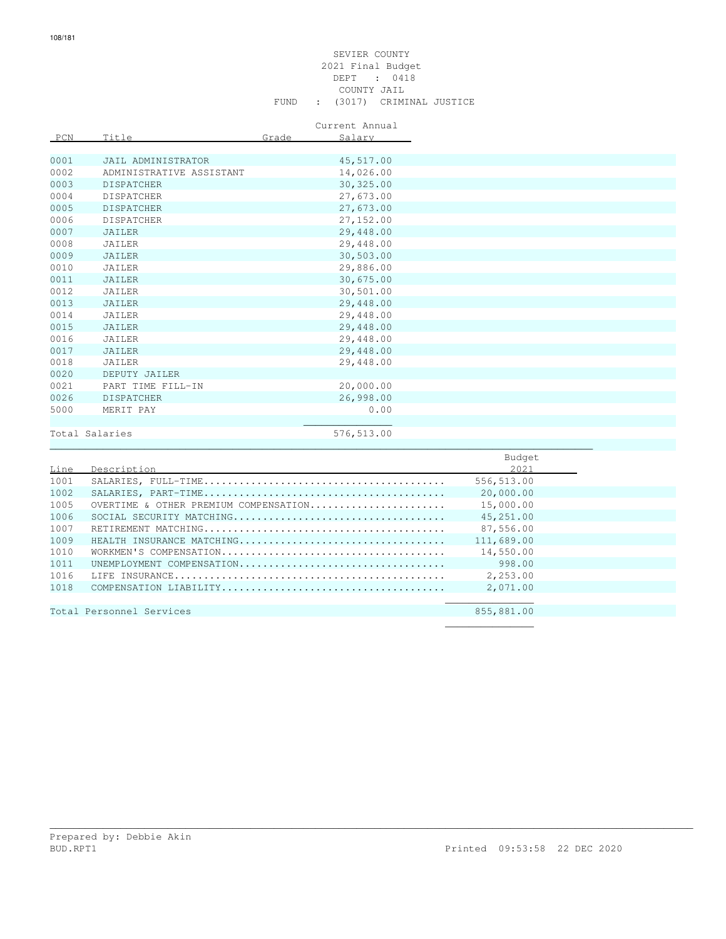#### SEVIER COUNTY 2021 Final Budget DEPT : 0418 COUNTY JAIL FUND : (3017) CRIMINAL JUSTICE

Current Annual

| PCN  | Title                    | Grade | Salary      |
|------|--------------------------|-------|-------------|
|      |                          |       |             |
| 0001 | JAIL ADMINISTRATOR       |       | 45,517.00   |
| 0002 | ADMINISTRATIVE ASSISTANT |       | 14,026.00   |
| 0003 | <b>DISPATCHER</b>        |       | 30, 325.00  |
| 0004 | <b>DISPATCHER</b>        |       | 27,673.00   |
| 0005 | <b>DISPATCHER</b>        |       | 27,673.00   |
| 0006 | <b>DISPATCHER</b>        |       | 27,152.00   |
| 0007 | JAILER                   |       | 29,448.00   |
| 0008 | JAILER                   |       | 29,448.00   |
| 0009 | JAILER                   |       | 30,503.00   |
| 0010 | JAILER                   |       | 29,886.00   |
| 0011 | <b>JAILER</b>            |       | 30,675.00   |
| 0012 | JAILER                   |       | 30,501.00   |
| 0013 | JAILER                   |       | 29,448.00   |
| 0014 | JAILER                   |       | 29,448.00   |
| 0015 | JAILER                   |       | 29,448.00   |
| 0016 | JAILER                   |       | 29,448.00   |
| 0017 | JAILER                   |       | 29,448.00   |
| 0018 | JAILER                   |       | 29,448.00   |
| 0020 | DEPUTY JAILER            |       |             |
| 0021 | PART TIME FILL-IN        |       | 20,000.00   |
| 0026 | <b>DISPATCHER</b>        |       | 26,998.00   |
| 5000 | MERIT PAY                |       | 0.00        |
|      |                          |       |             |
|      | Total Salaries           |       | 576, 513.00 |
|      |                          |       |             |

|      |                                       | Budget     |
|------|---------------------------------------|------------|
| Line | Description                           | 2021       |
| 1001 |                                       | 556,513.00 |
| 1002 |                                       | 20,000.00  |
| 1005 | OVERTIME & OTHER PREMIUM COMPENSATION | 15,000.00  |
| 1006 |                                       | 45,251.00  |
| 1007 |                                       | 87,556.00  |
| 1009 | HEALTH INSURANCE MATCHING             | 111,689.00 |
| 1010 |                                       | 14,550.00  |
| 1011 | UNEMPLOYMENT COMPENSATION             | 998.00     |
| 1016 |                                       | 2,253.00   |
| 1018 |                                       | 2,071.00   |
|      |                                       |            |
|      | Total Personnel Services              | 855,881.00 |
|      |                                       |            |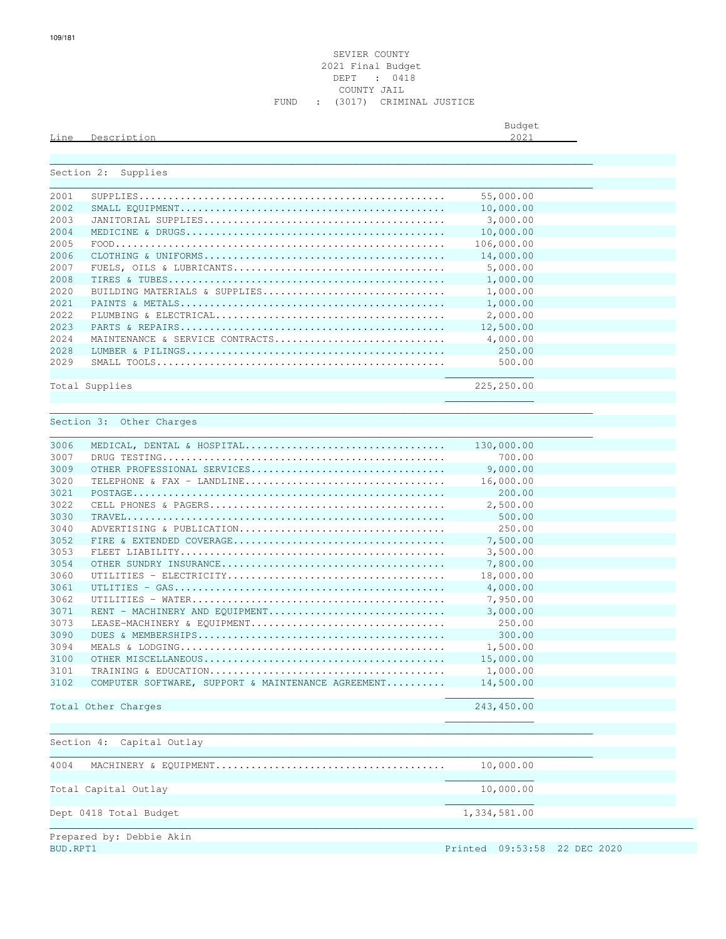#### SEVIER COUNTY 2021 Final Budget DEPT : 0418 COUNTY JAIL FUND : (3017) CRIMINAL JUSTICE

\_\_\_\_\_\_\_\_\_\_\_\_\_\_\_\_\_\_\_\_\_\_\_\_\_\_\_\_\_\_\_\_\_\_\_\_\_\_\_\_\_\_\_\_\_\_\_\_\_\_\_\_\_\_\_\_\_\_\_\_\_\_\_\_\_\_\_\_\_\_\_\_\_\_\_\_\_\_\_\_\_\_\_\_\_\_\_\_\_\_\_\_

Budget is a state of the state of the state of the state of the state of the state of the state of the state of the state of the state of the state of the state of the state of the state of the state of the state of the st

#### Line Description 2021

| Section 2: | Supplies                                           |              |
|------------|----------------------------------------------------|--------------|
| 2001       |                                                    | 55,000.00    |
| 2002       |                                                    | 10,000.00    |
| 2003       |                                                    | 3,000.00     |
| 2004       |                                                    | 10,000.00    |
| 2005       |                                                    | 106,000.00   |
| 2006       |                                                    | 14,000.00    |
|            |                                                    |              |
| 2007       |                                                    | 5,000.00     |
| 2008       |                                                    | 1,000.00     |
| 2020       | BUILDING MATERIALS & SUPPLIES                      | 1,000.00     |
| 2021       |                                                    | 1,000.00     |
| 2022       |                                                    | 2,000.00     |
| 2023       |                                                    | 12,500.00    |
| 2024       | MAINTENANCE & SERVICE CONTRACTS                    | 4,000.00     |
| 2028       |                                                    | 250.00       |
| 2029       |                                                    | 500.00       |
|            |                                                    | 225,250.00   |
|            | Total Supplies                                     |              |
|            |                                                    |              |
|            | Section 3: Other Charges                           |              |
|            |                                                    |              |
| 3006       | MEDICAL, DENTAL & HOSPITAL                         | 130,000.00   |
| 3007       |                                                    | 700.00       |
| 3009       | OTHER PROFESSIONAL SERVICES                        | 9,000.00     |
| 3020       | TELEPHONE & FAX - LANDLINE                         | 16,000.00    |
| 3021       |                                                    | 200.00       |
| 3022       |                                                    | 2,500.00     |
| 3030       |                                                    | 500.00       |
| 3040       | ADVERTISING & PUBLICATION                          | 250.00       |
| 3052       |                                                    | 7,500.00     |
| 3053       |                                                    | 3,500.00     |
| 3054       |                                                    | 7,800.00     |
| 3060       |                                                    | 18,000.00    |
| 3061       |                                                    | 4,000.00     |
| 3062       |                                                    | 7,950.00     |
| 3071       | RENT - MACHINERY AND EQUIPMENT                     | 3,000.00     |
| 3073       | LEASE-MACHINERY & EQUIPMENT                        | 250.00       |
| 3090       |                                                    | 300.00       |
| 3094       |                                                    | 1,500.00     |
| 3100       |                                                    | 15,000.00    |
| 3101       |                                                    | 1,000.00     |
| 3102       | COMPUTER SOFTWARE, SUPPORT & MAINTENANCE AGREEMENT | 14,500.00    |
|            |                                                    |              |
|            | Total Other Charges                                | 243,450.00   |
|            |                                                    |              |
|            |                                                    |              |
|            | Capital Outlay<br>Section 4:                       |              |
| 4004       | MACHINERY & EQUIPMENT                              | 10,000.00    |
|            |                                                    |              |
|            | Total Capital Outlay                               | 10,000.00    |
|            | Dept 0418 Total Budget                             | 1,334,581.00 |
|            |                                                    |              |

Printed 09:53:58 22 DEC 2020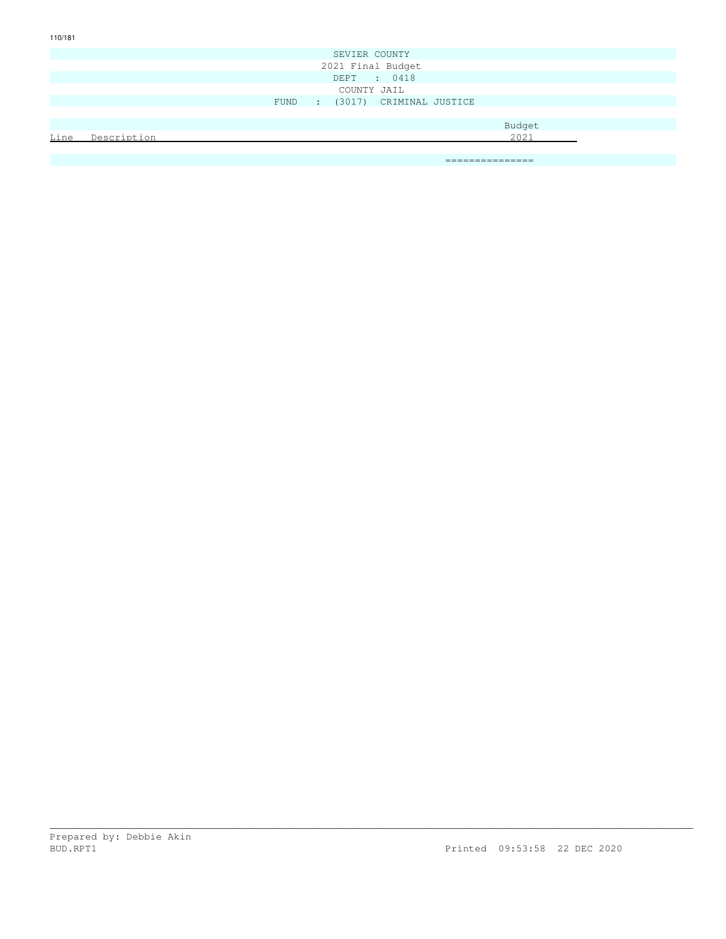|        | SEVIER COUNTY                  |  |  |  |  |  |      |  |
|--------|--------------------------------|--|--|--|--|--|------|--|
|        | 2021 Final Budget              |  |  |  |  |  |      |  |
|        | DEPT : 0418                    |  |  |  |  |  |      |  |
|        | COUNTY JAIL                    |  |  |  |  |  |      |  |
|        | FUND : (3017) CRIMINAL JUSTICE |  |  |  |  |  |      |  |
|        |                                |  |  |  |  |  |      |  |
| Budget |                                |  |  |  |  |  |      |  |
| Line   | Description                    |  |  |  |  |  | 2021 |  |
|        |                                |  |  |  |  |  |      |  |

\_\_\_\_\_\_\_\_\_\_\_\_\_\_\_\_\_\_\_\_\_\_\_\_\_\_\_\_\_\_\_\_\_\_\_\_\_\_\_\_\_\_\_\_\_\_\_\_\_\_\_\_\_\_\_\_\_\_\_\_\_\_\_\_\_\_\_\_\_\_\_\_\_\_\_\_\_\_\_\_\_\_\_\_\_\_\_\_\_\_\_\_\_\_\_\_\_\_\_\_\_\_\_\_\_\_\_\_\_

===============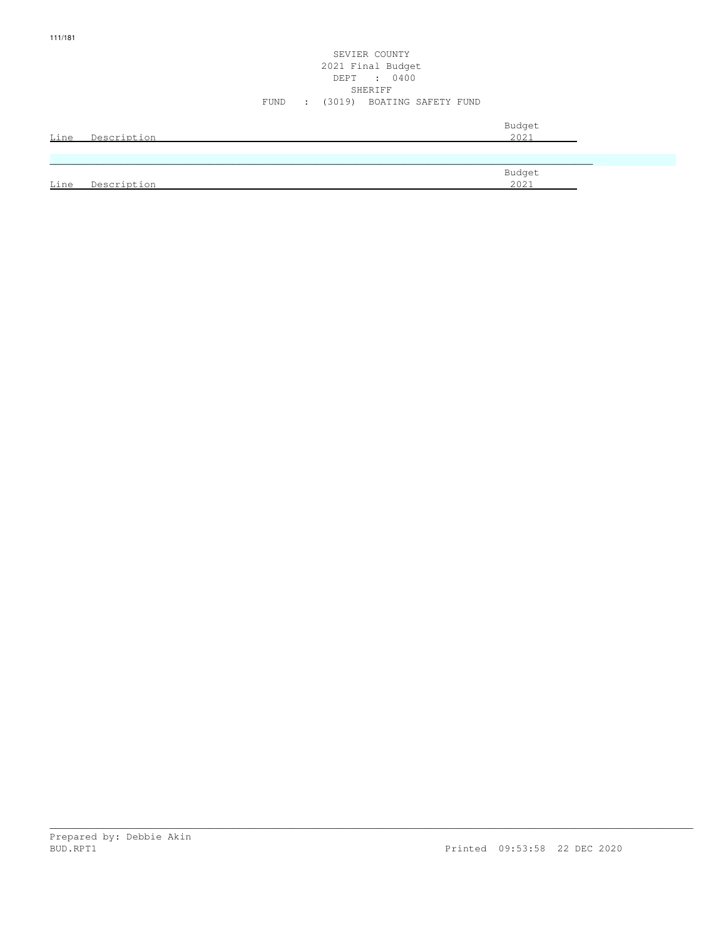#### SEVIER COUNTY 2021 Final Budget DEPT : 0400 SHERIFF SHERIFF SHERIFF SHERIFF SHERIFF SHERIFF SHERIFF SHERIFF SHERIFF SHERIFF SHERIFF SHERIFF SHERIFF SHERIFF SHERIFF SHERIFF SHERIFF SHERIFF SHERIFF SHERIFF SHERIFF SHERIFF SHERIFF SHERIFF SHERIFF SHERIFF SHERIFF SHERIF FUND : (3019) BOATING SAFETY FUND

| Line | Description | Budget<br>2021 |
|------|-------------|----------------|
|      |             |                |
|      |             | Budget         |
| Line | Description | 2021           |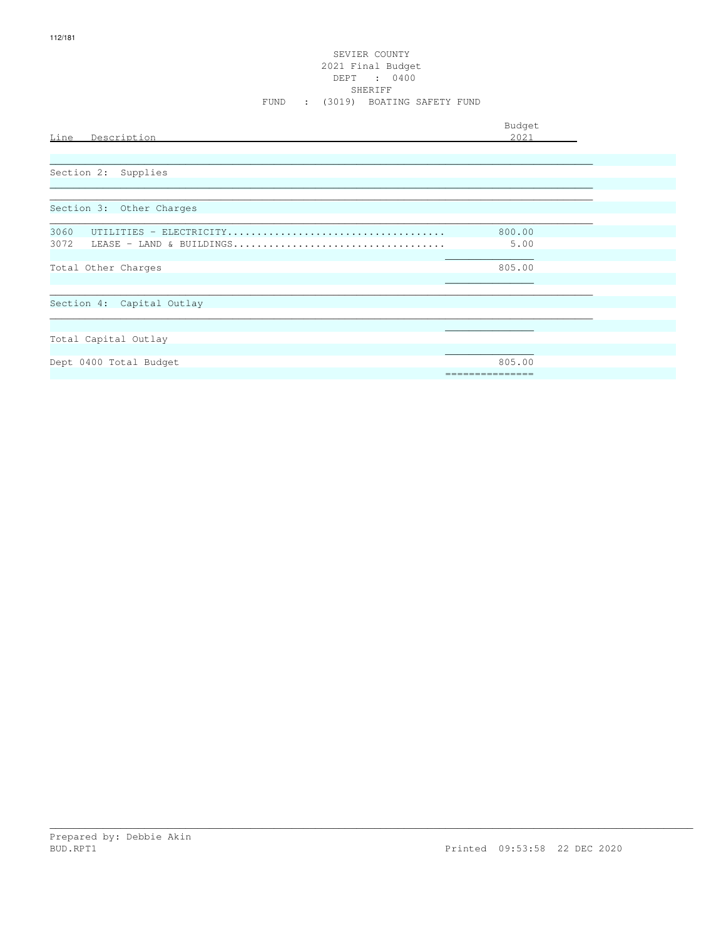# SEVIER COUNTY 2021 Final Budget<br>DEPT : 0400<br>SHERIFF FUND : (3019) BOATING SAFETY FUND

| Line<br>Description              | Budget<br>2021 |  |
|----------------------------------|----------------|--|
|                                  |                |  |
| Section 2: Supplies              |                |  |
|                                  |                |  |
| Section 3: Other Charges         |                |  |
| 3060                             | 800.00         |  |
| 3072<br>LEASE - LAND & BUILDINGS | 5.00           |  |
| Total Other Charges              | 805.00         |  |
| Section 4: Capital Outlay        |                |  |
|                                  |                |  |
| Total Capital Outlay             |                |  |
| Dept 0400 Total Budget           | 805.00         |  |
|                                  | =============  |  |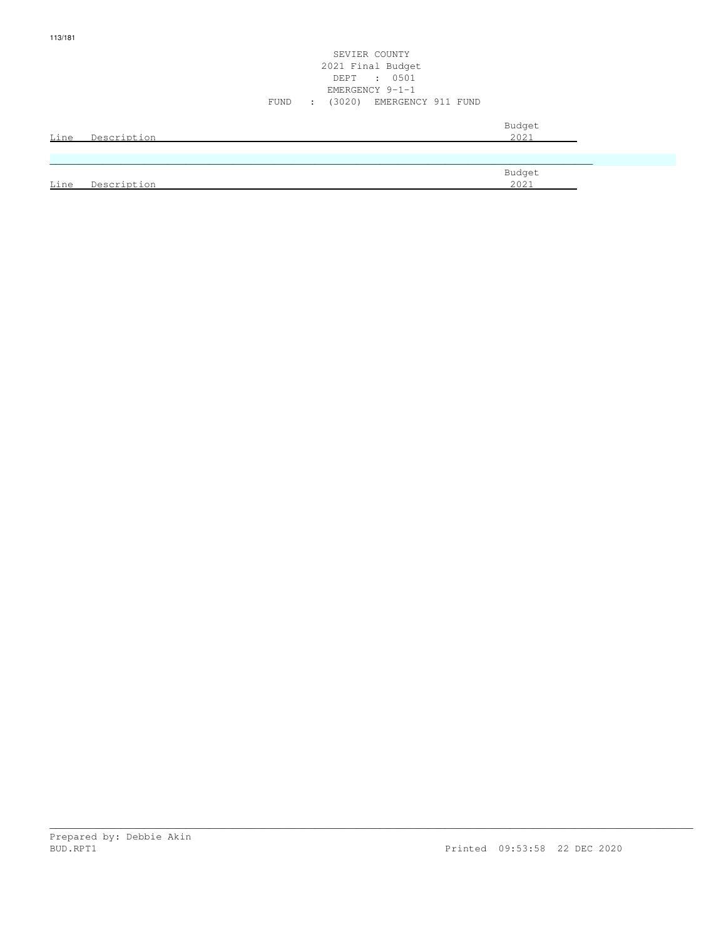|      |             | SEVIER COUNTY<br>2021 Final Budget<br>DEPT : 0501<br>EMERGENCY 9-1-1<br>FUND : (3020) EMERGENCY 911 FUND |
|------|-------------|----------------------------------------------------------------------------------------------------------|
| Line | Description | Budget<br>2021                                                                                           |
|      |             |                                                                                                          |
| Line | Description | Budget<br>2021                                                                                           |

113/181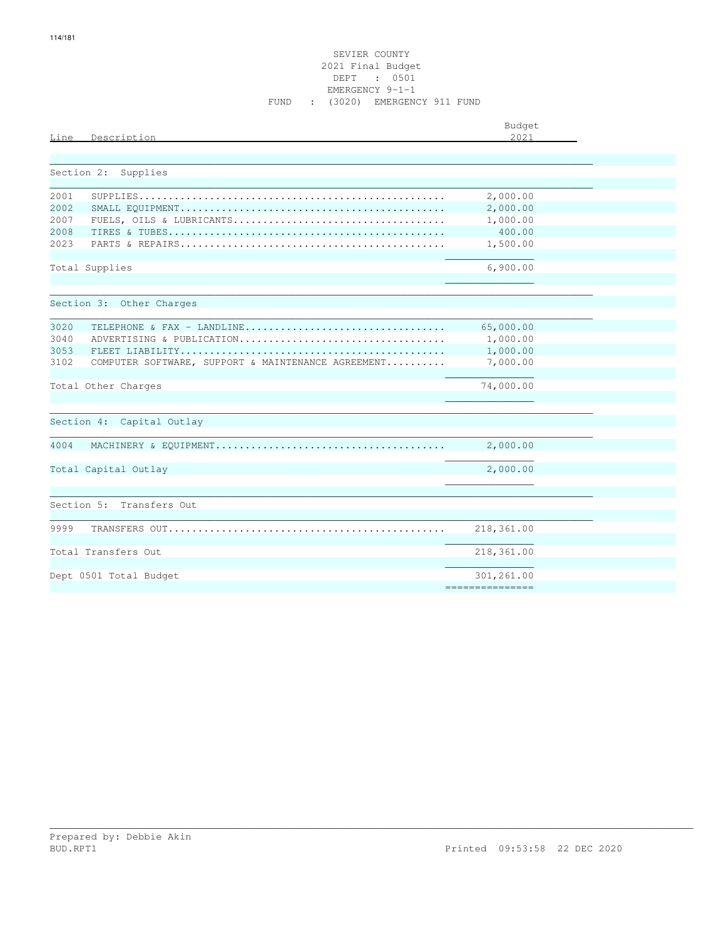|            |                                                    | Budget               |
|------------|----------------------------------------------------|----------------------|
| Line       | Description                                        | 2021                 |
|            |                                                    |                      |
| Section 2: | Supplies                                           |                      |
| 2001       |                                                    |                      |
| 2002       |                                                    | 2,000.00<br>2,000.00 |
| 2007       |                                                    | 1,000.00             |
| 2008       |                                                    | 400.00               |
| 2023       |                                                    | 1,500.00             |
|            |                                                    |                      |
|            | Total Supplies                                     | 6,900.00             |
|            |                                                    |                      |
|            |                                                    |                      |
|            | Section 3: Other Charges                           |                      |
|            |                                                    |                      |
| 3020       | TELEPHONE & FAX - LANDLINE                         | 65,000.00            |
| 3040       | ADVERTISING & PUBLICATION                          | 1,000.00             |
| 3053       |                                                    | 1,000.00             |
| 3102       | COMPUTER SOFTWARE, SUPPORT & MAINTENANCE AGREEMENT | 7,000.00             |
|            |                                                    |                      |
|            | Total Other Charges                                | 74,000.00            |
|            |                                                    |                      |
| Section 4: | Capital Outlay                                     |                      |
|            |                                                    |                      |
| 4004       |                                                    | 2,000.00             |
|            |                                                    |                      |
|            | Total Capital Outlay                               | 2,000.00             |
|            |                                                    |                      |
|            |                                                    |                      |
|            | Section 5: Transfers Out                           |                      |
|            |                                                    |                      |
| 9999       |                                                    | 218,361.00           |
|            |                                                    |                      |
|            | Total Transfers Out                                | 218,361.00           |
|            |                                                    |                      |
|            | Dept 0501 Total Budget                             | 301,261.00           |
|            |                                                    | ===============      |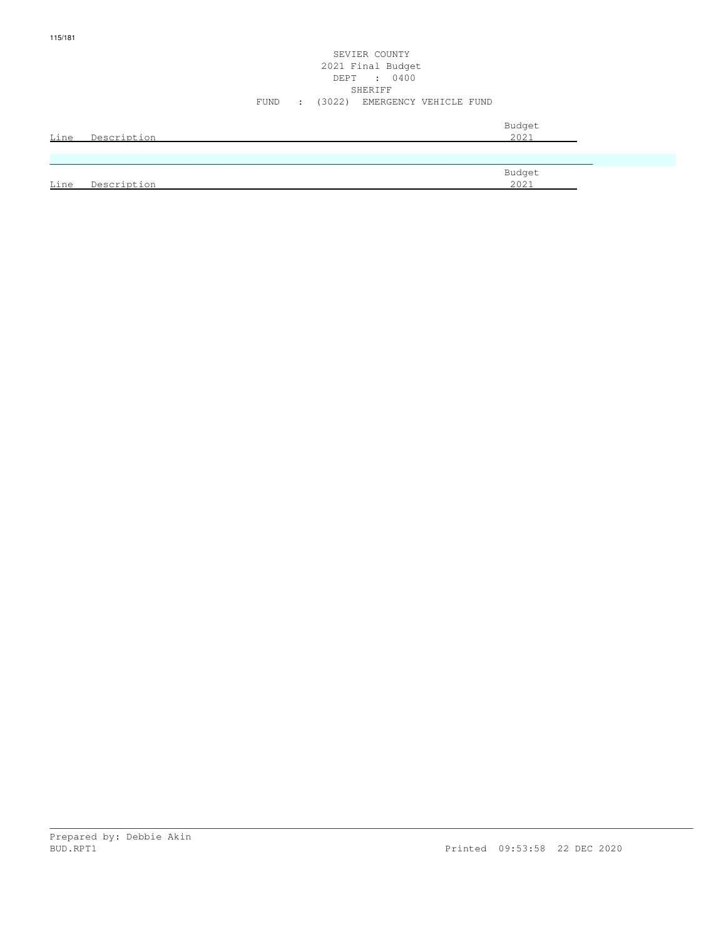#### SEVIER COUNTY 2021 Final Budget DEPT : 0400 SHERIFF SHERIFF SHERIFF SHERIFF SHERIFF SHERIFF SHERIFF SHERIFF SHERIFF SHERIFF SHERIFF SHERIFF SHERIFF SHERIFF SHERIFF SHERIFF SHERIFF SHERIFF SHERIFF SHERIFF SHERIFF SHERIFF SHERIFF SHERIFF SHERIFF SHERIFF SHERIFF SHERIF FUND : (3022) EMERGENCY VEHICLE FUND

| Line        | Description | Budget<br>2021 |
|-------------|-------------|----------------|
|             |             |                |
|             |             | Budget         |
| <u>Line</u> | Description | 2021           |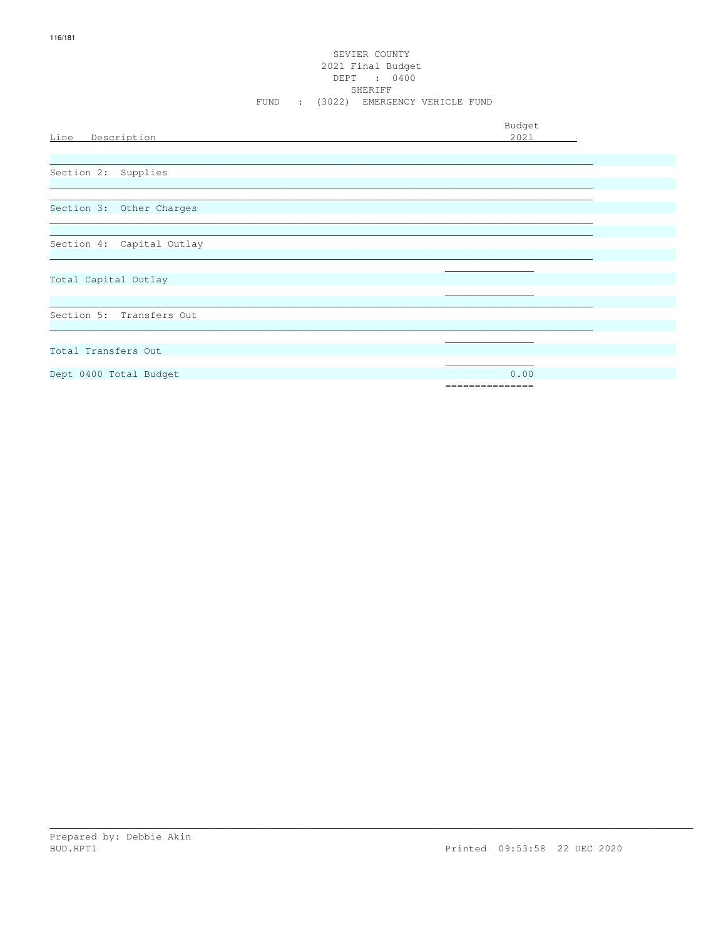#### SEVIER COUNTY 2021 Final Budget DEPT : 0400 SHERIFF FUND : (3022) EMERGENCY VEHICLE FUND

| Line Description          | Budget<br>2021           |
|---------------------------|--------------------------|
| Section 2: Supplies       |                          |
| Section 3: Other Charges  |                          |
| Section 4: Capital Outlay |                          |
| Total Capital Outlay      |                          |
| Section 5: Transfers Out  |                          |
| Total Transfers Out       |                          |
| Dept 0400 Total Budget    | 0.00<br>================ |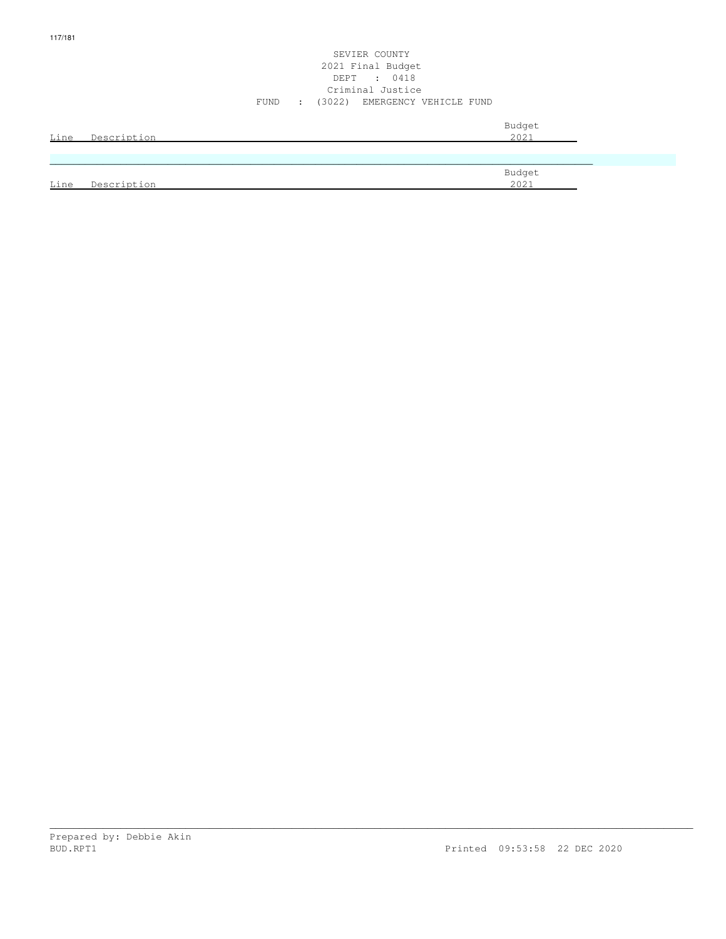#### SEVIER COUNTY 2021 Final Budget DEPT : 0418 Criminal Justice FUND : (3022) EMERGENCY VEHICLE FUND

| Line | Description | Budget<br>2021 |
|------|-------------|----------------|
|      |             |                |
|      |             | Budget         |
| Line | Description | 2021           |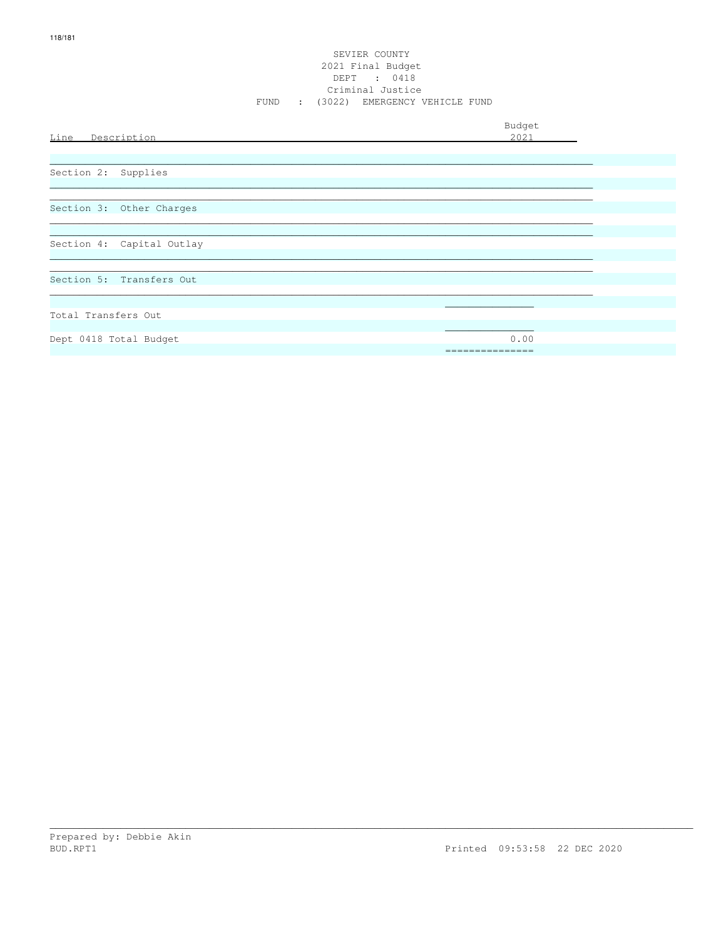## SEVIER COUNTY 2021 Final Budget DEPT : 0418<br>Criminal Justice FUND : (3022) EMERGENCY VEHICLE FUND

| Line Description          | Budget<br>2021  |
|---------------------------|-----------------|
|                           |                 |
| Section 2: Supplies       |                 |
|                           |                 |
| Section 3: Other Charges  |                 |
|                           |                 |
| Section 4: Capital Outlay |                 |
|                           |                 |
| Section 5: Transfers Out  |                 |
|                           |                 |
| Total Transfers Out       |                 |
|                           |                 |
| Dept 0418 Total Budget    | 0.00            |
|                           | =============== |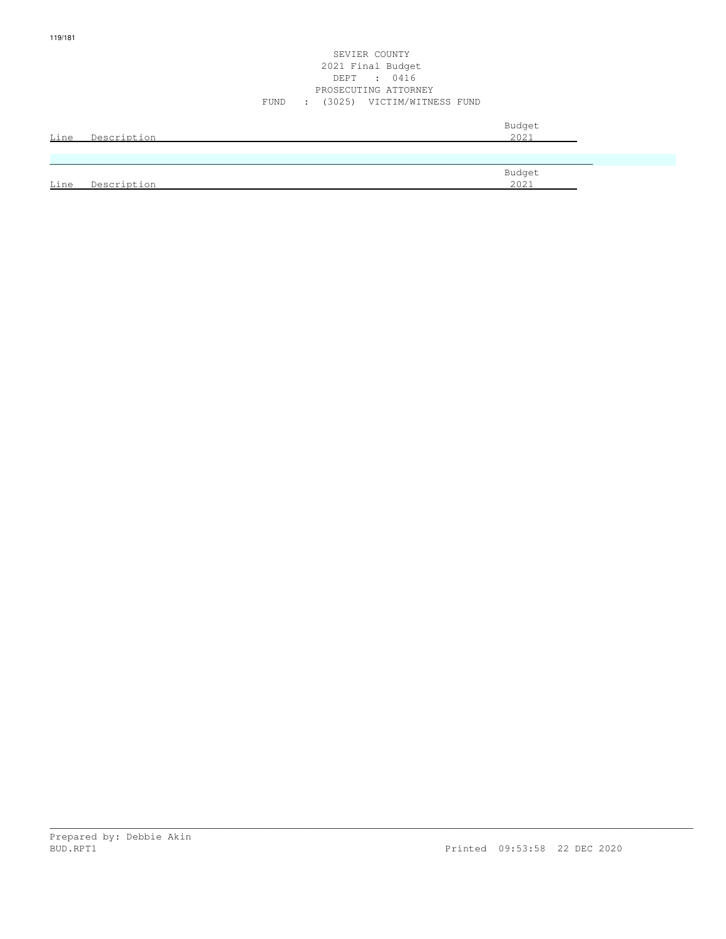#### SEVIER COUNTY 2021 Final Budget DEPT : 0416 PROSECUTING ATTORNEY FUND : (3025) VICTIM/WITNESS FUND

| Line | Description | Budget<br>2021 |
|------|-------------|----------------|
|      |             |                |
|      |             | Budget         |
| Line | Description | 2021           |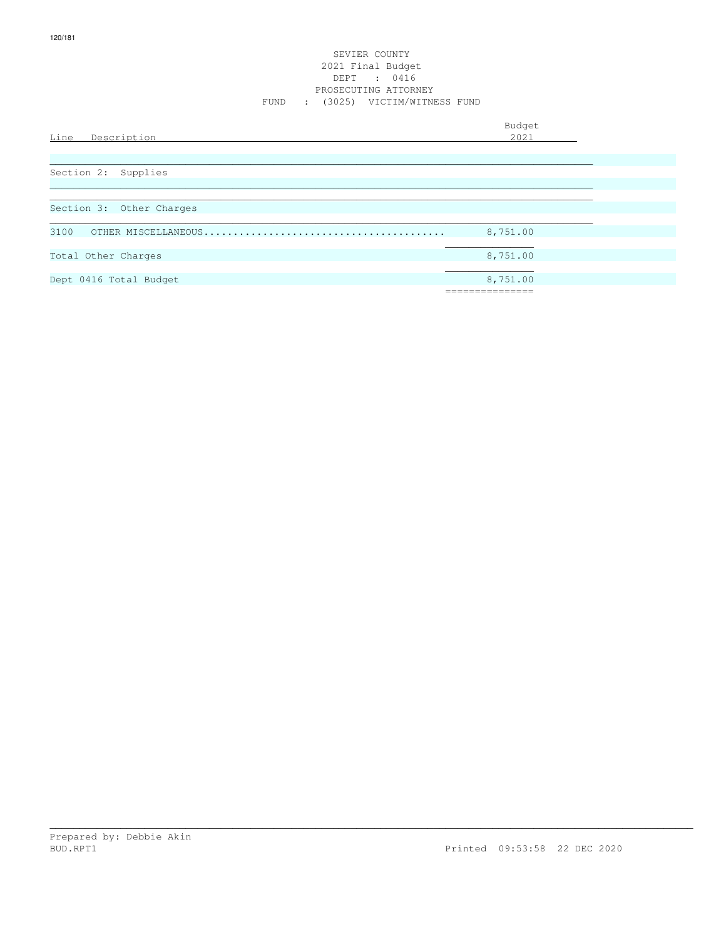#### SEVIER COUNTY 2021 Final Budget DEPT : 0416 PROSECUTING ATTORNEY FUND : (3025) VICTIM/WITNESS FUND

| Line<br>Description      | Budget<br>2021 |
|--------------------------|----------------|
|                          |                |
| Section 2: Supplies      |                |
|                          |                |
| Section 3: Other Charges |                |
| 3100                     | 8,751.00       |
| Total Other Charges      | 8,751.00       |
|                          |                |
| Dept 0416 Total Budget   | 8,751.00       |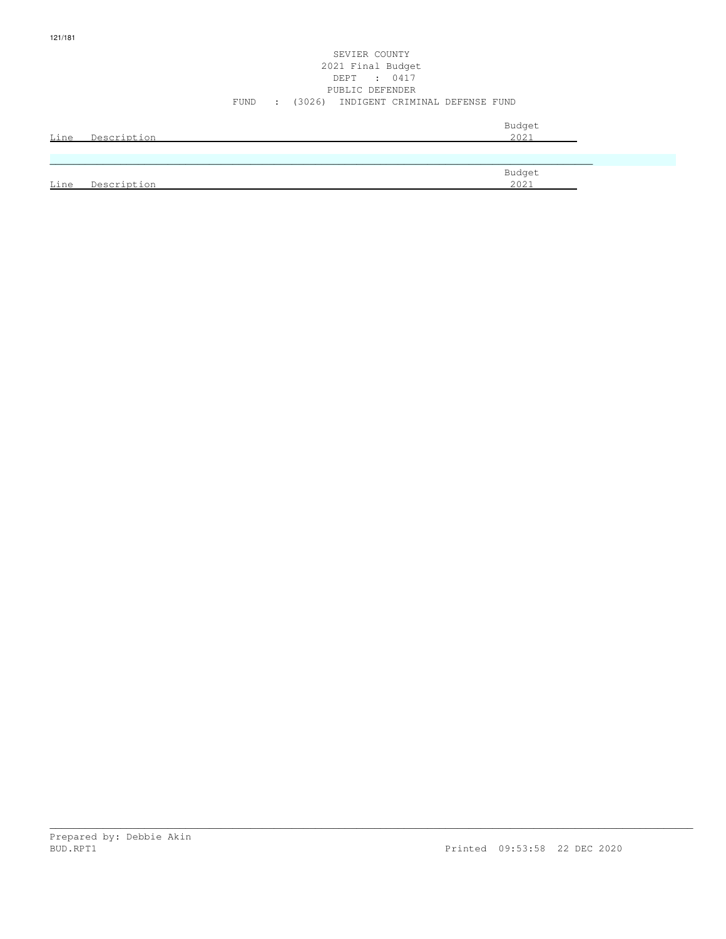#### SEVIER COUNTY 2021 Final Budget DEPT : 0417 PUBLIC DEFENDER FUND : (3026) INDIGENT CRIMINAL DEFENSE FUND

|      | Line Description | Budget<br>2021 |  |
|------|------------------|----------------|--|
|      |                  |                |  |
|      |                  | Budget         |  |
| Line | Description      | 2021           |  |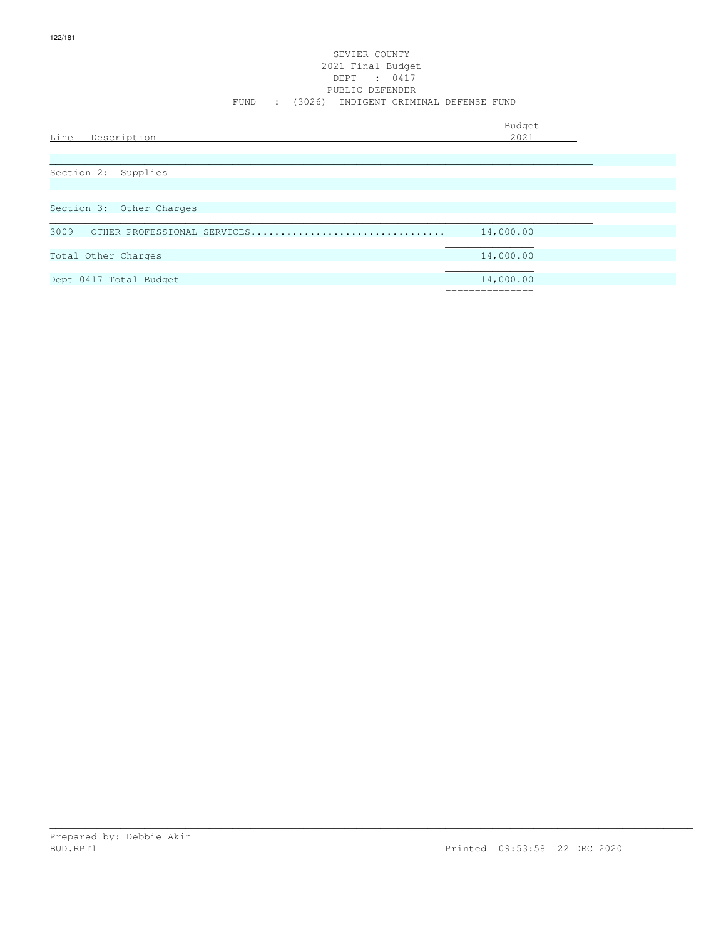#### SEVIER COUNTY 2021 Final Budget DEPT : 0417 PUBLIC DEFENDER FUND : (3026) INDIGENT CRIMINAL DEFENSE FUND

| Line<br>Description                 | Budget<br>2021 |
|-------------------------------------|----------------|
| Section 2: Supplies                 |                |
| Section 3: Other Charges            |                |
| 3009<br>OTHER PROFESSIONAL SERVICES | 14,000.00      |
| Total Other Charges                 | 14,000.00      |
| Dept 0417 Total Budget              | 14,000.00      |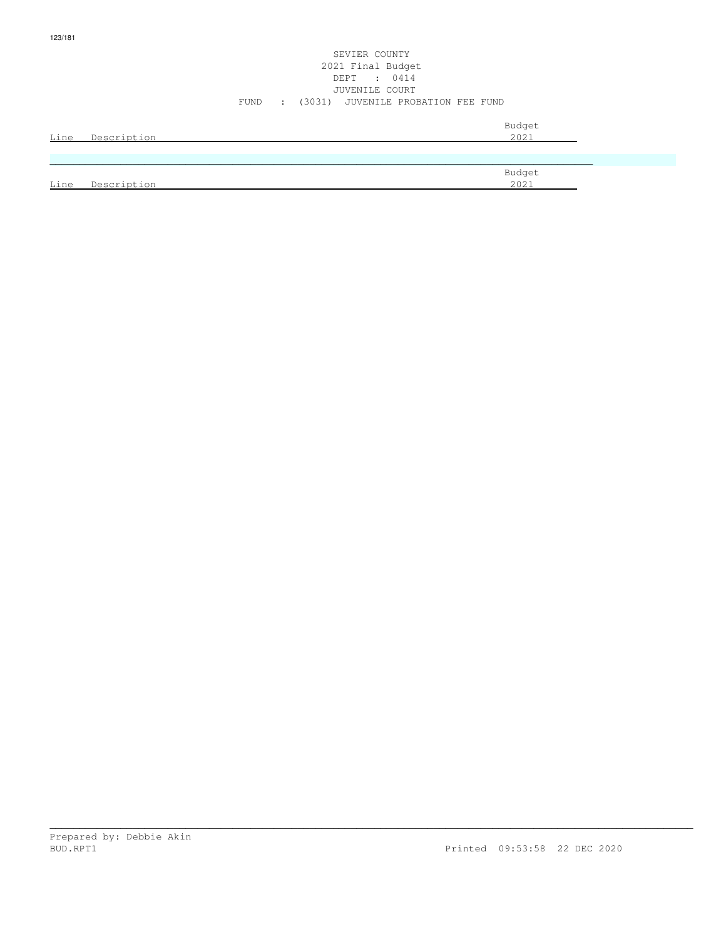#### SEVIER COUNTY 2021 Final Budget DEPT : 0414 JUVENILE COURT FUND : (3031) JUVENILE PROBATION FEE FUND

| Line | Description | Budget<br>2021 |
|------|-------------|----------------|
|      |             |                |
| Line | Description | Budget<br>2021 |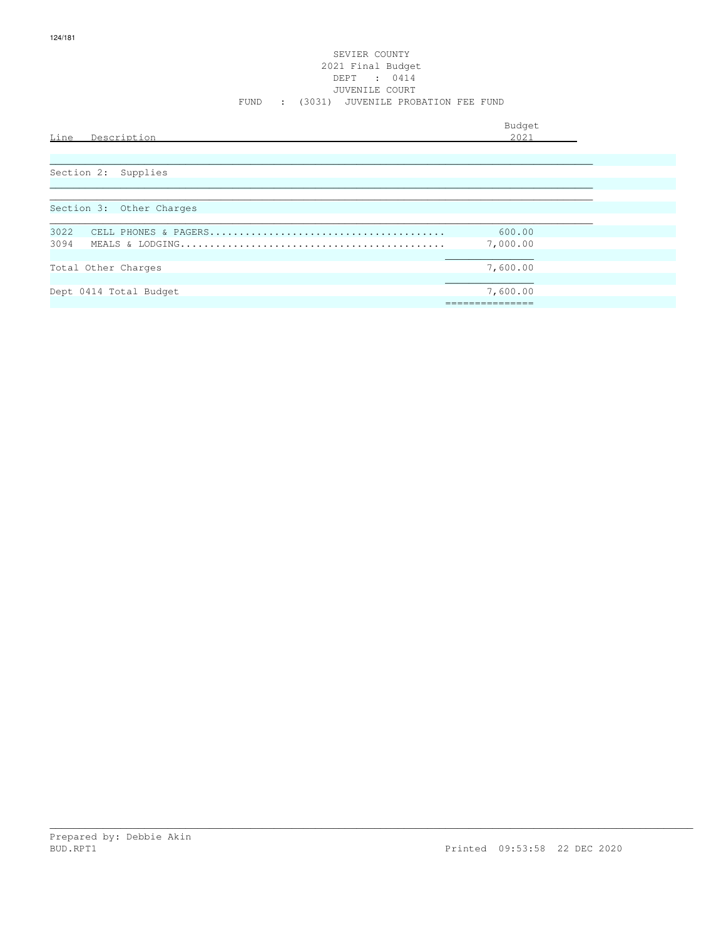#### SEVIER COUNTY 2021 Final Budget DEPT : 0414 JUVENILE COURT FUND : (3031) JUVENILE PROBATION FEE FUND

| Line<br>Description      | Budget<br>2021 |  |
|--------------------------|----------------|--|
|                          |                |  |
| Section 2: Supplies      |                |  |
|                          |                |  |
| Section 3: Other Charges |                |  |
| 3022                     | 600.00         |  |
| 3094                     | 7,000.00       |  |
| Total Other Charges      | 7,600.00       |  |
| Dept 0414 Total Budget   | 7,600.00       |  |
|                          | ------------   |  |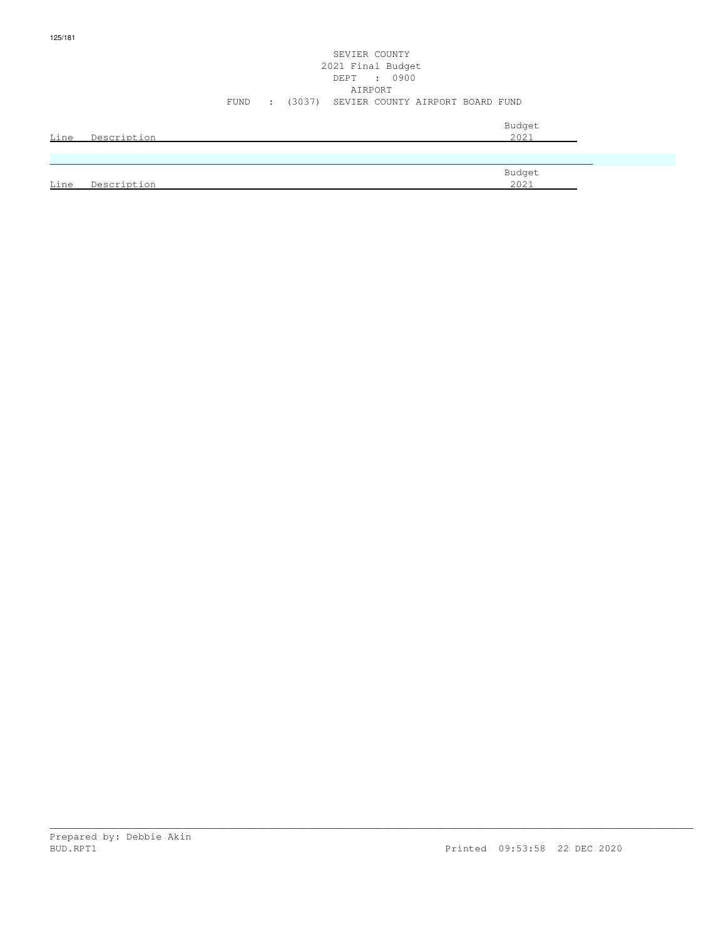## SEVIER COUNTY 2021 Final Budget DEPT : 0900 AIRPORT FUND : (3037) SEVIER COUNTY AIRPORT BOARD FUND

| Line | Description | Budget<br>2021 |
|------|-------------|----------------|
|      |             |                |
|      |             |                |
|      |             | Budget         |
| Line | Description | 2021           |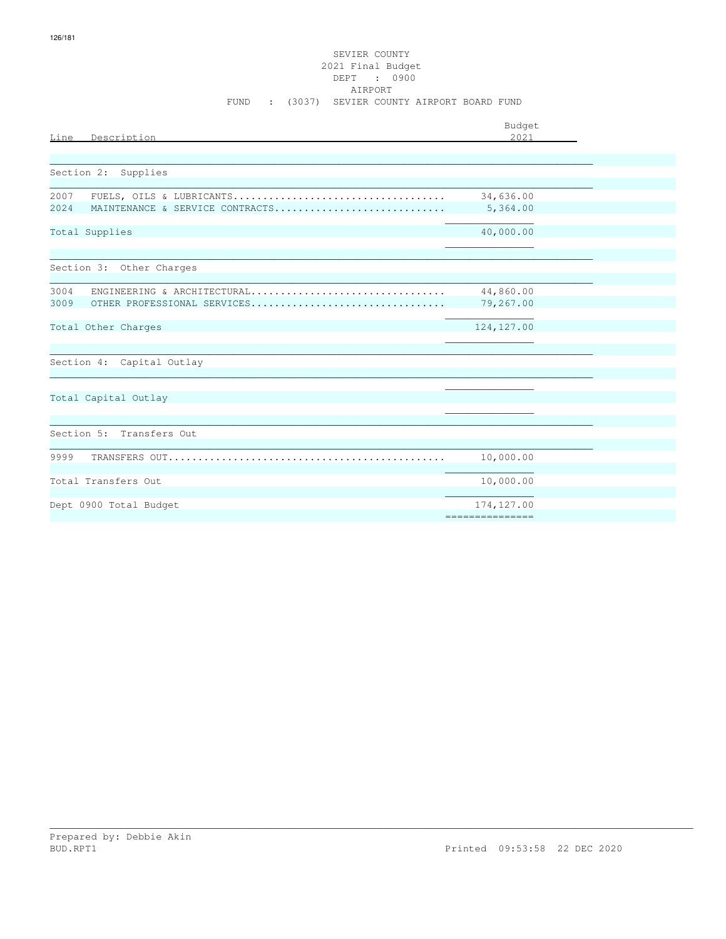| Description<br>Line                     | Budget<br>2021 |
|-----------------------------------------|----------------|
|                                         |                |
| Section 2: Supplies                     |                |
| 2007                                    | 34,636.00      |
| 2024<br>MAINTENANCE & SERVICE CONTRACTS | 5,364.00       |
| Total Supplies                          | 40,000.00      |
|                                         |                |
| Section 3: Other Charges                |                |
| 3004<br>ENGINEERING & ARCHITECTURAL     | 44,860.00      |
| 3009<br>OTHER PROFESSIONAL SERVICES     | 79,267.00      |
| Total Other Charges                     | 124, 127.00    |
|                                         |                |
| Section 4: Capital Outlay               |                |
|                                         |                |
| Total Capital Outlay                    |                |
|                                         |                |
| Section 5: Transfers Out                |                |
| 9999                                    | 10,000.00      |
|                                         |                |
| Total Transfers Out                     | 10,000.00      |
| Dept 0900 Total Budget                  | 174,127.00     |
|                                         |                |

126/181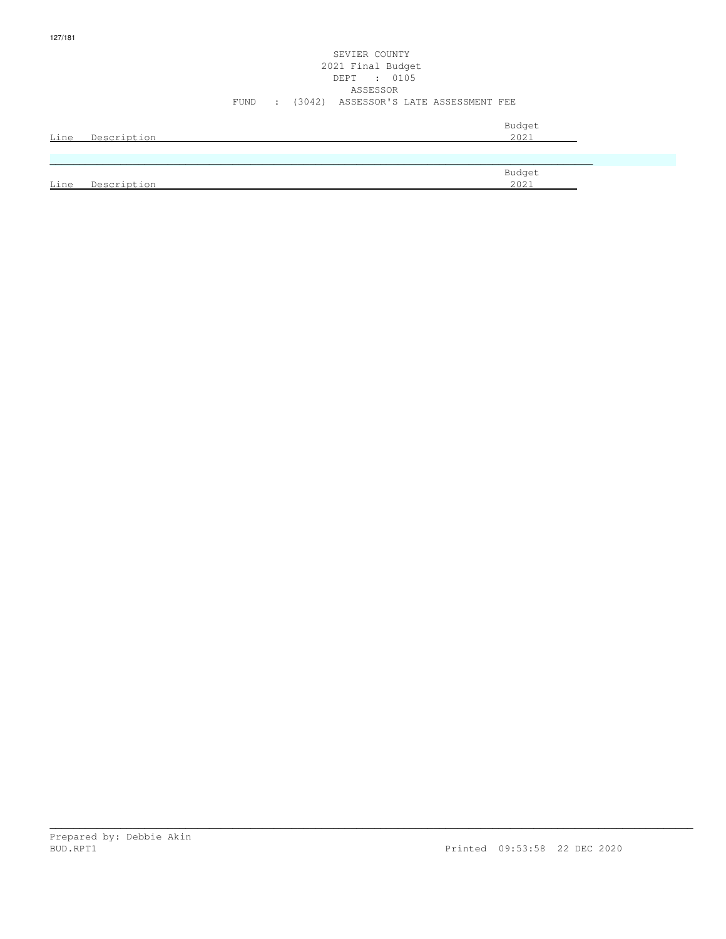## SEVIER COUNTY 2021 Final Budget DEPT : 0105 ASSESSOR FUND : (3042) ASSESSOR'S LATE ASSESSMENT FEE

| <u>Line</u> | Description | Budget<br>2021 |
|-------------|-------------|----------------|
|             |             |                |
| Line        | Description | Budget<br>2021 |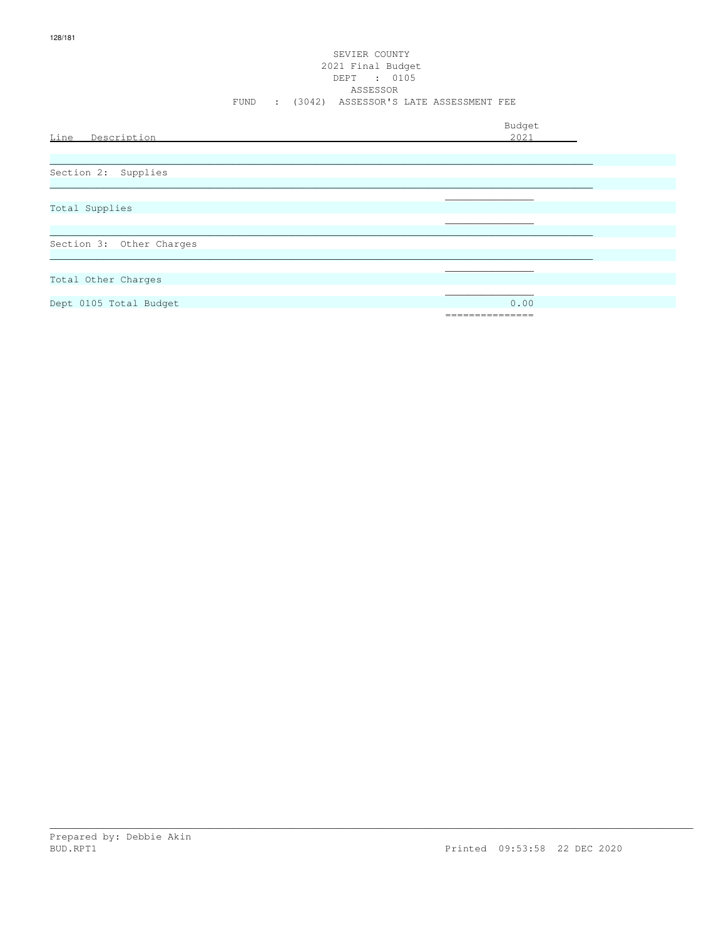#### SEVIER COUNTY 2021 Final Budget DEPT : 0105 ASSESSOR FUND : (3042) ASSESSOR'S LATE ASSESSMENT FEE

|                          | Budget          |
|--------------------------|-----------------|
| Line Description         | 2021            |
|                          |                 |
|                          |                 |
| Section 2: Supplies      |                 |
|                          |                 |
|                          |                 |
| Total Supplies           |                 |
|                          |                 |
|                          |                 |
| Section 3: Other Charges |                 |
|                          |                 |
|                          |                 |
| Total Other Charges      |                 |
|                          |                 |
| Dept 0105 Total Budget   | 0.00            |
|                          | =============== |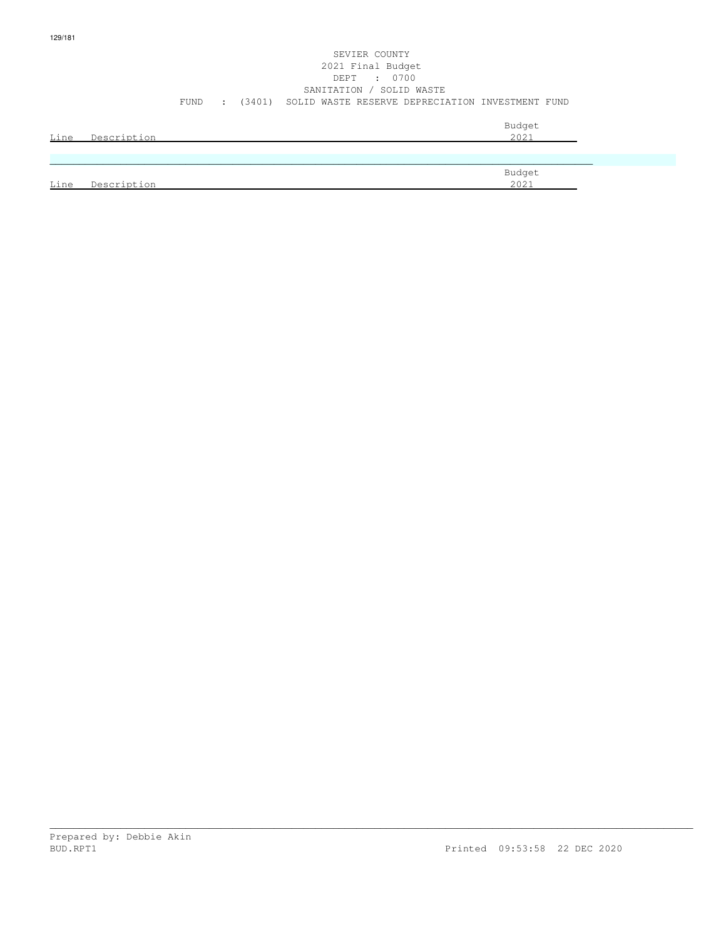#### SEVIER COUNTY 2021 Final Budget DEPT : 0700 SANITATION / SOLID WASTE FUND : (3401) SOLID WASTE RESERVE DEPRECIATION INVESTMENT FUND

|      | Line Description | Budget<br>2021 |
|------|------------------|----------------|
|      |                  |                |
| Line | Description      | Budget<br>2021 |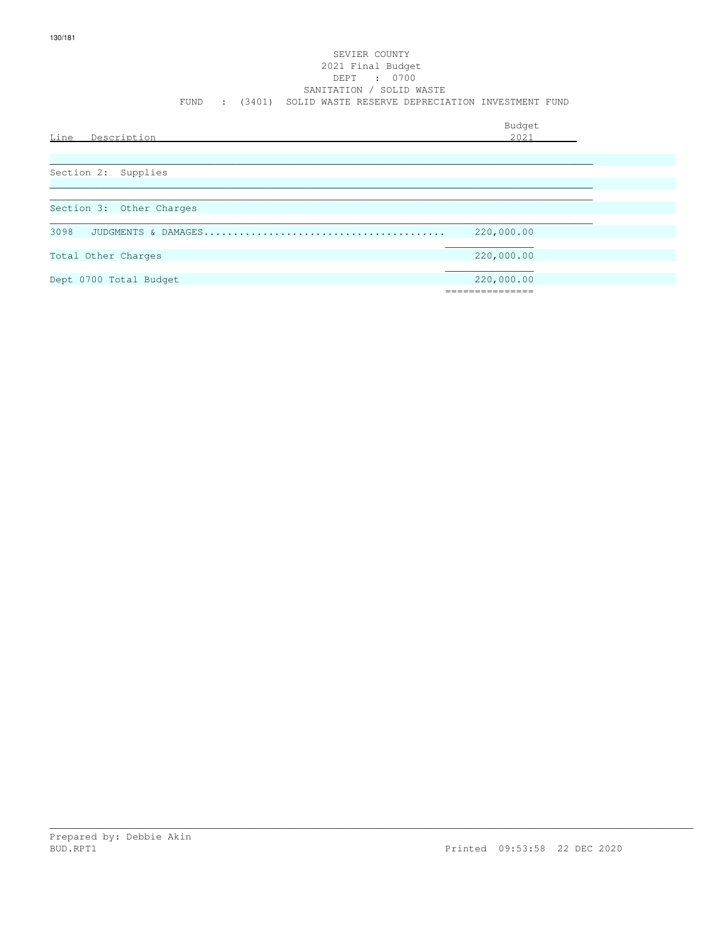#### SEVIER COUNTY 2021 Final Budget DEPT : 0700 SANITATION / SOLID WASTE FUND : (3401) SOLID WASTE RESERVE DEPRECIATION INVESTMENT FUND

| Description<br>Line      | Budget<br>2021 |
|--------------------------|----------------|
| Section 2: Supplies      |                |
| Section 3: Other Charges |                |
| 3098                     | 220,000.00     |
| Total Other Charges      | 220,000.00     |
| Dept 0700 Total Budget   | 220,000.00     |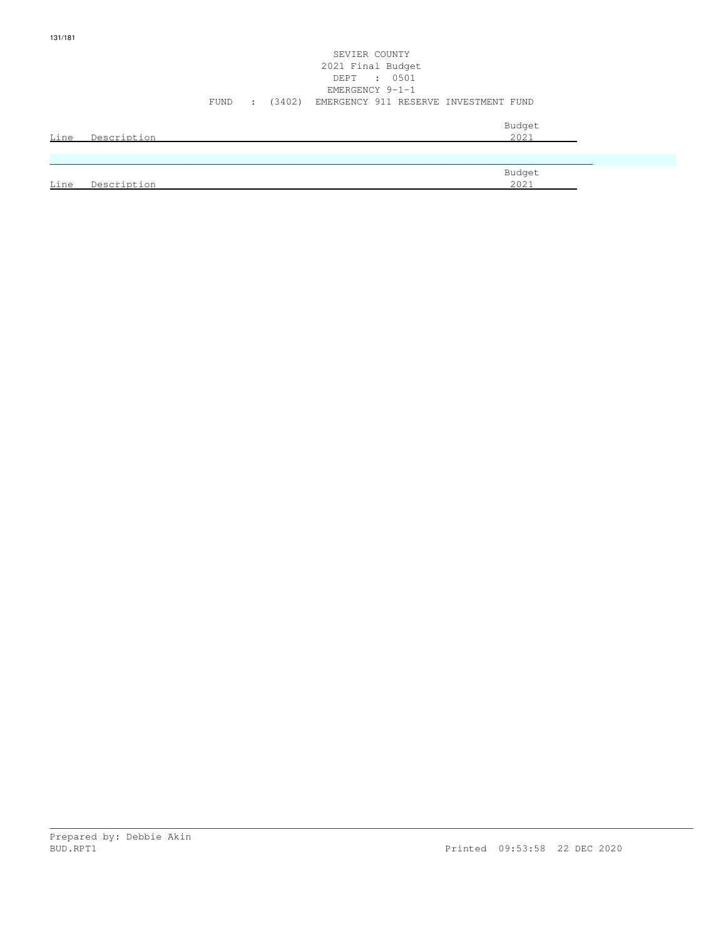## SEVIER COUNTY 2021 Final Budget DEPT : 0501 EMERGENCY 9-1-1 FUND : (3402) EMERGENCY 911 RESERVE INVESTMENT FUND

| Line | Description | Budget<br>2021 |
|------|-------------|----------------|
|      |             |                |
| Line | Description | Budget<br>2021 |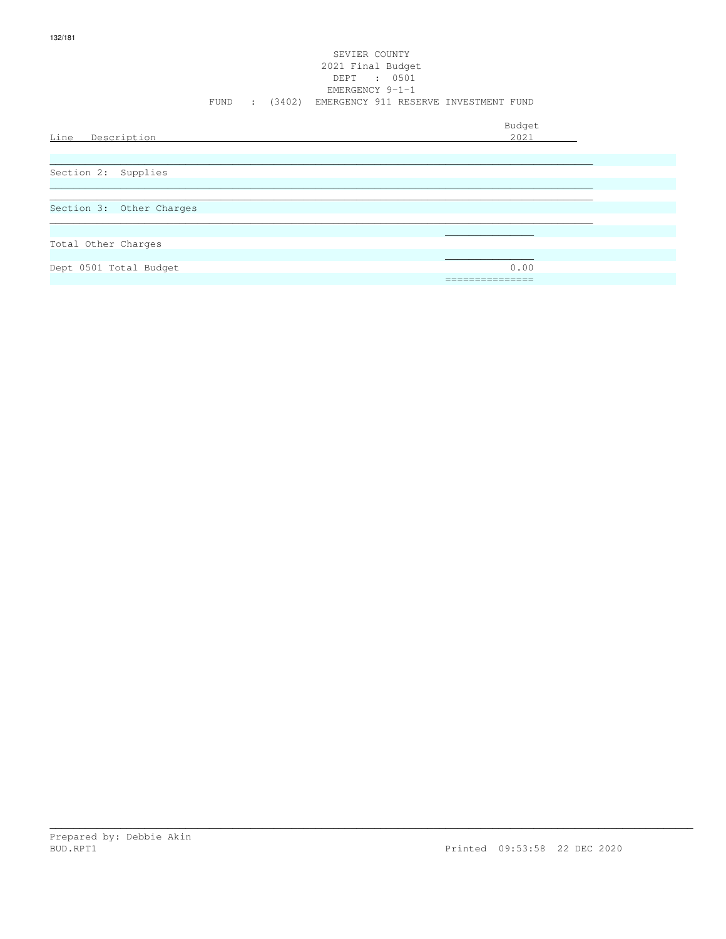#### SEVIER COUNTY 2021 Final Budget DEPT : 0501 EMERGENCY 9-1-1 FUND : (3402) EMERGENCY 911 RESERVE INVESTMENT FUND

Budget is a state of the state of the state of the state of the state of the state of the state of the state of the state of the state of the state of the state of the state of the state of the state of the state of the st Line Description 2021 \_\_\_\_\_\_\_\_\_\_\_\_\_\_\_\_\_\_\_\_\_\_\_\_\_\_\_\_\_\_\_\_\_\_\_\_\_\_\_\_\_\_\_\_\_\_\_\_\_\_\_\_\_\_\_\_\_\_\_\_\_\_\_\_\_\_\_\_\_\_\_\_\_\_\_\_\_\_\_\_\_\_\_\_\_\_\_\_\_\_\_\_ Section 2: Supplies  $\ldots$  . The contribution of the contribution of the contribution of the contribution of the contribution of the contribution of the contribution of the contribution of the contribution of the contribution of the contribut \_\_\_\_\_\_\_\_\_\_\_\_\_\_\_\_\_\_\_\_\_\_\_\_\_\_\_\_\_\_\_\_\_\_\_\_\_\_\_\_\_\_\_\_\_\_\_\_\_\_\_\_\_\_\_\_\_\_\_\_\_\_\_\_\_\_\_\_\_\_\_\_\_\_\_\_\_\_\_\_\_\_\_\_\_\_\_\_\_\_\_\_ Section 3: Other Charges \_\_\_\_\_\_\_\_\_\_\_\_\_\_\_\_\_\_\_\_\_\_\_\_\_\_\_\_\_\_\_\_\_\_\_\_\_\_\_\_\_\_\_\_\_\_\_\_\_\_\_\_\_\_\_\_\_\_\_\_\_\_\_\_\_\_\_\_\_\_\_\_\_\_\_\_\_\_\_\_\_\_\_\_\_\_\_\_\_\_\_\_  $\mathcal{L}_\text{max}$  , and the set of the set of the set of the set of the set of the set of the set of the set of the set of the set of the set of the set of the set of the set of the set of the set of the set of the set of the Total Other Charges  $\mathcal{L}_\text{max}$  , and the contract of the contract of the contract of the contract of the contract of the contract of the contract of the contract of the contract of the contract of the contract of the contract of the contr Dept 0501 Total Budget 0.00 ===============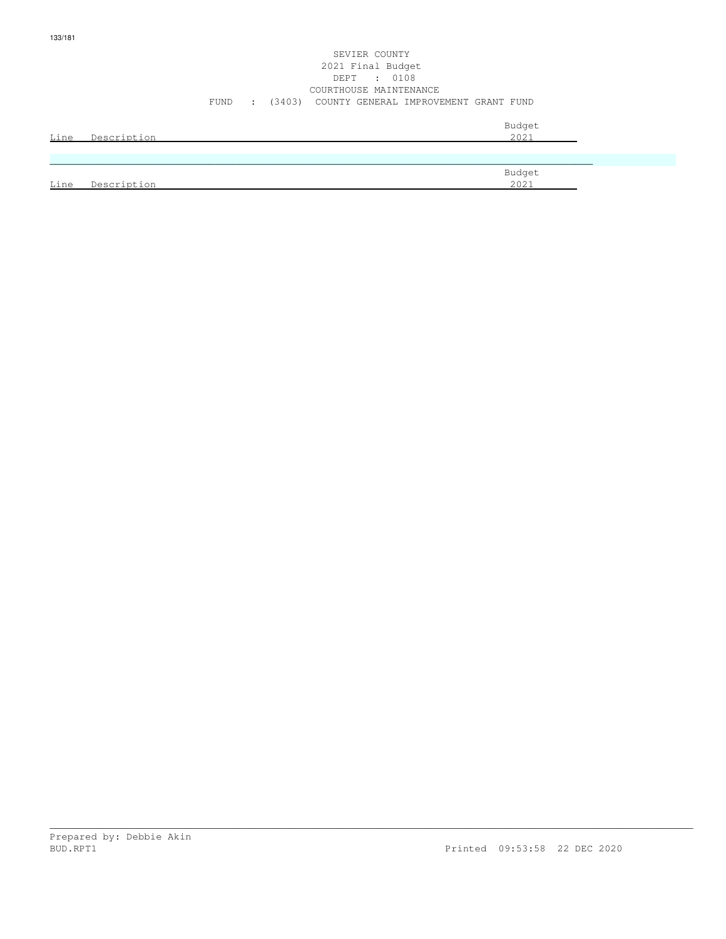#### SEVIER COUNTY 2021 Final Budget DEPT : 0108 COURTHOUSE MAINTENANCE FUND : (3403) COUNTY GENERAL IMPROVEMENT GRANT FUND

|      | Line Description | Budget<br>2021 |
|------|------------------|----------------|
|      |                  |                |
| Line | Description      | Budget<br>2021 |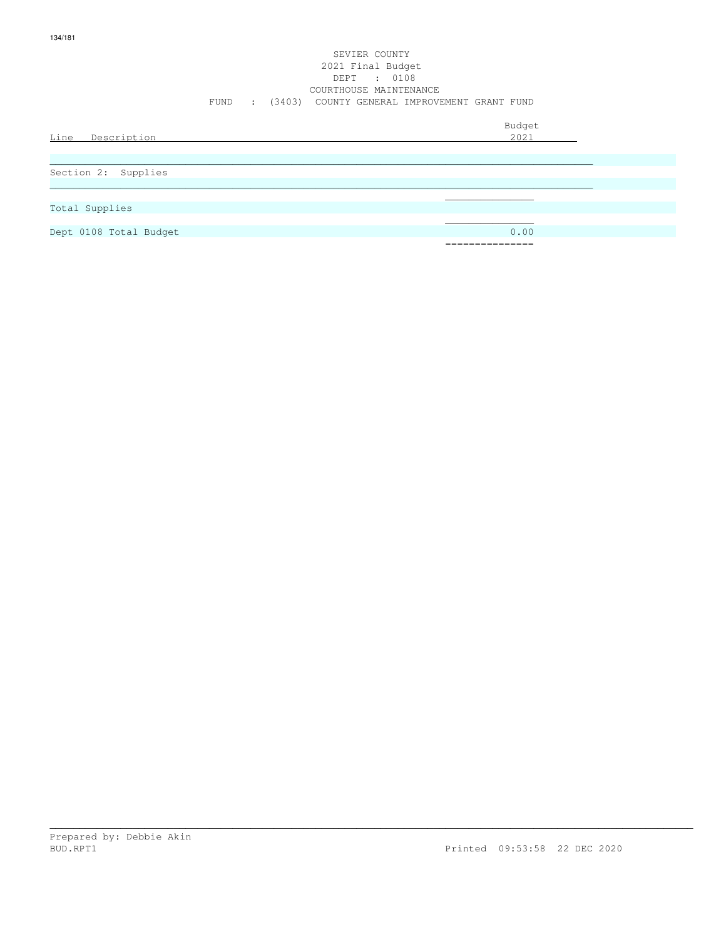#### SEVIER COUNTY 2021 Final Budget DEPT : 0108 COURTHOUSE MAINTENANCE FUND : (3403) COUNTY GENERAL IMPROVEMENT GRANT FUND

| Line Description       | Budget<br>2021              |
|------------------------|-----------------------------|
| Section 2: Supplies    |                             |
| Total Supplies         |                             |
| Dept 0108 Total Budget | 0.00                        |
|                        | ______________<br>_________ |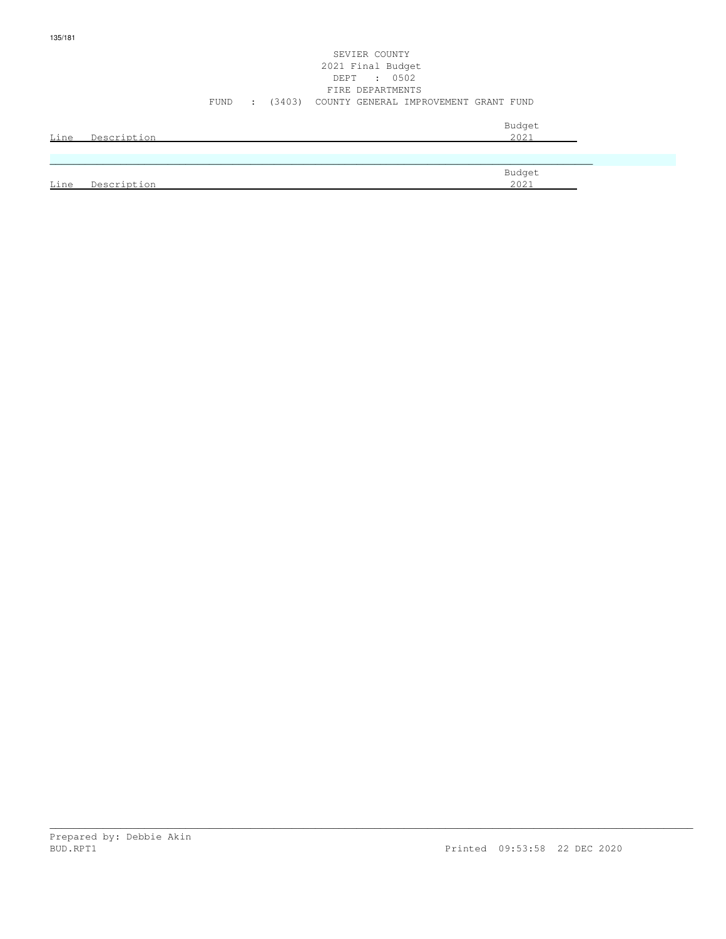#### SEVIER COUNTY 2021 Final Budget DEPT : 0502 FIRE DEPARTMENTS FUND : (3403) COUNTY GENERAL IMPROVEMENT GRANT FUND

|      | Line Description | Budget<br>2021 |
|------|------------------|----------------|
|      |                  |                |
| Line | Description      | Budget<br>2021 |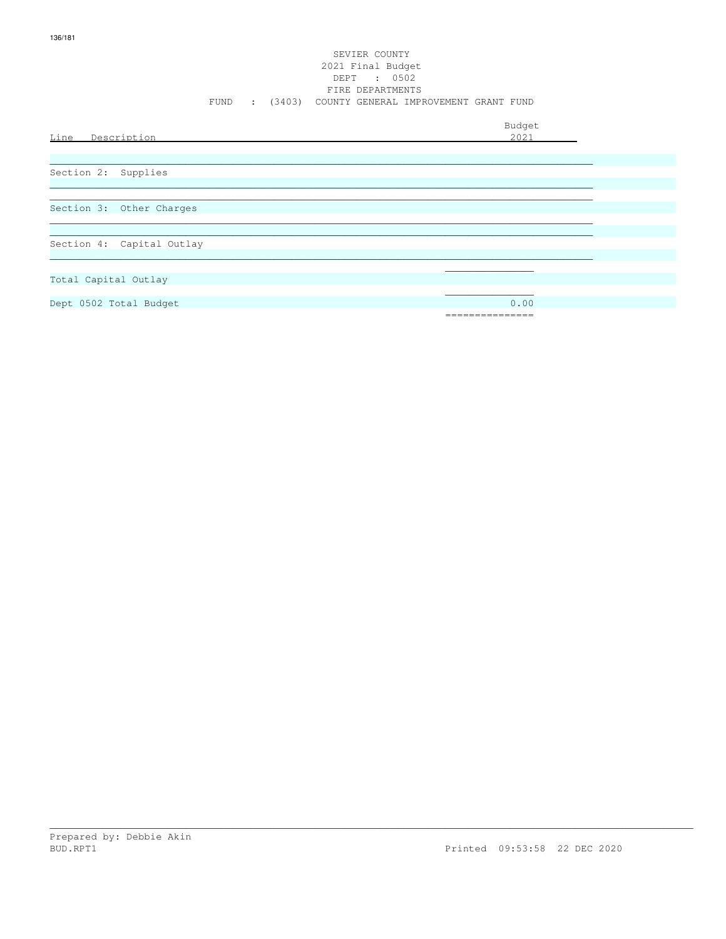#### SEVIER COUNTY 2021 Final Budget DEPT : 0502 FIRE DEPARTMENTS FUND : (3403) COUNTY GENERAL IMPROVEMENT GRANT FUND

Budget Line Description 2021 Section 2: Supplies Section 3: Other Charges Section 4: Capital Outlay Total Capital Outlay

Dept 0502 Total Budget

 $0.00$ 

===============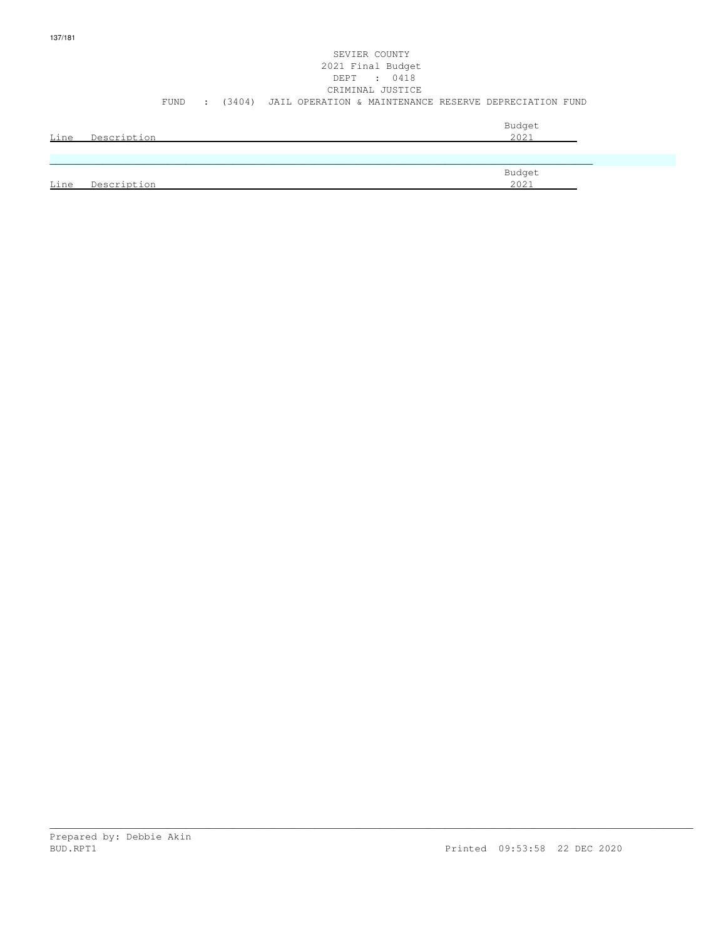### SEVIER COUNTY 2021 Final Budget DEPT : 0418 CRIMINAL JUSTICE FUND : (3404) JAIL OPERATION & MAINTENANCE RESERVE DEPRECIATION FUND Budget is a state of the state of the state of the state of the state of the state of the state of the state of the state of the state of the state of the state of the state of the state of the state of the state of the st Line Description 2021

| Budget        |
|---------------|
| 20121<br>2021 |
|               |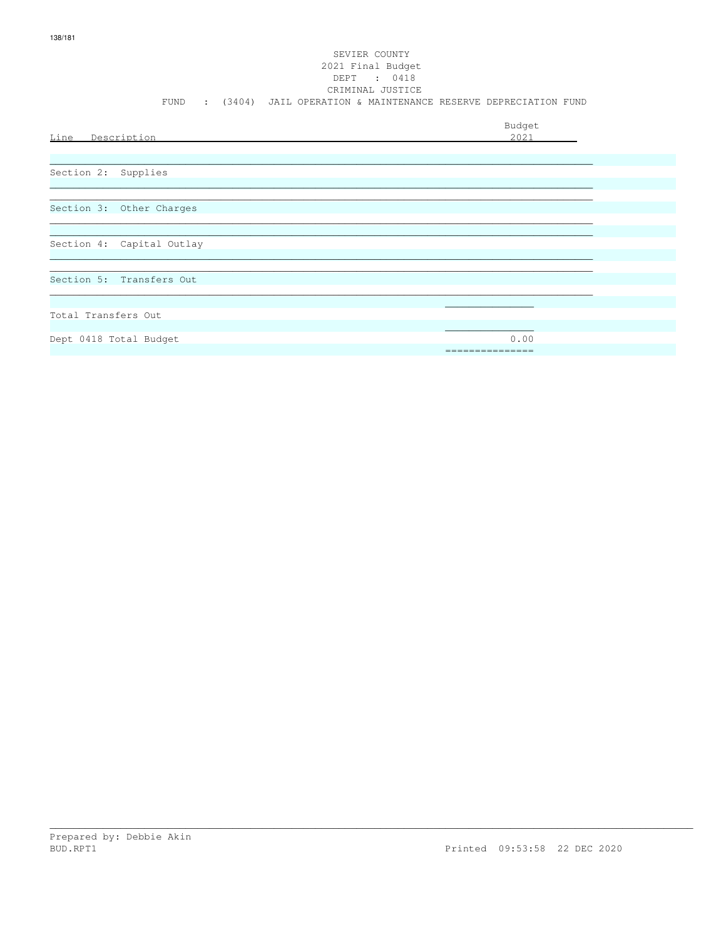# SEVIER COUNTY 2021 Final Budget DEPT : 0418<br>CRIMINAL JUSTICE FUND : (3404) JAIL OPERATION & MAINTENANCE RESERVE DEPRECIATION FUND Budget Line Description  $2021$

Section 3: Other Charges

Section 4: Capital Outlay

Section 5: Transfers Out

Total Transfers Out

Dept 0418 Total Budget

Prepared by: Debbie Akin BUD.RPT1

 $0.00$ 

===============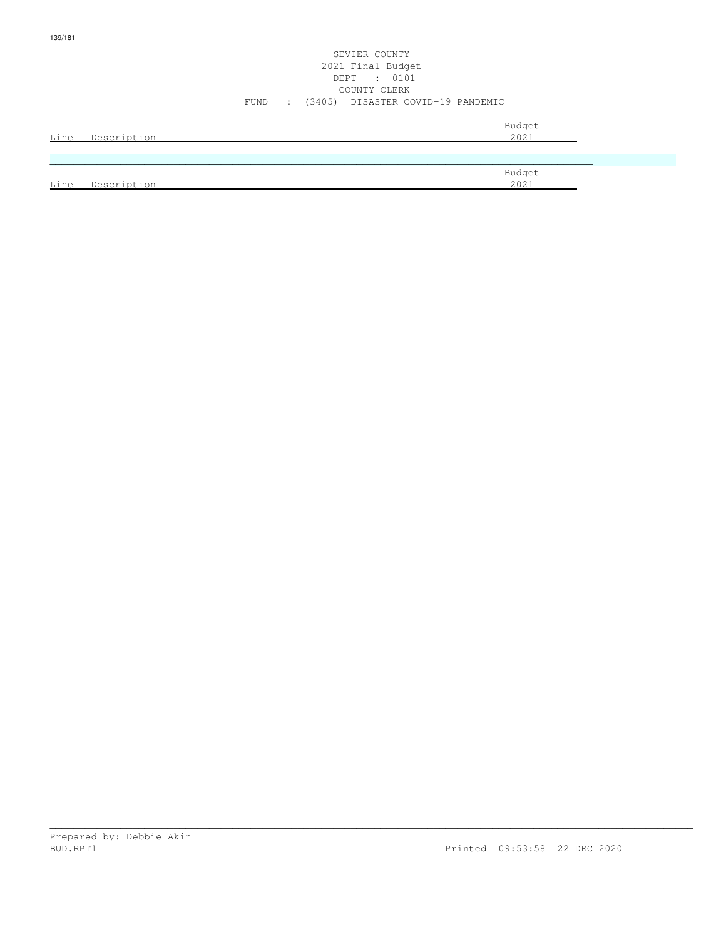#### SEVIER COUNTY 2021 Final Budget DEPT : 0101 COUNTY CLERK FUND : (3405) DISASTER COVID-19 PANDEMIC

| Line | Description | Budget<br>2021 |
|------|-------------|----------------|
|      |             |                |
|      |             | Budget         |
| Line | Description | 2021           |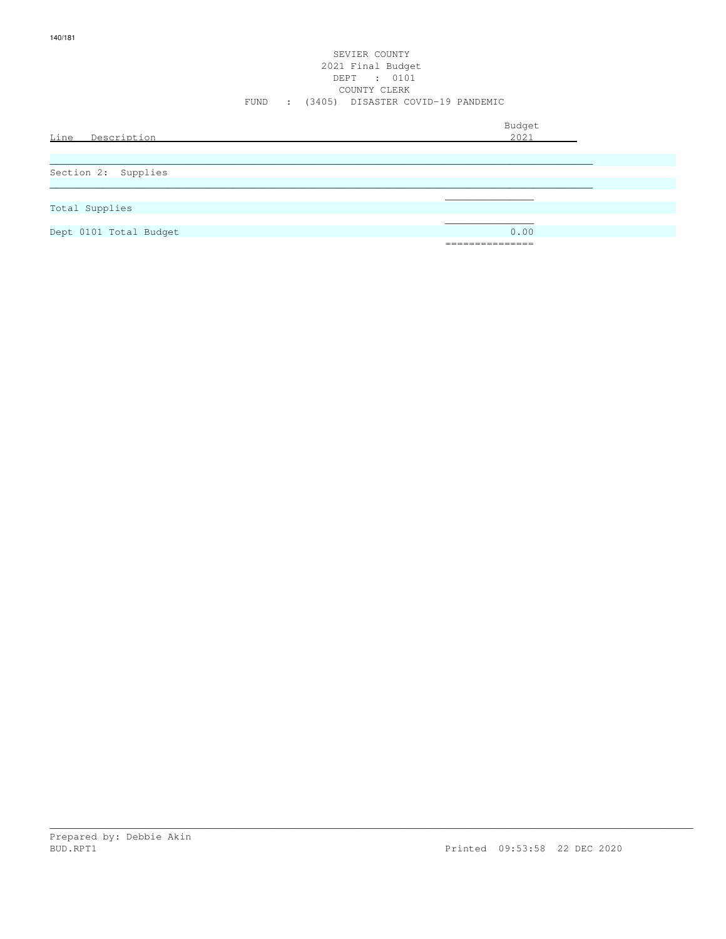#### SEVIER COUNTY 2021 Final Budget DEPT : 0101 COUNTY CLERK FUND : (3405) DISASTER COVID-19 PANDEMIC

| Line Description       | Budget<br>2021                |
|------------------------|-------------------------------|
|                        |                               |
| Section 2: Supplies    |                               |
|                        |                               |
| Total Supplies         |                               |
| Dept 0101 Total Budget | 0.00                          |
|                        | ______________<br>----------- |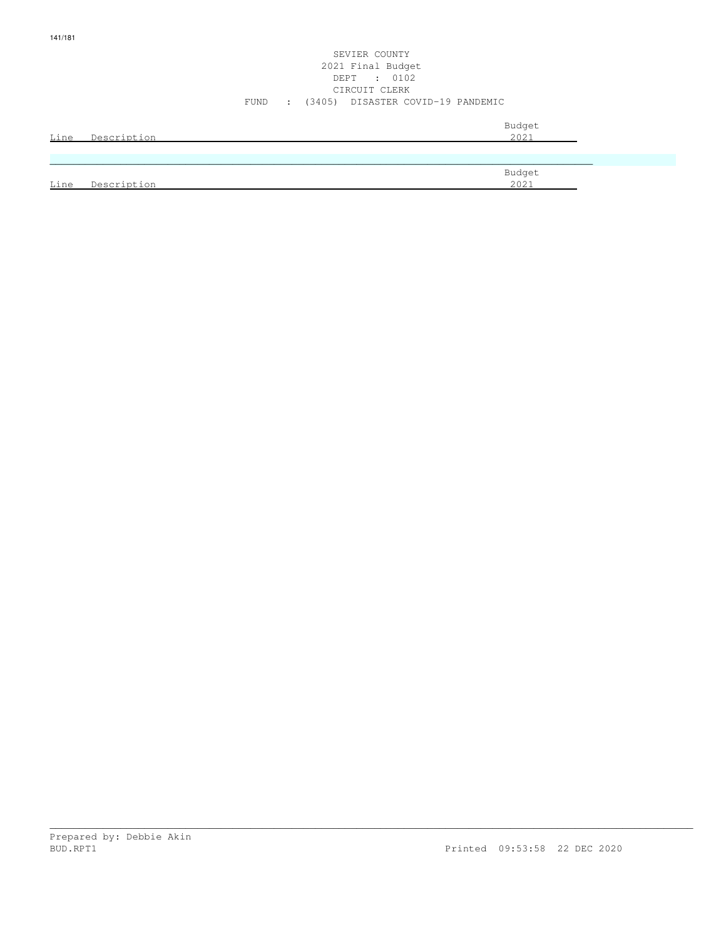#### SEVIER COUNTY 2021 Final Budget DEPT : 0102 CIRCUIT CLERK FUND : (3405) DISASTER COVID-19 PANDEMIC

| Line | Description | Budget<br>2021 |
|------|-------------|----------------|
|      |             |                |
|      |             | Budget         |
| Line | Description | 2021           |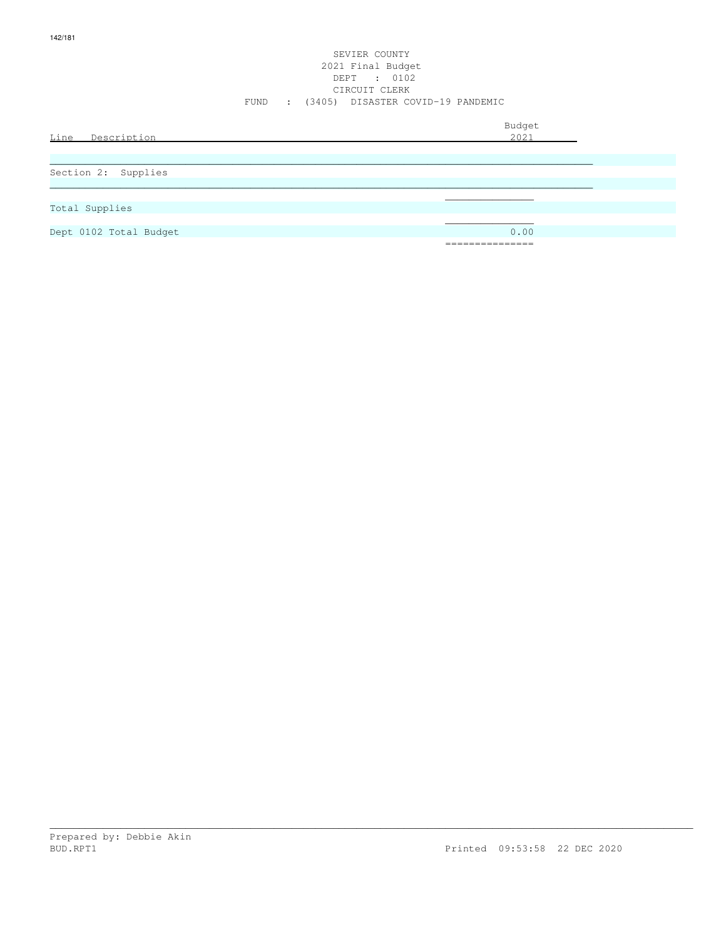#### SEVIER COUNTY 2021 Final Budget DEPT : 0102 CIRCUIT CLERK FUND : (3405) DISASTER COVID-19 PANDEMIC

| Line<br>Description    | Budget<br>2021  |
|------------------------|-----------------|
| Section 2: Supplies    |                 |
| Total Supplies         |                 |
| Dept 0102 Total Budget | 0.00            |
|                        | =============== |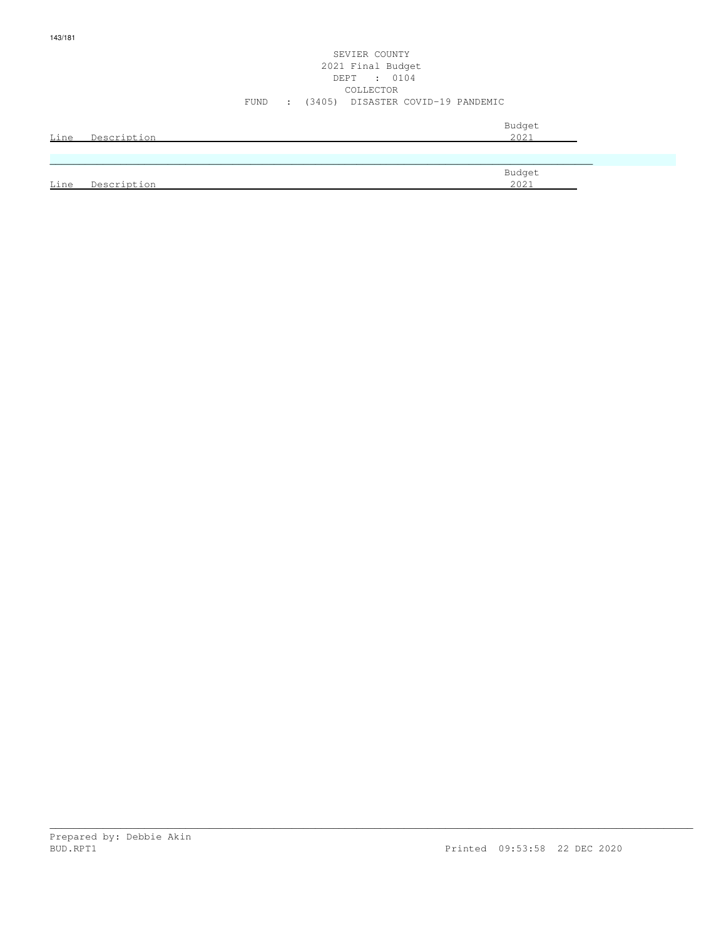#### SEVIER COUNTY 2021 Final Budget DEPT : 0104 COLLECTOR FUND : (3405) DISASTER COVID-19 PANDEMIC

| <u>Line</u> | Description | Budget<br>2021 |
|-------------|-------------|----------------|
|             |             |                |
|             |             | Budget         |
| <u>Line</u> | Description | 2021           |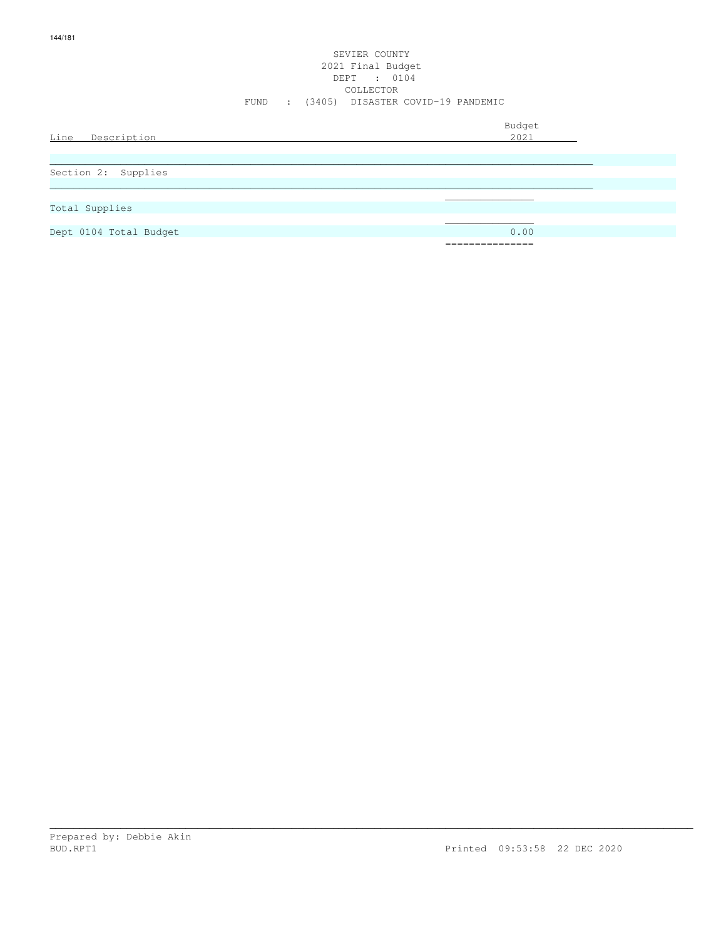#### SEVIER COUNTY 2021 Final Budget DEPT : 0104 COLLECTOR FUND : (3405) DISASTER COVID-19 PANDEMIC

| Line Description       | Budget<br>2021                       |
|------------------------|--------------------------------------|
| Section 2: Supplies    |                                      |
| Total Supplies         |                                      |
| Dept 0104 Total Budget | 0.00<br>-----------<br>------------- |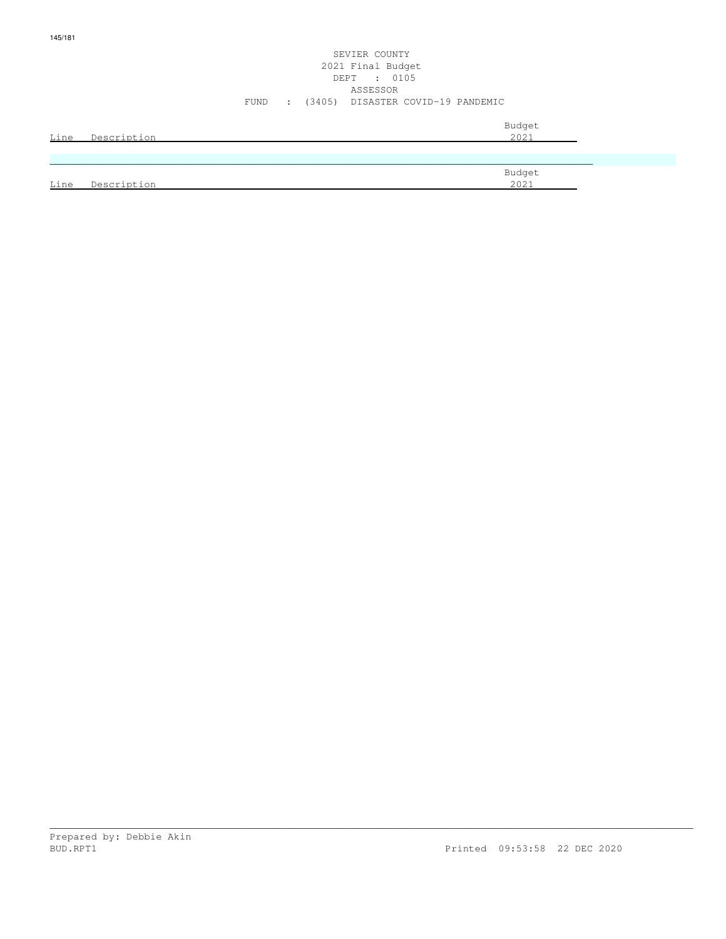# SEVIER COUNTY 2021 Final Budget DEPT : 0105 ASSESSOR FUND : (3405) DISASTER COVID-19 PANDEMIC

|      | Line Description | Budget<br>2021 |
|------|------------------|----------------|
|      |                  |                |
|      |                  | Budget         |
| Line | Description      | 2021           |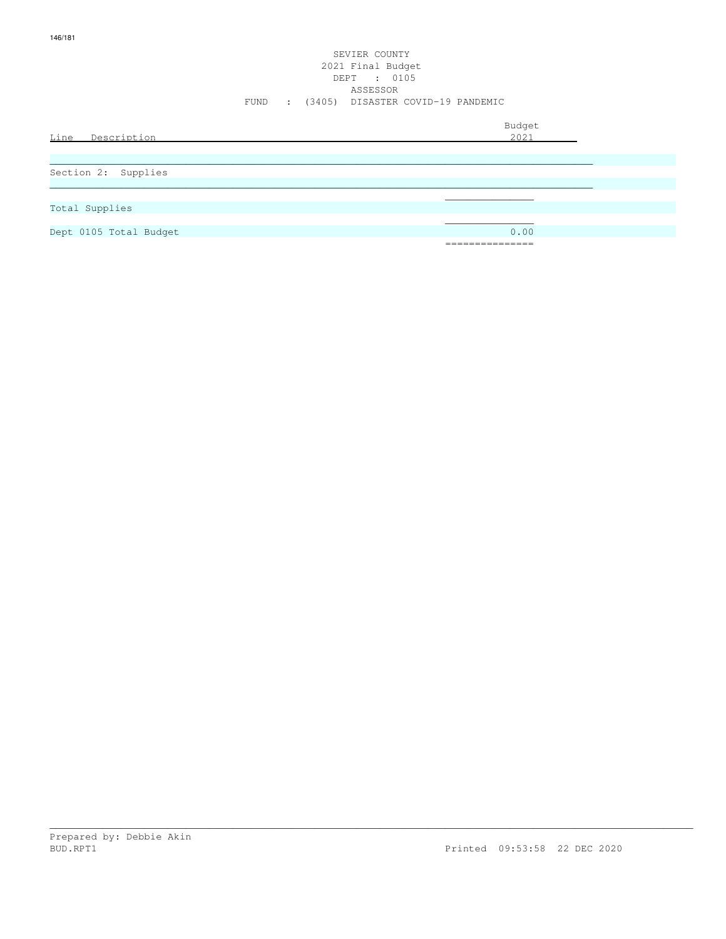# SEVIER COUNTY 2021 Final Budget DEPT : 0105 ASSESSOR FUND : (3405) DISASTER COVID-19 PANDEMIC

| Line Description       | Budget<br>2021                              |
|------------------------|---------------------------------------------|
| Section 2: Supplies    |                                             |
| Total Supplies         |                                             |
| Dept 0105 Total Budget | 0.00<br>----------<br>. _ _ _ _ _ _ _ _ _ _ |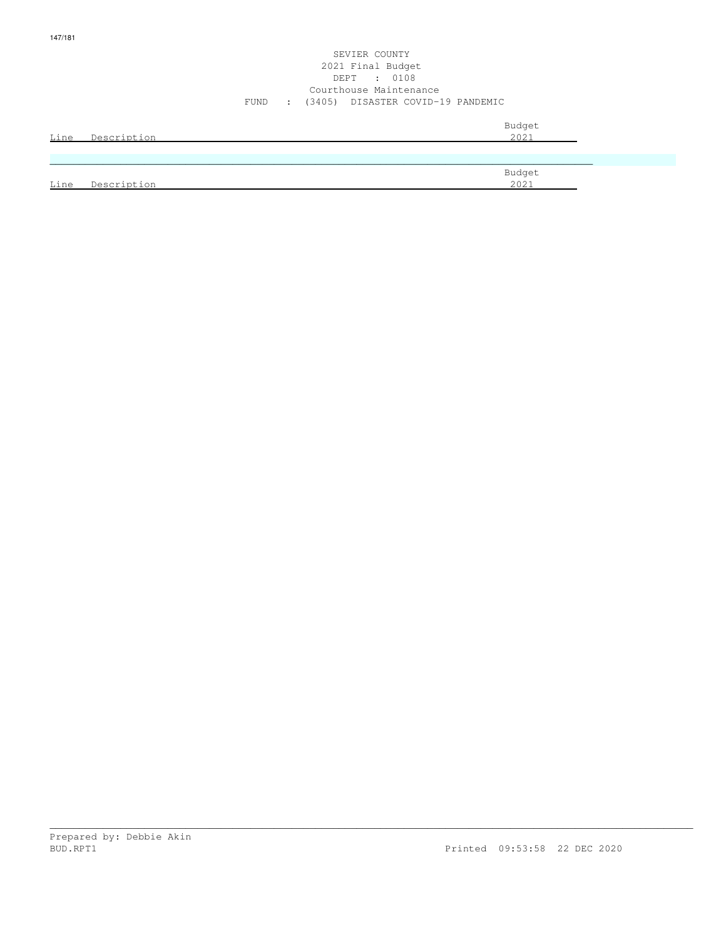## SEVIER COUNTY 2021 Final Budget DEPT : 0108 Courthouse Maintenance FUND : (3405) DISASTER COVID-19 PANDEMIC

| Line | Description | Budget<br>2021 |
|------|-------------|----------------|
|      |             |                |
| Line | Description | Budget<br>2021 |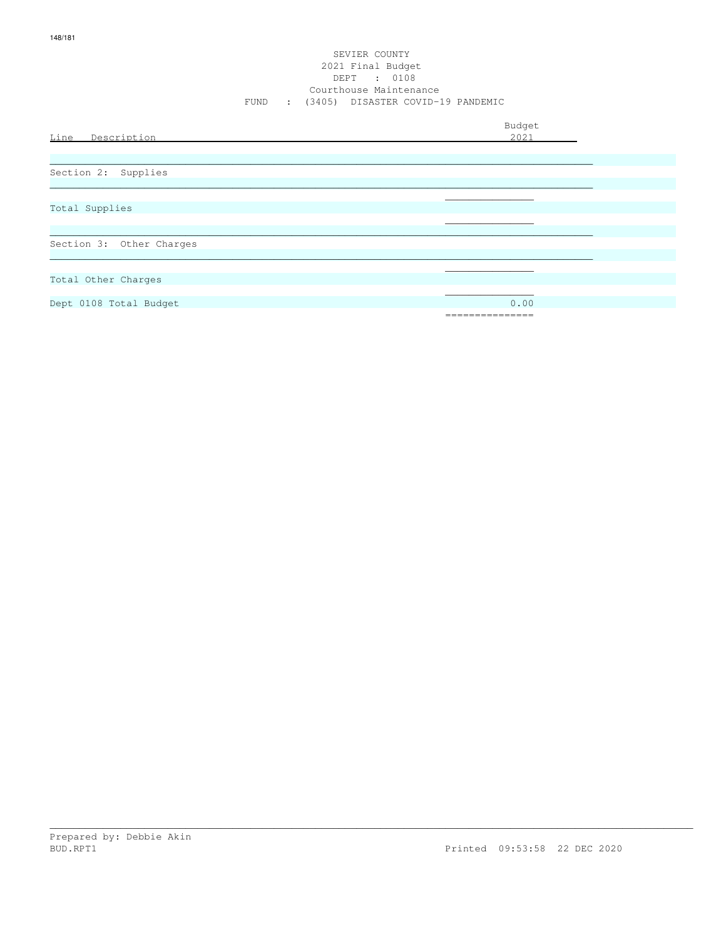## SEVIER COUNTY 2021 Final Budget DEPT : 0108 Courthouse Maintenance FUND : (3405) DISASTER COVID-19 PANDEMIC

| Line Description         | Budget<br>2021 |
|--------------------------|----------------|
|                          |                |
| Section 2: Supplies      |                |
|                          |                |
| Total Supplies           |                |
|                          |                |
|                          |                |
| Section 3: Other Charges |                |
|                          |                |
| Total Other Charges      |                |
|                          |                |
| Dept 0108 Total Budget   | 0.00           |
|                          | ============   |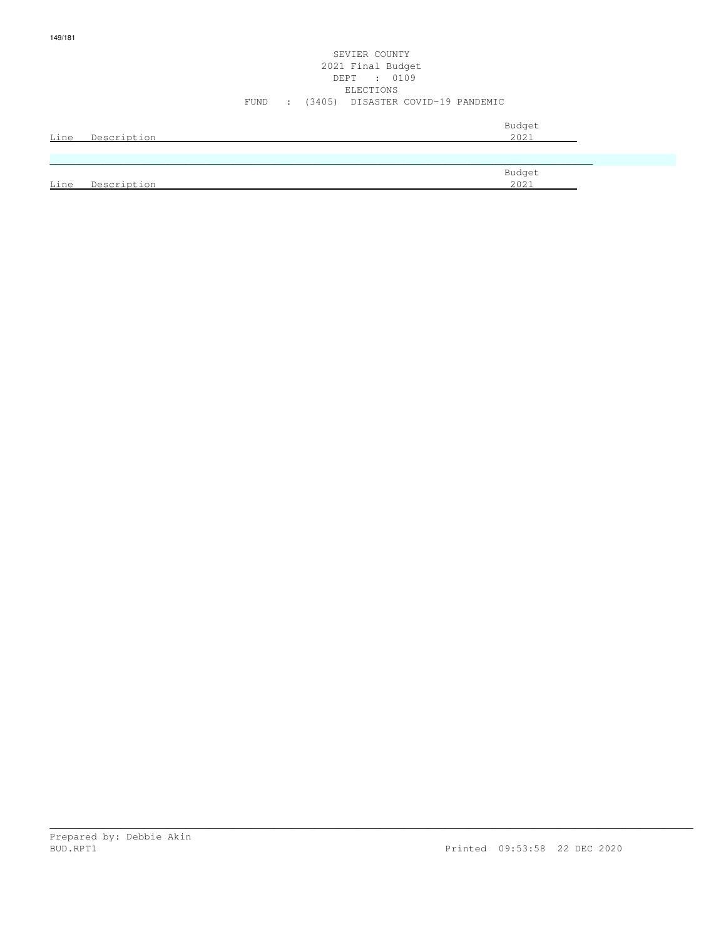# SEVIER COUNTY 2021 Final Budget DEPT : 0109 ELECTIONS FUND : (3405) DISASTER COVID-19 PANDEMIC

| Line | Description | Budget<br>2021 |
|------|-------------|----------------|
|      |             |                |
|      |             | Budget         |
| Line | Description | 2021           |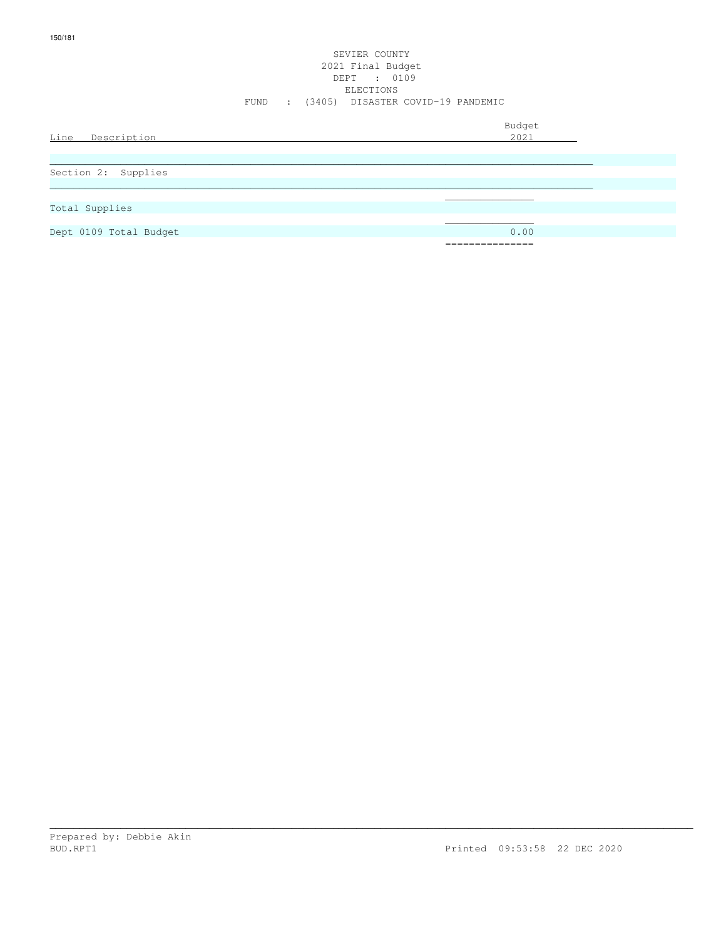## SEVIER COUNTY 2021 Final Budget DEPT : 0109 ELECTIONS FUND : (3405) DISASTER COVID-19 PANDEMIC

| Line<br>Description    | Budget<br>2021 |
|------------------------|----------------|
| Section 2: Supplies    |                |
| Total Supplies         |                |
| Dept 0109 Total Budget | 0.00           |
|                        | ============== |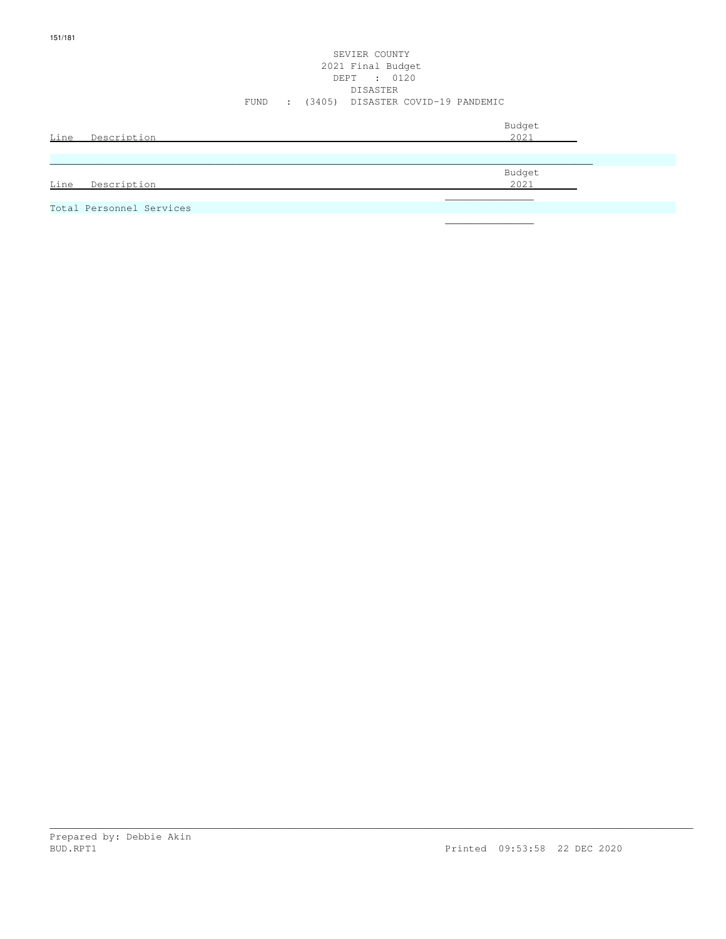# SEVIER COUNTY 2021 Final Budget DEPT : 0120 DISASTER FUND : (3405) DISASTER COVID-19 PANDEMIC

| Line<br>Description      | Budget<br>2021 |
|--------------------------|----------------|
|                          |                |
|                          | Budget         |
| Line<br>Description      | 2021           |
|                          |                |
| Total Personnel Services |                |

\_\_\_\_\_\_\_\_\_\_\_\_\_\_\_\_\_\_\_\_\_\_\_\_\_\_\_\_\_\_\_\_\_\_\_\_\_\_\_\_\_\_\_\_\_\_\_\_\_\_\_\_\_\_\_\_\_\_\_\_\_\_\_\_\_\_\_\_\_\_\_\_\_\_\_\_\_\_\_\_\_\_\_\_\_\_\_\_\_\_\_\_\_\_\_\_\_\_\_\_\_\_\_\_\_\_\_\_\_

 $\mathcal{L}_\mathcal{L}$  , we can assume that the contract of the contract of the contract of the contract of the contract of the contract of the contract of the contract of the contract of the contract of the contract of the contr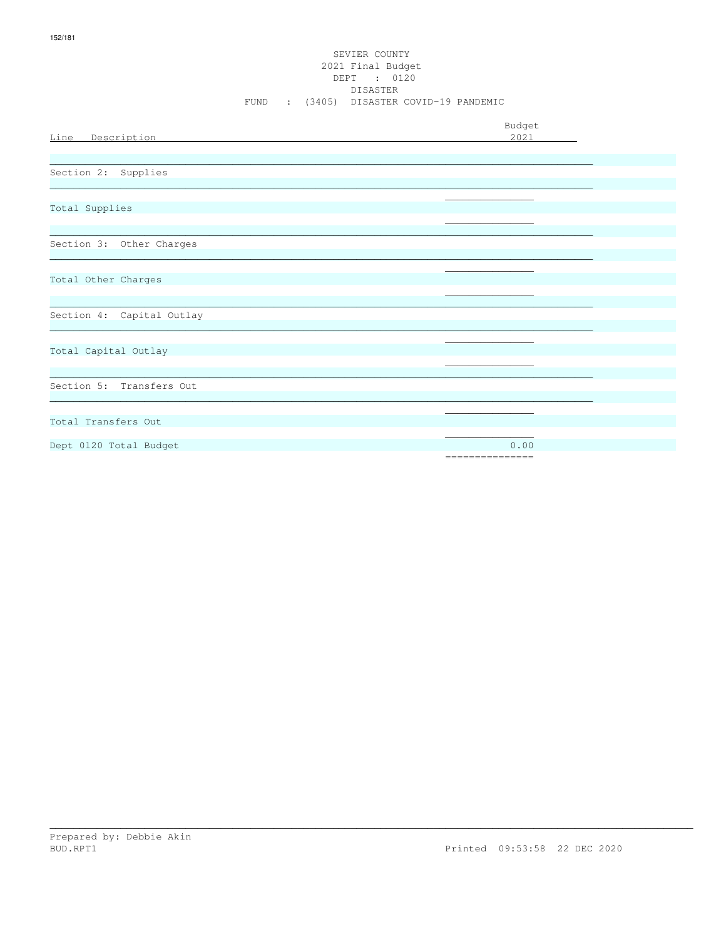## SEVIER COUNTY 2021 Final Budget DEPT : 0120 DISASTER FUND : (3405) DISASTER COVID-19 PANDEMIC

| Line Description          | Budget<br>2021           |
|---------------------------|--------------------------|
| Section 2: Supplies       |                          |
| Total Supplies            |                          |
| Section 3: Other Charges  |                          |
| Total Other Charges       |                          |
| Section 4: Capital Outlay |                          |
| Total Capital Outlay      |                          |
| Section 5: Transfers Out  |                          |
| Total Transfers Out       |                          |
| Dept 0120 Total Budget    | 0.00<br>================ |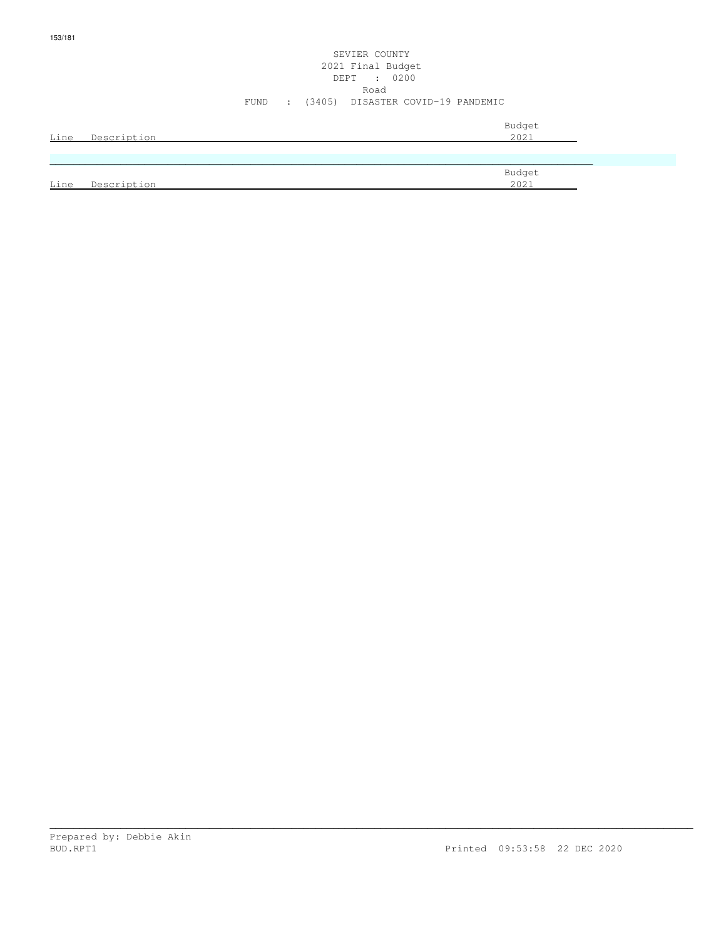# SEVIER COUNTY 2021 Final Budget DEPT : 0200 Road FUND : (3405) DISASTER COVID-19 PANDEMIC

| Line | Description | Budget<br>2021 |
|------|-------------|----------------|
|      |             |                |
|      |             | Budget         |
| Line | Description | 2021           |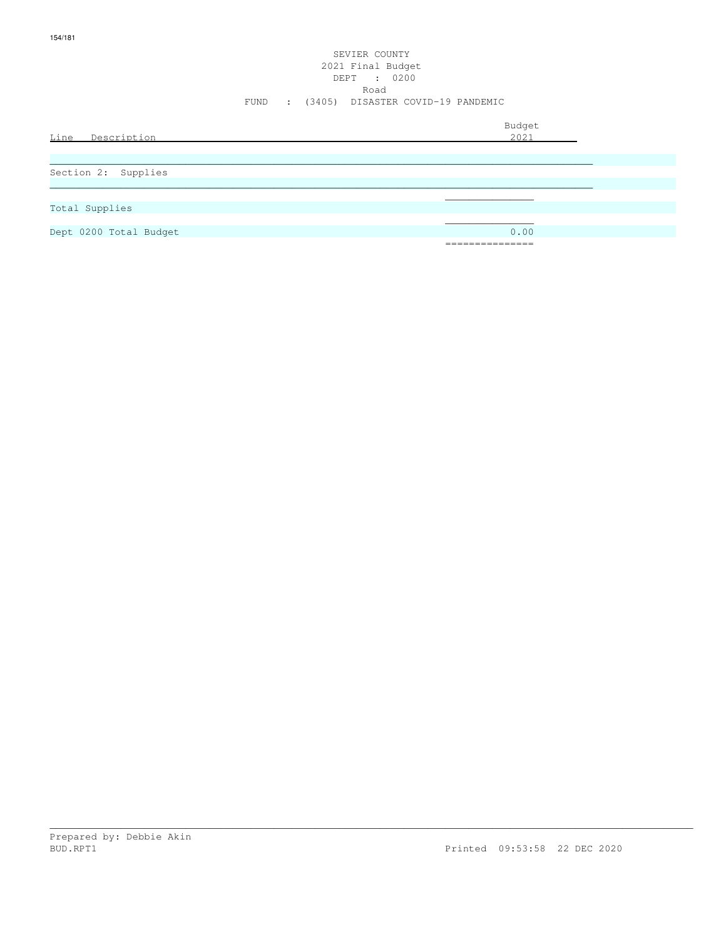# SEVIER COUNTY 2021 Final Budget DEPT : 0200 Road FUND : (3405) DISASTER COVID-19 PANDEMIC

| Line Description       | Budget<br>2021                      |
|------------------------|-------------------------------------|
| Section 2: Supplies    |                                     |
| Total Supplies         |                                     |
| Dept 0200 Total Budget | 0.00<br>_______________<br>-------- |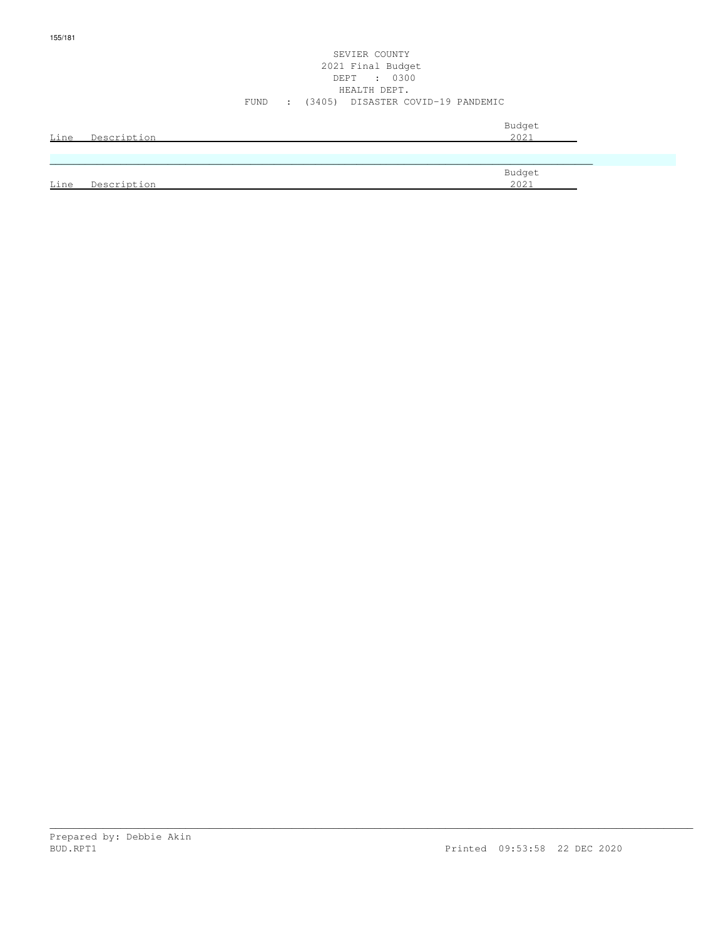## SEVIER COUNTY 2021 Final Budget DEPT : 0300 HEALTH DEPT. FUND : (3405) DISASTER COVID-19 PANDEMIC

| Line | Description | Budget<br>2021 |
|------|-------------|----------------|
|      |             |                |
| Line | Description | Budget<br>2021 |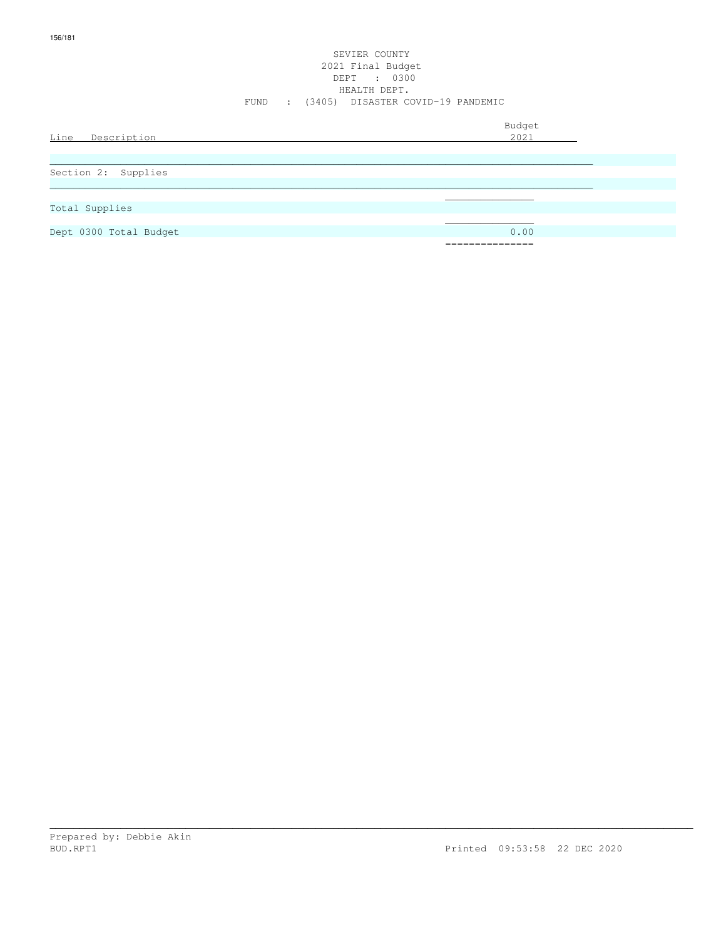## SEVIER COUNTY 2021 Final Budget DEPT : 0300 HEALTH DEPT. FUND : (3405) DISASTER COVID-19 PANDEMIC

| Line<br>Description    | Budget<br>2021                         |
|------------------------|----------------------------------------|
| Section 2: Supplies    |                                        |
| Total Supplies         |                                        |
| Dept 0300 Total Budget | 0.00<br>_______________<br>----------- |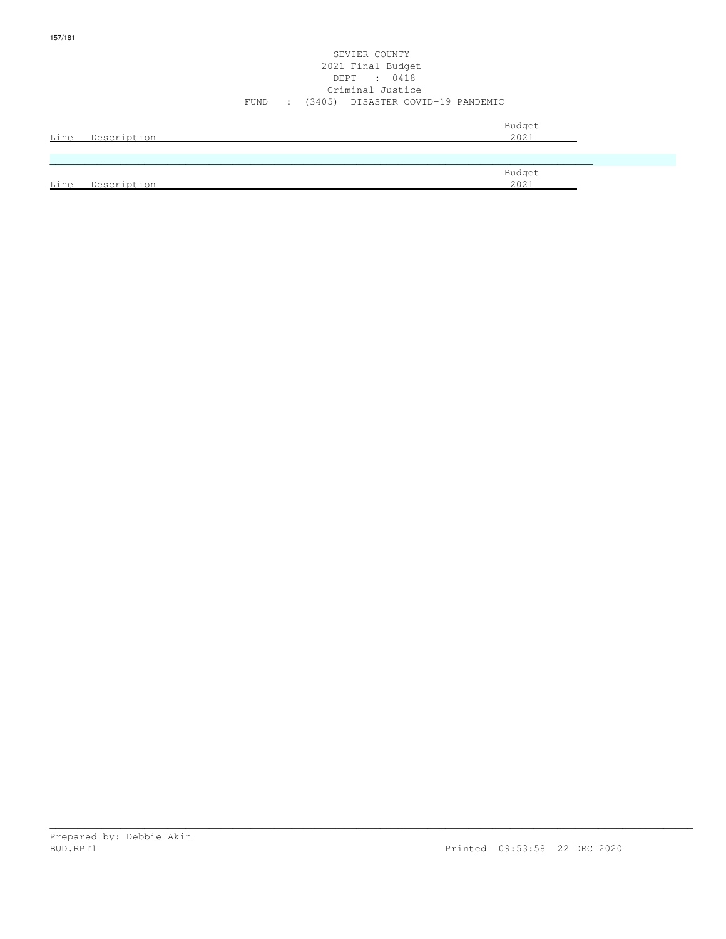## SEVIER COUNTY 2021 Final Budget DEPT : 0418 Criminal Justice FUND : (3405) DISASTER COVID-19 PANDEMIC

| Line | Description | Budget<br>2021 |
|------|-------------|----------------|
|      |             |                |
|      |             | Budget         |
| Line | Description | 2021           |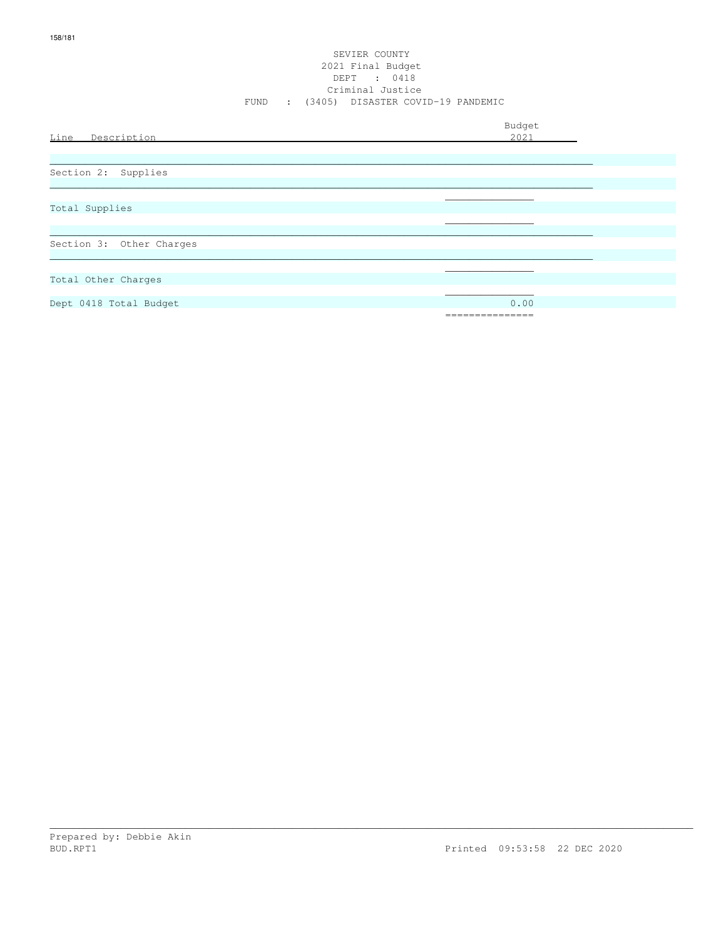## SEVIER COUNTY 2021 Final Budget DEPT : 0418 Criminal Justice FUND : (3405) DISASTER COVID-19 PANDEMIC

| Line Description         | Budget<br>2021 |
|--------------------------|----------------|
|                          |                |
| Section 2: Supplies      |                |
|                          |                |
| Total Supplies           |                |
|                          |                |
| Section 3: Other Charges |                |
| Total Other Charges      |                |
| Dept 0418 Total Budget   | 0.00           |
|                          | ------------   |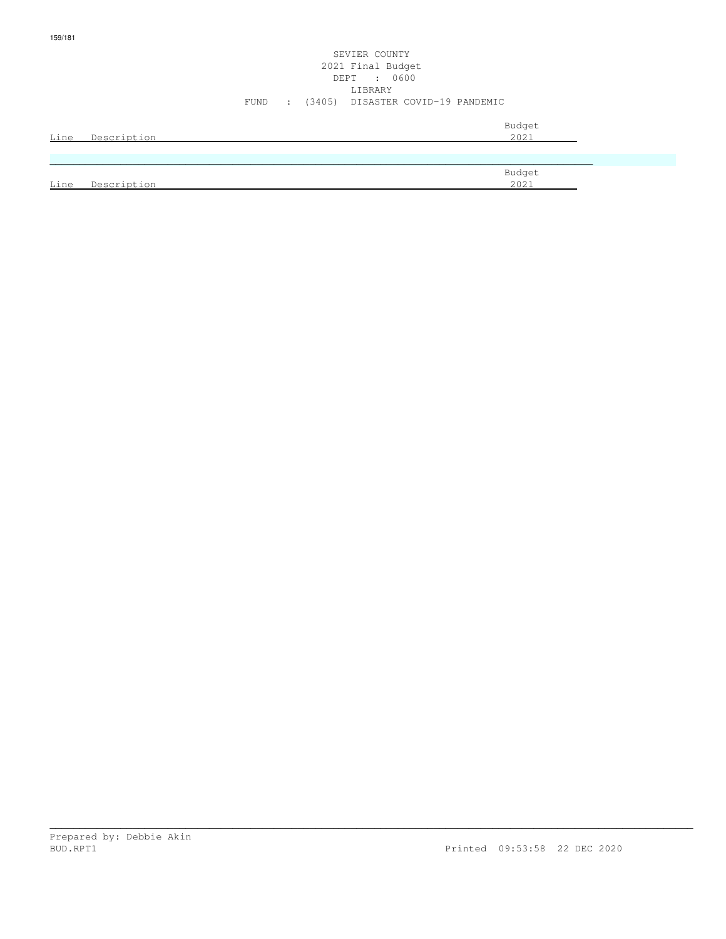# SEVIER COUNTY 2021 Final Budget DEPT : 0600 LIBRARY FUND : (3405) DISASTER COVID-19 PANDEMIC

|      | Line Description | Budget<br>2021 |
|------|------------------|----------------|
|      |                  |                |
|      |                  | Budget         |
| Line | Description      | 2021           |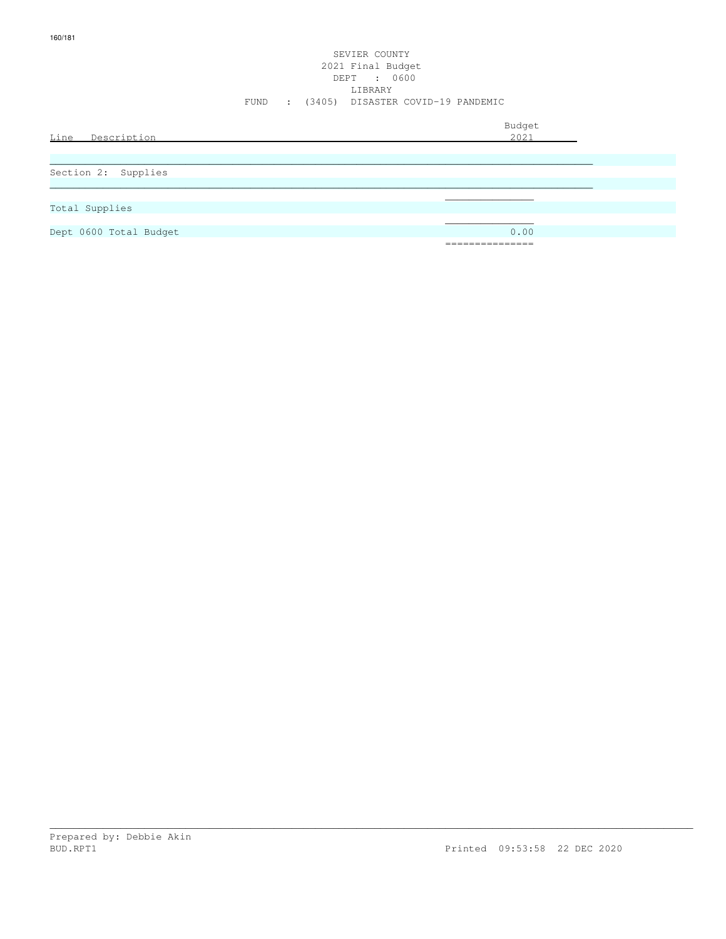# SEVIER COUNTY 2021 Final Budget DEPT : 0600 LIBRARY FUND : (3405) DISASTER COVID-19 PANDEMIC

| Line<br>Description    | Budget<br>2021                             |
|------------------------|--------------------------------------------|
| Section 2: Supplies    |                                            |
| Total Supplies         |                                            |
| Dept 0600 Total Budget | 0.00<br>_______________<br>_______________ |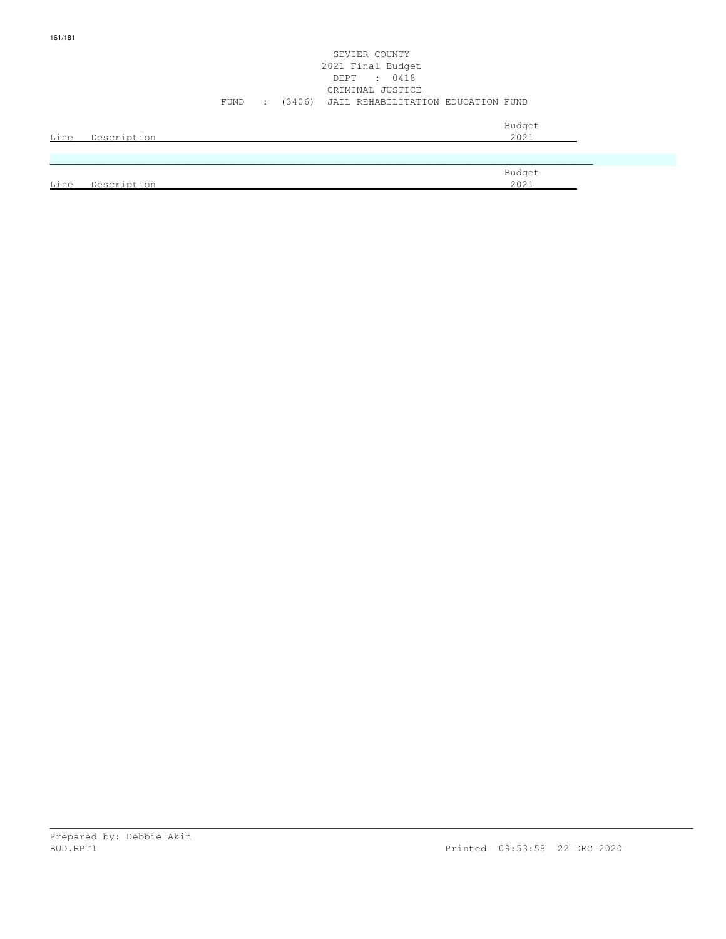# SEVIER COUNTY 2021 Final Budget DEPT : 0418 CRIMINAL JUSTICE FUND : (3406) JAIL REHABILITATION EDUCATION FUND

| <u>Line</u> | Description | Budget<br>2021 |
|-------------|-------------|----------------|
|             |             |                |
| Line        | Description | Budget<br>2021 |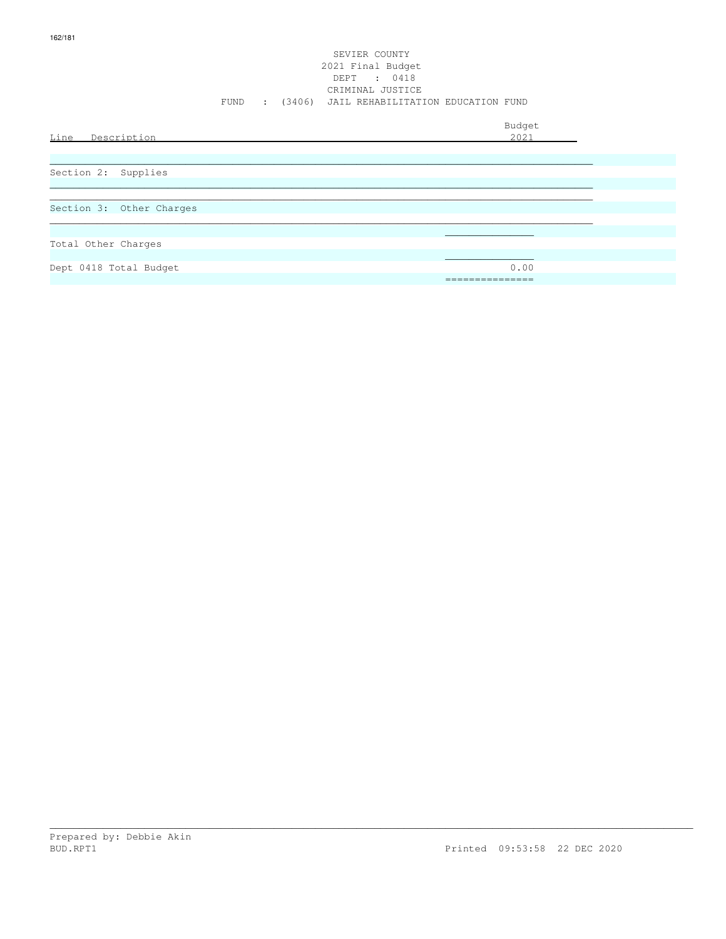## SEVIER COUNTY 2021 Final Budget DEPT : 0418 CRIMINAL JUSTICE FUND : (3406) JAIL REHABILITATION EDUCATION FUND

| Line Description         | Budget<br>2021                       |
|--------------------------|--------------------------------------|
| Section 2: Supplies      |                                      |
| Section 3: Other Charges |                                      |
| Total Other Charges      |                                      |
| Dept 0418 Total Budget   | 0.00<br>_______________<br>--------- |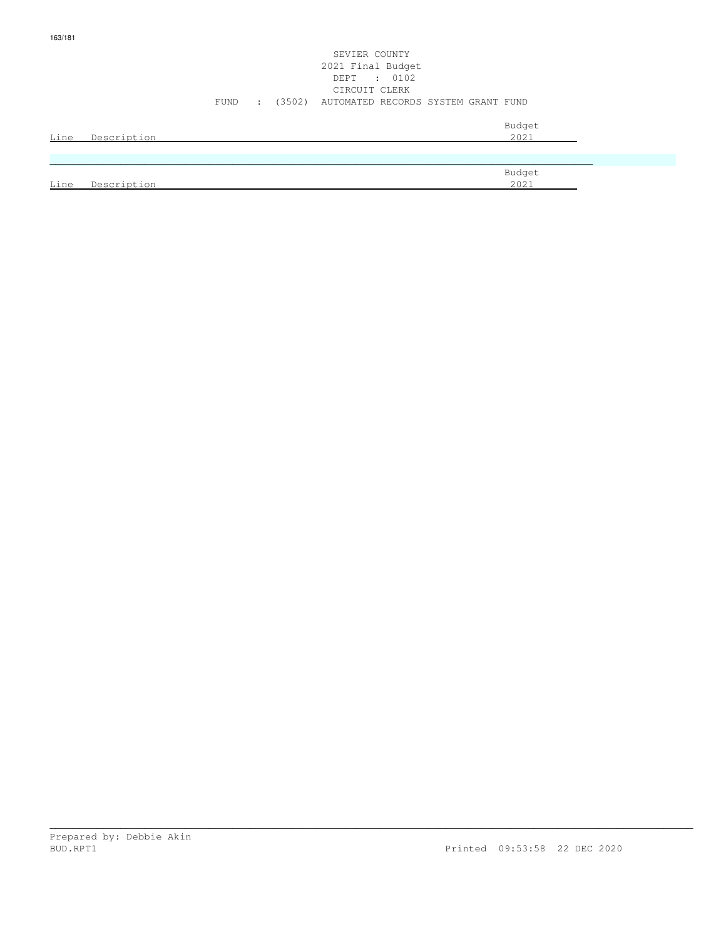# SEVIER COUNTY 2021 Final Budget DEPT : 0102 CIRCUIT CLERK FUND : (3502) AUTOMATED RECORDS SYSTEM GRANT FUND

| Line | Description | Budget<br>2021 |
|------|-------------|----------------|
|      |             |                |
|      |             |                |
| Line | Description | Budget<br>2021 |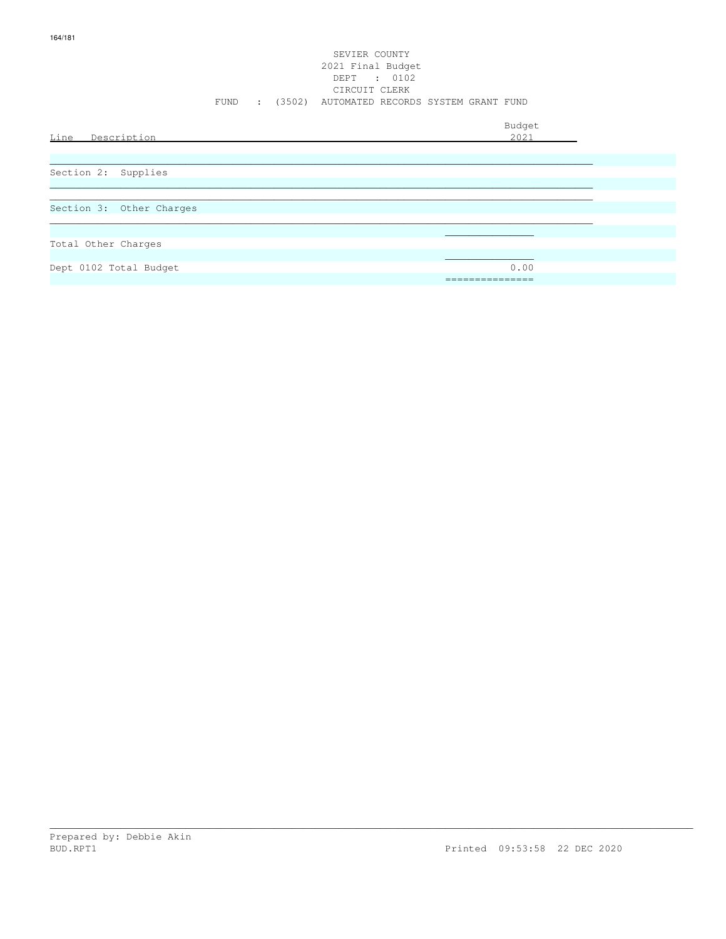# SEVIER COUNTY 2021 Final Budget DEPT : 0102 CIRCUIT CLERK FUND : (3502) AUTOMATED RECORDS SYSTEM GRANT FUND

| Line<br>Description      | Budget<br>2021          |
|--------------------------|-------------------------|
| Section 2: Supplies      |                         |
| Section 3: Other Charges |                         |
| Total Other Charges      |                         |
| Dept 0102 Total Budget   | 0.00<br>_______________ |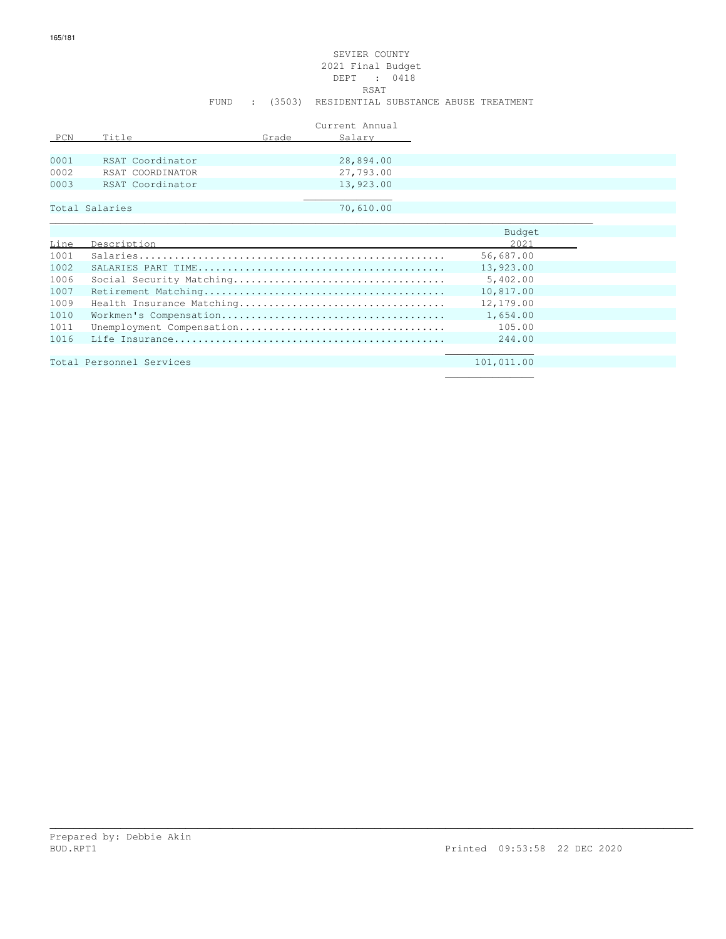# SEVIER COUNTY 2021 Final Budget DEPT : 0418<br>RSAT **RSAT** FUND : (3503) RESIDENTIAL SUBSTANCE ABUSE TREATMENT

| Current Annual |                  |       |           |
|----------------|------------------|-------|-----------|
| PCN            | Title            | Grade | Salary    |
|                |                  |       |           |
| 0001           | RSAT Coordinator |       | 28,894.00 |
| 0002           | RSAT COORDINATOR |       | 27,793.00 |
| 0003           | RSAT Coordinator |       | 13,923.00 |
|                |                  |       |           |
|                | Total Salaries   |       | 70,610.00 |

|      |             | Budget    |  |
|------|-------------|-----------|--|
| Line | Description | 2021      |  |
| 1001 |             | 56,687.00 |  |
| 1002 |             | 13,923.00 |  |
| 1006 |             | 5,402.00  |  |
| 1007 |             | 10,817.00 |  |
| 1009 |             | 12,179.00 |  |
| 1010 |             | 1,654.00  |  |
| 1011 |             | 105.00    |  |
| 1016 |             | 244.00    |  |
|      |             |           |  |

\_\_\_\_\_\_\_\_\_\_\_\_\_\_\_\_\_\_\_\_\_\_\_\_\_\_\_\_\_\_\_\_\_\_\_\_\_\_\_\_\_\_\_\_\_\_\_\_\_\_\_\_\_\_\_\_\_\_\_\_\_\_\_\_\_\_\_\_\_\_\_\_\_\_\_\_\_\_\_\_\_\_\_\_\_\_\_\_\_\_\_\_\_\_\_\_\_\_\_\_\_\_\_\_\_\_\_\_\_

Total Personnel Services 101,011.00

 $\mathcal{L}_\text{max}$  , and the contract of the contract of the contract of the contract of the contract of the contract of the contract of the contract of the contract of the contract of the contract of the contract of the contr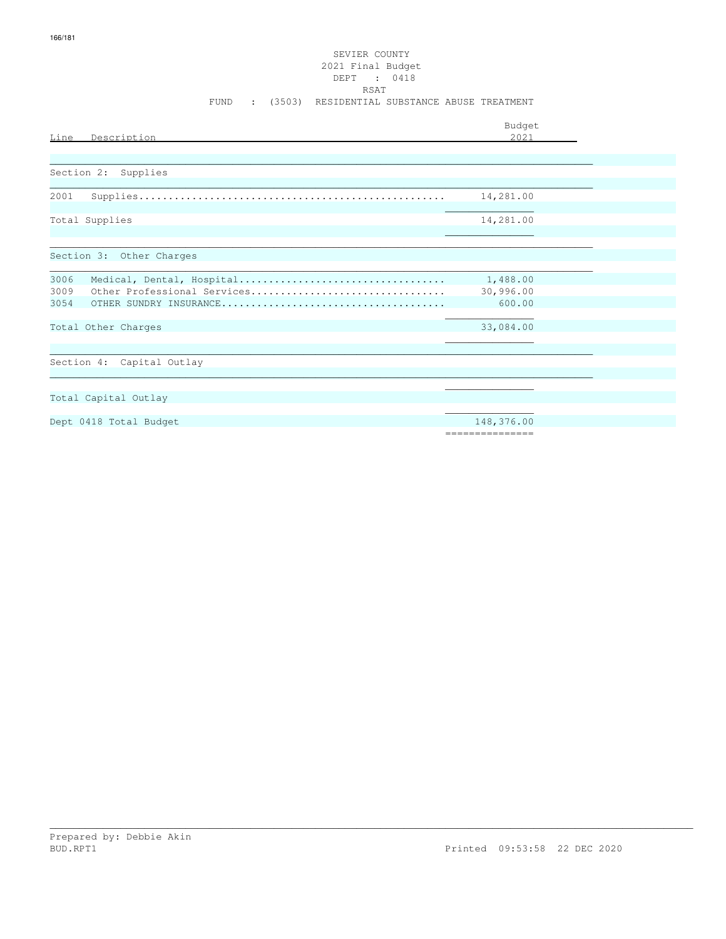# SEVIER COUNTY 2021 Final Budget DEPT : 0418 RSAT FUND : (3503) RESIDENTIAL SUBSTANCE ABUSE TREATMENT

|                                     | Budget          |
|-------------------------------------|-----------------|
| Line<br>Description                 | 2.021           |
|                                     |                 |
|                                     |                 |
| Supplies<br>Section 2:              |                 |
|                                     |                 |
| 2001                                | 14,281.00       |
| Total Supplies                      | 14,281.00       |
|                                     |                 |
|                                     |                 |
| Section 3: Other Charges            |                 |
|                                     |                 |
| 3006                                | 1,488.00        |
| Other Professional Services<br>3009 | 30,996.00       |
| 3054                                | 600.00          |
|                                     |                 |
| Total Other Charges                 | 33,084.00       |
|                                     |                 |
| Section 4: Capital Outlay           |                 |
|                                     |                 |
|                                     |                 |
| Total Capital Outlay                |                 |
|                                     |                 |
| Dept 0418 Total Budget              | 148,376.00      |
|                                     | =============== |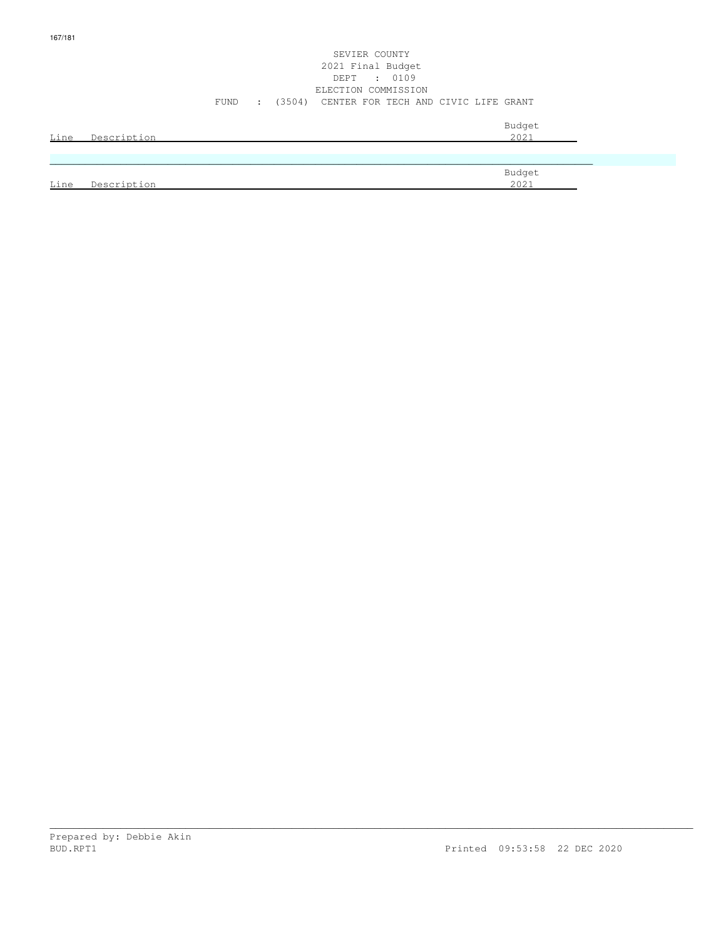## SEVIER COUNTY 2021 Final Budget DEPT : 0109 ELECTION COMMISSION FUND : (3504) CENTER FOR TECH AND CIVIC LIFE GRANT

| Line | Description | Budget<br>2021 |
|------|-------------|----------------|
|      |             |                |
|      |             | Budget         |
| Line | Description | 2021           |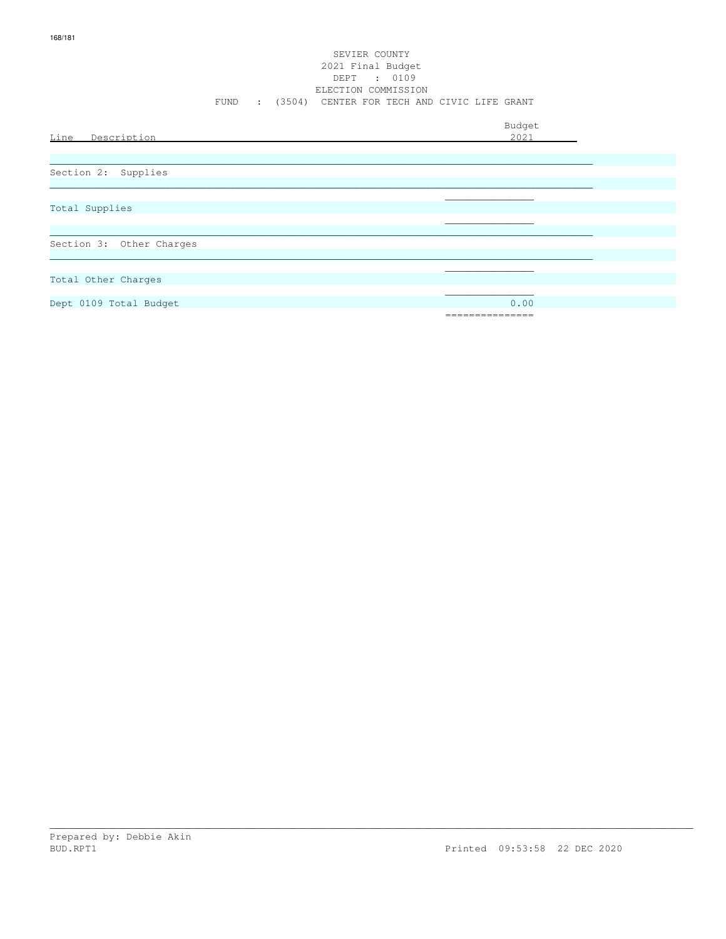## SEVIER COUNTY 2021 Final Budget DEPT : 0109 ELECTION COMMISSION FUND : (3504) CENTER FOR TECH AND CIVIC LIFE GRANT

| Line<br>Description      | Budget<br>2021 |
|--------------------------|----------------|
|                          |                |
| Section 2: Supplies      |                |
|                          |                |
| Total Supplies           |                |
|                          |                |
| Section 3: Other Charges |                |
|                          |                |
| Total Other Charges      |                |
|                          |                |
| Dept 0109 Total Budget   | 0.00           |
|                          | =============  |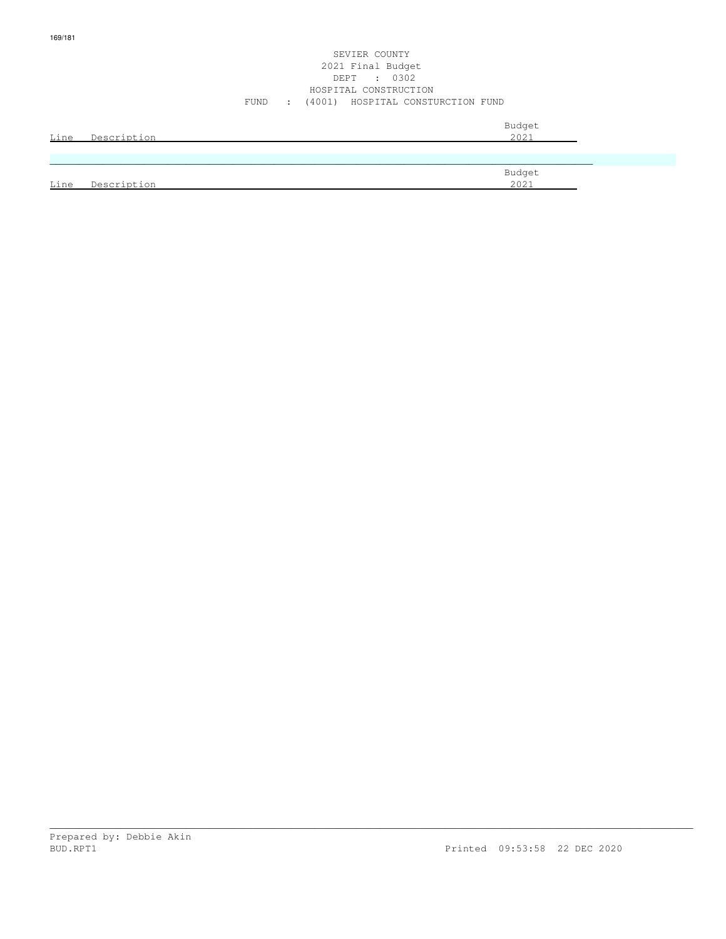### SEVIER COUNTY 2021 Final Budget DEPT : 0302 HOSPITAL CONSTRUCTION FUND : (4001) HOSPITAL CONSTURCTION FUND

| Line | Description | Budget<br>2021 |
|------|-------------|----------------|
|      |             |                |
| Line | Description | Budget<br>2021 |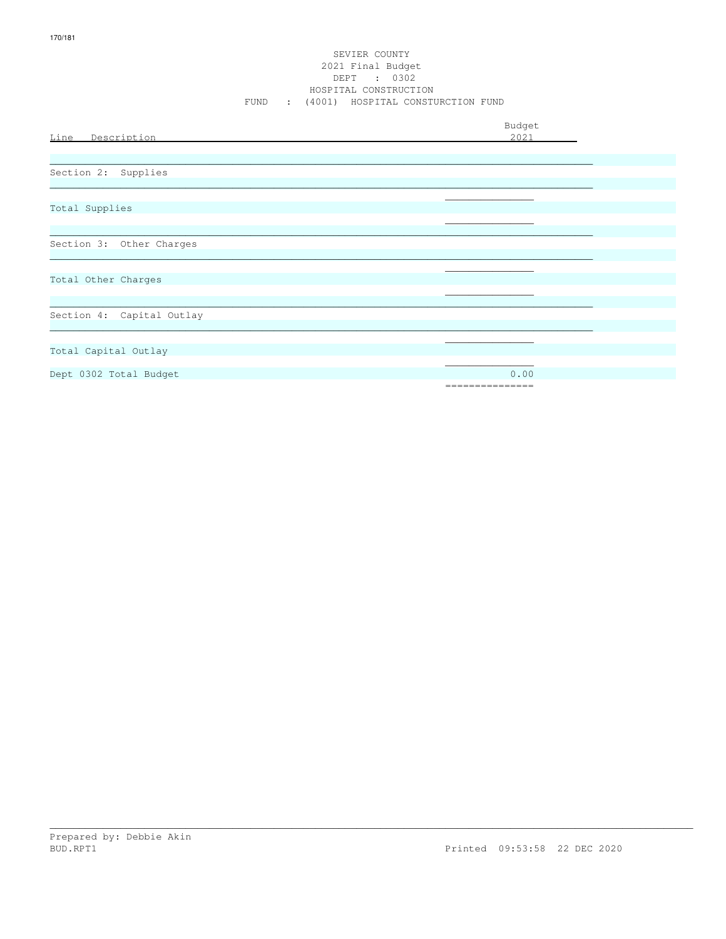## SEVIER COUNTY 2021 Final Budget DEPT : 0302 HOSPITAL CONSTRUCTION FUND : (4001) HOSPITAL CONSTURCTION FUND

| Line Description          | Budget<br>2021          |
|---------------------------|-------------------------|
| Section 2: Supplies       |                         |
| Total Supplies            |                         |
| Section 3: Other Charges  |                         |
| Total Other Charges       |                         |
| Section 4: Capital Outlay |                         |
| Total Capital Outlay      |                         |
| Dept 0302 Total Budget    | 0.00<br>=============== |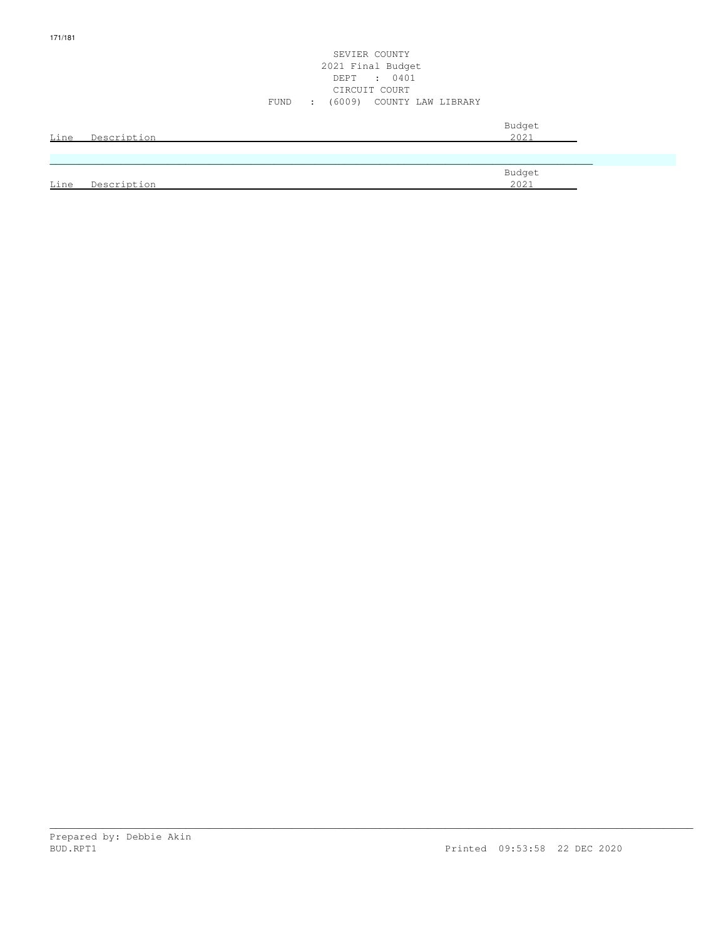## SEVIER COUNTY 2021 Final Budget DEPT : 0401 CIRCUIT COURT FUND : (6009) COUNTY LAW LIBRARY

| Line | Description | Budget<br>2021        |
|------|-------------|-----------------------|
|      |             |                       |
|      |             | Budget<br><u>2021</u> |
| Line | Description |                       |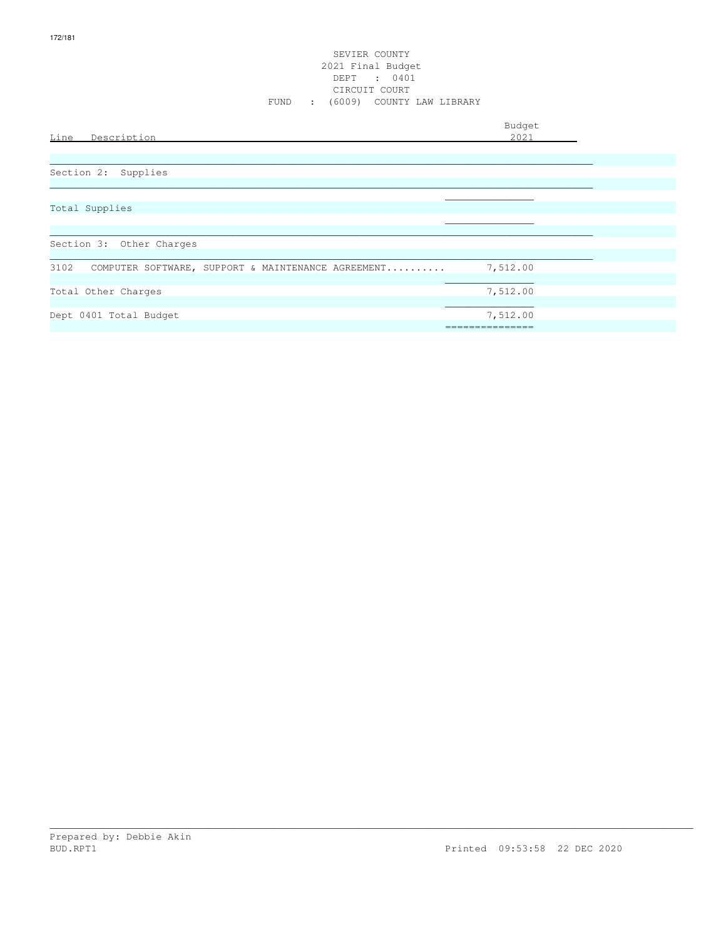## SEVIER COUNTY 2021 Final Budget DEPT : 0401 CIRCUIT COURT FUND : (6009) COUNTY LAW LIBRARY

| Line<br>Description                                        | Budget<br>2021 |
|------------------------------------------------------------|----------------|
|                                                            |                |
| Section 2: Supplies                                        |                |
| Total Supplies                                             |                |
|                                                            |                |
| Section 3: Other Charges                                   |                |
| 3102<br>COMPUTER SOFTWARE, SUPPORT & MAINTENANCE AGREEMENT | 7,512.00       |
| Total Other Charges                                        | 7,512.00       |
| Dept 0401 Total Budget                                     | 7,512.00       |
|                                                            |                |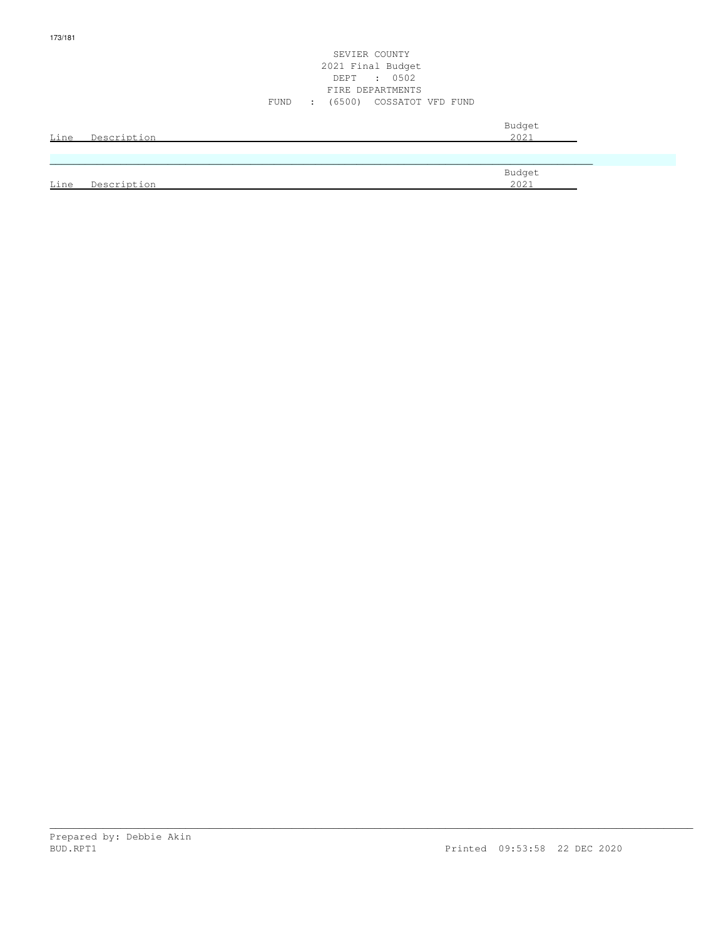## SEVIER COUNTY 2021 Final Budget DEPT : 0502 FIRE DEPARTMENTS FUND : (6500) COSSATOT VFD FUND

| Line | Description | Budget<br>2021 |
|------|-------------|----------------|
|      |             |                |
|      |             | Budget<br>2021 |
| Line | Description |                |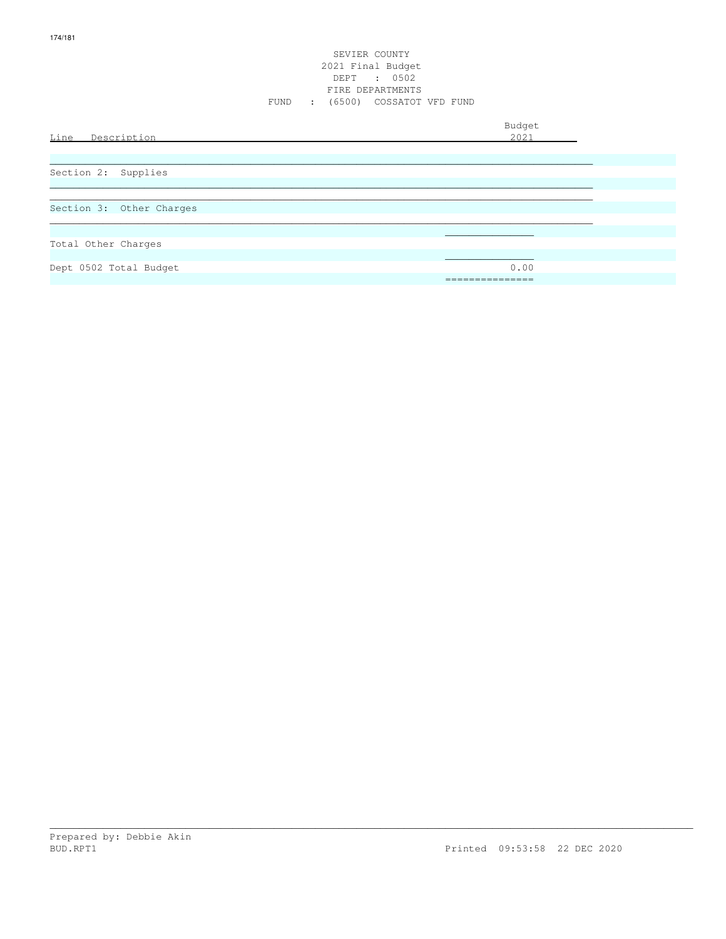## SEVIER COUNTY 2021 Final Budget DEPT : 0502 FIRE DEPARTMENTS FUND : (6500) COSSATOT VFD FUND

| Line<br>Description      | Budget<br>2021         |
|--------------------------|------------------------|
| Section 2: Supplies      |                        |
| Section 3: Other Charges |                        |
| Total Other Charges      |                        |
| Dept 0502 Total Budget   | 0.00<br>-------------- |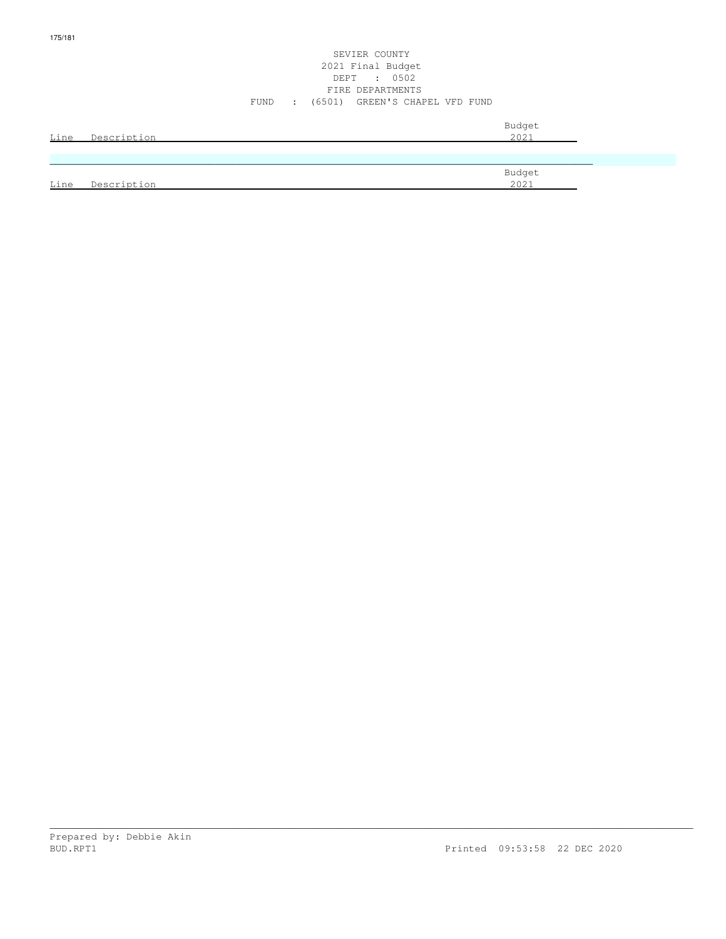## SEVIER COUNTY 2021 Final Budget DEPT : 0502 FIRE DEPARTMENTS FUND : (6501) GREEN'S CHAPEL VFD FUND

| <b>Line</b> | Description | Budget<br>2021 |
|-------------|-------------|----------------|
|             |             |                |
|             |             | Budget         |
| Line        | Description | 2021           |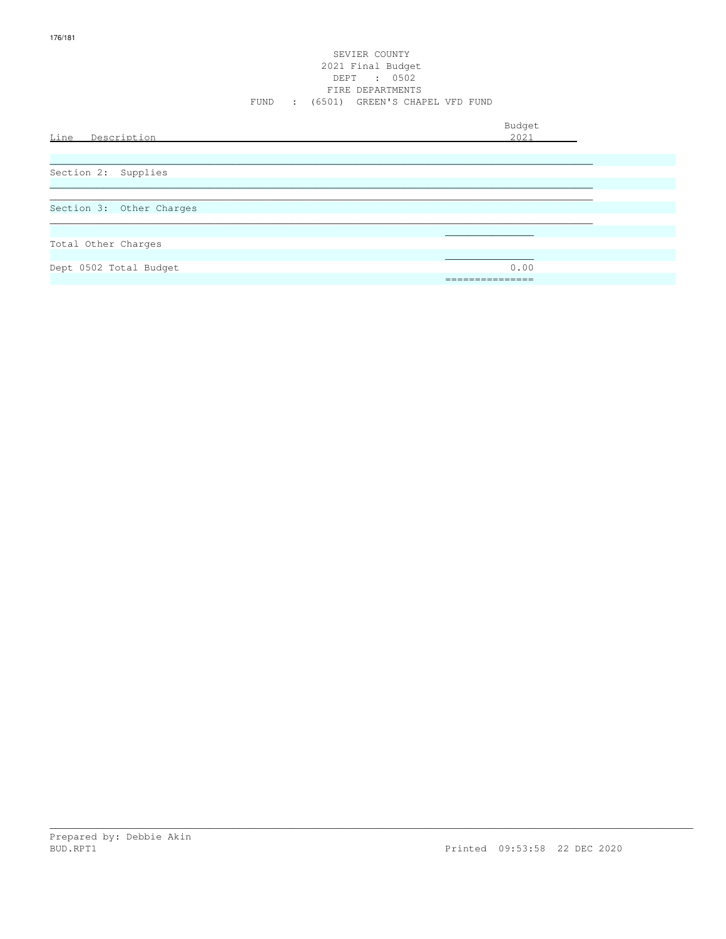## SEVIER COUNTY 2021 Final Budget DEPT : 0502 FIRE DEPARTMENTS FUND : (6501) GREEN'S CHAPEL VFD FUND

| Line Description         | Budget<br>2021          |
|--------------------------|-------------------------|
| Section 2: Supplies      |                         |
| Section 3: Other Charges |                         |
| Total Other Charges      |                         |
| Dept 0502 Total Budget   | 0.00<br>_______________ |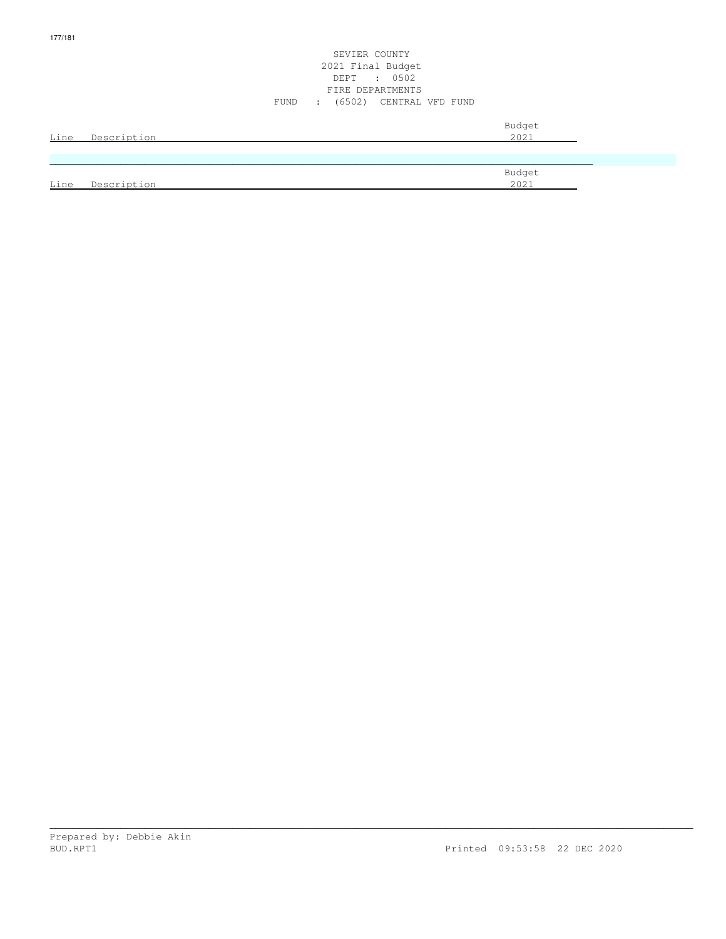## SEVIER COUNTY 2021 Final Budget DEPT : 0502 FIRE DEPARTMENTS FUND : (6502) CENTRAL VFD FUND

| Line | Description | Budget<br>2021 |
|------|-------------|----------------|
|      |             |                |
|      |             | Budget         |
| Line | Description | 2021           |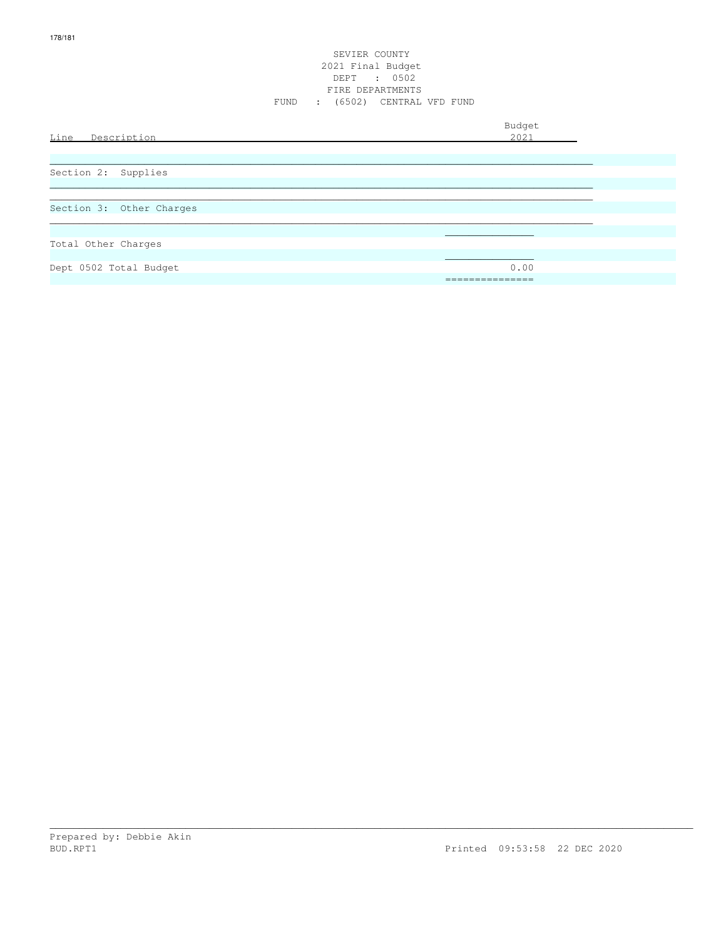# SEVIER COUNTY 2021 Final Budget DEPT : 0502<br>FIRE DEPARTMENTS FUND : (6502) CENTRAL VFD FUND

| Line Description         | Budget<br>2021                      |
|--------------------------|-------------------------------------|
| Section 2: Supplies      |                                     |
| Section 3: Other Charges |                                     |
| Total Other Charges      |                                     |
| Dept 0502 Total Budget   | 0.00<br>_______________<br>-------- |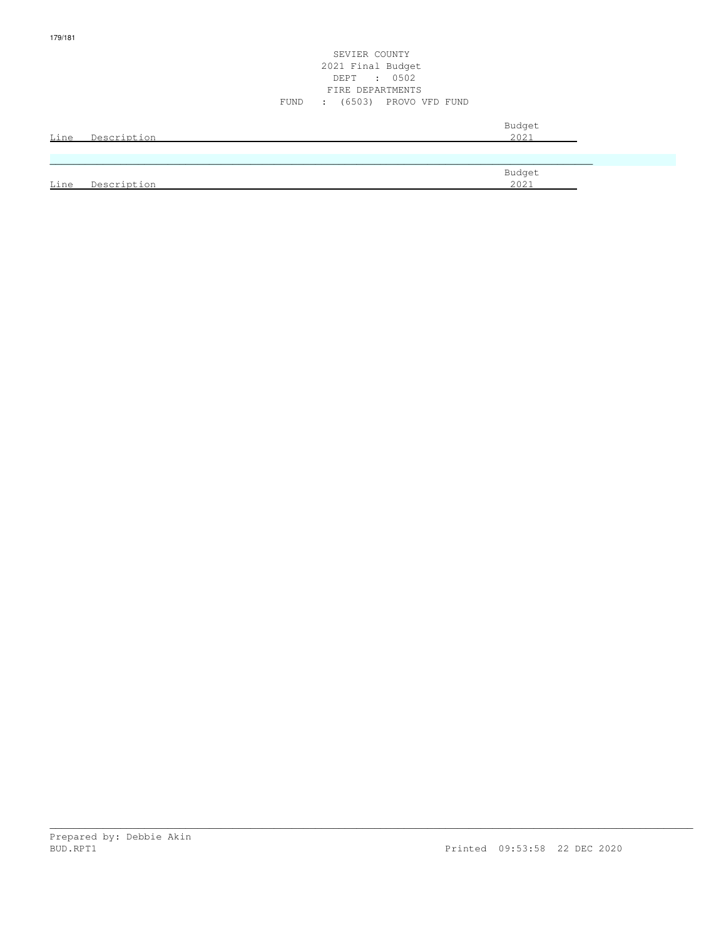## SEVIER COUNTY 2021 Final Budget DEPT : 0502 FIRE DEPARTMENTS FUND : (6503) PROVO VFD FUND

| Line | Description | Budget<br>2021 |
|------|-------------|----------------|
|      |             |                |
|      |             | Budget         |
| Line | Description | 2021           |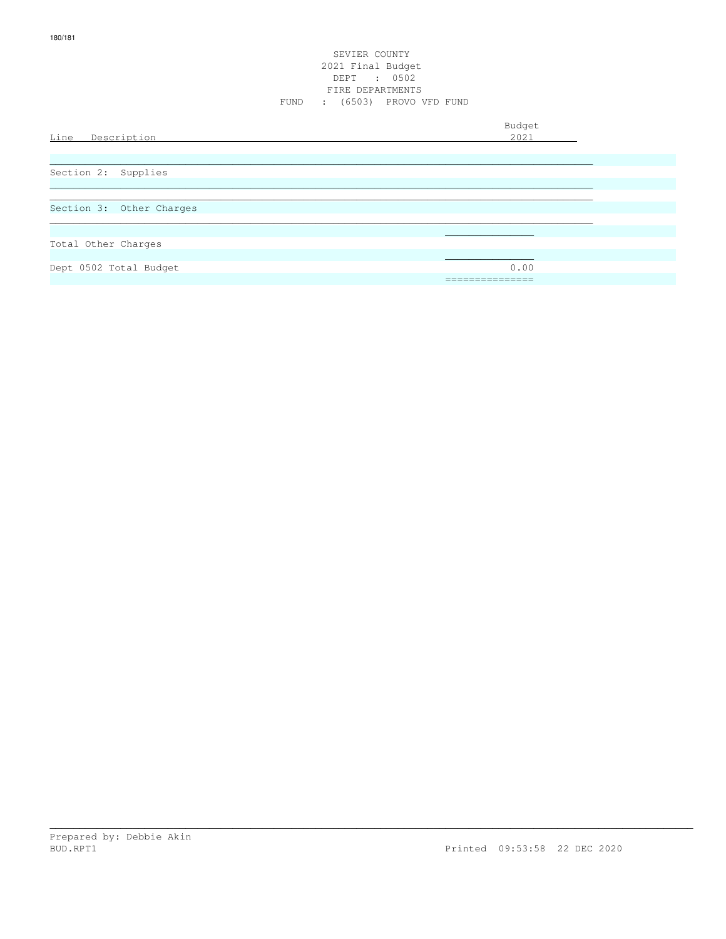# SEVIER COUNTY 2021 Final Budget DEPT : 0502<br>FIRE DEPARTMENTS FUND : (6503) PROVO VFD FUND

| Line Description         | Budget<br>2021 |
|--------------------------|----------------|
| Section 2: Supplies      |                |
| Section 3: Other Charges |                |
| Total Other Charges      |                |
| Dept 0502 Total Budget   | 0.00<br>.      |